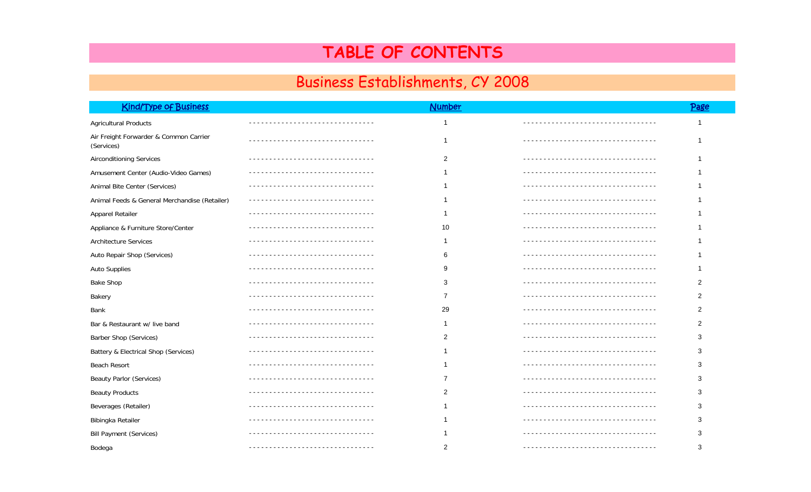## TABLE OF CONTENTS

## Business Establishments, CY 2008

| <b>Kind/Type of Business</b>                         | <b>Number</b>  | Page           |
|------------------------------------------------------|----------------|----------------|
| <b>Agricultural Products</b>                         | -1             | -1             |
|                                                      |                |                |
| Air Freight Forwarder & Common Carrier<br>(Services) | -1             | 1              |
| <b>Airconditioning Services</b>                      | $\overline{2}$ | 1              |
| Amusement Center (Audio-Video Games)                 |                |                |
| Animal Bite Center (Services)                        |                |                |
| Animal Feeds & General Merchandise (Retailer)        |                |                |
| Apparel Retailer                                     |                |                |
| Appliance & Furniture Store/Center                   | 10             |                |
| Architecture Services                                |                |                |
| Auto Repair Shop (Services)                          | 6              |                |
| Auto Supplies                                        | 9              |                |
| <b>Bake Shop</b>                                     | 3              | 2              |
| Bakery                                               | $\overline{7}$ | $\overline{2}$ |
| Bank                                                 | 29             | $\overline{2}$ |
| Bar & Restaurant w/ live band                        |                | 2              |
| Barber Shop (Services)                               | 2              | 3              |
| Battery & Electrical Shop (Services)                 |                | 3              |
| <b>Beach Resort</b>                                  |                | 3              |
| <b>Beauty Parlor (Services)</b>                      |                | 3              |
| <b>Beauty Products</b>                               |                | 3              |
| Beverages (Retailer)                                 |                | 3              |
| Bibingka Retailer                                    |                | 3              |
| <b>Bill Payment (Services)</b>                       |                | 3              |
| Bodega                                               | 2              | 3              |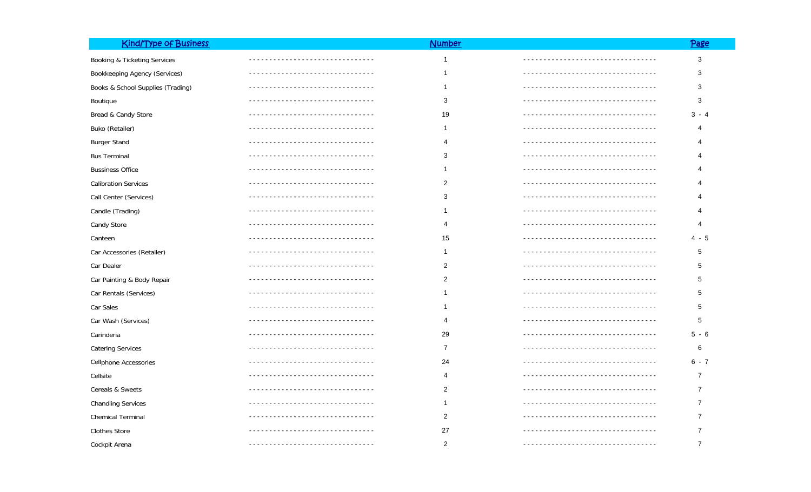| <b>Kind/Type of Business</b>      |                                | <b>Number</b>  |                                  | Page           |
|-----------------------------------|--------------------------------|----------------|----------------------------------|----------------|
| Booking & Ticketing Services      |                                | $\mathbf{1}$   |                                  | 3              |
| Bookkeeping Agency (Services)     |                                | 1              |                                  | 3              |
| Books & School Supplies (Trading) |                                | 1              |                                  | 3              |
| <b>Boutique</b>                   |                                | 3              |                                  | 3              |
| Bread & Candy Store               |                                | 19             |                                  | $3 - 4$        |
| Buko (Retailer)                   |                                | 1              |                                  | 4              |
| <b>Burger Stand</b>               |                                | $\overline{4}$ |                                  | 4              |
| <b>Bus Terminal</b>               |                                | 3              |                                  |                |
| <b>Bussiness Office</b>           |                                | 1              |                                  |                |
| <b>Calibration Services</b>       |                                | $\overline{2}$ | ------------------------------   |                |
| Call Center (Services)            |                                | 3              |                                  |                |
| Candle (Trading)                  |                                | -1             |                                  |                |
| Candy Store                       |                                | 4              |                                  | 4              |
| Canteen                           |                                | 15             | -------------------------------- | $4 - 5$        |
| Car Accessories (Retailer)        | ----------------------------   | 1              |                                  | 5              |
| Car Dealer                        |                                | $\overline{2}$ | ____________________________     | 5              |
| Car Painting & Body Repair        |                                | $\overline{2}$ |                                  | 5              |
| Car Rentals (Services)            |                                | -1             | ------------------------------   | 5              |
| Car Sales                         |                                | 1              |                                  | 5              |
| Car Wash (Services)               |                                | 4              |                                  | 5              |
| Carinderia                        |                                | 29             |                                  | $5 - 6$        |
| <b>Catering Services</b>          |                                | $\overline{7}$ |                                  | 6              |
| Cellphone Accessories             |                                | 24             |                                  | $6 - 7$        |
| Cellsite                          |                                | 4              |                                  | 7              |
| Cereals & Sweets                  |                                | $\overline{c}$ |                                  |                |
| <b>Chandling Services</b>         |                                | 1              |                                  |                |
| <b>Chemical Terminal</b>          | ______________________________ | 2              | ________________________________ |                |
| <b>Clothes Store</b>              |                                | 27             |                                  |                |
| Cockpit Arena                     |                                | $\overline{2}$ |                                  | $\overline{7}$ |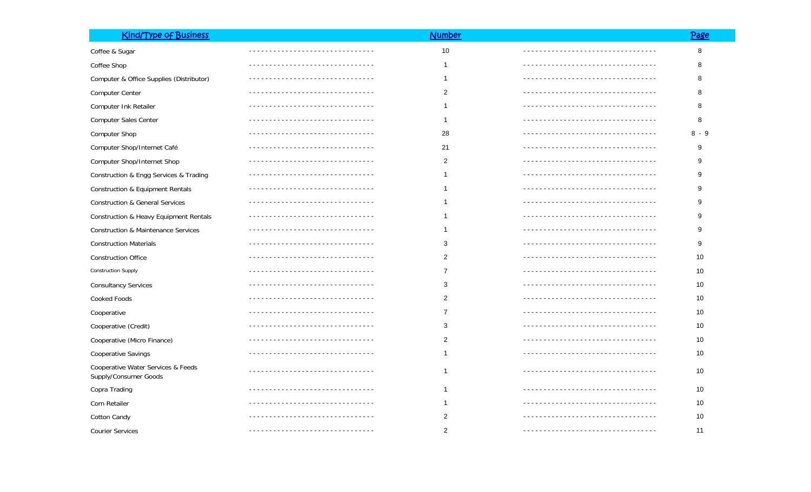| <b>Kind/Type of Business</b>                                |                               | <b>Number</b>  |                               | <u>Page</u> |
|-------------------------------------------------------------|-------------------------------|----------------|-------------------------------|-------------|
| Coffee & Sugar                                              |                               | 10             | _____________________________ | 8           |
| Coffee Shop                                                 |                               | $\mathbf 1$    |                               | 8           |
| Computer & Office Supplies (Distributor)                    |                               | -1             |                               | 8           |
| Computer Center                                             |                               | $\overline{c}$ |                               | 8           |
| Computer Ink Retailer                                       |                               | -1             |                               | 8           |
| Computer Sales Center                                       |                               | $\mathbf{1}$   |                               | 8           |
| Computer Shop                                               |                               | 28             |                               | 8 - 9       |
| Computer Shop/Internet Café                                 |                               | 21             |                               | 9           |
| Computer Shop/Internet Shop                                 |                               | 2              |                               | 9           |
| Construction & Engg Services & Trading                      |                               |                |                               | 9.          |
| <b>Construction &amp; Equipment Rentals</b>                 |                               |                |                               | 9.          |
| <b>Construction &amp; General Services</b>                  |                               |                |                               | 9           |
| Construction & Heavy Equipment Rentals                      |                               | -1             |                               | 9           |
| <b>Construction &amp; Maintenance Services</b>              |                               | -1             |                               | 9           |
| <b>Construction Materials</b>                               |                               | 3              |                               | 9           |
| <b>Construction Office</b>                                  |                               | $\overline{c}$ |                               | 10          |
| <b>Construction Supply</b>                                  |                               | $\overline{7}$ |                               | 10          |
| <b>Consultancy Services</b>                                 |                               | 3              |                               | 10          |
| Cooked Foods                                                |                               | 2              |                               | 10          |
| Cooperative                                                 |                               | 7              |                               | 10          |
| Cooperative (Credit)                                        |                               | 3              |                               | 10          |
| Cooperative (Micro Finance)                                 |                               | 2              |                               | 10          |
| Cooperative Savings                                         |                               | $\mathbf{1}$   |                               | 10          |
| Cooperative Water Services & Feeds<br>Supply/Consumer Goods |                               | -1             |                               | 10          |
| Copra Trading                                               |                               | -1             |                               | $10$        |
| Corn Retailer                                               | ----------------------------- | -1             |                               | 10          |
| <b>Cotton Candy</b>                                         |                               | 2              | <u>.</u>                      | 10          |
| <b>Courier Services</b>                                     |                               | $\overline{2}$ | ----------------------------  | 11          |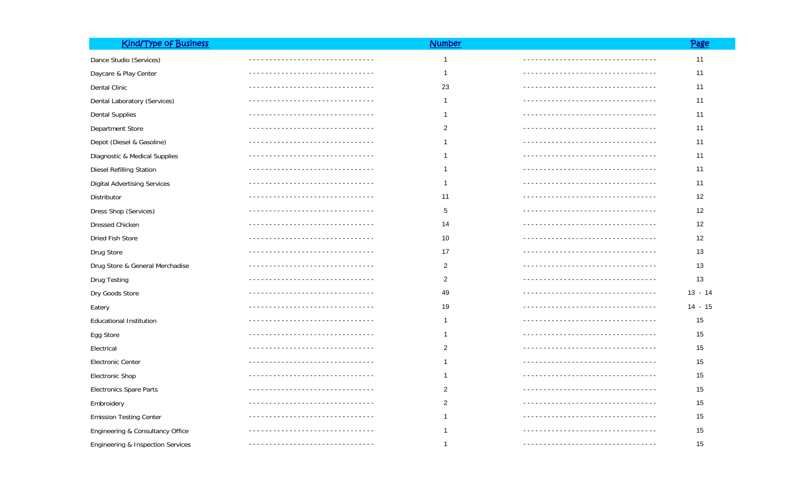| <b>Kind/Type of Business</b>        |                                  | <b>Number</b>  |                                     | <u>Page</u> |
|-------------------------------------|----------------------------------|----------------|-------------------------------------|-------------|
| Dance Studio (Services)             |                                  | 1              |                                     | 11          |
| Daycare & Play Center               |                                  | 1              | --------------------------------    | 11          |
| Dental Clinic                       |                                  | 23             | -------------------------------     | 11          |
| Dental Laboratory (Services)        |                                  |                |                                     | 11          |
| <b>Dental Supplies</b>              |                                  | 1              |                                     | 11          |
| Department Store                    |                                  | 2              |                                     | 11          |
| Depot (Diesel & Gasoline)           | -------------------------------- |                |                                     | 11          |
| Diagnostic & Medical Supplies       |                                  |                |                                     | 11          |
| Diesel Refilling Station            |                                  | -1             |                                     | 11          |
| <b>Digital Advertising Services</b> |                                  | -1             |                                     | 11          |
| Distributor                         |                                  | 11             |                                     | 12          |
| Dress Shop (Services)               |                                  | 5              |                                     | 12          |
| <b>Dressed Chicken</b>              |                                  | 14             |                                     | 12          |
| Dried Fish Store                    |                                  | 10             |                                     | 12          |
| Drug Store                          |                                  | 17             | -----------------------------       | 13          |
| Drug Store & General Merchadise     |                                  | $\overline{2}$ |                                     | 13          |
| Drug Testing                        |                                  | $\overline{2}$ |                                     | 13          |
| Dry Goods Store                     |                                  | 49             |                                     | $13 - 14$   |
| Eatery                              |                                  | 19             |                                     | 14 - 15     |
| <b>Educational Institution</b>      |                                  | 1              |                                     | 15          |
| Egg Store                           |                                  | -1             |                                     | 15          |
| Electrical                          | -------------------------------- | $\overline{2}$ | ----------------------------------- | 15          |
| Electronic Center                   |                                  | -1             |                                     | 15          |
| Electronic Shop                     |                                  | -1             |                                     | 15          |
| <b>Electronics Spare Parts</b>      |                                  | 2              |                                     | 15          |
| Embroidery                          |                                  | $\overline{2}$ |                                     | 15          |
| <b>Emission Testing Center</b>      |                                  |                |                                     | 15          |
| Engineering & Consultancy Office    |                                  |                |                                     | 15          |
| Engineering & Inspection Services   |                                  | -1             |                                     | 15          |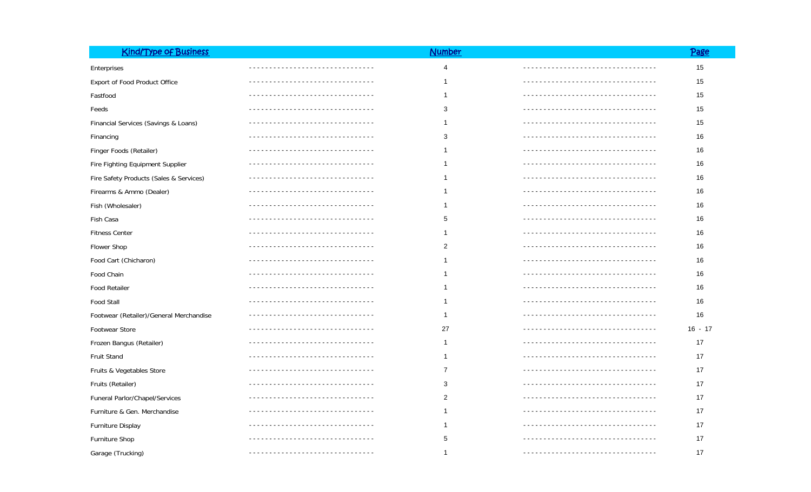| <b>Kind/Type of Business</b>            | <b>Number</b>  |                             | <u>Page</u> |
|-----------------------------------------|----------------|-----------------------------|-------------|
| Enterprises                             | 4              |                             | 15          |
| Export of Food Product Office           | -1             | --------------------------- | 15          |
| Fastfood                                | $\overline{1}$ |                             | 15          |
| Feeds                                   | 3              |                             | 15          |
| Financial Services (Savings & Loans)    | -1             |                             | 15          |
| Financing                               | 3              |                             | 16          |
| Finger Foods (Retailer)                 | -1             |                             | 16          |
| Fire Fighting Equipment Supplier        | -1             |                             | 16          |
| Fire Safety Products (Sales & Services) | -1             |                             | 16          |
| Firearms & Ammo (Dealer)                | -1             |                             | 16          |
| Fish (Wholesaler)                       | -1             |                             | 16          |
| Fish Casa                               | 5              |                             | 16          |
| <b>Fitness Center</b>                   | 1              |                             | 16          |
| Flower Shop                             | $\overline{2}$ |                             | 16          |
| Food Cart (Chicharon)                   | 1              |                             | 16          |
| Food Chain                              | -1             |                             | 16          |
| <b>Food Retailer</b>                    | -1             |                             | 16          |
| <b>Food Stall</b>                       | -1             |                             | 16          |
| Footwear (Retailer)/General Merchandise | -1             |                             | 16          |
| Footwear Store                          | 27             |                             | $16 - 17$   |
| Frozen Bangus (Retailer)                | $\mathbf{1}$   |                             | 17          |
| Fruit Stand                             | -1             |                             | 17          |
| Fruits & Vegetables Store               | 7              |                             | 17          |
| Fruits (Retailer)                       | 3              |                             | 17          |
| Funeral Parlor/Chapel/Services          | 2              |                             | 17          |
| Furniture & Gen. Merchandise            | $\mathbf 1$    |                             | 17          |
| Furniture Display                       | -1             |                             | 17          |
| Furniture Shop                          | 5              |                             | 17          |
| Garage (Trucking)                       | $\overline{1}$ |                             | 17          |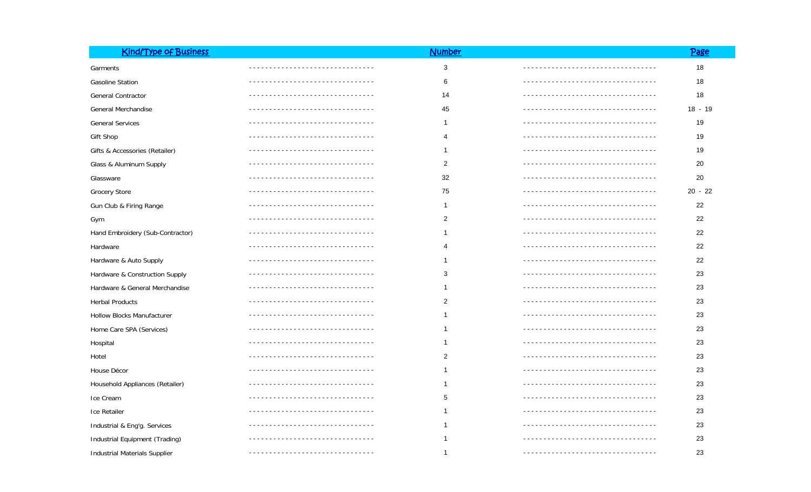| <b>Kind/Type of Business</b>         |                                   | <b>Number</b>  |                              | Page      |
|--------------------------------------|-----------------------------------|----------------|------------------------------|-----------|
| Garments                             |                                   | 3              |                              | 18        |
| <b>Gasoline Station</b>              |                                   | 6              |                              | 18        |
| General Contractor                   |                                   | 14             |                              | 18        |
| General Merchandise                  | <u>--------------------------</u> | 45             |                              | 18 - 19   |
| <b>General Services</b>              |                                   | -1             |                              | 19        |
| Gift Shop                            |                                   | 4              |                              | 19        |
| Gifts & Accessories (Retailer)       | --------------------------        | -1             | ---------------------------- | 19        |
| Glass & Aluminum Supply              |                                   | 2              |                              | 20        |
| Glassware                            |                                   | 32             | --------------------------   | 20        |
| <b>Grocery Store</b>                 | --------------------------------  | 75             |                              | $20 - 22$ |
| Gun Club & Firing Range              |                                   | -1             |                              | 22        |
| Gym                                  |                                   | $\overline{c}$ |                              | 22        |
| Hand Embroidery (Sub-Contractor)     |                                   |                |                              | 22        |
| Hardware                             |                                   | 4              |                              | 22        |
| Hardware & Auto Supply               |                                   | -1             |                              | 22        |
| Hardware & Construction Supply       |                                   | 3              |                              | 23        |
| Hardware & General Merchandise       |                                   |                |                              | 23        |
| <b>Herbal Products</b>               |                                   | 2              |                              | 23        |
| <b>Hollow Blocks Manufacturer</b>    |                                   |                |                              | 23        |
| Home Care SPA (Services)             |                                   |                |                              | 23        |
| Hospital                             |                                   |                |                              | 23        |
| Hotel                                |                                   | $\overline{2}$ |                              | 23        |
| House Décor                          |                                   |                |                              | 23        |
| Household Appliances (Retailer)      |                                   |                |                              | 23        |
| Ice Cream                            |                                   | 5              |                              | 23        |
| Ice Retailer                         |                                   |                |                              | 23        |
| Industrial & Eng'g. Services         |                                   |                |                              | 23        |
| Industrial Equipment (Trading)       |                                   |                |                              | 23        |
| <b>Industrial Materials Supplier</b> |                                   | -1             |                              | 23        |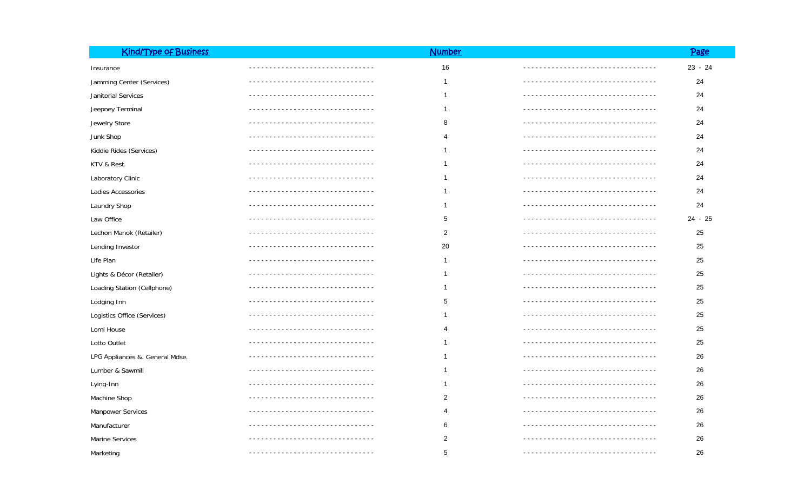| <b>Kind/Type of Business</b>    |                                  | <b>Number</b>  |                                     | <u>Page</u> |
|---------------------------------|----------------------------------|----------------|-------------------------------------|-------------|
| Insurance                       |                                  | 16             |                                     | $23 - 24$   |
| Jamming Center (Services)       |                                  | $\mathbf 1$    |                                     | 24          |
| Janitorial Services             |                                  | $\mathbf 1$    |                                     | 24          |
| Jeepney Terminal                |                                  | -1             |                                     | 24          |
| Jewelry Store                   | -------------------------------- | 8              | ----------------------------------- | 24          |
| Junk Shop                       |                                  | 4              |                                     | 24          |
| Kiddie Rides (Services)         | ------------------------------   | $\mathbf 1$    |                                     | 24          |
| KTV & Rest.                     |                                  | -1             |                                     | 24          |
| Laboratory Clinic               |                                  | $\mathbf 1$    |                                     | 24          |
| Ladies Accessories              | ------------------------------   | -1             | --------------------------------    | 24          |
| Laundry Shop                    |                                  | 1              |                                     | 24          |
| Law Office                      |                                  | 5              | _____________________________       | $24 - 25$   |
| Lechon Manok (Retailer)         |                                  | $\overline{2}$ |                                     | 25          |
| Lending Investor                |                                  | 20             |                                     | 25          |
| Life Plan                       |                                  | $\mathbf{1}$   |                                     | 25          |
| Lights & Décor (Retailer)       |                                  | $\mathbf 1$    | ____________________________        | 25          |
| Loading Station (Cellphone)     |                                  | $\mathbf 1$    |                                     | 25          |
| Lodging Inn                     |                                  | 5              |                                     | 25          |
| Logistics Office (Services)     |                                  | 1              |                                     | 25          |
| Lomi House                      |                                  | 4              |                                     | 25          |
| Lotto Outlet                    |                                  | $\mathbf 1$    |                                     | 25          |
| LPG Appliances &. General Mdse. |                                  | -1             |                                     | 26          |
| Lumber & Sawmill                |                                  | -1             |                                     | 26          |
| Lying-Inn                       |                                  | 1              |                                     | 26          |
| Machine Shop                    |                                  | $\overline{c}$ |                                     | 26          |
| Manpower Services               |                                  | 4              |                                     | 26          |
| Manufacturer                    |                                  | 6              |                                     | 26          |
| Marine Services                 |                                  | $\overline{c}$ |                                     | 26          |
| Marketing                       |                                  | 5              |                                     | 26          |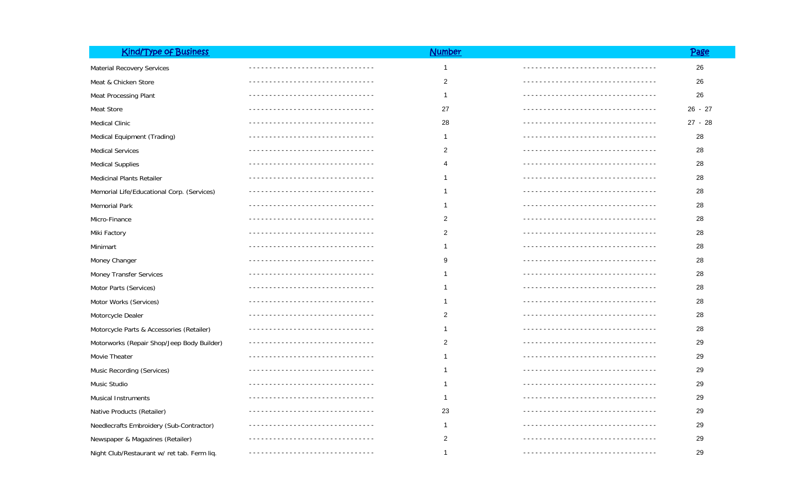| <b>Kind/Type of Business</b>                |                                  | <b>Number</b>  |                                     | Page      |
|---------------------------------------------|----------------------------------|----------------|-------------------------------------|-----------|
| Material Recovery Services                  |                                  | $\mathbf{1}$   |                                     | 26        |
| Meat & Chicken Store                        |                                  | $\overline{2}$ | ____________________________        | 26        |
| Meat Processing Plant                       |                                  | 1              |                                     | 26        |
| Meat Store                                  |                                  | 27             | <u>----------------------------</u> | $26 - 27$ |
| <b>Medical Clinic</b>                       | __________________________       | 28             | ---------------------------         | $27 - 28$ |
| Medical Equipment (Trading)                 | ------------------------------   | -1             | -----------------------------       | 28        |
| <b>Medical Services</b>                     |                                  | 2              |                                     | 28        |
| <b>Medical Supplies</b>                     | ----------------------------     | 4              |                                     | 28        |
| <b>Medicinal Plants Retailer</b>            |                                  |                |                                     | 28        |
| Memorial Life/Educational Corp. (Services)  | -------------------------------- |                |                                     | 28        |
| Memorial Park                               |                                  |                |                                     | 28        |
| Micro-Finance                               |                                  | 2              |                                     | 28        |
| Miki Factory                                |                                  | 2              |                                     | 28        |
| Minimart                                    |                                  |                |                                     | 28        |
| Money Changer                               |                                  | 9              |                                     | 28        |
| Money Transfer Services                     |                                  |                |                                     | 28        |
| Motor Parts (Services)                      |                                  |                |                                     | 28        |
| Motor Works (Services)                      |                                  | ำ              |                                     | 28        |
| Motorcycle Dealer                           |                                  | 2              |                                     | 28        |
| Motorcycle Parts & Accessories (Retailer)   |                                  | -1             |                                     | 28        |
| Motorworks (Repair Shop/Jeep Body Builder)  |                                  | $\overline{2}$ |                                     | 29        |
| Movie Theater                               |                                  | 1              |                                     | 29        |
| Music Recording (Services)                  |                                  | 1              |                                     | 29        |
| Music Studio                                |                                  | -1             |                                     | 29        |
| <b>Musical Instruments</b>                  |                                  | -1             |                                     | 29        |
| Native Products (Retailer)                  |                                  | 23             |                                     | 29        |
| Needlecrafts Embroidery (Sub-Contractor)    |                                  | 1              |                                     | 29        |
| Newspaper & Magazines (Retailer)            |                                  | $\overline{2}$ |                                     | 29        |
| Night Club/Restaurant w/ ret tab. Ferm liq. | ----------------------           | -1             |                                     | 29        |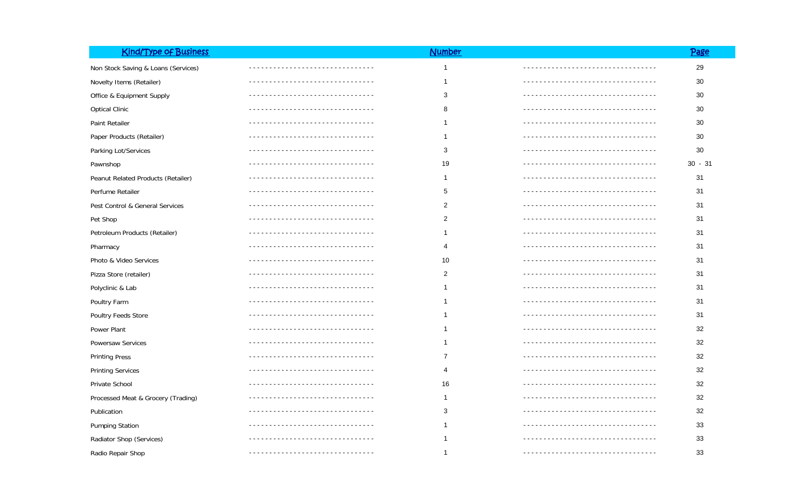| <b>Kind/Type of Business</b>        |                             | <b>Number</b>  |                                   | Page      |
|-------------------------------------|-----------------------------|----------------|-----------------------------------|-----------|
| Non Stock Saving & Loans (Services) |                             | $\mathbf{1}$   |                                   | 29        |
| Novelty Items (Retailer)            |                             | 1              | ___________________________       | 30        |
| Office & Equipment Supply           |                             | 3              |                                   | 30        |
| <b>Optical Clinic</b>               |                             | 8              | ----------------------------      | 30        |
| Paint Retailer                      |                             | 1              |                                   | 30        |
| Paper Products (Retailer)           | --------------------------- | 1              | <u>--------------------------</u> | 30        |
| Parking Lot/Services                |                             | 3              | _____________________________     | 30        |
| Pawnshop                            |                             | 19             | ------------------------------    | $30 - 31$ |
| Peanut Related Products (Retailer)  |                             | 1              | --------------------------        | 31        |
| Perfume Retailer                    |                             | 5              |                                   | 31        |
| Pest Control & General Services     |                             | $\overline{2}$ |                                   | 31        |
| Pet Shop                            |                             | $\overline{2}$ |                                   | 31        |
| Petroleum Products (Retailer)       |                             | $\mathbf{1}$   |                                   | 31        |
| Pharmacy                            |                             | 4              | -------------------------------   | 31        |
| Photo & Video Services              |                             | 10             |                                   | 31        |
| Pizza Store (retailer)              |                             | $\overline{c}$ |                                   | 31        |
| Polyclinic & Lab                    |                             | 1              |                                   | 31        |
| Poultry Farm                        |                             | 1              |                                   | 31        |
| Poultry Feeds Store                 |                             | -1             |                                   | 31        |
| Power Plant                         |                             | -1             |                                   | 32        |
| Powersaw Services                   |                             | 1              |                                   | 32        |
| <b>Printing Press</b>               |                             | $\overline{7}$ |                                   | 32        |
| <b>Printing Services</b>            |                             | 4              |                                   | 32        |
| Private School                      |                             | 16             |                                   | 32        |
| Processed Meat & Grocery (Trading)  |                             | 1              |                                   | 32        |
| Publication                         |                             | 3              |                                   | 32        |
| <b>Pumping Station</b>              |                             | 1              |                                   | 33        |
| Radiator Shop (Services)            |                             | -1             |                                   | 33        |
| Radio Repair Shop                   |                             | $\mathbf{1}$   |                                   | 33        |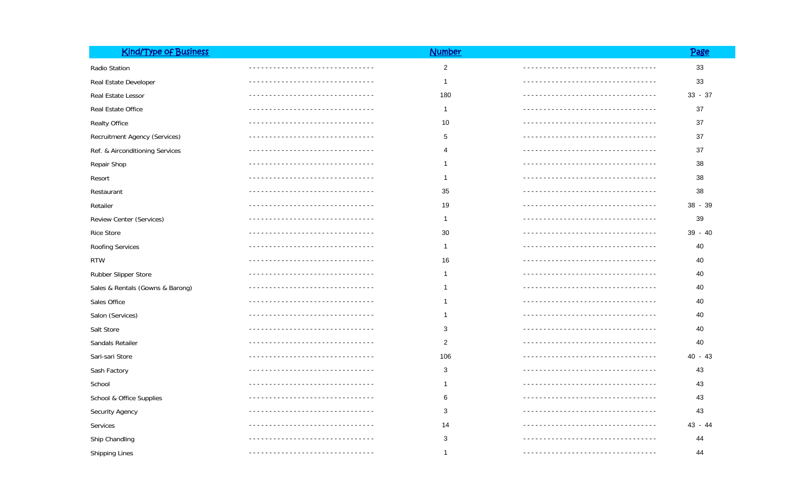| <b>Kind/Type of Business</b>     |                           | <b>Number</b>  |                                    | <u>Page</u> |
|----------------------------------|---------------------------|----------------|------------------------------------|-------------|
| Radio Station                    |                           | $\overline{2}$ | ---------------------------------- | $33\,$      |
| Real Estate Developer            |                           | $\mathbf{1}$   |                                    | 33          |
| Real Estate Lessor               |                           | 180            |                                    | $33 - 37$   |
| Real Estate Office               |                           | $\overline{1}$ |                                    | 37          |
| <b>Realty Office</b>             |                           | 10             |                                    | 37          |
| Recruitment Agency (Services)    |                           | 5              |                                    | 37          |
| Ref. & Airconditioning Services  |                           | 4              |                                    | 37          |
| Repair Shop                      |                           | -1             |                                    | 38          |
| Resort                           |                           | -1             |                                    | 38          |
| Restaurant                       |                           | 35             |                                    | 38          |
| Retailer                         |                           | 19             |                                    | $38 - 39$   |
| Review Center (Services)         |                           | -1             |                                    | 39          |
| <b>Rice Store</b>                |                           | 30             |                                    | $39 - 40$   |
| Roofing Services                 |                           | -1             |                                    | 40          |
| <b>RTW</b>                       |                           | 16             |                                    | 40          |
| Rubber Slipper Store             |                           | -1             |                                    | 40          |
| Sales & Rentals (Gowns & Barong) |                           |                |                                    | 40          |
| Sales Office                     |                           |                |                                    | 40          |
| Salon (Services)                 |                           |                |                                    | 40          |
| Salt Store                       |                           | 3              |                                    | 40          |
| Sandals Retailer                 |                           | $\overline{2}$ |                                    | 40          |
| Sari-sari Store                  |                           | 106            |                                    | $40 - 43$   |
| Sash Factory                     |                           | 3              |                                    | 43          |
| School                           |                           |                |                                    | 43          |
| School & Office Supplies         |                           | 6              |                                    | 43          |
| Security Agency                  |                           | 3              |                                    | 43          |
| Services                         |                           | 14             |                                    | 43 - 44     |
| Ship Chandling                   |                           | 3              |                                    | 44          |
| Shipping Lines                   | ------------------------- | -1             |                                    | 44          |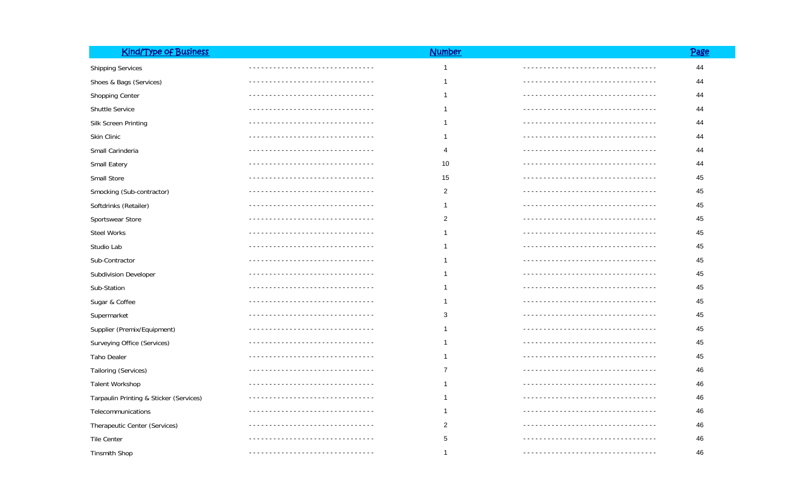| <b>Kind/Type of Business</b>            |                        | <b>Number</b>  |                              | <u>Page</u> |
|-----------------------------------------|------------------------|----------------|------------------------------|-------------|
| <b>Shipping Services</b>                | ---------------------- | $\mathbf{1}$   |                              | 44          |
| Shoes & Bags (Services)                 |                        | $\mathbf{1}$   |                              | 44          |
| Shopping Center                         |                        | 1              |                              | 44          |
| Shuttle Service                         |                        | 1              | ____________________________ | 44          |
| Silk Screen Printing                    |                        | 1              |                              | 44          |
| Skin Clinic                             |                        | 1              |                              | 44          |
| Small Carinderia                        |                        | 4              |                              | 44          |
| Small Eatery                            |                        | 10             |                              | 44          |
| Small Store                             |                        | 15             |                              | 45          |
| Smocking (Sub-contractor)               |                        | $\overline{2}$ |                              | 45          |
| Softdrinks (Retailer)                   |                        | $\mathbf{1}$   |                              | 45          |
| Sportswear Store                        |                        | $\overline{c}$ |                              | 45          |
| Steel Works                             |                        | 1              |                              | 45          |
| Studio Lab                              |                        | $\mathbf{1}$   |                              | 45          |
| Sub-Contractor                          |                        | 1              |                              | 45          |
| Subdivision Developer                   |                        | 1              |                              | 45          |
| Sub-Station                             |                        | $\mathbf{1}$   |                              | 45          |
| Sugar & Coffee                          |                        | $\mathbf{1}$   |                              | 45          |
| Supermarket                             |                        | 3              |                              | 45          |
| Supplier (Premix/Equipment)             |                        | $\mathbf{1}$   |                              | 45          |
| Surveying Office (Services)             |                        | $\mathbf{1}$   |                              | 45          |
| Taho Dealer                             |                        | 1              |                              | 45          |
| Tailoring (Services)                    |                        | 7              |                              | 46          |
| Talent Workshop                         |                        | 1              |                              | 46          |
| Tarpaulin Printing & Sticker (Services) |                        | 1              |                              | 46          |
| Telecommunications                      |                        | $\mathbf{1}$   |                              | 46          |
| Therapeutic Center (Services)           |                        | $\overline{c}$ |                              | 46          |
| Tile Center                             |                        | 5              |                              | 46          |
| <b>Tinsmith Shop</b>                    |                        | $\mathbf{1}$   |                              | 46          |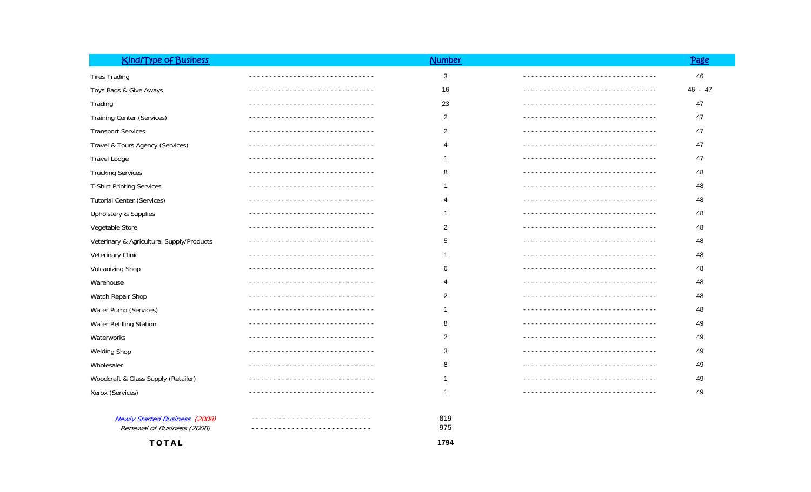| <b>Kind/Type of Business</b>              |                                  | <b>Number</b>  |                                  | Page    |
|-------------------------------------------|----------------------------------|----------------|----------------------------------|---------|
| <b>Tires Trading</b>                      |                                  | 3              |                                  | 46      |
| Toys Bags & Give Aways                    |                                  | 16             |                                  | 46 - 47 |
| Trading                                   |                                  | 23             |                                  | 47      |
| <b>Training Center (Services)</b>         |                                  | $\overline{2}$ |                                  | 47      |
| <b>Transport Services</b>                 |                                  | 2              |                                  | 47      |
| Travel & Tours Agency (Services)          |                                  | 4              |                                  | 47      |
| <b>Travel Lodge</b>                       |                                  | 1              |                                  | 47      |
| <b>Trucking Services</b>                  |                                  | 8              | -------------------------------- | 48      |
| <b>T-Shirt Printing Services</b>          |                                  |                |                                  | 48      |
| <b>Tutorial Center (Services)</b>         |                                  | 4              |                                  | 48      |
| Upholstery & Supplies                     |                                  | $\mathbf 1$    |                                  | 48      |
| Vegetable Store                           |                                  | $\overline{2}$ |                                  | 48      |
| Veterinary & Agricultural Supply/Products |                                  | 5              |                                  | 48      |
| Veterinary Clinic                         |                                  | 1              |                                  | 48      |
| <b>Vulcanizing Shop</b>                   |                                  | 6              |                                  | 48      |
| Warehouse                                 |                                  | 4              |                                  | 48      |
| Watch Repair Shop                         |                                  | 2              |                                  | 48      |
| Water Pump (Services)                     |                                  | 1              |                                  | 48      |
| Water Refilling Station                   | -------------------------------- | 8              | ------------------------------   | 49      |
| Waterworks                                |                                  | 2              | ------------------------------   | 49      |
| <b>Welding Shop</b>                       |                                  | 3              |                                  | 49      |
| Wholesaler                                |                                  | 8              | ------------------------------   | 49      |
| Woodcraft & Glass Supply (Retailer)       |                                  |                | -----------------------------    | 49      |
| Xerox (Services)                          |                                  | 1              |                                  | 49      |
|                                           |                                  |                |                                  |         |
| <b>Newly Started Business (2008)</b>      |                                  | 819            |                                  |         |
| Renewal of Business (2008)                |                                  | 975            |                                  |         |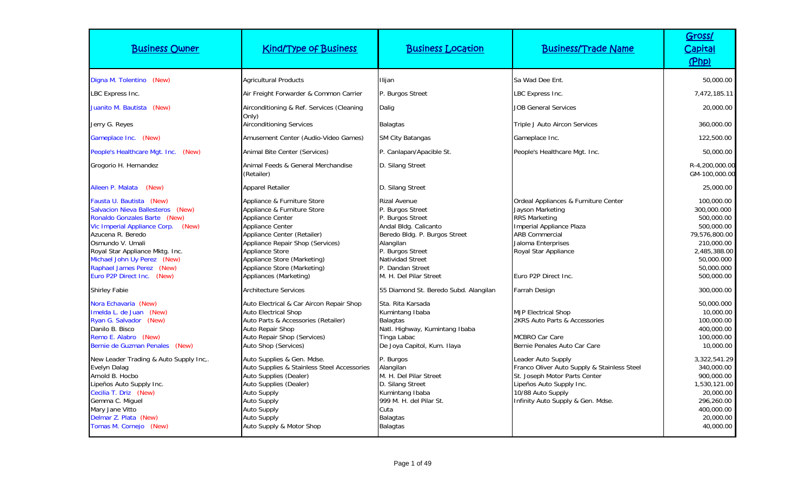| <b>Business Owner</b>                                                                                                                                                                                                                                                                                               | <b>Kind/Type of Business</b>                                                                                                                                                                                                                                                            | <b>Business Location</b>                                                                                                                                                                                          | <b>Business/Trade Name</b>                                                                                                                                                                                  | Gross/<br><b>Capital</b><br>(Php)                                                                                                              |
|---------------------------------------------------------------------------------------------------------------------------------------------------------------------------------------------------------------------------------------------------------------------------------------------------------------------|-----------------------------------------------------------------------------------------------------------------------------------------------------------------------------------------------------------------------------------------------------------------------------------------|-------------------------------------------------------------------------------------------------------------------------------------------------------------------------------------------------------------------|-------------------------------------------------------------------------------------------------------------------------------------------------------------------------------------------------------------|------------------------------------------------------------------------------------------------------------------------------------------------|
| Digna M. Tolentino (New)                                                                                                                                                                                                                                                                                            | <b>Agricultural Products</b>                                                                                                                                                                                                                                                            | Ilijan                                                                                                                                                                                                            | Sa Wad Dee Ent.                                                                                                                                                                                             | 50,000.00                                                                                                                                      |
| LBC Express Inc.                                                                                                                                                                                                                                                                                                    | Air Freight Forwarder & Common Carrier                                                                                                                                                                                                                                                  | P. Burgos Street                                                                                                                                                                                                  | LBC Express Inc.                                                                                                                                                                                            | 7,472,185.11                                                                                                                                   |
| Juanito M. Bautista (New)                                                                                                                                                                                                                                                                                           | Airconditioning & Ref. Services (Cleaning                                                                                                                                                                                                                                               | Dalig                                                                                                                                                                                                             | <b>JOB General Services</b>                                                                                                                                                                                 | 20,000.00                                                                                                                                      |
| Jerry G. Reyes                                                                                                                                                                                                                                                                                                      | Only)<br><b>Airconditioning Services</b>                                                                                                                                                                                                                                                | <b>Balagtas</b>                                                                                                                                                                                                   | Triple J Auto Aircon Services                                                                                                                                                                               | 360,000.00                                                                                                                                     |
| Gameplace Inc. (New)                                                                                                                                                                                                                                                                                                | Amusement Center (Audio-Video Games)                                                                                                                                                                                                                                                    | <b>SM City Batangas</b>                                                                                                                                                                                           | Gameplace Inc.                                                                                                                                                                                              | 122,500.00                                                                                                                                     |
| People's Healthcare Mgt. Inc. (New)                                                                                                                                                                                                                                                                                 | Animal Bite Center (Services)                                                                                                                                                                                                                                                           | P. Canlapan/Apacible St.                                                                                                                                                                                          | People's Healthcare Mgt. Inc.                                                                                                                                                                               | 50,000.00                                                                                                                                      |
| Grogorio H. Hernandez                                                                                                                                                                                                                                                                                               | Animal Feeds & General Merchandise<br>(Retailer)                                                                                                                                                                                                                                        | D. Silang Street                                                                                                                                                                                                  |                                                                                                                                                                                                             | R-4,200,000.00<br>GM-100,000.00                                                                                                                |
| Aileen P. Malata<br>(New)                                                                                                                                                                                                                                                                                           | <b>Apparel Retailer</b>                                                                                                                                                                                                                                                                 | D. Silang Street                                                                                                                                                                                                  |                                                                                                                                                                                                             | 25,000.00                                                                                                                                      |
| Fausta U. Bautista (New)<br><b>Salvacion Nieva Ballesteros (New)</b><br>Ronaldo Gonzales Barte (New)<br>Vic Imperial Appliance Corp.<br>(New)<br>Azucena R. Beredo<br>Osmundo V. Umali<br>Royal Star Appliance Mktg. Inc.<br>Michael John Uy Perez (New)<br>Raphael James Perez (New)<br>Euro P2P Direct Inc. (New) | Appliance & Furniture Store<br>Appliance & Furniture Store<br>Appliance Center<br>Appliance Center<br>Appliance Center (Retailer)<br>Appliance Repair Shop (Services)<br><b>Appliance Store</b><br>Appliance Store (Marketing)<br>Appliance Store (Marketing)<br>Appliances (Marketing) | Rizal Avenue<br>P. Burgos Street<br>P. Burgos Street<br>Andal Bldg. Calicanto<br>Beredo Bldg. P. Burgos Street<br>Alangilan<br>P. Burgos Street<br>Natividad Street<br>P. Dandan Street<br>M. H. Del Pilar Street | Ordeal Appliances & Furniture Center<br>Jayson Marketing<br><b>RRS Marketing</b><br>Imperial Appliance Plaza<br><b>ARB Commercial</b><br>Jaloma Enterprises<br>Royal Star Appliance<br>Euro P2P Direct Inc. | 100,000.00<br>300,000.000<br>500,000.00<br>500,000.00<br>79,576,800.00<br>210,000.00<br>2,485,388.00<br>50,000.000<br>50,000.000<br>500,000.00 |
| <b>Shirley Fabie</b>                                                                                                                                                                                                                                                                                                | <b>Architecture Services</b>                                                                                                                                                                                                                                                            | 55 Diamond St. Beredo Subd. Alangilan                                                                                                                                                                             | Farrah Design                                                                                                                                                                                               | 300,000.00                                                                                                                                     |
| Nora Echavaria (New)<br>Imelda L. de Juan (New)<br>Ryan G. Salvador (New)<br>Danilo B. Bisco<br>Remo E. Alabro (New)<br>Bernie de Guzman Penales (New)                                                                                                                                                              | Auto Electrical & Car Aircon Repair Shop<br><b>Auto Electrical Shop</b><br>Auto Parts & Accessories (Retailer)<br><b>Auto Repair Shop</b><br>Auto Repair Shop (Services)<br>Auto Shop (Services)                                                                                        | Sta. Rita Karsada<br>Kumintang Ibaba<br><b>Balagtas</b><br>Natl. Highway, Kumintang Ibaba<br>Tinga Labac<br>De Joya Capitol, Kum. Ilaya                                                                           | <b>MJP Electrical Shop</b><br>2KRS Auto Parts & Accessories<br><b>MCBRO Car Care</b><br>Bernie Penales Auto Car Care                                                                                        | 50,000.000<br>10,000.00<br>100,000.00<br>400,000.00<br>100,000.00<br>10,000.00                                                                 |
| New Leader Trading & Auto Supply Inc,.<br>Evelyn Dalag<br>Arnold B. Hocbo<br>Lipeños Auto Supply Inc.<br>Cecilia T. Driz (New)<br>Gemma C. Miquel<br>Mary Jane Vitto<br>Delmar Z. Plata (New)<br>Tomas M. Cornejo (New)                                                                                             | Auto Supplies & Gen. Mdse.<br>Auto Supplies & Stainless Steel Accessories<br>Auto Supplies (Dealer)<br>Auto Supplies (Dealer)<br><b>Auto Supply</b><br><b>Auto Supply</b><br><b>Auto Supply</b><br><b>Auto Supply</b><br>Auto Supply & Motor Shop                                       | P. Burgos<br>Alangilan<br>M. H. Del Pilar Street<br>D. Silang Street<br>Kumintang Ibaba<br>999 M. H. del Pilar St.<br>Cuta<br><b>Balagtas</b><br><b>Balagtas</b>                                                  | Leader Auto Supply<br>Franco Oliver Auto Supply & Stainless Steel<br>St. Joseph Motor Parts Center<br>Lipeños Auto Supply Inc.<br>10/88 Auto Supply<br>Infinity Auto Supply & Gen. Mdse.                    | 3,322,541.29<br>340,000.00<br>900,000.00<br>1,530,121.00<br>20,000.00<br>296,260.00<br>400,000.00<br>20,000.00<br>40,000.00                    |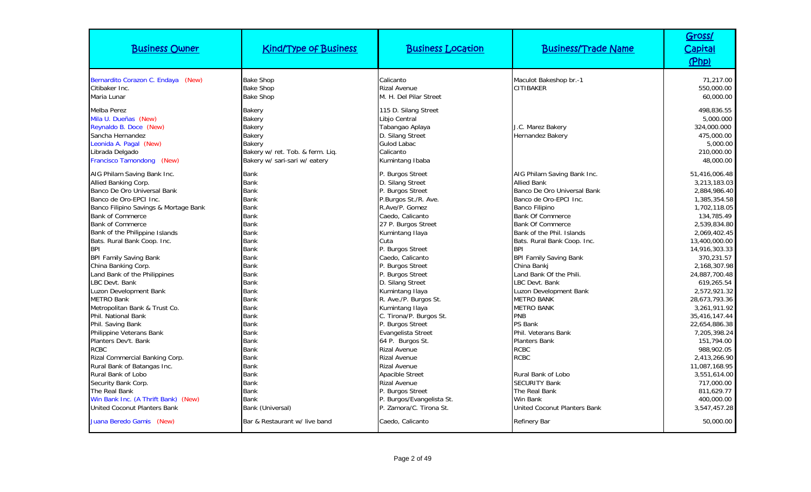| <b>Business Owner</b>                                                                                                                                                                                                                                                                                                                                                                                                                                                                | <b>Kind/Type of Business</b>                                                                                                                                                                                                                         | <b>Business Location</b>                                                                                                                                                                                                                                                                                                                    | <b>Business/Trade Name</b>                                                                                                                                                                                                                                                                                                                                                                                                    | Gross/<br><u>Capital</u><br>(Php)                                                                                                                                                                                                                                           |
|--------------------------------------------------------------------------------------------------------------------------------------------------------------------------------------------------------------------------------------------------------------------------------------------------------------------------------------------------------------------------------------------------------------------------------------------------------------------------------------|------------------------------------------------------------------------------------------------------------------------------------------------------------------------------------------------------------------------------------------------------|---------------------------------------------------------------------------------------------------------------------------------------------------------------------------------------------------------------------------------------------------------------------------------------------------------------------------------------------|-------------------------------------------------------------------------------------------------------------------------------------------------------------------------------------------------------------------------------------------------------------------------------------------------------------------------------------------------------------------------------------------------------------------------------|-----------------------------------------------------------------------------------------------------------------------------------------------------------------------------------------------------------------------------------------------------------------------------|
| Bernardito Corazon C. Endaya (New)<br>Citibaker Inc.<br>Maria Lunar                                                                                                                                                                                                                                                                                                                                                                                                                  | <b>Bake Shop</b><br><b>Bake Shop</b><br><b>Bake Shop</b>                                                                                                                                                                                             | Calicanto<br><b>Rizal Avenue</b><br>M. H. Del Pilar Street                                                                                                                                                                                                                                                                                  | Maculot Bakeshop br.-1<br>CITIBAKER                                                                                                                                                                                                                                                                                                                                                                                           | 71,217.00<br>550,000.00<br>60,000.00                                                                                                                                                                                                                                        |
| <b>Melba Perez</b><br>Mila U. Dueñas (New)<br>Reynaldo B. Doce (New)<br>Sancha Hernandez<br>Leonida A. Pagal (New)<br>Librada Delgado<br>Francisco Tamondong (New)                                                                                                                                                                                                                                                                                                                   | Bakery<br>Bakery<br>Bakery<br>Bakery<br><b>Bakerv</b><br>Bakery w/ ret. Tob. & ferm. Liq.<br>Bakery w/ sari-sari w/ eatery                                                                                                                           | 115 D. Silang Street<br>Libjo Central<br>Tabangao Aplaya<br>D. Silang Street<br><b>Gulod Labac</b><br>Calicanto<br>Kumintang Ibaba                                                                                                                                                                                                          | J.C. Marez Bakery<br><b>Hernandez Bakery</b>                                                                                                                                                                                                                                                                                                                                                                                  | 498,836.55<br>5,000.000<br>324,000.000<br>475,000.00<br>5,000.00<br>210,000.00<br>48,000.00                                                                                                                                                                                 |
| AIG Philam Saving Bank Inc.<br>Allied Banking Corp.<br>Banco De Oro Universal Bank<br>Banco de Oro-EPCI Inc.<br>Banco Filipino Savings & Mortage Bank<br><b>Bank of Commerce</b><br><b>Bank of Commerce</b><br>Bank of the Philippine Islands<br>Bats. Rural Bank Coop. Inc.<br><b>BPI</b><br><b>BPI Family Saving Bank</b><br>China Banking Corp.<br>Land Bank of the Philippines<br>LBC Devt. Bank<br>Luzon Development Bank<br><b>METRO Bank</b><br>Metropolitan Bank & Trust Co. | <b>Bank</b><br><b>Bank</b><br><b>Bank</b><br><b>Bank</b><br><b>Bank</b><br><b>Bank</b><br><b>Bank</b><br><b>Bank</b><br><b>Bank</b><br><b>Bank</b><br><b>Bank</b><br><b>Bank</b><br><b>Bank</b><br><b>Bank</b><br><b>Bank</b><br><b>Bank</b><br>Bank | P. Burgos Street<br>D. Silang Street<br>P. Burgos Street<br>P.Burgos St./R. Ave.<br>R.Ave/P. Gomez<br>Caedo, Calicanto<br>27 P. Burgos Street<br>Kumintang Ilaya<br>Cuta<br>P. Burgos Street<br>Caedo, Calicanto<br>P. Burgos Street<br>P. Burgos Street<br>D. Silang Street<br>Kumintang Ilaya<br>R. Ave./P. Burgos St.<br>Kumintang Ilaya | AIG Philam Saving Bank Inc.<br><b>Allied Bank</b><br>Banco De Oro Universal Bank<br>Banco de Oro-EPCI Inc.<br>Banco Filipino<br><b>Bank Of Commerce</b><br><b>Bank Of Commerce</b><br>Bank of the Phil. Islands<br>Bats. Rural Bank Coop. Inc.<br><b>BPI</b><br><b>BPI Family Saving Bank</b><br>China Banki<br>Land Bank Of the Phili.<br>LBC Devt. Bank<br>Luzon Development Bank<br><b>METRO BANK</b><br><b>METRO BANK</b> | 51,416,006.48<br>3,213,183.03<br>2,884,986.40<br>1,385,354.58<br>1,702,118.05<br>134,785.49<br>2,539,834.80<br>2,069,402.45<br>13,400,000.00<br>14,916,303.33<br>370.231.57<br>2,168,307.98<br>24,887,700.48<br>619,265.54<br>2.572.921.32<br>28.673.793.36<br>3,261,911.92 |
| Phil. National Bank<br>Phil. Saving Bank<br>Philippine Veterans Bank<br>Planters Dev't. Bank<br><b>RCBC</b><br>Rizal Commercial Banking Corp.<br>Rural Bank of Batangas Inc.<br>Rural Bank of Lobo<br>Security Bank Corp.<br>The Real Bank<br>Win Bank Inc. (A Thrift Bank) (New)<br><b>United Coconut Planters Bank</b><br>Juana Beredo Gamis (New)                                                                                                                                 | <b>Bank</b><br><b>Bank</b><br><b>Bank</b><br><b>Bank</b><br><b>Bank</b><br><b>Bank</b><br><b>Bank</b><br><b>Bank</b><br>Bank<br><b>Bank</b><br><b>Bank</b><br>Bank (Universal)<br>Bar & Restaurant w/ live band                                      | C. Tirona/P. Burgos St.<br>P. Burgos Street<br>Evangelista Street<br>64 P. Burgos St.<br><b>Rizal Avenue</b><br><b>Rizal Avenue</b><br><b>Rizal Avenue</b><br><b>Apacible Street</b><br><b>Rizal Avenue</b><br>P. Burgos Street<br>P. Burgos/Evangelista St.<br>P. Zamora/C. Tirona St.<br>Caedo, Calicanto                                 | <b>PNB</b><br>PS Bank<br>Phil. Veterans Bank<br><b>Planters Bank</b><br><b>RCBC</b><br><b>RCBC</b><br>Rural Bank of Lobo<br><b>SECURITY Bank</b><br>The Real Bank<br>Win Bank<br><b>United Coconut Planters Bank</b><br>Refinery Bar                                                                                                                                                                                          | 35,416,147.44<br>22,654,886.38<br>7,205,398.24<br>151,794.00<br>988,902.05<br>2.413.266.90<br>11,087,168.95<br>3,551,614.00<br>717,000.00<br>811,629.77<br>400,000.00<br>3,547,457.28<br>50,000.00                                                                          |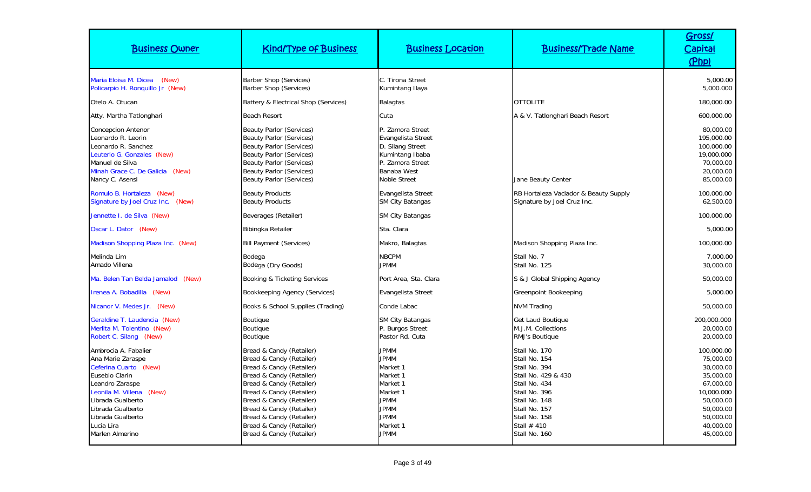| <b>Business Owner</b>                                                                                                                                                                                                                  | <b>Kind/Type of Business</b>                                                                                                                                                                                                                                                                                     | <b>Business Location</b>                                                                                                                           | <b>Business/Trade Name</b>                                                                                                                                                                   | Gross/<br><u>Capital</u><br>(Php)                                                                                                             |
|----------------------------------------------------------------------------------------------------------------------------------------------------------------------------------------------------------------------------------------|------------------------------------------------------------------------------------------------------------------------------------------------------------------------------------------------------------------------------------------------------------------------------------------------------------------|----------------------------------------------------------------------------------------------------------------------------------------------------|----------------------------------------------------------------------------------------------------------------------------------------------------------------------------------------------|-----------------------------------------------------------------------------------------------------------------------------------------------|
| Maria Eloisa M. Dicea (New)<br>Policarpio H. Ronquillo Jr (New)                                                                                                                                                                        | <b>Barber Shop (Services)</b><br>Barber Shop (Services)                                                                                                                                                                                                                                                          | C. Tirona Street<br>Kumintang Ilaya                                                                                                                |                                                                                                                                                                                              | 5,000.00<br>5,000.000                                                                                                                         |
| Otelo A. Otucan                                                                                                                                                                                                                        | Battery & Electrical Shop (Services)                                                                                                                                                                                                                                                                             | <b>Balagtas</b>                                                                                                                                    | <b>OTTOLITE</b>                                                                                                                                                                              | 180,000.00                                                                                                                                    |
| Atty. Martha Tatlonghari                                                                                                                                                                                                               | <b>Beach Resort</b>                                                                                                                                                                                                                                                                                              | Cuta                                                                                                                                               | A & V. Tatlonghari Beach Resort                                                                                                                                                              | 600,000.00                                                                                                                                    |
| <b>Concepcion Antenor</b><br>Leonardo R. Leorin<br>Leonardo R. Sanchez<br>Leuterio G. Gonzales (New)<br>Manuel de Silva<br>Minah Grace C. De Galicia (New)<br>Nancy C. Asensi                                                          | <b>Beauty Parlor (Services)</b><br><b>Beauty Parlor (Services)</b><br><b>Beauty Parlor (Services)</b><br><b>Beauty Parlor (Services)</b><br><b>Beauty Parlor (Services)</b><br><b>Beauty Parlor (Services)</b><br><b>Beauty Parlor (Services)</b>                                                                | P. Zamora Street<br>Evangelista Street<br>D. Silang Street<br>Kumintang Ibaba<br>P. Zamora Street<br>Banaba West<br><b>Noble Street</b>            | Jane Beauty Center                                                                                                                                                                           | 80,000.00<br>195,000.00<br>100,000.00<br>19,000.000<br>70,000.00<br>20,000.00<br>85,000.00                                                    |
| Romulo B. Hortaleza (New)<br>Signature by Joel Cruz Inc. (New)                                                                                                                                                                         | <b>Beauty Products</b><br><b>Beauty Products</b>                                                                                                                                                                                                                                                                 | Evangelista Street<br>SM City Batangas                                                                                                             | RB Hortaleza Vaciador & Beauty Supply<br>Signature by Joel Cruz Inc.                                                                                                                         | 100,000.00<br>62,500.00                                                                                                                       |
| Jennette I. de Silva (New)                                                                                                                                                                                                             | Beverages (Retailer)                                                                                                                                                                                                                                                                                             | <b>SM City Batangas</b>                                                                                                                            |                                                                                                                                                                                              | 100,000.00                                                                                                                                    |
| Oscar L. Dator (New)                                                                                                                                                                                                                   | <b>Bibingka Retailer</b>                                                                                                                                                                                                                                                                                         | Sta. Clara                                                                                                                                         |                                                                                                                                                                                              | 5,000.00                                                                                                                                      |
| Madison Shopping Plaza Inc. (New)                                                                                                                                                                                                      | <b>Bill Payment (Services)</b>                                                                                                                                                                                                                                                                                   | Makro, Balagtas                                                                                                                                    | Madison Shopping Plaza Inc.                                                                                                                                                                  | 100,000.00                                                                                                                                    |
| Melinda Lim<br>Amado Villena                                                                                                                                                                                                           | Bodega<br>Bodega (Dry Goods)                                                                                                                                                                                                                                                                                     | <b>NBCPM</b><br><b>JPMM</b>                                                                                                                        | Stall No. 7<br>Stall No. 125                                                                                                                                                                 | 7,000.00<br>30,000.00                                                                                                                         |
| Ma. Belen Tan Belda Jamalod<br>(New)                                                                                                                                                                                                   | Booking & Ticketing Services                                                                                                                                                                                                                                                                                     | Port Area, Sta. Clara                                                                                                                              | S & J Global Shipping Agency                                                                                                                                                                 | 50,000.00                                                                                                                                     |
| Irenea A. Bobadilla (New)                                                                                                                                                                                                              | Bookkeeping Agency (Services)                                                                                                                                                                                                                                                                                    | Evangelista Street                                                                                                                                 | Greenpoint Bookeeping                                                                                                                                                                        | 5,000.00                                                                                                                                      |
| Nicanor V. Medes Jr. (New)                                                                                                                                                                                                             | Books & School Supplies (Trading)                                                                                                                                                                                                                                                                                | Conde Labac                                                                                                                                        | NVM Trading                                                                                                                                                                                  | 50,000.00                                                                                                                                     |
| Geraldine T. Laudencia (New)<br>Merlita M. Tolentino (New)<br>Robert C. Silang (New)                                                                                                                                                   | <b>Boutique</b><br><b>Boutique</b><br>Boutique                                                                                                                                                                                                                                                                   | <b>SM City Batangas</b><br>P. Burgos Street<br>Pastor Rd. Cuta                                                                                     | <b>Get Laud Boutique</b><br>M.J.M. Collections<br>RMJ's Boutique                                                                                                                             | 200,000.000<br>20,000.00<br>20,000.00                                                                                                         |
| Ambrocia A. Fabalier<br>Ana Marie Zaraspe<br>Ceferina Cuarto (New)<br>Eusebio Clarin<br>Leandro Zaraspe<br>Leonila M. Villena<br>(New)<br>Librada Gualberto<br>Librada Gualberto<br>Librada Gualberto<br>Lucia Lira<br>Marlen Almerino | Bread & Candy (Retailer)<br>Bread & Candy (Retailer)<br>Bread & Candy (Retailer)<br>Bread & Candy (Retailer)<br>Bread & Candy (Retailer)<br>Bread & Candy (Retailer)<br>Bread & Candy (Retailer)<br>Bread & Candy (Retailer)<br>Bread & Candy (Retailer)<br>Bread & Candy (Retailer)<br>Bread & Candy (Retailer) | <b>JPMM</b><br><b>JPMM</b><br>Market 1<br>Market 1<br>Market 1<br>Market 1<br><b>JPMM</b><br><b>JPMM</b><br><b>JPMM</b><br>Market 1<br><b>JPMM</b> | Stall No. 170<br>Stall No. 154<br>Stall No. 394<br>Stall No. 429 & 430<br>Stall No. 434<br>Stall No. 396<br>Stall No. 148<br>Stall No. 157<br>Stall No. 158<br>Stall $#410$<br>Stall No. 160 | 100,000.00<br>75,000.00<br>30,000.00<br>35,000.00<br>67.000.00<br>10,000.000<br>50,000.00<br>50,000.00<br>50,000.00<br>40,000.00<br>45,000.00 |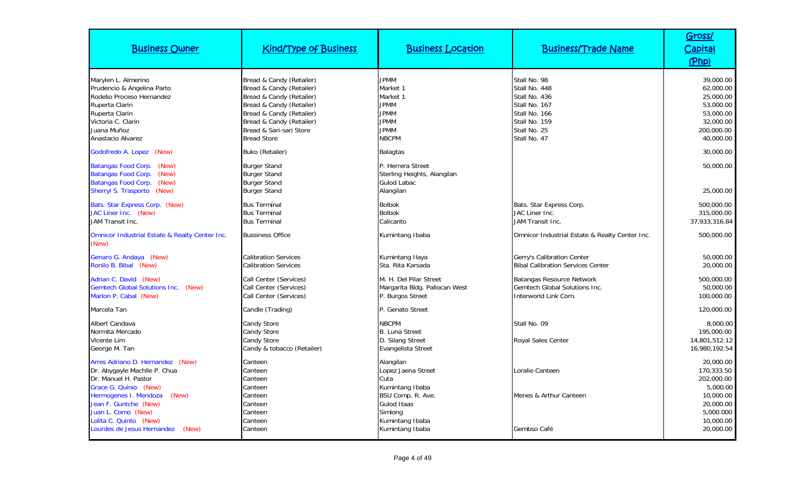| <b>Business Owner</b>                                                                                                                                                                                                                                               | <b>Kind/Type of Business</b>                                                                                                                                                                                          | <b>Business Location</b>                                                                                                                        | <b>Business/Trade Name</b>                                                                                                        | Gross/<br>Capital<br>(Php)                                                                                         |
|---------------------------------------------------------------------------------------------------------------------------------------------------------------------------------------------------------------------------------------------------------------------|-----------------------------------------------------------------------------------------------------------------------------------------------------------------------------------------------------------------------|-------------------------------------------------------------------------------------------------------------------------------------------------|-----------------------------------------------------------------------------------------------------------------------------------|--------------------------------------------------------------------------------------------------------------------|
| Marylen L. Almerino<br>Prudencio & Angelina Parto<br>Rodelio Proceso Hernandez<br>Ruperta Clarin<br>Ruperta Clarin<br>Victoria C. Clarin<br>Juana Muñoz<br>Anastacio Alvarez                                                                                        | Bread & Candy (Retailer)<br>Bread & Candy (Retailer)<br>Bread & Candy (Retailer)<br>Bread & Candy (Retailer)<br>Bread & Candy (Retailer)<br>Bread & Candy (Retailer)<br>Bread & Sari-sari Store<br><b>Bread Store</b> | <b>JPMM</b><br>Market 1<br>Market 1<br><b>JPMM</b><br><b>JPMM</b><br><b>JPMM</b><br><b>JPMM</b><br><b>NBCPM</b>                                 | Stall No. 98<br>Stall No. 448<br>Stall No. 436<br>Stall No. 167<br>Stall No. 166<br>Stall No. 159<br>Stall No. 25<br>Stall No. 47 | 39,000.00<br>62,000.00<br>25,000.00<br>53,000.00<br>53,000.00<br>32,000.00<br>200,000.00<br>40,000.00              |
| Godofredo A. Lopez (New)                                                                                                                                                                                                                                            | <b>Buko (Retailer)</b>                                                                                                                                                                                                | <b>Balagtas</b>                                                                                                                                 |                                                                                                                                   | 30,000.00                                                                                                          |
| Batangas Food Corp.<br>(New)<br>Batangas Food Corp.<br>(New)<br>Batangas Food Corp.<br>(New)<br>Sherryl S. Trasporto (New)                                                                                                                                          | <b>Burger Stand</b><br><b>Burger Stand</b><br><b>Burger Stand</b><br><b>Burger Stand</b>                                                                                                                              | P. Herrera Street<br>Sterling Heights, Alangilan<br>Gulod Labac<br>Alangilan                                                                    |                                                                                                                                   | 50,000.00<br>25,000.00                                                                                             |
| Bats. Star Express Corp. (New)<br>JAC Liner Inc. (New)<br>JAM Transit Inc.                                                                                                                                                                                          | <b>Bus Terminal</b><br><b>Bus Terminal</b><br><b>Bus Terminal</b>                                                                                                                                                     | <b>Bolbok</b><br><b>Bolbok</b><br>Calicanto                                                                                                     | Bats. Star Express Corp.<br>JAC Liner Inc.<br>JAM Transit Inc.                                                                    | 500,000.00<br>315,000.00<br>37,933,316.84                                                                          |
| Omnicor Industrial Estate & Realty Center Inc.<br>(New)                                                                                                                                                                                                             | <b>Bussiness Office</b>                                                                                                                                                                                               | Kumintang Ibaba                                                                                                                                 | Omnicor Industrial Estate & Realty Center Inc.                                                                                    | 500,000.00                                                                                                         |
| Genaro G. Andaya (New)<br>Ronilo B. Bibal (New)                                                                                                                                                                                                                     | <b>Calibration Services</b><br><b>Calibration Services</b>                                                                                                                                                            | Kumintang Ilaya<br>Sta. Rita Karsada                                                                                                            | Gerry's Calibration Center<br><b>Bibal Calibration Services Center</b>                                                            | 50,000.00<br>20,000.00                                                                                             |
| Adrian C. David (New)<br>Gemtech Global Solutions Inc. (New)<br>Marlon P. Cabal (New)                                                                                                                                                                               | Call Center (Services)<br>Call Center (Services)<br>Call Center (Services)                                                                                                                                            | M. H. Del Pilar Street<br>Margarita Bldg. Pallocan West<br>P. Burgos Street                                                                     | Batangas Resource Network<br>Gemtech Global Solutions Inc.<br>Interworld Link Com.                                                | 500,000.00<br>50,000.00<br>100,000.00                                                                              |
| Marcela Tan                                                                                                                                                                                                                                                         | Candle (Trading)                                                                                                                                                                                                      | P. Genato Street                                                                                                                                |                                                                                                                                   | 120,000.00                                                                                                         |
| Albert Candava<br>Normita Mercado<br>Vicente Lim<br>George M. Tan                                                                                                                                                                                                   | Candy Store<br><b>Candy Store</b><br>Candy Store<br>Candy & tobacco (Retailer)                                                                                                                                        | <b>NBCPM</b><br><b>B. Luna Street</b><br>D. Silang Street<br>Evangelista Street                                                                 | Stall No. 09<br><b>Royal Sales Center</b>                                                                                         | 8,000.00<br>195,000.00<br>14.801.512.12<br>16,980,192.54                                                           |
| Arres Adriano D. Hernandez (New)<br>Dr. Abygayle Machlle P. Chua<br>Dr. Manuel H. Pastor<br>Grace G. Quinio (New)<br>Hermogenes I. Mendoza<br>(New)<br>Jean F. Guntche (New)<br>Juan L. Como (New)<br>Lolita C. Quinto (New)<br>Lourdes de Jesus Hernandez<br>(New) | Canteen<br>Canteen<br>Canteen<br>Canteen<br>Canteen<br>Canteen<br>Canteen<br>Canteen<br>Canteen                                                                                                                       | Alangilan<br>Lopez Jaena Street<br>Cuta<br>Kumintang Ibaba<br>BSU Comp. R. Ave.<br>Gulod Itaas<br>Simlong<br>Kumintang Ibaba<br>Kumintang Ibaba | Loralie Canteen<br>Menes & Arthur Canteen<br>Gembso Café                                                                          | 20,000.00<br>170,333.50<br>202,000.00<br>5,000.00<br>10,000.00<br>20,000.00<br>5,000.000<br>10,000.00<br>20,000.00 |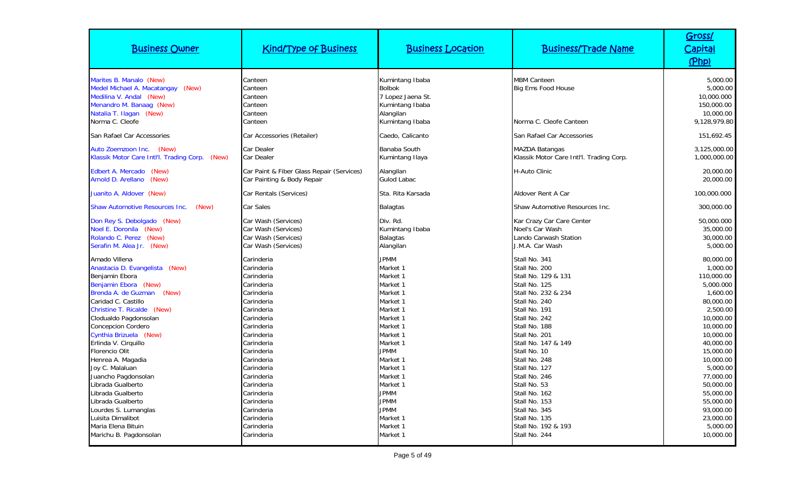| <b>Business Owner</b>                                                                                                                                                                                                                                                                                                                                                                                                                                                                                                            | <b>Kind/Type of Business</b>                                                                                                                                                                                                                                                                                     | <b>Business Location</b>                                                                                                                                                                                                                                                            | <b>Business/Trade Name</b>                                                                                                                                                                                                                                                                                                                                                                               | Gross/<br><u>Capital</u><br>(Php)                                                                                                                                                                                                                                                      |
|----------------------------------------------------------------------------------------------------------------------------------------------------------------------------------------------------------------------------------------------------------------------------------------------------------------------------------------------------------------------------------------------------------------------------------------------------------------------------------------------------------------------------------|------------------------------------------------------------------------------------------------------------------------------------------------------------------------------------------------------------------------------------------------------------------------------------------------------------------|-------------------------------------------------------------------------------------------------------------------------------------------------------------------------------------------------------------------------------------------------------------------------------------|----------------------------------------------------------------------------------------------------------------------------------------------------------------------------------------------------------------------------------------------------------------------------------------------------------------------------------------------------------------------------------------------------------|----------------------------------------------------------------------------------------------------------------------------------------------------------------------------------------------------------------------------------------------------------------------------------------|
| Marites B. Manalo (New)<br>Medel Michael A. Macatangay (New)<br>Medilina V. Andal (New)<br>Menandro M. Banaag (New)<br>Natalia T. Ilagan (New)<br>Norma C. Cleofe                                                                                                                                                                                                                                                                                                                                                                | Canteen<br>Canteen<br>Canteen<br>Canteen<br>Canteen<br>Canteen                                                                                                                                                                                                                                                   | Kumintang Ibaba<br><b>Bolbok</b><br>7 Lopez Jaena St.<br>Kumintang Ibaba<br>Alangilan<br>Kumintang Ibaba                                                                                                                                                                            | <b>MBM Canteen</b><br><b>Big Ems Food House</b><br>Norma C. Cleofe Canteen                                                                                                                                                                                                                                                                                                                               | 5,000.00<br>5,000.00<br>10,000.000<br>150,000.00<br>10,000.00<br>9,128,979.80                                                                                                                                                                                                          |
| San Rafael Car Accessories                                                                                                                                                                                                                                                                                                                                                                                                                                                                                                       | Car Accessories (Retailer)                                                                                                                                                                                                                                                                                       | Caedo, Calicanto                                                                                                                                                                                                                                                                    | San Rafael Car Accessories                                                                                                                                                                                                                                                                                                                                                                               | 151.692.45                                                                                                                                                                                                                                                                             |
| Auto Zoemzoon Inc.<br>(New)<br>Klassik Motor Care Intl'l. Trading Corp. (New)                                                                                                                                                                                                                                                                                                                                                                                                                                                    | Car Dealer<br>Car Dealer                                                                                                                                                                                                                                                                                         | Banaba South<br>Kumintang Ilaya                                                                                                                                                                                                                                                     | <b>MAZDA Batangas</b><br>Klassik Motor Care Intl'l. Trading Corp.                                                                                                                                                                                                                                                                                                                                        | 3,125,000.00<br>1,000,000.00                                                                                                                                                                                                                                                           |
| Edbert A. Mercado (New)<br>Arnold D. Arellano<br>(New)                                                                                                                                                                                                                                                                                                                                                                                                                                                                           | Car Paint & Fiber Glass Repair (Services)<br>Car Painting & Body Repair                                                                                                                                                                                                                                          | Alangilan<br><b>Gulod Labac</b>                                                                                                                                                                                                                                                     | H-Auto Clinic                                                                                                                                                                                                                                                                                                                                                                                            | 20,000.00<br>20,000.00                                                                                                                                                                                                                                                                 |
| Juanito A. Aldover (New)                                                                                                                                                                                                                                                                                                                                                                                                                                                                                                         | Car Rentals (Services)                                                                                                                                                                                                                                                                                           | Sta. Rita Karsada                                                                                                                                                                                                                                                                   | Aldover Rent A Car                                                                                                                                                                                                                                                                                                                                                                                       | 100,000.000                                                                                                                                                                                                                                                                            |
| <b>Shaw Automotive Resources Inc.</b><br>(New)                                                                                                                                                                                                                                                                                                                                                                                                                                                                                   | Car Sales                                                                                                                                                                                                                                                                                                        | <b>Balagtas</b>                                                                                                                                                                                                                                                                     | Shaw Automotive Resources Inc.                                                                                                                                                                                                                                                                                                                                                                           | 300,000.00                                                                                                                                                                                                                                                                             |
| Don Rey S. Debolgado (New)<br>Noel E. Doronila (New)<br>Rolando C. Perez (New)<br>Serafin M. Alea Jr. (New)                                                                                                                                                                                                                                                                                                                                                                                                                      | Car Wash (Services)<br>Car Wash (Services)<br>Car Wash (Services)<br>Car Wash (Services)                                                                                                                                                                                                                         | Div. Rd.<br>Kumintang Ibaba<br>Balagtas<br>Alangilan                                                                                                                                                                                                                                | Kar Crazy Car Care Center<br>Noel's Car Wash<br>Lando Carwash Station<br>J.M.A. Car Wash                                                                                                                                                                                                                                                                                                                 | 50,000.000<br>35,000.00<br>30,000.00<br>5,000.00                                                                                                                                                                                                                                       |
| Amado Villena<br>Anastacia D. Evangelista (New)<br>Benjamin Ebora<br>Benjamin Ebora (New)<br>Brenda A. de Guzman (New)<br>Caridad C. Castillo<br>Christine T. Ricalde (New)<br>Clodualdo Pagdonsolan<br><b>Concepcion Cordero</b><br>Cynthia Brizuela (New)<br>Erlinda V. Cirquillo<br>Florencio Olit<br>Henrea A. Magadia<br>Joy C. Malaluan<br>Juancho Pagdonsolan<br>Librada Gualberto<br>Librada Gualberto<br>Librada Gualberto<br>Lourdes S. Lumanglas<br>Luisita Dimalibot<br>Maria Elena Bituin<br>Marichu B. Pagdonsolan | Carinderia<br>Carinderia<br>Carinderia<br>Carinderia<br>Carinderia<br>Carinderia<br>Carinderia<br>Carinderia<br>Carinderia<br>Carinderia<br>Carinderia<br>Carinderia<br>Carinderia<br>Carinderia<br>Carinderia<br>Carinderia<br>Carinderia<br>Carinderia<br>Carinderia<br>Carinderia<br>Carinderia<br>Carinderia | <b>JPMM</b><br>Market 1<br>Market 1<br>Market 1<br>Market 1<br>Market 1<br>Market 1<br>Market 1<br>Market 1<br>Market 1<br>Market 1<br><b>JPMM</b><br>Market 1<br>Market 1<br>Market 1<br>Market 1<br><b>JPMM</b><br><b>JPMM</b><br><b>JPMM</b><br>Market 1<br>Market 1<br>Market 1 | Stall No. 341<br>Stall No. 200<br>Stall No. 129 & 131<br>Stall No. 125<br>Stall No. 232 & 234<br>Stall No. 240<br>Stall No. 191<br>Stall No. 242<br>Stall No. 188<br>Stall No. 201<br>Stall No. 147 & 149<br>Stall No. 10<br>Stall No. 248<br>Stall No. 127<br>Stall No. 246<br>Stall No. 53<br>Stall No. 162<br>Stall No. 153<br>Stall No. 345<br>Stall No. 135<br>Stall No. 192 & 193<br>Stall No. 244 | 80,000.00<br>1,000.00<br>110,000.00<br>5,000.000<br>1,600.00<br>80,000.00<br>2,500.00<br>10,000.00<br>10,000.00<br>10,000.00<br>40,000.00<br>15,000.00<br>10,000.00<br>5,000.00<br>77.000.00<br>50,000.00<br>55,000.00<br>55,000.00<br>93.000.00<br>23,000.00<br>5,000.00<br>10,000.00 |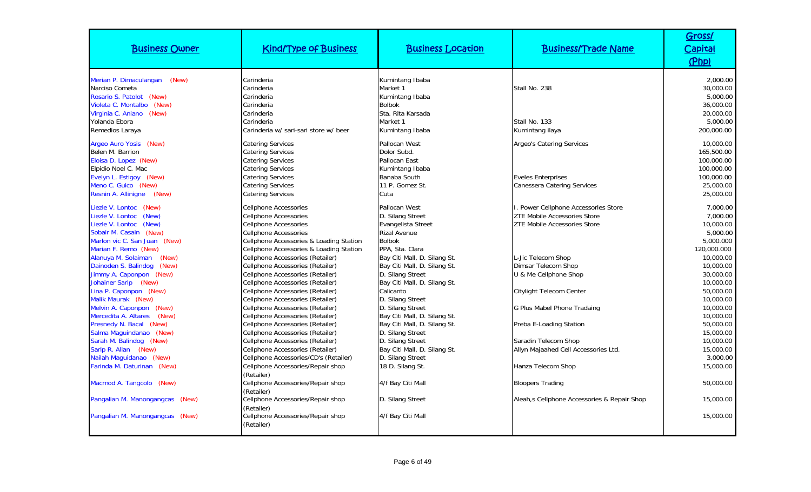| <b>Business Owner</b>                        | <b>Kind/Type of Business</b>                                         | <b>Business Location</b>             | <b>Business/Trade Name</b>                   | Gross/<br><b>Capital</b><br>(Php) |
|----------------------------------------------|----------------------------------------------------------------------|--------------------------------------|----------------------------------------------|-----------------------------------|
| Merian P. Dimaculangan<br>(New)              | Carinderia                                                           | Kumintang Ibaba                      |                                              | 2,000.00                          |
| Narciso Cometa                               | Carinderia                                                           | Market 1                             | Stall No. 238                                | 30,000.00                         |
| Rosario S. Patolot (New)                     | Carinderia                                                           | Kumintang Ibaba                      |                                              | 5,000.00                          |
| Violeta C. Montalbo (New)                    | Carinderia                                                           | <b>Bolbok</b>                        |                                              | 36,000.00                         |
| Virginia C. Aniano (New)                     | Carinderia                                                           | Sta. Rita Karsada                    |                                              | 20,000.00                         |
| Yolanda Ebora                                | Carinderia                                                           | Market 1                             | Stall No. 133                                | 5,000.00                          |
| Remedios Laraya                              | Carinderia w/ sari-sari store w/ beer                                | Kumintang Ibaba                      | Kumintang ilaya                              | 200,000.00                        |
| Argeo Auro Yosis (New)                       | <b>Catering Services</b>                                             | Pallocan West                        | <b>Argeo's Catering Services</b>             | 10,000.00                         |
| Belen M. Barrion                             | <b>Catering Services</b>                                             | Dolor Subd.                          |                                              | 165,500.00                        |
| Eloisa D. Lopez (New)                        | Catering Services                                                    | Pallocan East                        |                                              | 100,000.00                        |
| Elpidio Noel C. Mac                          | Catering Services                                                    | Kumintang Ibaba                      |                                              | 100,000.00                        |
| Evelyn L. Estigoy (New)                      | Catering Services                                                    | Banaba South                         | <b>Eveles Enterprises</b>                    | 100,000.00                        |
| Meno C. Guico (New)                          | Catering Services                                                    | 11 P. Gomez St.                      | <b>Canessera Catering Services</b>           | 25,000.00                         |
| Resnin A. Allinigne (New)                    | Catering Services                                                    | Cuta                                 |                                              | 25,000.00                         |
| (New)<br>Liezle V. Lontoc                    | Cellphone Accessories                                                | Pallocan West                        | I. Power Cellphone Accessories Store         | 7,000.00                          |
| Liezle V. Lontoc<br>(New)                    | <b>Cellphone Accessories</b>                                         | D. Silang Street                     | <b>ZTE Mobile Accessories Store</b>          | 7,000.00                          |
| Liezle V. Lontoc<br>(New)                    | Cellphone Accessories                                                | Evangelista Street                   | <b>ZTE Mobile Accessories Store</b>          | 10,000.00                         |
| Sobair M. Casain (New)                       | Cellphone Accessories                                                | <b>Rizal Avenue</b>                  |                                              | 5,000.00                          |
| Marlon vic C. San Juan (New)                 | Cellphone Accessories & Loading Station                              | <b>Bolbok</b>                        |                                              | 5,000.000                         |
| Marian F. Remo (New)                         | Cellphone Accessories & Loading Station                              | PPA, Sta. Clara                      |                                              | 120,000.000                       |
| Alanuya M. Solaiman<br>(New)                 | Cellphone Accessories (Retailer)                                     | Bay Citi Mall, D. Silang St.         | L-Jic Telecom Shop                           | 10,000.00                         |
| Dainoden S. Balindog<br>(New)                | Cellphone Accessories (Retailer)                                     | Bay Citi Mall, D. Silang St.         | <b>Dimsar Telecom Shop</b>                   | 10,000.00                         |
| Jimmy A. Caponpon (New)                      | Cellphone Accessories (Retailer)                                     | D. Silang Street                     | U & Me Cellphone Shop                        | 30,000.00                         |
| Johainer Sarip (New)                         | Cellphone Accessories (Retailer)                                     | Bay Citi Mall, D. Silang St.         |                                              | 10,000.00                         |
| Lina P. Caponpon (New)<br>Malik Maurak (New) | Cellphone Accessories (Retailer)<br>Cellphone Accessories (Retailer) | Calicanto                            | Citylight Telecom Center                     | 50,000.00<br>10,000.00            |
| Melvin A. Caponpon (New)                     | Cellphone Accessories (Retailer)                                     | D. Silang Street<br>D. Silang Street | <b>G Plus Mabel Phone Tradaing</b>           | 10,000.00                         |
| Mercedita A. Altares<br>(New)                | Cellphone Accessories (Retailer)                                     | Bay Citi Mall, D. Silang St.         |                                              | 10,000.00                         |
| Presnedy N. Bacal (New)                      | Cellphone Accessories (Retailer)                                     | Bay Citi Mall, D. Silang St.         | Preba E-Loading Station                      | 50,000.00                         |
| Salma Maguindanao (New)                      | Cellphone Accessories (Retailer)                                     | D. Silang Street                     |                                              | 15,000.00                         |
| Sarah M. Balindog (New)                      | Cellphone Accessories (Retailer)                                     | D. Silang Street                     | Saradin Telecom Shop                         | 10,000.00                         |
| Sarip R. Allan (New)                         | Cellphone Accessories (Retailer)                                     | Bay Citi Mall, D. Silang St.         | Allyn Majaahed Cell Accessories Ltd.         | 15,000.00                         |
| Nailah Maguidanao (New)                      | Cellphone Accessories/CD's (Retailer)                                | D. Silang Street                     |                                              | 3,000.00                          |
| Farinda M. Daturinan (New)                   | Cellphone Accessories/Repair shop                                    | 18 D. Silang St.                     | Hanza Telecom Shop                           | 15,000.00                         |
|                                              | (Retailer)                                                           |                                      |                                              |                                   |
| Macmod A. Tangcolo (New)                     | Cellphone Accessories/Repair shop                                    | 4/f Bay Citi Mall                    | <b>Bloopers Trading</b>                      | 50,000.00                         |
|                                              | (Retailer)                                                           |                                      |                                              |                                   |
| Pangalian M. Manongangcas (New)              | Cellphone Accessories/Repair shop                                    | D. Silang Street                     | Aleah, s Cellphone Accessories & Repair Shop | 15,000.00                         |
|                                              | (Retailer)                                                           |                                      |                                              |                                   |
| Pangalian M. Manongangcas (New)              | Cellphone Accessories/Repair shop                                    | 4/f Bay Citi Mall                    |                                              | 15,000.00                         |
|                                              | (Retailer)                                                           |                                      |                                              |                                   |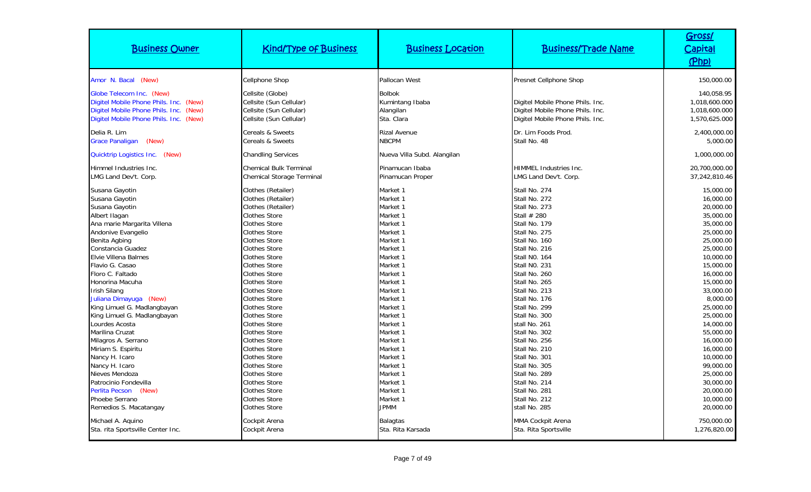| <b>Business Owner</b>                                                                                                                                                                                                                                                                             | <b>Kind/Type of Business</b>                                                                                                                                                                                                                                                                               | <b>Business Location</b>                                                                                                                                             | <b>Business/Trade Name</b>                                                                                                                                                                                                                      | Gross/<br><u>Capital</u><br>(Php)                                                                                                                                                 |
|---------------------------------------------------------------------------------------------------------------------------------------------------------------------------------------------------------------------------------------------------------------------------------------------------|------------------------------------------------------------------------------------------------------------------------------------------------------------------------------------------------------------------------------------------------------------------------------------------------------------|----------------------------------------------------------------------------------------------------------------------------------------------------------------------|-------------------------------------------------------------------------------------------------------------------------------------------------------------------------------------------------------------------------------------------------|-----------------------------------------------------------------------------------------------------------------------------------------------------------------------------------|
| Amor N. Bacal (New)                                                                                                                                                                                                                                                                               | Cellphone Shop                                                                                                                                                                                                                                                                                             | Pallocan West                                                                                                                                                        | Presnet Cellphone Shop                                                                                                                                                                                                                          | 150,000.00                                                                                                                                                                        |
| Globe Telecom Inc. (New)<br>Digitel Mobile Phone Phils. Inc. (New)<br>Digitel Mobile Phone Phils. Inc.<br>(New)<br>Digitel Mobile Phone Phils. Inc. (New)                                                                                                                                         | Cellsite (Globe)<br>Cellsite (Sun Cellular)<br>Cellsite (Sun Cellular)<br>Cellsite (Sun Cellular)                                                                                                                                                                                                          | <b>Bolbok</b><br>Kumintang Ibaba<br>Alangilan<br>Sta. Clara                                                                                                          | Digitel Mobile Phone Phils. Inc.<br>Digitel Mobile Phone Phils. Inc.<br>Digitel Mobile Phone Phils. Inc.                                                                                                                                        | 140.058.95<br>1,018,600.000<br>1,018,600.000<br>1,570,625.000                                                                                                                     |
| Delia R. Lim<br><b>Grace Panaligan</b><br>(New)                                                                                                                                                                                                                                                   | Cereals & Sweets<br>Cereals & Sweets                                                                                                                                                                                                                                                                       | <b>Rizal Avenue</b><br><b>NBCPM</b>                                                                                                                                  | Dr. Lim Foods Prod.<br>Stall No. 48                                                                                                                                                                                                             | 2,400,000.00<br>5,000.00                                                                                                                                                          |
| Quicktrip Logistics Inc. (New)                                                                                                                                                                                                                                                                    | <b>Chandling Services</b>                                                                                                                                                                                                                                                                                  | Nueva Villa Subd. Alangilan                                                                                                                                          |                                                                                                                                                                                                                                                 | 1,000,000.00                                                                                                                                                                      |
| Himmel Industries Inc.<br>LMG Land Dev't. Corp.                                                                                                                                                                                                                                                   | <b>Chemical Bulk Terminal</b><br>Chemical Storage Terminal                                                                                                                                                                                                                                                 | Pinamucan Ibaba<br>Pinamucan Proper                                                                                                                                  | <b>HIMMEL Industries Inc.</b><br>LMG Land Dev't. Corp.                                                                                                                                                                                          | 20,700,000.00<br>37,242,810.46                                                                                                                                                    |
| Susana Gayotin<br>Susana Gayotin<br>Susana Gayotin<br>Albert Ilagan<br>Ana marie Margarita Villena<br>Andonive Evangelio<br>Benita Agbing<br>Constancia Guadez<br>Elvie Villena Balmes<br>Flavio G. Casao<br>Floro C. Faltado<br>Honorina Macuha<br><b>Irish Silang</b><br>Juliana Dimayuga (New) | Clothes (Retailer)<br>Clothes (Retailer)<br>Clothes (Retailer)<br><b>Clothes Store</b><br>Clothes Store<br><b>Clothes Store</b><br>Clothes Store<br><b>Clothes Store</b><br>Clothes Store<br><b>Clothes Store</b><br><b>Clothes Store</b><br><b>Clothes Store</b><br>Clothes Store<br><b>Clothes Store</b> | Market 1<br>Market 1<br>Market 1<br>Market 1<br>Market 1<br>Market 1<br>Market 1<br>Market 1<br>Market 1<br>Market 1<br>Market 1<br>Market 1<br>Market 1<br>Market 1 | Stall No. 274<br>Stall No. 272<br>Stall No. 273<br>Stall # 280<br>Stall No. 179<br>Stall No. 275<br>Stall No. 160<br>Stall No. 216<br><b>Stall NO. 164</b><br>Stall NO. 231<br>Stall No. 260<br>Stall No. 265<br>Stall No. 213<br>Stall No. 176 | 15,000.00<br>16,000.00<br>20,000.00<br>35,000.00<br>35,000.00<br>25,000.00<br>25,000.00<br>25,000.00<br>10,000.00<br>15,000.00<br>16,000.00<br>15,000.00<br>33,000.00<br>8,000.00 |
| King Limuel G. Madlangbayan<br>King Limuel G. Madlangbayan<br>Lourdes Acosta<br>Marilina Cruzat<br>Milagros A. Serrano<br>Miriam S. Espiritu<br>Nancy H. Icaro<br>Nancy H. Icaro<br>Nieves Mendoza<br>Patrocinio Fondevilla<br>Perlita Pecson (New)<br>Phoebe Serrano<br>Remedios S. Macatangay   | Clothes Store<br><b>Clothes Store</b><br><b>Clothes Store</b><br><b>Clothes Store</b><br><b>Clothes Store</b><br>Clothes Store<br><b>Clothes Store</b><br><b>Clothes Store</b><br><b>Clothes Store</b><br><b>Clothes Store</b><br><b>Clothes Store</b><br>Clothes Store<br>Clothes Store                   | Market 1<br>Market 1<br>Market 1<br>Market 1<br>Market 1<br>Market 1<br>Market 1<br>Market 1<br>Market 1<br>Market 1<br>Market 1<br>Market 1<br><b>JPMM</b>          | Stall No. 299<br>Stall No. 300<br>stall No. 261<br>Stall No. 302<br>Stall No. 256<br>Stall No. 210<br>Stall No. 301<br>Stall No. 305<br>Stall No. 289<br>Stall No. 214<br>Stall No. 281<br>Stall No. 212<br>stall No. 285                       | 25,000.00<br>25,000.00<br>14,000.00<br>55,000.00<br>16,000.00<br>16,000.00<br>10,000.00<br>99.000.00<br>25,000.00<br>30,000.00<br>20,000.00<br>10,000.00<br>20,000.00             |
| Michael A. Aquino<br>Sta. rita Sportsville Center Inc.                                                                                                                                                                                                                                            | Cockpit Arena<br>Cockpit Arena                                                                                                                                                                                                                                                                             | <b>Balagtas</b><br>Sta. Rita Karsada                                                                                                                                 | MMA Cockpit Arena<br>Sta. Rita Sportsville                                                                                                                                                                                                      | 750,000.00<br>1,276,820.00                                                                                                                                                        |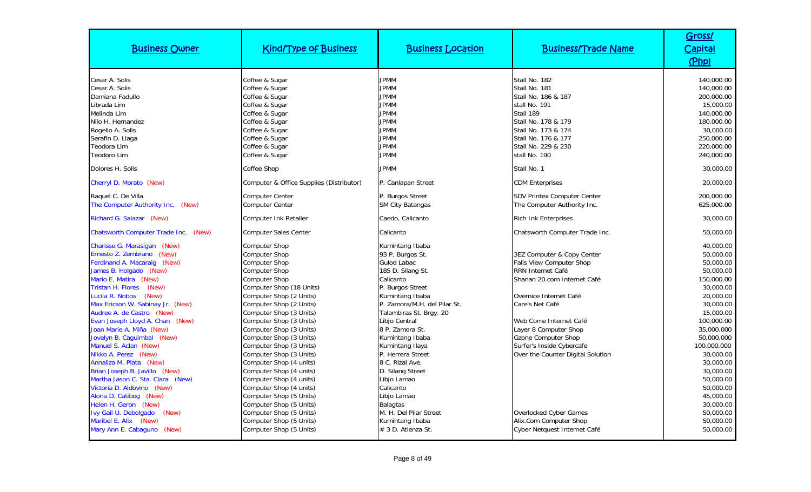| <b>Business Owner</b>                                                                                                                                                                                                                                                                                                                                                                                                                                                                                                      | <b>Kind/Type of Business</b>                                                                                                                                                                                                                                                                                                                                                                                                                              | <b>Business Location</b>                                                                                                                                                                                                                                                                                                                    | <b>Business/Trade Name</b>                                                                                                                                                                                                                                                                                 | Gross/<br><b>Capital</b><br>(Php)                                                                                                                                                                                               |
|----------------------------------------------------------------------------------------------------------------------------------------------------------------------------------------------------------------------------------------------------------------------------------------------------------------------------------------------------------------------------------------------------------------------------------------------------------------------------------------------------------------------------|-----------------------------------------------------------------------------------------------------------------------------------------------------------------------------------------------------------------------------------------------------------------------------------------------------------------------------------------------------------------------------------------------------------------------------------------------------------|---------------------------------------------------------------------------------------------------------------------------------------------------------------------------------------------------------------------------------------------------------------------------------------------------------------------------------------------|------------------------------------------------------------------------------------------------------------------------------------------------------------------------------------------------------------------------------------------------------------------------------------------------------------|---------------------------------------------------------------------------------------------------------------------------------------------------------------------------------------------------------------------------------|
| Cesar A. Solis<br>Cesar A. Solis<br>Damiana Fadullo<br>Librada Lim<br>Melinda Lim<br>Nilo H. Hernandez<br>Rogelio A. Solis<br>Serafin D. Llaga<br>Teodora Lim<br><b>Teodoro Lim</b>                                                                                                                                                                                                                                                                                                                                        | Coffee & Sugar<br>Coffee & Sugar<br>Coffee & Sugar<br>Coffee & Sugar<br>Coffee & Sugar<br>Coffee & Sugar<br>Coffee & Sugar<br>Coffee & Sugar<br>Coffee & Sugar<br>Coffee & Sugar                                                                                                                                                                                                                                                                          | <b>JPMM</b><br><b>JPMM</b><br><b>JPMM</b><br><b>JPMM</b><br><b>JPMM</b><br><b>JPMM</b><br><b>JPMM</b><br><b>JPMM</b><br><b>JPMM</b><br><b>JPMM</b>                                                                                                                                                                                          | Stall No. 182<br>Stall No. 181<br>Stall No. 186 & 187<br>stall No. 191<br>Stall 189<br>Stall No. 178 & 179<br>Stall No. 173 & 174<br>Stall No. 176 & 177<br>Stall No. 229 & 230<br>stall No. 190                                                                                                           | 140,000.00<br>140,000.00<br>200,000.00<br>15,000.00<br>140,000.00<br>180,000.00<br>30,000.00<br>250,000.00<br>220,000.00<br>240,000.00                                                                                          |
| Dolores H. Solis                                                                                                                                                                                                                                                                                                                                                                                                                                                                                                           | Coffee Shop                                                                                                                                                                                                                                                                                                                                                                                                                                               | <b>JPMM</b>                                                                                                                                                                                                                                                                                                                                 | Stall No. 1                                                                                                                                                                                                                                                                                                | 30,000.00                                                                                                                                                                                                                       |
| Cherryl D. Morato (New)                                                                                                                                                                                                                                                                                                                                                                                                                                                                                                    | Computer & Office Supplies (Distributor)                                                                                                                                                                                                                                                                                                                                                                                                                  | P. Canlapan Street                                                                                                                                                                                                                                                                                                                          | <b>CDM Enterprises</b>                                                                                                                                                                                                                                                                                     | 20,000.00                                                                                                                                                                                                                       |
| Raquel C. De Villa<br>The Computer Authority Inc. (New)                                                                                                                                                                                                                                                                                                                                                                                                                                                                    | <b>Computer Center</b><br><b>Computer Center</b>                                                                                                                                                                                                                                                                                                                                                                                                          | P. Burgos Street<br>SM City Batangas                                                                                                                                                                                                                                                                                                        | <b>SDV Printex Computer Center</b><br>The Computer Authority Inc.                                                                                                                                                                                                                                          | 200,000.00<br>625,000.00                                                                                                                                                                                                        |
| Richard G. Salazar (New)                                                                                                                                                                                                                                                                                                                                                                                                                                                                                                   | <b>Computer Ink Retailer</b>                                                                                                                                                                                                                                                                                                                                                                                                                              | Caedo, Calicanto                                                                                                                                                                                                                                                                                                                            | <b>Rich Ink Enterprises</b>                                                                                                                                                                                                                                                                                | 30,000.00                                                                                                                                                                                                                       |
| <b>Chatsworth Computer Trade Inc.</b><br>(New)                                                                                                                                                                                                                                                                                                                                                                                                                                                                             | <b>Computer Sales Center</b>                                                                                                                                                                                                                                                                                                                                                                                                                              | Calicanto                                                                                                                                                                                                                                                                                                                                   | Chatsworth Computer Trade Inc.                                                                                                                                                                                                                                                                             | 50,000.00                                                                                                                                                                                                                       |
| Charisse G. Marasigan (New)<br>Ernesto Z. Zembrano (New)<br>Ferdinand A. Macaraig (New)<br>James B. Holgado (New)<br>Mario E. Matira (New)<br>(New)<br><b>Tristan H. Flores</b><br>Lucila R. Nobos<br>(New)<br>Max Ericson W. Sabinay Jr. (New)<br>Audree A. de Castro (New)<br>Evan Joseph Lloyd A. Chan (New)<br>Joan Marie A. Miña (New)<br>Jovelyn B. Caguimbal (New)<br>Manuel S. Aclan (New)<br>Nikko A. Perez (New)<br>Annaliza M. Plata (New)<br>Brian Joseph B. Javillo (New)<br>Martha Jason C. Sta. Clara (New) | <b>Computer Shop</b><br><b>Computer Shop</b><br><b>Computer Shop</b><br><b>Computer Shop</b><br><b>Computer Shop</b><br>Computer Shop (18 Units)<br>Computer Shop (2 Units)<br>Computer Shop (2 Units)<br>Computer Shop (3 Units)<br>Computer Shop (3 Units)<br>Computer Shop (3 Units)<br>Computer Shop (3 Units)<br>Computer Shop (3 Units)<br>Computer Shop (3 Units)<br>Computer Shop (4 units)<br>Computer Shop (4 units)<br>Computer Shop (4 units) | Kumintang Ibaba<br>93 P. Burgos St.<br>Gulod Labac<br>185 D. Silang St.<br>Calicanto<br>P. Burgos Street<br>Kumintang Ibaba<br>P. Zamora/M.H. del Pilar St.<br>Talambiras St. Brgy. 20<br>Libjo Central<br>8 P. Zamora St.<br>Kumintang Ibaba<br>Kumintang Ilaya<br>P. Herrera Street<br>8 C, Rizal Ave.<br>D. Silang Street<br>Libjo Lamao | 3EZ Computer & Copy Center<br>Falls View Computer Shop<br>RRN Internet Café<br>Shanan 20.com Internet Café<br>Overnice Internet Café<br>Care's Net Café<br>Web Come Internet Café<br>Layer 8 Computer Shop<br><b>Gzone Computer Shop</b><br>Surfer's Inside Cybercafe<br>Over the Counter Digital Solution | 40,000.00<br>50,000.00<br>50,000.00<br>50,000.00<br>150,000.00<br>30,000.00<br>20,000.00<br>30,000.00<br>15,000.00<br>100,000.00<br>35,000.000<br>50,000.000<br>100,000.000<br>30,000.00<br>30,000.00<br>30,000.00<br>50,000.00 |
| Victoria D. Aldovino (New)<br>Alona D. Catibog (New)<br>Helen H. Geron (New)<br>Ivy Gail U. Debolgado<br>(New)<br>Maribel E. Alix (New)<br>Mary Ann E. Cabaguno (New)                                                                                                                                                                                                                                                                                                                                                      | Computer Shop (4 units)<br>Computer Shop (5 Units)<br>Computer Shop (5 Units)<br>Computer Shop (5 Units)<br>Computer Shop (5 Units)<br>Computer Shop (5 Units)                                                                                                                                                                                                                                                                                            | Calicanto<br>Libjo Lamao<br><b>Balagtas</b><br>M. H. Del Pilar Street<br>Kumintang Ibaba<br># 3 D. Atienza St.                                                                                                                                                                                                                              | Overlocked Cyber Games<br>Alix.Com Computer Shop<br>Cyber Netquest Internet Café                                                                                                                                                                                                                           | 50,000.00<br>45,000.00<br>30,000.00<br>50,000.00<br>50,000.00<br>50,000.00                                                                                                                                                      |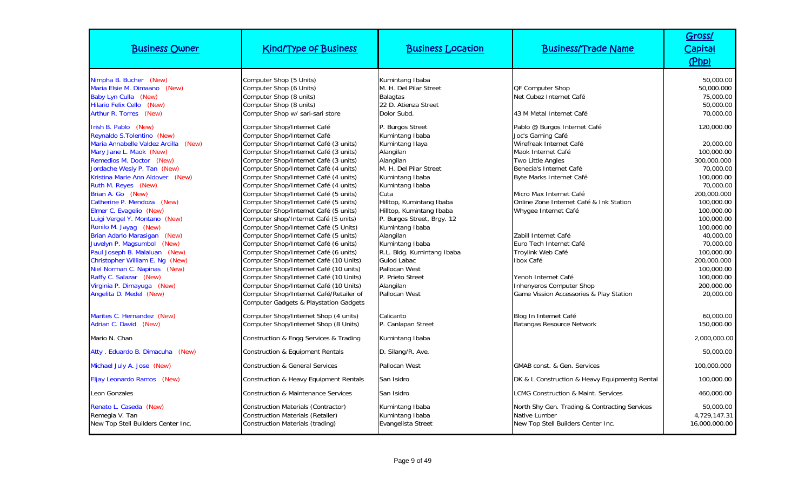| <b>Business Owner</b>                                                                                                                                                                                                                                                                                                                                                                                                                                                                                                                                                                                                                    | <b>Kind/Type of Business</b>                                                                                                                                                                                                                                                                                                                                                                                                                                                                                                                                                                                                                                                                                                                                                                                                                                                                                                     | <b>Business Location</b>                                                                                                                                                                                                                                                                                                                                                                                                 | <b>Business/Trade Name</b>                                                                                                                                                                                                                                                                                                                                                                                                                                             | Gross/<br>Capital<br>(Php)                                                                                                                                                                                                                                                        |
|------------------------------------------------------------------------------------------------------------------------------------------------------------------------------------------------------------------------------------------------------------------------------------------------------------------------------------------------------------------------------------------------------------------------------------------------------------------------------------------------------------------------------------------------------------------------------------------------------------------------------------------|----------------------------------------------------------------------------------------------------------------------------------------------------------------------------------------------------------------------------------------------------------------------------------------------------------------------------------------------------------------------------------------------------------------------------------------------------------------------------------------------------------------------------------------------------------------------------------------------------------------------------------------------------------------------------------------------------------------------------------------------------------------------------------------------------------------------------------------------------------------------------------------------------------------------------------|--------------------------------------------------------------------------------------------------------------------------------------------------------------------------------------------------------------------------------------------------------------------------------------------------------------------------------------------------------------------------------------------------------------------------|------------------------------------------------------------------------------------------------------------------------------------------------------------------------------------------------------------------------------------------------------------------------------------------------------------------------------------------------------------------------------------------------------------------------------------------------------------------------|-----------------------------------------------------------------------------------------------------------------------------------------------------------------------------------------------------------------------------------------------------------------------------------|
| Nimpha B. Bucher (New)<br>Maria Elsie M. Dimaano (New)<br>Baby Lyn Culla (New)<br>Hilario Felix Cello (New)<br>Arthur R. Torres (New)                                                                                                                                                                                                                                                                                                                                                                                                                                                                                                    | Computer Shop (5 Units)<br>Computer Shop (6 Units)<br>Computer Shop (8 units)<br>Computer Shop (8 units)<br>Computer Shop w/ sari-sari store                                                                                                                                                                                                                                                                                                                                                                                                                                                                                                                                                                                                                                                                                                                                                                                     | Kumintang Ibaba<br>M. H. Del Pilar Street<br><b>Balagtas</b><br>22 D. Atienza Street<br>Dolor Subd.                                                                                                                                                                                                                                                                                                                      | <b>QF Computer Shop</b><br>Net Cubez Internet Café<br>43 M Metal Internet Café                                                                                                                                                                                                                                                                                                                                                                                         | 50,000.00<br>50,000.000<br>75,000.00<br>50,000.00<br>70,000.00                                                                                                                                                                                                                    |
| Irish B. Pablo (New)<br>Reynaldo S.Tolentino (New)<br>Maria Annabelle Valdez Arcilla (New)<br>Mary Jane L. Maok (New)<br>Remedios M. Doctor (New)<br>Jordache Wesly P. Tan (New)<br>Kristina Marie Ann Aldover (New)<br>Ruth M. Reyes (New)<br>Brian A. Go (New)<br>Catherine P. Mendoza (New)<br>Elmer C. Evagelio (New)<br>Luigi Vergel Y. Montano (New)<br>Ronilo M. Jayag (New)<br>Brian Adarlo Marasigan (New)<br>Juvelyn P. Magsumbol (New)<br>Paul Joseph B. Malaluan (New)<br>Christopher William E. Ng (New)<br>Niel Norman C. Napinas (New)<br>Raffy C. Salazar (New)<br>Virginia P. Dimayuga (New)<br>Angelita D. Medel (New) | Computer Shop/Internet Café<br>Computer Shop/Internet Café<br>Computer Shop/Internet Café (3 units)<br>Computer Shop/Internet Café (3 units)<br>Computer Shop/Internet Café (3 units)<br>Computer Shop/Internet Café (4 units)<br>Computer Shop/Internet Café (4 units)<br>Computer Shop/Internet Café (4 units)<br>Computer Shop/Internet Café (5 units)<br>Computer Shop/Internet Café (5 units)<br>Computer Shop/Internet Café (5 units)<br>Computer shop/Internet Café (5 units)<br>Computer Shop/Internet Café (5 Units)<br>Computer Shop/Internet Café (5 units)<br>Computer Shop/Internet Café (6 units)<br>Computer Shop/Internet Café (6 units)<br>Computer Shop/Internet Café (10 Units)<br>Computer Shop/Internet Café (10 units)<br>Computer Shop/Internet Café (10 Units)<br>Computer Shop/Internet Café (10 Units)<br>Computer Shop/Internet Café/Retailer of<br><b>Computer Gadgets &amp; Playstation Gadgets</b> | P. Burgos Street<br>Kumintang Ibaba<br>Kumintang Ilaya<br>Alangilan<br>Alangilan<br>M. H. Del Pilar Street<br>Kumintang Ibaba<br>Kumintang Ibaba<br>Cuta<br>Hilltop, Kumintang Ibaba<br>Hilltop, Kumintang Ibaba<br>P. Burgos Street, Brgy. 12<br>Kumintang Ibaba<br>Alangilan<br>Kumintang Ibaba<br>R.L. Bldg. Kumintang Ibaba<br><b>Gulod Labac</b><br>Pallocan West<br>P. Prieto Street<br>Alangilan<br>Pallocan West | Pablo @ Burgos Internet Café<br>Joc's Gaming Café<br>Wirefreak Internet Café<br>Maok Internet Café<br><b>Two Little Angles</b><br>Benecia's Internet Café<br>Byte Marks Internet Café<br>Micro Max Internet Café<br>Online Zone Internet Café & Ink Station<br>Whygee Internet Café<br>Zabill Internet Café<br>Euro Tech Internet Café<br>Troylink Web Café<br>Ibox Café<br>Yenoh Internet Café<br>Inhenyeros Computer Shop<br>Game Vission Accessories & Play Station | 120,000.00<br>20,000.00<br>100,000.00<br>300,000.000<br>70,000.00<br>100,000.00<br>70,000.00<br>200,000.000<br>100,000.00<br>100,000.00<br>100,000.00<br>100,000.00<br>40,000.00<br>70,000.00<br>100,000.00<br>200,000.000<br>100,000.00<br>100,000.00<br>200,000.00<br>20,000.00 |
| Marites C. Hernandez (New)<br>Adrian C. David (New)                                                                                                                                                                                                                                                                                                                                                                                                                                                                                                                                                                                      | Computer Shop/Internet Shop (4 units)<br>Computer Shop/Internet Shop (8 Units)                                                                                                                                                                                                                                                                                                                                                                                                                                                                                                                                                                                                                                                                                                                                                                                                                                                   | Calicanto<br>P. Canlapan Street                                                                                                                                                                                                                                                                                                                                                                                          | Blog In Internet Café<br>Batangas Resource Network                                                                                                                                                                                                                                                                                                                                                                                                                     | 60,000.00<br>150,000.00                                                                                                                                                                                                                                                           |
| Mario N. Chan                                                                                                                                                                                                                                                                                                                                                                                                                                                                                                                                                                                                                            | Construction & Engg Services & Trading                                                                                                                                                                                                                                                                                                                                                                                                                                                                                                                                                                                                                                                                                                                                                                                                                                                                                           | Kumintang Ibaba                                                                                                                                                                                                                                                                                                                                                                                                          |                                                                                                                                                                                                                                                                                                                                                                                                                                                                        | 2,000,000.00                                                                                                                                                                                                                                                                      |
| Atty . Eduardo B. Dimacuha (New)                                                                                                                                                                                                                                                                                                                                                                                                                                                                                                                                                                                                         | Construction & Equipment Rentals                                                                                                                                                                                                                                                                                                                                                                                                                                                                                                                                                                                                                                                                                                                                                                                                                                                                                                 | D. Silang/R. Ave.                                                                                                                                                                                                                                                                                                                                                                                                        |                                                                                                                                                                                                                                                                                                                                                                                                                                                                        | 50,000.00                                                                                                                                                                                                                                                                         |
| Michael July A. Jose (New)                                                                                                                                                                                                                                                                                                                                                                                                                                                                                                                                                                                                               | <b>Construction &amp; General Services</b>                                                                                                                                                                                                                                                                                                                                                                                                                                                                                                                                                                                                                                                                                                                                                                                                                                                                                       | Pallocan West                                                                                                                                                                                                                                                                                                                                                                                                            | <b>GMAB const. &amp; Gen. Services</b>                                                                                                                                                                                                                                                                                                                                                                                                                                 | 100,000.000                                                                                                                                                                                                                                                                       |
| Eljay Leonardo Ramos (New)                                                                                                                                                                                                                                                                                                                                                                                                                                                                                                                                                                                                               | Construction & Heavy Equipment Rentals                                                                                                                                                                                                                                                                                                                                                                                                                                                                                                                                                                                                                                                                                                                                                                                                                                                                                           | San Isidro                                                                                                                                                                                                                                                                                                                                                                                                               | DK & L Construction & Heavy Equipmentg Rental                                                                                                                                                                                                                                                                                                                                                                                                                          | 100,000.00                                                                                                                                                                                                                                                                        |
| Leon Gonzales                                                                                                                                                                                                                                                                                                                                                                                                                                                                                                                                                                                                                            | <b>Construction &amp; Maintenance Services</b>                                                                                                                                                                                                                                                                                                                                                                                                                                                                                                                                                                                                                                                                                                                                                                                                                                                                                   | San Isidro                                                                                                                                                                                                                                                                                                                                                                                                               | <b>LCMG Construction &amp; Maint. Services</b>                                                                                                                                                                                                                                                                                                                                                                                                                         | 460,000.00                                                                                                                                                                                                                                                                        |
| Renato L. Caseda (New)<br>Remegia V. Tan<br>New Top Stell Builders Center Inc.                                                                                                                                                                                                                                                                                                                                                                                                                                                                                                                                                           | Construction Materials (Contractor)<br><b>Construction Materials (Retailer)</b><br>Construction Materials (trading)                                                                                                                                                                                                                                                                                                                                                                                                                                                                                                                                                                                                                                                                                                                                                                                                              | Kumintang Ibaba<br>Kumintang Ibaba<br>Evangelista Street                                                                                                                                                                                                                                                                                                                                                                 | North Shy Gen. Trading & Contracting Services<br>Native Lumber<br>New Top Stell Builders Center Inc.                                                                                                                                                                                                                                                                                                                                                                   | 50,000.00<br>4,729,147.31<br>16,000,000.00                                                                                                                                                                                                                                        |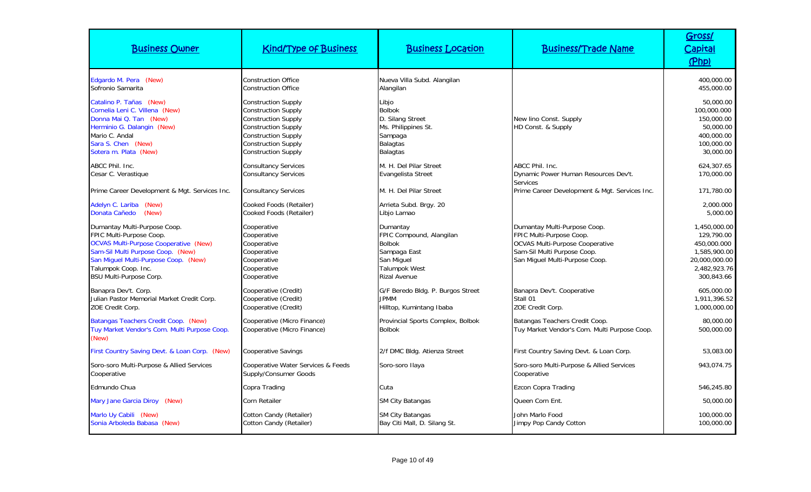| <b>Business Owner</b>                                                                                                                                                                                                                          | <b>Kind/Type of Business</b>                                                                                                                                                                                   | <b>Business Location</b>                                                                                                    | <b>Business/Trade Name</b>                                                                                                                                          | Gross/<br>Capital<br>(Php)                                                                               |
|------------------------------------------------------------------------------------------------------------------------------------------------------------------------------------------------------------------------------------------------|----------------------------------------------------------------------------------------------------------------------------------------------------------------------------------------------------------------|-----------------------------------------------------------------------------------------------------------------------------|---------------------------------------------------------------------------------------------------------------------------------------------------------------------|----------------------------------------------------------------------------------------------------------|
| Edgardo M. Pera (New)<br>Sofronio Samarita                                                                                                                                                                                                     | <b>Construction Office</b><br><b>Construction Office</b>                                                                                                                                                       | Nueva Villa Subd. Alangilan<br>Alangilan                                                                                    |                                                                                                                                                                     | 400,000.00<br>455,000.00                                                                                 |
| Catalino P. Tañas (New)<br>Cornelia Leni C. Villena (New)<br>Donna Mai Q. Tan (New)<br>Herminio G. Dalangin (New)<br>Mario C. Andal<br>Sara S. Chen (New)<br>Sotera m. Plata (New)                                                             | <b>Construction Supply</b><br><b>Construction Supply</b><br><b>Construction Supply</b><br><b>Construction Supply</b><br><b>Construction Supply</b><br><b>Construction Supply</b><br><b>Construction Supply</b> | Libio<br><b>Bolbok</b><br>D. Silang Street<br>Ms. Philippines St.<br>Sampaga<br>Balagtas<br>Balagtas                        | New lino Const. Supply<br>HD Const. & Supply                                                                                                                        | 50,000.00<br>100,000.000<br>150,000.00<br>50,000.00<br>400,000.00<br>100,000.00<br>30,000.00             |
| ABCC Phil. Inc.<br>Cesar C. Verastique                                                                                                                                                                                                         | <b>Consultancy Services</b><br><b>Consultancy Services</b>                                                                                                                                                     | M. H. Del Pilar Street<br>Evangelista Street                                                                                | ABCC Phil. Inc.<br>Dynamic Power Human Resources Dev't.                                                                                                             | 624,307.65<br>170,000.00                                                                                 |
| Prime Career Development & Mgt. Services Inc.                                                                                                                                                                                                  | <b>Consultancy Services</b>                                                                                                                                                                                    | M. H. Del Pilar Street                                                                                                      | <b>Services</b><br>Prime Career Development & Mgt. Services Inc.                                                                                                    | 171,780.00                                                                                               |
| Adelyn C. Lariba (New)<br>Donata Cañedo<br>(New)                                                                                                                                                                                               | Cooked Foods (Retailer)<br>Cooked Foods (Retailer)                                                                                                                                                             | Arrieta Subd. Brgy. 20<br>Libjo Lamao                                                                                       |                                                                                                                                                                     | 2,000.000<br>5,000.00                                                                                    |
| Dumantay Multi-Purpose Coop.<br>FPIC Multi-Purpose Coop.<br><b>OCVAS Multi-Purpose Cooperative (New)</b><br>Sam-Sil Multi Purpose Coop. (New)<br>San Miguel Multi-Purpose Coop. (New)<br>Talumpok Coop. Inc.<br><b>BSU Multi-Purpose Corp.</b> | Cooperative<br>Cooperative<br>Cooperative<br>Cooperative<br>Cooperative<br>Cooperative<br>Cooperative                                                                                                          | Dumantay<br>FPIC Compound, Alangilan<br><b>Bolbok</b><br>Sampaga East<br>San Miguel<br><b>Talumpok West</b><br>Rizal Avenue | Dumantay Multi-Purpose Coop.<br>FPIC Multi-Purpose Coop.<br><b>OCVAS Multi-Purpose Cooperative</b><br>Sam-Sil Multi Purpose Coop.<br>San Miguel Multi-Purpose Coop. | 1,450,000.00<br>129,790.00<br>450,000.000<br>1,585,900.00<br>20,000,000.00<br>2,482,923.76<br>300,843.66 |
| Banapra Dev't. Corp.<br>Julian Pastor Memorial Market Credit Corp.<br>ZOE Credit Corp.                                                                                                                                                         | Cooperative (Credit)<br>Cooperative (Credit)<br>Cooperative (Credit)                                                                                                                                           | G/F Beredo Bldg. P. Burgos Street<br><b>JPMM</b><br>Hilltop, Kumintang Ibaba                                                | Banapra Dev't. Cooperative<br>Stall 01<br>ZOE Credit Corp.                                                                                                          | 605,000.00<br>1,911,396.52<br>1,000,000.00                                                               |
| Batangas Teachers Credit Coop. (New)<br>Tuy Market Vendor's Com. Multi Purpose Coop.<br>(New)                                                                                                                                                  | Cooperative (Micro Finance)<br>Cooperative (Micro Finance)                                                                                                                                                     | Provincial Sports Complex, Bolbok<br><b>Bolbok</b>                                                                          | Batangas Teachers Credit Coop.<br>Tuy Market Vendor's Com. Multi Purpose Coop.                                                                                      | 80,000.00<br>500,000.00                                                                                  |
| First Country Saving Devt. & Loan Corp. (New)                                                                                                                                                                                                  | Cooperative Savings                                                                                                                                                                                            | 2/f DMC Bldg. Atienza Street                                                                                                | First Country Saving Devt. & Loan Corp.                                                                                                                             | 53,083.00                                                                                                |
| Soro-soro Multi-Purpose & Allied Services<br>Cooperative                                                                                                                                                                                       | Cooperative Water Services & Feeds<br>Supply/Consumer Goods                                                                                                                                                    | Soro-soro Ilaya                                                                                                             | Soro-soro Multi-Purpose & Allied Services<br>Cooperative                                                                                                            | 943,074.75                                                                                               |
| Edmundo Chua                                                                                                                                                                                                                                   | Copra Trading                                                                                                                                                                                                  | Cuta                                                                                                                        | Ezcon Copra Trading                                                                                                                                                 | 546,245.80                                                                                               |
| Mary Jane Garcia Diroy (New)                                                                                                                                                                                                                   | Corn Retailer                                                                                                                                                                                                  | <b>SM City Batangas</b>                                                                                                     | Queen Corn Ent.                                                                                                                                                     | 50,000.00                                                                                                |
| Marlo Uy Cabili (New)<br>Sonia Arboleda Babasa (New)                                                                                                                                                                                           | Cotton Candy (Retailer)<br>Cotton Candy (Retailer)                                                                                                                                                             | <b>SM City Batangas</b><br>Bay Citi Mall, D. Silang St.                                                                     | John Marlo Food<br>Jimpy Pop Candy Cotton                                                                                                                           | 100,000.00<br>100,000.00                                                                                 |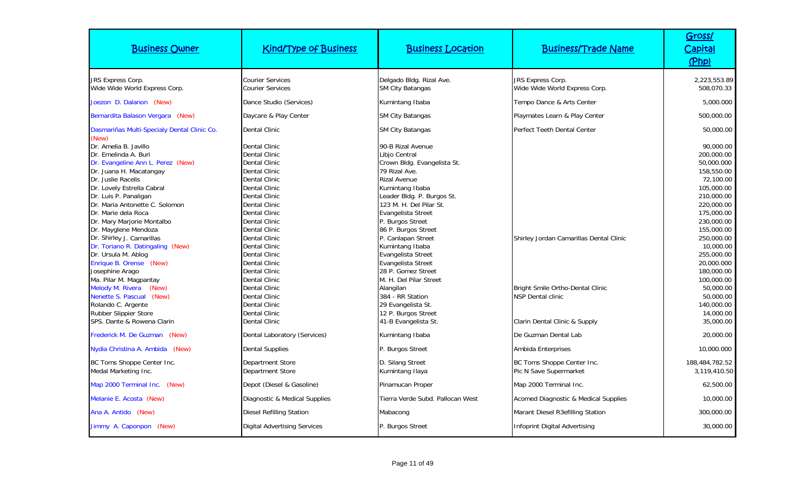| <b>Business Owner</b>                                                                                                                                                                                                                                                                                                                                                                                                                                                                                                                                                                                           | <b>Kind/Type of Business</b>                                                                                                                                                                                                                                                                                                                                                                                                                                                  | <b>Business Location</b>                                                                                                                                                                                                                                                                                                                                                                                                                                                                                 | <b>Business/Trade Name</b>                                                                                                                      | Gross/<br><b>Capital</b><br>(Php)                                                                                                                                                                                                                                                                         |
|-----------------------------------------------------------------------------------------------------------------------------------------------------------------------------------------------------------------------------------------------------------------------------------------------------------------------------------------------------------------------------------------------------------------------------------------------------------------------------------------------------------------------------------------------------------------------------------------------------------------|-------------------------------------------------------------------------------------------------------------------------------------------------------------------------------------------------------------------------------------------------------------------------------------------------------------------------------------------------------------------------------------------------------------------------------------------------------------------------------|----------------------------------------------------------------------------------------------------------------------------------------------------------------------------------------------------------------------------------------------------------------------------------------------------------------------------------------------------------------------------------------------------------------------------------------------------------------------------------------------------------|-------------------------------------------------------------------------------------------------------------------------------------------------|-----------------------------------------------------------------------------------------------------------------------------------------------------------------------------------------------------------------------------------------------------------------------------------------------------------|
| <b>JRS Express Corp.</b><br>Wide Wide World Express Corp.                                                                                                                                                                                                                                                                                                                                                                                                                                                                                                                                                       | <b>Courier Services</b><br><b>Courier Services</b>                                                                                                                                                                                                                                                                                                                                                                                                                            | Delgado Bldg. Rizal Ave.<br><b>SM City Batangas</b>                                                                                                                                                                                                                                                                                                                                                                                                                                                      | JRS Express Corp.<br>Wide Wide World Express Corp.                                                                                              | 2,223,553.89<br>508.070.33                                                                                                                                                                                                                                                                                |
| Joezon D. Dalanon (New)                                                                                                                                                                                                                                                                                                                                                                                                                                                                                                                                                                                         | Dance Studio (Services)                                                                                                                                                                                                                                                                                                                                                                                                                                                       | Kumintang Ibaba                                                                                                                                                                                                                                                                                                                                                                                                                                                                                          | Tempo Dance & Arts Center                                                                                                                       | 5,000.000                                                                                                                                                                                                                                                                                                 |
| Bernardita Balason Vergara (New)                                                                                                                                                                                                                                                                                                                                                                                                                                                                                                                                                                                | Daycare & Play Center                                                                                                                                                                                                                                                                                                                                                                                                                                                         | <b>SM City Batangas</b>                                                                                                                                                                                                                                                                                                                                                                                                                                                                                  | Playmates Learn & Play Center                                                                                                                   | 500,000.00                                                                                                                                                                                                                                                                                                |
| Dasmariñas Multi-Specialy Dental Clinic Co.<br>(New)                                                                                                                                                                                                                                                                                                                                                                                                                                                                                                                                                            | <b>Dental Clinic</b>                                                                                                                                                                                                                                                                                                                                                                                                                                                          | <b>SM City Batangas</b>                                                                                                                                                                                                                                                                                                                                                                                                                                                                                  | Perfect Teeth Dental Center                                                                                                                     | 50,000.00                                                                                                                                                                                                                                                                                                 |
| Dr. Amelia B. Javillo<br>Dr. Emelinda A. Buri<br>Dr. Evangeline Ann L. Perez (New)<br>Dr. Juana H. Macatangay<br>Dr. Juslie Racelis<br>Dr. Lovely Estrella Cabral<br>Dr. Luis P. Panaligan<br>Dr. Maria Antonette C. Solomon<br>Dr. Marie dela Roca<br>Dr. Mary Marjorie Montalbo<br>Dr. Mayglene Mendoza<br>Dr. Shirley J. Camarillas<br>Dr. Toriano R. Datingaling (New)<br>Dr. Ursula M. Ablog<br>Enrique B. Orense (New)<br>Josephine Arago<br>Ma. Pilar M. Magpantay<br>Melody M. Rivera<br>(New)<br>Nenette S. Pascual (New)<br>Rolando C. Argente<br>Rubber Slippier Store<br>SPS. Dante & Rowena Clarin | <b>Dental Clinic</b><br>Dental Clinic<br><b>Dental Clinic</b><br><b>Dental Clinic</b><br>Dental Clinic<br><b>Dental Clinic</b><br><b>Dental Clinic</b><br><b>Dental Clinic</b><br><b>Dental Clinic</b><br><b>Dental Clinic</b><br><b>Dental Clinic</b><br><b>Dental Clinic</b><br>Dental Clinic<br>Dental Clinic<br>Dental Clinic<br><b>Dental Clinic</b><br>Dental Clinic<br><b>Dental Clinic</b><br>Dental Clinic<br><b>Dental Clinic</b><br>Dental Clinic<br>Dental Clinic | 90-B Rizal Avenue<br>Libjo Central<br>Crown Bldg. Evangelista St.<br>79 Rizal Ave.<br><b>Rizal Avenue</b><br>Kumintang Ibaba<br>Leader Bldg. P. Burgos St.<br>123 M. H. Del Pilar St.<br><b>Evangelista Street</b><br>P. Burgos Street<br>86 P. Burgos Street<br>P. Canlapan Street<br>Kumintang Ibaba<br>Evangelista Street<br>Evangelista Street<br>28 P. Gomez Street<br>M. H. Del Pilar Street<br>Alangilan<br>384 - RR Station<br>29 Evangelista St.<br>12 P. Burgos Street<br>41-B Evangelista St. | Shirley Jordan Camarillas Dental Clinic<br><b>Bright Smile Ortho-Dental Clinic</b><br><b>NSP Dental clinic</b><br>Clarin Dental Clinic & Supply | 90,000.00<br>200,000.00<br>50,000.000<br>158,550.00<br>72,100.00<br>105,000.00<br>210,000.00<br>220,000.00<br>175,000.00<br>230,000.00<br>155,000.00<br>250,000.00<br>10,000.00<br>255,000.00<br>20,000.000<br>180,000.00<br>100,000.00<br>50,000.00<br>50,000.00<br>140,000.00<br>14,000.00<br>35,000.00 |
| Frederick M. De Guzman (New)                                                                                                                                                                                                                                                                                                                                                                                                                                                                                                                                                                                    | Dental Laboratory (Services)                                                                                                                                                                                                                                                                                                                                                                                                                                                  | Kumintang Ibaba                                                                                                                                                                                                                                                                                                                                                                                                                                                                                          | De Guzman Dental Lab                                                                                                                            | 20,000.00                                                                                                                                                                                                                                                                                                 |
| Nydia Christina A. Ambida (New)                                                                                                                                                                                                                                                                                                                                                                                                                                                                                                                                                                                 | <b>Dental Supplies</b>                                                                                                                                                                                                                                                                                                                                                                                                                                                        | P. Burgos Street                                                                                                                                                                                                                                                                                                                                                                                                                                                                                         | Ambida Enterprises                                                                                                                              | 10,000.000                                                                                                                                                                                                                                                                                                |
| BC Toms Shoppe Center Inc.<br>Medal Marketing Inc.<br>Map 2000 Terminal Inc. (New)                                                                                                                                                                                                                                                                                                                                                                                                                                                                                                                              | Department Store<br>Department Store<br>Depot (Diesel & Gasoline)                                                                                                                                                                                                                                                                                                                                                                                                             | D. Silang Street<br>Kumintang Ilaya<br>Pinamucan Proper                                                                                                                                                                                                                                                                                                                                                                                                                                                  | BC Toms Shoppe Center Inc.<br>Pic N Save Supermarket<br>Map 2000 Terminal Inc.                                                                  | 188,484,782.52<br>3,119,410.50<br>62,500.00                                                                                                                                                                                                                                                               |
| Melanie E. Acosta (New)                                                                                                                                                                                                                                                                                                                                                                                                                                                                                                                                                                                         | Diagnostic & Medical Supplies                                                                                                                                                                                                                                                                                                                                                                                                                                                 | Tierra Verde Subd, Pallocan West                                                                                                                                                                                                                                                                                                                                                                                                                                                                         | Acomed Diagnostic & Medical Supplies                                                                                                            | 10,000.00                                                                                                                                                                                                                                                                                                 |
| Ana A. Antido (New)<br>Jimmy A. Caponpon (New)                                                                                                                                                                                                                                                                                                                                                                                                                                                                                                                                                                  | <b>Diesel Refilling Station</b><br><b>Digital Advertising Services</b>                                                                                                                                                                                                                                                                                                                                                                                                        | Mabacong<br>P. Burgos Street                                                                                                                                                                                                                                                                                                                                                                                                                                                                             | Marant Diesel R3efilling Station<br>Infoprint Digital Advertising                                                                               | 300,000.00<br>30,000.00                                                                                                                                                                                                                                                                                   |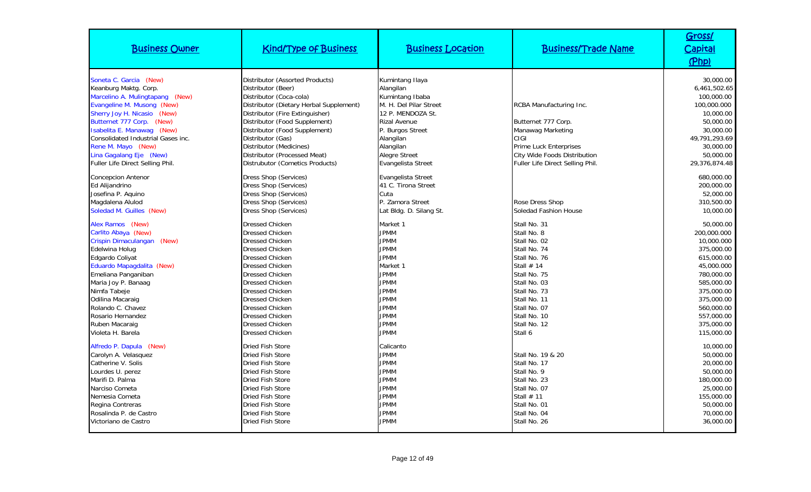| <b>Business Owner</b>                                                                                                                                                                                                                                                                                                                 | <b>Kind/Type of Business</b>                                                                                                                                                                                                                                                                                                                                      | <b>Business Location</b>                                                                                                                                                                                          | <b>Business/Trade Name</b>                                                                                                                                                                                             | Gross/<br><u>Capital</u><br>(Php)                                                                                                                                                                |
|---------------------------------------------------------------------------------------------------------------------------------------------------------------------------------------------------------------------------------------------------------------------------------------------------------------------------------------|-------------------------------------------------------------------------------------------------------------------------------------------------------------------------------------------------------------------------------------------------------------------------------------------------------------------------------------------------------------------|-------------------------------------------------------------------------------------------------------------------------------------------------------------------------------------------------------------------|------------------------------------------------------------------------------------------------------------------------------------------------------------------------------------------------------------------------|--------------------------------------------------------------------------------------------------------------------------------------------------------------------------------------------------|
| Soneta C. Garcia (New)<br>Keanburg Maktg. Corp.<br>Marcelino A. Mulingtapang (New)<br>Evangeline M. Musong (New)<br>Sherry Joy H. Nicasio (New)<br>Butternet 777 Corp. (New)<br>Isabelita E. Manawag (New)<br>Consolidated Industrial Gases inc.<br>Rene M. Mayo (New)<br>Lina Gagalang Eje (New)<br>Fuller Life Direct Selling Phil. | Distributor (Assorted Products)<br>Distributor (Beer)<br>Distributor (Coca-cola)<br>Distributor (Dietary Herbal Supplement)<br>Distributor (Fire Extinguisher)<br>Distributor (Food Supplement)<br>Distributor (Food Supplement)<br>Distributor (Gas)<br>Distributor (Medicines)<br>Distributor (Processed Meat)<br>Distrubutor (Cometics Products)               | Kumintang Ilaya<br>Alangilan<br>Kumintang Ibaba<br>M. H. Del Pilar Street<br>12 P. MENDOZA St.<br><b>Rizal Avenue</b><br>P. Burgos Street<br>Alangilan<br>Alangilan<br><b>Alegre Street</b><br>Evangelista Street | RCBA Manufacturing Inc.<br>Butternet 777 Corp.<br>Manawag Marketing<br>CIGI<br><b>Prime Luck Enterprises</b><br>City Wide Foods Distribution<br>Fuller Life Direct Selling Phil.                                       | 30,000.00<br>6,461,502.65<br>100,000.00<br>100,000.000<br>10,000.00<br>50,000.00<br>30,000.00<br>49,791,293.69<br>30,000.00<br>50,000.00<br>29,376,874.48                                        |
| <b>Concepcion Antenor</b><br>Ed Alijandrino<br>Josefina P. Aquino<br>Magdalena Alulod<br>Soledad M. Guilles (New)                                                                                                                                                                                                                     | <b>Dress Shop (Services)</b><br>Dress Shop (Services)<br>Dress Shop (Services)<br>Dress Shop (Services)<br>Dress Shop (Services)                                                                                                                                                                                                                                  | Evangelista Street<br>41 C. Tirona Street<br>Cuta<br>P. Zamora Street<br>Lat Bldg. D. Silang St.                                                                                                                  | Rose Dress Shop<br>Soledad Fashion House                                                                                                                                                                               | 680,000.00<br>200,000.00<br>52,000.00<br>310,500.00<br>10,000.00                                                                                                                                 |
| Alex Ramos (New)<br>Carlito Abaya (New)<br>Crispin Dimaculangan<br>(New)<br>Edelwina Holug<br>Edgardo Coliyat<br>Eduardo Mapagdalita (New)<br>Emeliana Panganiban<br>Maria Joy P. Banaag<br>Nimfa Tabeje<br>Odilina Macaraig<br>Rolando C. Chavez<br>Rosario Hernandez<br>Ruben Macaraig<br>Violeta H. Barela                         | <b>Dressed Chicken</b><br><b>Dressed Chicken</b><br><b>Dressed Chicken</b><br><b>Dressed Chicken</b><br><b>Dressed Chicken</b><br><b>Dressed Chicken</b><br><b>Dressed Chicken</b><br><b>Dressed Chicken</b><br><b>Dressed Chicken</b><br><b>Dressed Chicken</b><br><b>Dressed Chicken</b><br><b>Dressed Chicken</b><br><b>Dressed Chicken</b><br>Dressed Chicken | Market 1<br><b>JPMM</b><br><b>JPMM</b><br><b>JPMM</b><br><b>JPMM</b><br>Market 1<br><b>JPMM</b><br><b>JPMM</b><br><b>JPMM</b><br><b>JPMM</b><br><b>JPMM</b><br><b>JPMM</b><br><b>JPMM</b><br><b>JPMM</b>          | Stall No. 31<br>Stall No. 8<br>Stall No. 02<br>Stall No. 74<br>Stall No. 76<br>Stall $# 14$<br>Stall No. 75<br>Stall No. 03<br>Stall No. 73<br>Stall No. 11<br>Stall No. 07<br>Stall No. 10<br>Stall No. 12<br>Stall 6 | 50,000.00<br>200,000.000<br>10,000.000<br>375,000.00<br>615,000.00<br>45,000.000<br>780,000.00<br>585,000.00<br>375,000.00<br>375,000.00<br>560,000.00<br>557,000.00<br>375,000.00<br>115,000.00 |
| Alfredo P. Dapula (New)<br>Carolyn A. Velasquez<br>Catherine V. Solis<br>Lourdes U. perez<br>Marifi D. Palma<br>Narciso Cometa<br>Nemesia Cometa<br>Regina Contreras<br>Rosalinda P. de Castro<br>Victoriano de Castro                                                                                                                | <b>Dried Fish Store</b><br><b>Dried Fish Store</b><br>Dried Fish Store<br>Dried Fish Store<br>Dried Fish Store<br><b>Dried Fish Store</b><br><b>Dried Fish Store</b><br><b>Dried Fish Store</b><br><b>Dried Fish Store</b><br><b>Dried Fish Store</b>                                                                                                             | Calicanto<br><b>JPMM</b><br><b>JPMM</b><br><b>JPMM</b><br><b>JPMM</b><br><b>JPMM</b><br><b>JPMM</b><br><b>JPMM</b><br><b>JPMM</b><br><b>JPMM</b>                                                                  | Stall No. 19 & 20<br>Stall No. 17<br>Stall No. 9<br>Stall No. 23<br>Stall No. 07<br>Stall $# 11$<br>Stall No. 01<br>Stall No. 04<br>Stall No. 26                                                                       | 10,000.00<br>50,000.00<br>20,000.00<br>50,000.00<br>180,000.00<br>25,000.00<br>155,000.00<br>50,000.00<br>70,000.00<br>36,000.00                                                                 |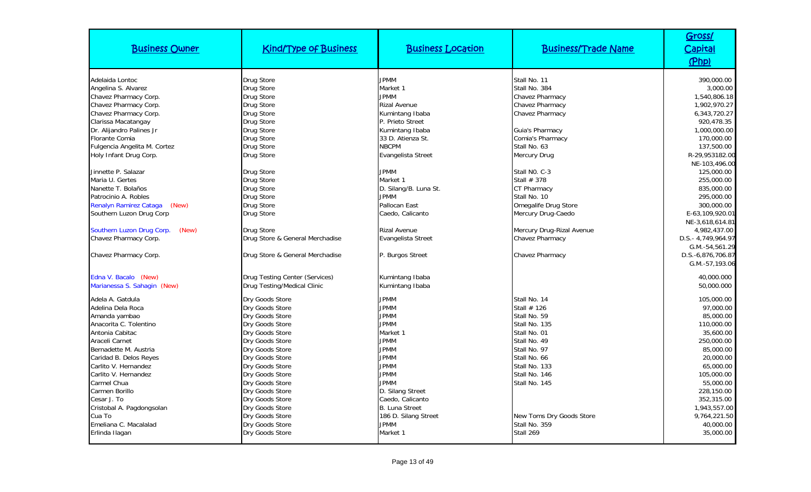| <b>Business Owner</b>                   | <b>Kind/Type of Business</b>       | <b>Business Location</b>   | <b>Business/Trade Name</b>    | Gross/<br><b>Capital</b><br>(Php) |
|-----------------------------------------|------------------------------------|----------------------------|-------------------------------|-----------------------------------|
| Adelaida Lontoc                         | Drug Store                         | <b>JPMM</b>                | Stall No. 11                  | 390,000.00                        |
| Angelina S. Alvarez                     | Drug Store                         | Market 1                   | Stall No. 384                 | 3,000.00                          |
| Chavez Pharmacy Corp.                   | <b>Drug Store</b>                  | <b>JPMM</b>                | Chavez Pharmacy               | 1,540,806.18                      |
| Chavez Pharmacy Corp.                   | Drug Store                         | <b>Rizal Avenue</b>        | <b>Chavez Pharmacy</b>        | 1,902,970.27                      |
| Chavez Pharmacy Corp.                   | Drug Store                         | Kumintang Ibaba            | Chavez Pharmacy               | 6,343,720.27                      |
| Clarissa Macatangay                     | <b>Drug Store</b>                  | P. Prieto Street           |                               | 920,478.35                        |
| Dr. Alijandro Palines Jr                | Drug Store                         | Kumintang Ibaba            | Guia's Pharmacy               | 1,000,000.00                      |
| <b>Florante Comia</b>                   | Drug Store                         | 33 D. Atienza St.          | Comia's Pharmacy              | 170,000.00                        |
| Fulgencia Angelita M. Cortez            | Drug Store                         | <b>NBCPM</b>               | Stall No. 63                  | 137,500.00                        |
| Holy Infant Drug Corp.                  | Drug Store                         | Evangelista Street         | Mercury Drug                  | R-29,953182.00                    |
|                                         |                                    |                            |                               | NE-103,496.00                     |
| Jinnette P. Salazar                     | Drug Store                         | <b>JPMM</b>                | Stall NO. C-3                 | 125,000.00                        |
| Maria U. Gertes                         | Drug Store                         | Market 1                   | Stall $# 378$                 | 255,000.00                        |
| Nanette T. Bolaños                      | Drug Store                         | D. Silang/B. Luna St.      | <b>CT Pharmacy</b>            | 835,000.00                        |
| Patrocinio A. Robles                    | Drug Store                         | <b>JPMM</b>                | Stall No. 10                  | 295,000.00                        |
| Renalyn Ramirez Cataga<br>(New)         | Drug Store                         | Pallocan East              | Omegalife Drug Store          | 300,000.00                        |
| Southern Luzon Drug Corp                | Drug Store                         | Caedo, Calicanto           | Mercury Drug-Caedo            | E-63,109,920.01                   |
|                                         |                                    |                            |                               | NE-3,618,614.81                   |
| Southern Luzon Drug Corp.<br>(New)      | Drug Store                         | <b>Rizal Avenue</b>        | Mercury Drug-Rizal Avenue     | 4,982,437.00                      |
| Chavez Pharmacy Corp.                   | Drug Store & General Merchadise    | Evangelista Street         | Chavez Pharmacy               | D.S.- 4,749,964.97                |
|                                         |                                    |                            |                               | G.M.-54,561.29                    |
| Chavez Pharmacy Corp.                   | Drug Store & General Merchadise    | P. Burgos Street           | Chavez Pharmacy               | D.S.-6,876,706.87                 |
|                                         |                                    |                            |                               | G.M.-57,193.06                    |
| Edna V. Bacalo (New)                    | Drug Testing Center (Services)     | Kumintang Ibaba            |                               | 40,000.000                        |
| Marianessa S. Sahagin (New)             | Drug Testing/Medical Clinic        | Kumintang Ibaba            |                               | 50,000.000                        |
|                                         |                                    |                            |                               |                                   |
| Adela A. Gatdula<br>Adelina Dela Roca   | Dry Goods Store                    | <b>JPMM</b><br><b>JPMM</b> | Stall No. 14<br>Stall $# 126$ | 105,000.00<br>97.000.00           |
|                                         | Dry Goods Store<br>Dry Goods Store | <b>JPMM</b>                | Stall No. 59                  | 85,000.00                         |
| Amanda yambao<br>Anacorita C. Tolentino | Dry Goods Store                    | <b>JPMM</b>                | Stall No. 135                 | 110,000.00                        |
| Antonia Cabitac                         | Dry Goods Store                    | Market 1                   | Stall No. 01                  | 35,600.00                         |
| Araceli Carnet                          | Dry Goods Store                    | <b>JPMM</b>                | Stall No. 49                  | 250,000.00                        |
| Bernadette M. Austria                   | Dry Goods Store                    | <b>JPMM</b>                | Stall No. 97                  | 85,000.00                         |
| Caridad B. Delos Reyes                  | Dry Goods Store                    | <b>JPMM</b>                | Stall No. 66                  | 20,000.00                         |
| Carlito V. Hernandez                    | Dry Goods Store                    | <b>JPMM</b>                | Stall No. 133                 | 65,000.00                         |
| Carlito V. Hernandez                    | Dry Goods Store                    | <b>JPMM</b>                | Stall No. 146                 | 105,000.00                        |
| Carmel Chua                             | Dry Goods Store                    | <b>JPMM</b>                | Stall No. 145                 | 55,000.00                         |
| Carmen Borillo                          | Dry Goods Store                    | D. Silang Street           |                               | 228,150.00                        |
| Cesar J. To                             | Dry Goods Store                    | Caedo, Calicanto           |                               | 352,315.00                        |
| Cristobal A. Pagdongsolan               | Dry Goods Store                    | <b>B.</b> Luna Street      |                               | 1,943,557.00                      |
| Cua To                                  | Dry Goods Store                    | 186 D. Silang Street       | New Toms Dry Goods Store      | 9,764,221.50                      |
| Emeliana C. Macalalad                   | Dry Goods Store                    | <b>JPMM</b>                | Stall No. 359                 | 40,000.00                         |
| Erlinda Ilagan                          | Dry Goods Store                    | Market 1                   | Stall 269                     | 35,000.00                         |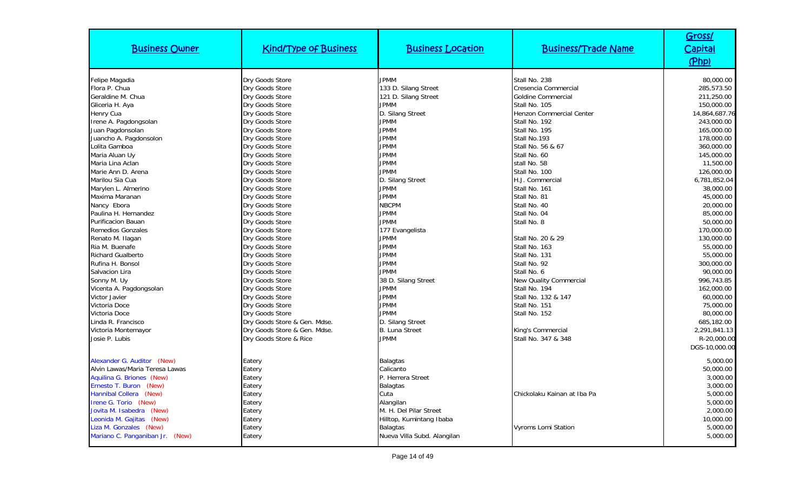| <b>Business Owner</b>           | <b>Kind/Type of Business</b> | <b>Business Location</b>    | <b>Business/Trade Name</b>    | Gross/<br>Capital<br>(Php) |
|---------------------------------|------------------------------|-----------------------------|-------------------------------|----------------------------|
| Felipe Magadia                  | Dry Goods Store              | <b>JPMM</b>                 | Stall No. 238                 | 80,000.00                  |
| Flora P. Chua                   | Dry Goods Store              | 133 D. Silang Street        | Cresencia Commercial          | 285,573.50                 |
| Geraldine M. Chua               | Dry Goods Store              | 121 D. Silang Street        | <b>Goldine Commercial</b>     | 211,250.00                 |
| Gliceria H. Aya                 | Dry Goods Store              | <b>JPMM</b>                 | Stall No. 105                 | 150,000.00                 |
| Henry Cua                       | Dry Goods Store              | D. Silang Street            | Henzon Commercial Center      | 14,864,687.76              |
| Irene A. Pagdongsolan           | Dry Goods Store              | <b>JPMM</b>                 | Stall No. 192                 | 243,000.00                 |
| Juan Pagdonsolan                | Dry Goods Store              | <b>JPMM</b>                 | Stall No. 195                 | 165,000.00                 |
| Juancho A. Pagdonsolon          | Dry Goods Store              | <b>JPMM</b>                 | Stall No.193                  | 178,000.00                 |
| Lolita Gamboa                   | Dry Goods Store              | <b>JPMM</b>                 | Stall No. 56 & 67             | 360,000.00                 |
| Maria Aluan Uy                  | Dry Goods Store              | <b>JPMM</b>                 | Stall No. 60                  | 145,000.00                 |
| Maria Lina Aclan                | Dry Goods Store              | <b>JPMM</b>                 | stall No. 58                  | 11,500.00                  |
| Marie Ann D. Arena              | Dry Goods Store              | <b>JPMM</b>                 | Stall No. 100                 | 126,000.00                 |
| Marilou Sia Cua                 | Dry Goods Store              | D. Silang Street            | H.J. Commercial               | 6,781,852.04               |
| Marylen L. Almerino             | Dry Goods Store              | <b>JPMM</b>                 | Stall No. 161                 | 38,000.00                  |
| Maxima Maranan                  | Dry Goods Store              | <b>JPMM</b>                 | Stall No. 81                  | 45,000.00                  |
| Nancy Ebora                     | Dry Goods Store              | <b>NBCPM</b>                | Stall No. 40                  | 20,000.00                  |
| Paulina H. Hernandez            | Dry Goods Store              | <b>JPMM</b>                 | Stall No. 04                  | 85,000.00                  |
| <b>Purificacion Bauan</b>       | Dry Goods Store              | <b>JPMM</b>                 | Stall No. 8                   | 50,000.00                  |
| <b>Remedios Gonzales</b>        | Dry Goods Store              | 177 Evangelista             |                               | 170,000.00                 |
| Renato M. Ilagan                | Dry Goods Store              | <b>JPMM</b>                 | Stall No. 20 & 29             | 130,000.00                 |
| Ria M. Buenafe                  | Dry Goods Store              | <b>JPMM</b>                 | Stall No. 163                 | 55,000.00                  |
| <b>Richard Gualberto</b>        | Dry Goods Store              | <b>JPMM</b>                 | Stall No. 131                 | 55,000.00                  |
| Rufina H. Bonsol                | Dry Goods Store              | <b>JPMM</b>                 | Stall No. 92                  | 300,000.00                 |
| Salvacion Lira                  | Dry Goods Store              | <b>JPMM</b>                 | Stall No. 6                   | 90,000.00                  |
| Sonny M. Uy                     | Dry Goods Store              | 38 D. Silang Street         | <b>New Quality Commercial</b> | 996.743.85                 |
| Vicenta A. Pagdongsolan         | Dry Goods Store              | <b>JPMM</b>                 | Stall No. 194                 | 162,000.00                 |
| Victor Javier                   | Dry Goods Store              | <b>JPMM</b>                 | Stall No. 132 & 147           | 60,000.00                  |
| Victoria Doce                   | Dry Goods Store              | <b>JPMM</b>                 | Stall No. 151                 | 75,000.00                  |
| Victoria Doce                   | Dry Goods Store              | <b>JPMM</b>                 | Stall No. 152                 | 80,000.00                  |
| Linda R. Francisco              | Dry Goods Store & Gen. Mdse. | D. Silang Street            |                               | 685,182.00                 |
| Victoria Montemayor             | Dry Goods Store & Gen. Mdse. | <b>B.</b> Luna Street       | King's Commercial             | 2,291,841.13               |
| Josie P. Lubis                  | Dry Goods Store & Rice       | <b>JPMM</b>                 | Stall No. 347 & 348           | R-20,000.00                |
|                                 |                              |                             |                               | DGS-10,000.00              |
| Alexander G. Auditor (New)      | Eatery                       | <b>Balagtas</b>             |                               | 5,000.00                   |
| Alvin Lawas/Maria Teresa Lawas  | Eatery                       | Calicanto                   |                               | 50,000.00                  |
| Aquilina G. Briones (New)       | Eatery                       | P. Herrera Street           |                               | 3,000.00                   |
| Ernesto T. Buron<br>(New)       | Eatery                       | Balagtas                    |                               | 3,000.00                   |
| Hannibal Collera (New)          | Eatery                       | Cuta                        | Chickolaku Kainan at Iba Pa   | 5,000.00                   |
| Irene G. Torio (New)            | Eatery                       | Alangilan                   |                               | 5,000.00                   |
| Jovita M. Isabedra<br>(New)     | Eatery                       | M. H. Del Pilar Street      |                               | 2,000.00                   |
| Leonida M. Gajitas<br>(New)     | Eatery                       | Hilltop, Kumintang Ibaba    |                               | 10,000.00                  |
| Liza M. Gonzales (New)          | Eatery                       | <b>Balagtas</b>             | <b>Vyroms Lomi Station</b>    | 5,000.00                   |
| Mariano C. Panganiban Jr. (New) | Eatery                       | Nueva Villa Subd. Alangilan |                               | 5,000.00                   |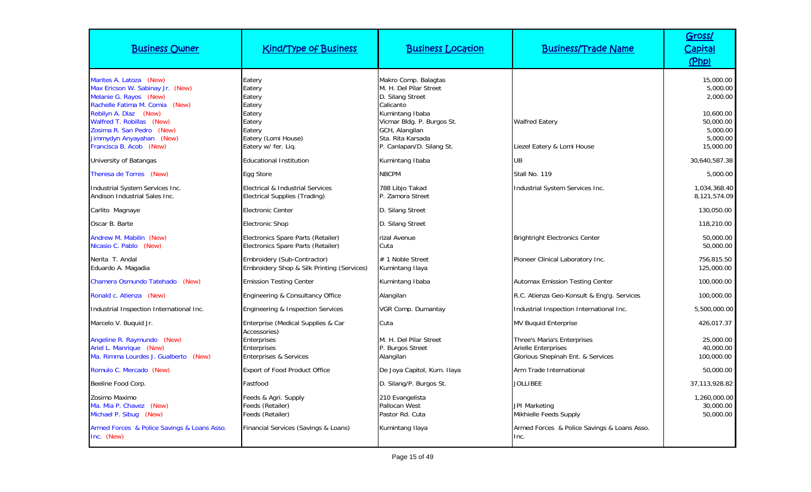| <b>Business Owner</b>                                                                                                                  | <b>Kind/Type of Business</b>                                                | <b>Business Location</b>                                                                                          | <b>Business/Trade Name</b>                                                                     | Gross/<br><b>Capital</b><br>(Php)                           |
|----------------------------------------------------------------------------------------------------------------------------------------|-----------------------------------------------------------------------------|-------------------------------------------------------------------------------------------------------------------|------------------------------------------------------------------------------------------------|-------------------------------------------------------------|
| Marites A. Latoza (New)<br>Max Ericson W. Sabinay Jr. (New)<br>Melanie G. Rayos (New)<br>Rachelle Fatima M. Comia (New)                | Eatery<br>Eatery<br>Eatery<br>Eatery                                        | Makro Comp. Balagtas<br>M. H. Del Pilar Street<br>D. Silang Street<br>Calicanto                                   |                                                                                                | 15,000.00<br>5,000.00<br>2,000.00                           |
| Rebilyn A. Diaz (New)<br>Walfred T. Robillas (New)<br>Zosima R. San Pedro (New)<br>Jimmydyn Anyayahan (New)<br>Francisca B. Acob (New) | Eatery<br>Eatery<br>Eatery<br>Eatery (Lomi House)<br>Eatery w/ fer. Liq.    | Kumintang Ibaba<br>Vicmar Bldg. P. Burgos St.<br>GCH, Alangilan<br>Sta. Rita Karsada<br>P. Canlapan/D. Silang St. | <b>Walfred Eatery</b><br>Liezel Eatery & Lomi House                                            | 10.600.00<br>50,000.00<br>5,000.00<br>5,000.00<br>15,000.00 |
| University of Batangas                                                                                                                 | <b>Educational Institution</b>                                              | Kumintang Ibaba                                                                                                   | <b>UB</b>                                                                                      | 30,640,587.38                                               |
| Theresa de Torres (New)                                                                                                                | Egg Store                                                                   | <b>NBCPM</b>                                                                                                      | Stall No. 119                                                                                  | 5,000.00                                                    |
| Industrial System Services Inc.<br>Andison Industrial Sales Inc.                                                                       | Electrical & Industrial Services<br>Electrical Supplies (Trading)           | 788 Libjo Takad<br>P. Zamora Street                                                                               | Industrial System Services Inc.                                                                | 1,034,368.40<br>8,121,574.09                                |
| Carlito Magnaye                                                                                                                        | <b>Electronic Center</b>                                                    | D. Silang Street                                                                                                  |                                                                                                | 130,050.00                                                  |
| Oscar B. Barte                                                                                                                         | Electronic Shop                                                             | D. Silang Street                                                                                                  |                                                                                                | 118,210.00                                                  |
| Andrew M. Mabilin (New)<br>Nicasio C. Pablo (New)                                                                                      | Electronics Spare Parts (Retailer)<br>Electronics Spare Parts (Retailer)    | rizal Avenue<br>Cuta                                                                                              | <b>Brightright Electronics Center</b>                                                          | 50,000.00<br>50,000.00                                      |
| Nerita T. Andal<br>Eduardo A. Magadia                                                                                                  | Embroidery (Sub-Contractor)<br>Embroidery Shop & Silk Printing (Services)   | # 1 Noble Street<br>Kumintang Ilaya                                                                               | Pioneer Clinical Laboratory Inc.                                                               | 756,815.50<br>125,000.00                                    |
| Chamera Osmundo Tatehado (New)                                                                                                         | <b>Emission Testing Center</b>                                              | Kumintang Ibaba                                                                                                   | <b>Automax Emission Testing Center</b>                                                         | 100,000.00                                                  |
| Ronald c. Atienza (New)                                                                                                                | Engineering & Consultancy Office                                            | Alangilan                                                                                                         | R.C. Atienza Geo-Konsult & Eng'g. Services                                                     | 100,000.00                                                  |
| Industrial Inspection International Inc.                                                                                               | Engineering & Inspection Services                                           | VGR Comp. Dumantay                                                                                                | Industrial Inspection International Inc.                                                       | 5,500,000.00                                                |
| Marcelo V. Buquid Jr.                                                                                                                  | Enterprise (Medical Supplies & Car                                          | Cuta                                                                                                              | <b>MV Buquid Enterprise</b>                                                                    | 426,017.37                                                  |
| Angeline R. Raymundo (New)<br>Ariel L. Manrique (New)<br>Ma. Rimma Lourdes J. Gualberto<br>(New)                                       | Accessories)<br><b>Enterprises</b><br>Enterprises<br>Enterprises & Services | M. H. Del Pilar Street<br>P. Burgos Street<br>Alangilan                                                           | Three's Maria's Enterprises<br><b>Arielle Enterprises</b><br>Glorious Shepinah Ent. & Services | 25,000.00<br>40,000.00<br>100,000.00                        |
| Romulo C. Mercado (New)                                                                                                                | <b>Export of Food Product Office</b>                                        | De Joya Capitol, Kum. Ilaya                                                                                       | Arm Trade International                                                                        | 50,000.00                                                   |
| Beeline Food Corp.                                                                                                                     | Fastfood                                                                    | D. Silang/P. Burgos St.                                                                                           | <b>JOLLIBEE</b>                                                                                | 37,113,928.82                                               |
| Zosimo Maximo<br>Ma. Mia P. Chavez (New)<br>Michael P. Sibug (New)                                                                     | Feeds & Agri. Supply<br>Feeds (Retailer)<br>Feeds (Retailer)                | 210 Evangelista<br>Pallocan West<br>Pastor Rd. Cuta                                                               | <b>JPI Marketing</b><br>Mikhielle Feeds Supply                                                 | 1,260,000.00<br>30,000.00<br>50,000.00                      |
| Armed Forces & Police Savings & Loans Asso.<br>Inc. (New)                                                                              | Financial Services (Savings & Loans)                                        | Kumintang Ilaya                                                                                                   | Armed Forces & Police Savings & Loans Asso.<br>Inc.                                            |                                                             |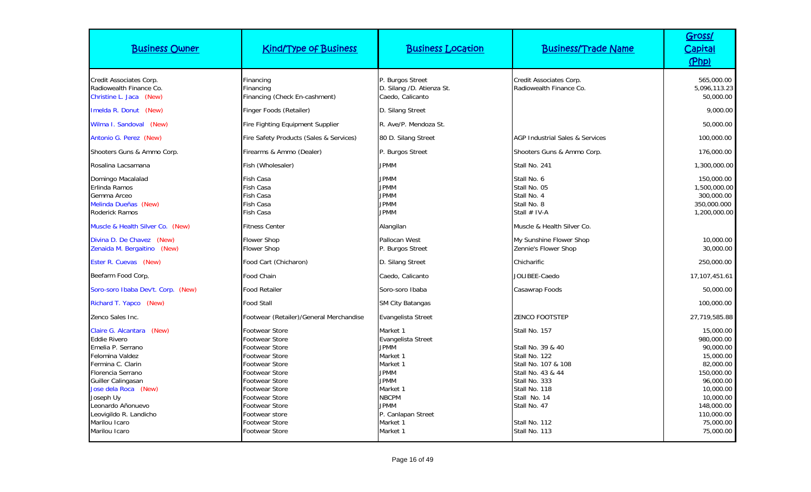| <b>Business Owner</b>                                                                                                                                                                                                                                                          | <b>Kind/Type of Business</b>                                                                                                                                                                                                                                                     | <b>Business Location</b>                                                                                                                                                              | <b>Business/Trade Name</b>                                                                                                                                                                          | Gross/<br>Capital<br>(Php)                                                                                                                                                |
|--------------------------------------------------------------------------------------------------------------------------------------------------------------------------------------------------------------------------------------------------------------------------------|----------------------------------------------------------------------------------------------------------------------------------------------------------------------------------------------------------------------------------------------------------------------------------|---------------------------------------------------------------------------------------------------------------------------------------------------------------------------------------|-----------------------------------------------------------------------------------------------------------------------------------------------------------------------------------------------------|---------------------------------------------------------------------------------------------------------------------------------------------------------------------------|
| Credit Associates Corp.<br>Radiowealth Finance Co.<br>Christine L. Jaca<br>(New)                                                                                                                                                                                               | Financing<br>Financing<br>Financing (Check En-cashment)                                                                                                                                                                                                                          | P. Burgos Street<br>D. Silang /D. Atienza St.<br>Caedo, Calicanto                                                                                                                     | Credit Associates Corp.<br>Radiowealth Finance Co.                                                                                                                                                  | 565,000.00<br>5,096,113.23<br>50,000.00                                                                                                                                   |
| Imelda R. Donut (New)                                                                                                                                                                                                                                                          | Finger Foods (Retailer)                                                                                                                                                                                                                                                          | D. Silang Street                                                                                                                                                                      |                                                                                                                                                                                                     | 9,000.00                                                                                                                                                                  |
| Wilma I. Sandoval (New)                                                                                                                                                                                                                                                        | Fire Fighting Equipment Supplier                                                                                                                                                                                                                                                 | R. Ave/P. Mendoza St.                                                                                                                                                                 |                                                                                                                                                                                                     | 50,000.00                                                                                                                                                                 |
| Antonio G. Perez (New)                                                                                                                                                                                                                                                         | Fire Safety Products (Sales & Services)                                                                                                                                                                                                                                          | 80 D. Silang Street                                                                                                                                                                   | AGP Industrial Sales & Services                                                                                                                                                                     | 100,000.00                                                                                                                                                                |
| Shooters Guns & Ammo Corp.                                                                                                                                                                                                                                                     | Firearms & Ammo (Dealer)                                                                                                                                                                                                                                                         | P. Burgos Street                                                                                                                                                                      | Shooters Guns & Ammo Corp.                                                                                                                                                                          | 176,000.00                                                                                                                                                                |
| Rosalina Lacsamana                                                                                                                                                                                                                                                             | Fish (Wholesaler)                                                                                                                                                                                                                                                                | <b>JPMM</b>                                                                                                                                                                           | Stall No. 241                                                                                                                                                                                       | 1,300,000.00                                                                                                                                                              |
| Domingo Macalalad<br>Erlinda Ramos<br>Gemma Arceo<br>Melinda Dueñas (New)<br>Roderick Ramos                                                                                                                                                                                    | Fish Casa<br>Fish Casa<br><b>Fish Casa</b><br>Fish Casa<br><b>Fish Casa</b>                                                                                                                                                                                                      | <b>JPMM</b><br><b>JPMM</b><br><b>JPMM</b><br><b>JPMM</b><br><b>JPMM</b>                                                                                                               | Stall No. 6<br>Stall No. 05<br>Stall No. 4<br>Stall No. 8<br>Stall $#$ IV-A                                                                                                                         | 150,000.00<br>1,500,000.00<br>300,000.00<br>350,000.000<br>1,200,000.00                                                                                                   |
| Muscle & Health Silver Co. (New)                                                                                                                                                                                                                                               | <b>Fitness Center</b>                                                                                                                                                                                                                                                            | Alangilan                                                                                                                                                                             | Muscle & Health Silver Co.                                                                                                                                                                          |                                                                                                                                                                           |
| Divina D. De Chavez (New)<br>Zenaida M. Bergaitino (New)                                                                                                                                                                                                                       | <b>Flower Shop</b><br><b>Flower Shop</b>                                                                                                                                                                                                                                         | Pallocan West<br>P. Burgos Street                                                                                                                                                     | My Sunshine Flower Shop<br>Zennie's Flower Shop                                                                                                                                                     | 10,000.00<br>30,000.00                                                                                                                                                    |
| Ester R. Cuevas (New)                                                                                                                                                                                                                                                          | Food Cart (Chicharon)                                                                                                                                                                                                                                                            | D. Silang Street                                                                                                                                                                      | Chicharific                                                                                                                                                                                         | 250,000.00                                                                                                                                                                |
| Beefarm Food Corp.                                                                                                                                                                                                                                                             | Food Chain                                                                                                                                                                                                                                                                       | Caedo, Calicanto                                                                                                                                                                      | JOLIBEE-Caedo                                                                                                                                                                                       | 17,107,451.61                                                                                                                                                             |
| Soro-soro Ibaba Dev't. Corp. (New)                                                                                                                                                                                                                                             | <b>Food Retailer</b>                                                                                                                                                                                                                                                             | Soro-soro Ibaba                                                                                                                                                                       | Casawrap Foods                                                                                                                                                                                      | 50,000.00                                                                                                                                                                 |
| Richard T. Yapco (New)                                                                                                                                                                                                                                                         | <b>Food Stall</b>                                                                                                                                                                                                                                                                | <b>SM City Batangas</b>                                                                                                                                                               |                                                                                                                                                                                                     | 100,000.00                                                                                                                                                                |
| Zenco Sales Inc.                                                                                                                                                                                                                                                               | Footwear (Retailer)/General Merchandise                                                                                                                                                                                                                                          | Evangelista Street                                                                                                                                                                    | <b>ZENCO FOOTSTEP</b>                                                                                                                                                                               | 27,719,585.88                                                                                                                                                             |
| Claire G. Alcantara (New)<br><b>Eddie Rivero</b><br>Emelia P. Serrano<br>Felomina Valdez<br>Fermina C. Clarin<br>Florencia Serrano<br>Guiller Calingasan<br>Jose dela Roca (New)<br>Joseph Uy<br>Leonardo Añonuevo<br>Leovigildo R. Landicho<br>Marilou Icaro<br>Marilou Icaro | <b>Footwear Store</b><br>Footwear Store<br><b>Footwear Store</b><br><b>Footwear Store</b><br>Footwear Store<br><b>Footwear Store</b><br><b>Footwear Store</b><br>Footwear Store<br>Footwear Store<br>Footwear Store<br>Footwear store<br>Footwear Store<br><b>Footwear Store</b> | Market 1<br>Evangelista Street<br>JPMM<br>Market 1<br>Market 1<br><b>JPMM</b><br><b>JPMM</b><br>Market 1<br><b>NBCPM</b><br><b>JPMM</b><br>P. Canlapan Street<br>Market 1<br>Market 1 | Stall No. 157<br>Stall No. 39 & 40<br>Stall No. 122<br>Stall No. 107 & 108<br>Stall No. 43 & 44<br>Stall No. 333<br>Stall No. 118<br>Stall No. 14<br>Stall No. 47<br>Stall No. 112<br>Stall No. 113 | 15,000.00<br>980,000.00<br>90,000.00<br>15,000.00<br>82,000.00<br>150,000.00<br>96,000.00<br>10,000.00<br>10,000.00<br>148,000.00<br>110,000.00<br>75,000.00<br>75,000.00 |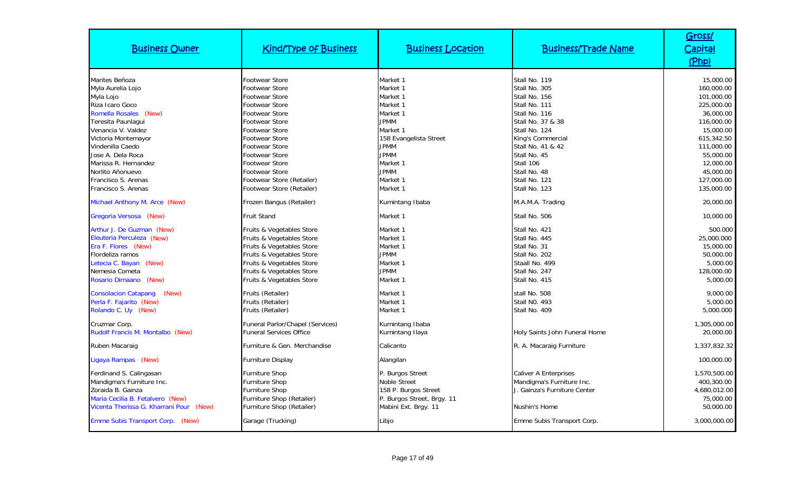| <b>Business Owner</b>                                                                                                                                                                                                                                | <b>Kind/Type of Business</b>                                                                                                                                                                                                                                                        | <b>Business Location</b>                                                                                                                                               | <b>Business/Trade Name</b>                                                                                                                                                                                     | Gross/<br><u>Capital</u><br>(Php)                                                                                                                              |
|------------------------------------------------------------------------------------------------------------------------------------------------------------------------------------------------------------------------------------------------------|-------------------------------------------------------------------------------------------------------------------------------------------------------------------------------------------------------------------------------------------------------------------------------------|------------------------------------------------------------------------------------------------------------------------------------------------------------------------|----------------------------------------------------------------------------------------------------------------------------------------------------------------------------------------------------------------|----------------------------------------------------------------------------------------------------------------------------------------------------------------|
| Marites Beñoza<br>Myla Aurelia Lojo<br>Myla Lojo<br>Riza Icaro Goco<br>Romella Rosales (New)<br>Teresita Paunlagui<br>Venancia V. Valdez<br>Victoria Montemayor<br>Vindenilla Caedo<br>Jose A. Dela Roca<br>Marissa R. Hernandez<br>Norlito Añonuevo | <b>Footwear Store</b><br><b>Footwear Store</b><br>Footwear Store<br><b>Footwear Store</b><br><b>Footwear Store</b><br><b>Footwear Store</b><br><b>Footwear Store</b><br><b>Footwear Store</b><br>Footwear Store<br><b>Footwear Store</b><br>Footwear Store<br><b>Footwear Store</b> | Market 1<br>Market 1<br>Market 1<br>Market 1<br>Market 1<br><b>JPMM</b><br>Market 1<br>158 Evangelista Street<br><b>JPMM</b><br><b>JPMM</b><br>Market 1<br><b>JPMM</b> | Stall No. 119<br>Stall No. 305<br>Stall No. 156<br>Stall No. 111<br>Stall No. 116<br>Stall No. 37 & 38<br>Stall No. 124<br>King's Commercial<br>Stall No. 41 & 42<br>Stall No. 45<br>Stall 106<br>Stall No. 48 | 15,000.00<br>160,000.00<br>101,000.00<br>225,000.00<br>36,000.00<br>116,000.00<br>15,000.00<br>615,342.50<br>111,000.00<br>55,000.00<br>12,000.00<br>45,000.00 |
| Francisco S. Arenas<br>Francisco S. Arenas<br>Michael Anthony M. Arce (New)                                                                                                                                                                          | Footwear Store (Retailer)<br>Footwear Store (Retailer)<br>Frozen Bangus (Retailer)                                                                                                                                                                                                  | Market 1<br>Market 1<br>Kumintang Ibaba                                                                                                                                | Stall No. 121<br>Stall No. 123<br>M.A.M.A. Trading                                                                                                                                                             | 127,000.00<br>135,000.00<br>20,000.00                                                                                                                          |
| Gregoria Versosa (New)<br>Arthur J. De Guzman (New)<br>Eleuteria Perculeza (New)<br>Era F. Flores (New)<br>Flordeliza ramos<br>Letecia C. Bayan<br>(New)<br>Nemesia Cometa<br>Rosario Dimaano (New)                                                  | <b>Fruit Stand</b><br>Fruits & Vegetables Store<br>Fruits & Vegetables Store<br>Fruits & Vegetables Store<br>Fruits & Vegetables Store<br>Fruits & Vegetables Store<br>Fruits & Vegetables Store<br>Fruits & Vegetables Store                                                       | Market 1<br>Market 1<br>Market 1<br>Market 1<br><b>JPMM</b><br>Market 1<br><b>JPMM</b><br>Market 1                                                                     | Stall No. 506<br>Stall No. 421<br>Stall No. 445<br>Stall No. 31<br>Stall No. 202<br>Staall No. 499<br>Stall No. 247<br>Stall No. 415                                                                           | 10,000.00<br>500.000<br>25,000.000<br>15,000.00<br>50,000.00<br>5,000.00<br>128,000.00<br>5,000.00                                                             |
| <b>Consolacion Catapang</b><br>(New)<br>Perla F. Fajarito (New)<br>Rolando C. Uy (New)                                                                                                                                                               | Fruits (Retailer)<br>Fruits (Retailer)<br>Fruits (Retailer)                                                                                                                                                                                                                         | Market 1<br>Market 1<br>Market 1                                                                                                                                       | stall No. 508<br>Stall NO. 493<br>Stall No. 409                                                                                                                                                                | 9,000.00<br>5,000.00<br>5,000.000                                                                                                                              |
| Cruzmar Corp.<br>Rudolf Francis M. Montalbo (New)                                                                                                                                                                                                    | Funeral Parlor/Chapel (Services)<br><b>Funeral Services Office</b>                                                                                                                                                                                                                  | Kumintang Ibaba<br>Kumintang Ilaya                                                                                                                                     | Holy Saints John Funeral Home                                                                                                                                                                                  | 1,305,000.00<br>20,000.00                                                                                                                                      |
| Ruben Macaraig                                                                                                                                                                                                                                       | Furniture & Gen. Merchandise                                                                                                                                                                                                                                                        | Calicanto                                                                                                                                                              | R. A. Macaraig Furniture                                                                                                                                                                                       | 1,337,832.32                                                                                                                                                   |
| Ligaya Rampas (New)                                                                                                                                                                                                                                  | <b>Furniture Display</b>                                                                                                                                                                                                                                                            | Alangilan                                                                                                                                                              |                                                                                                                                                                                                                | 100,000.00                                                                                                                                                     |
| Ferdinand S. Calingasan<br>Mandigma's Furniture Inc.<br>Zoraida B. Gainza<br>Maria Cecilia B. Fetalvero (New)<br>Vicenta Therissa G. Kharrani Pour (New)                                                                                             | <b>Furniture Shop</b><br><b>Furniture Shop</b><br><b>Furniture Shop</b><br>Furniture Shop (Retailer)<br>Furniture Shop (Retailer)                                                                                                                                                   | P. Burgos Street<br><b>Noble Street</b><br>158 P. Burgos Street<br>P. Burgos Street, Brgy. 11<br>Mabini Ext. Brgy. 11                                                  | <b>Caliver A Enterprises</b><br>Mandigma's Furniture Inc.<br>J. Gainza's Furniture Center<br><b>Nushin's Home</b>                                                                                              | 1,570,500.00<br>400.300.00<br>4,680,012.00<br>75,000.00<br>50,000.00                                                                                           |
| Emme Subis Transport Corp. (New)                                                                                                                                                                                                                     | Garage (Trucking)                                                                                                                                                                                                                                                                   | Libio                                                                                                                                                                  | Emme Subis Transport Corp.                                                                                                                                                                                     | 3,000,000.00                                                                                                                                                   |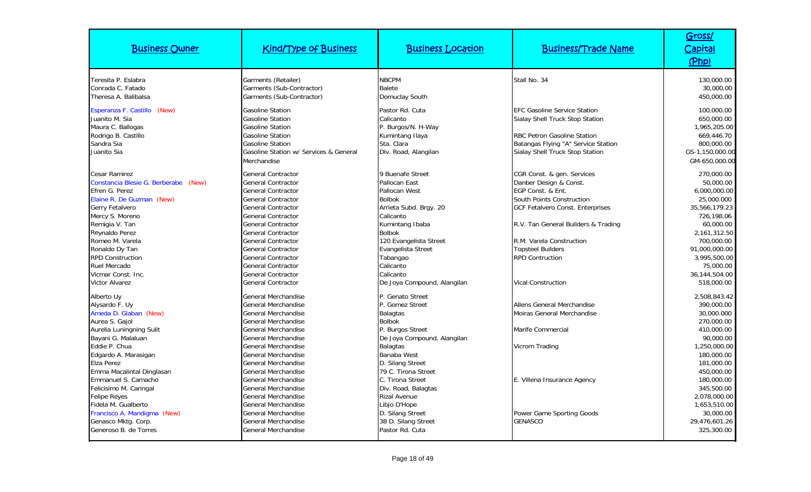| <b>Business Owner</b>                                                                                                                                                                                                | <b>Kind/Type of Business</b>                                                                                                                                                                                                                                 | <b>Business Location</b>                                                                                                                                                            | <b>Business/Trade Name</b>                                                                                                                                                               | Gross/<br><b>Capital</b><br>(Php)                                                                                                |
|----------------------------------------------------------------------------------------------------------------------------------------------------------------------------------------------------------------------|--------------------------------------------------------------------------------------------------------------------------------------------------------------------------------------------------------------------------------------------------------------|-------------------------------------------------------------------------------------------------------------------------------------------------------------------------------------|------------------------------------------------------------------------------------------------------------------------------------------------------------------------------------------|----------------------------------------------------------------------------------------------------------------------------------|
| Teresita P. Eslabra<br>Conrada C. Fatado<br>Theresa A. Balibalsa                                                                                                                                                     | Garments (Retailer)<br>Garments (Sub-Contractor)<br>Garments (Sub-Contractor)                                                                                                                                                                                | <b>NBCPM</b><br><b>Balete</b><br>Domuclay South                                                                                                                                     | Stall No. 34                                                                                                                                                                             | 130,000.00<br>30,000.00<br>450,000.00                                                                                            |
| Esperanza F. Castillo (New)<br>Juanito M. Sia<br>Maura C. Ballogas<br>Rodrigo B. Castillo<br>Sandra Sia<br>Juanito Sia                                                                                               | <b>Gasoline Station</b><br><b>Gasoline Station</b><br><b>Gasoline Station</b><br><b>Gasoline Station</b><br><b>Gasoline Station</b><br>Gasoline Station w/ Services & General<br>Merchandise                                                                 | Pastor Rd. Cuta<br>Calicanto<br>P. Burgos/N. H-Way<br>Kumintang Ilaya<br>Sta. Clara<br>Div. Road, Alangilan                                                                         | <b>EFC Gasoline Service Station</b><br>Sialay Shell Truck Stop Station<br><b>RBC Petron Gasoline Station</b><br>Batangas Flying "A" Service Station<br>Sialay Shell Truck Stop Station   | 100,000.00<br>650,000.00<br>1,965,205.00<br>669,446.70<br>800,000.00<br>GS-1,150,000.00<br>GM-650,000.00                         |
| <b>Cesar Ramirez</b><br>Constancia Blesie G. Berberabe (New)<br>Efren G. Perez<br>Elaine R. De Guzman (New)<br>Gerry Fetalvero<br>Mercy S. Moreno<br>Remigia V. Tan                                                  | <b>General Contractor</b><br><b>General Contractor</b><br><b>General Contractor</b><br><b>General Contractor</b><br><b>General Contractor</b><br><b>General Contractor</b><br><b>General Contractor</b>                                                      | 9 Buenafe Street<br>Pallocan East<br>Pallocan West<br><b>Bolbok</b><br>Arrieta Subd. Brgy. 20<br>Calicanto<br>Kumintang Ibaba                                                       | CGR Const. & gen. Services<br>Danber Design & Const.<br>EGP Const. & Ent.<br>South Points Construction<br><b>GCF Fetalvero Const. Enterprises</b><br>R.V. Tan General Builders & Trading | 270,000.00<br>50,000.00<br>6,000,000.00<br>25,000.000<br>35,566,179.23<br>726,198.06<br>60,000.00                                |
| Reynaldo Perez<br>Romeo M. Varela<br>Ronaldo Dy Tan<br><b>RPD Construction</b><br>Ruel Mercado<br>Vicmar Const. Inc.<br><b>Victor Alvarez</b>                                                                        | <b>General Contractor</b><br><b>General Contractor</b><br><b>General Contractor</b><br><b>General Contractor</b><br><b>General Contractor</b><br><b>General Contractor</b><br><b>General Contractor</b>                                                      | <b>Bolbok</b><br>120 Evangelista Street<br>Evangelista Street<br>Tabangao<br>Calicanto<br>Calicanto<br>De Joya Compound, Alangilan                                                  | R.M. Varela Construction<br><b>Topsteel Builders</b><br><b>RPD Contruction</b><br><b>Vical Construction</b>                                                                              | 2,161,312.50<br>700,000.00<br>91,000,000.00<br>3,995,500.00<br>75,000.00<br>36,144,504.00<br>518,000.00                          |
| Alberto Uy<br>Alysardo F. Uy<br>Ameda D. Glaban (New)<br>Aurea S. Gajol<br>Aurelia Luningning Sulit<br>Bayani G. Malaluan<br>Eddie P. Chua                                                                           | General Merchandise<br>General Merchandise<br><b>General Merchandise</b><br><b>General Merchandise</b><br>General Merchandise<br>General Merchandise<br>General Merchandise                                                                                  | P. Genato Street<br>P. Gomez Street<br><b>Balagtas</b><br><b>Bolbok</b><br>P. Burgos Street<br>De Joya Compound, Alangilan<br><b>Balagtas</b>                                       | Allens General Merchandise<br>Moiras General Merchandise<br>Marife Commercial<br>Vicrom Trading                                                                                          | 2,508,843.42<br>390,000.00<br>30,000.000<br>270,000.00<br>410,000.00<br>90,000.00<br>1,250,000.00                                |
| Edgardo A. Marasigan<br>Elza Perez<br>Emma Macalintal Dinglasan<br>Emmanuel S. Camacho<br>Felicisimo M. Caringal<br><b>Felipe Reyes</b><br>Fidela M. Gualberto<br>Francisco A. Mandigma (New)<br>Genasco Mktg. Corp. | General Merchandise<br><b>General Merchandise</b><br><b>General Merchandise</b><br><b>General Merchandise</b><br><b>General Merchandise</b><br>General Merchandise<br><b>General Merchandise</b><br><b>General Merchandise</b><br><b>General Merchandise</b> | Banaba West<br>D. Silang Street<br>79 C. Tirona Street<br>C. Tirona Street<br>Div. Road, Balagtas<br><b>Rizal Avenue</b><br>Libjo D'Hope<br>D. Silang Street<br>38 D. Silang Street | E. Villena Insurance Agency<br>Power Game Sporting Goods<br><b>GENASCO</b>                                                                                                               | 180,000.00<br>181,000.00<br>450,000.00<br>180,000.00<br>345,500.00<br>2,078,000.00<br>1,653,510.00<br>30,000.00<br>29,476,601.26 |
| Generoso B. de Torres                                                                                                                                                                                                | General Merchandise                                                                                                                                                                                                                                          | Pastor Rd. Cuta                                                                                                                                                                     |                                                                                                                                                                                          | 325,300.00                                                                                                                       |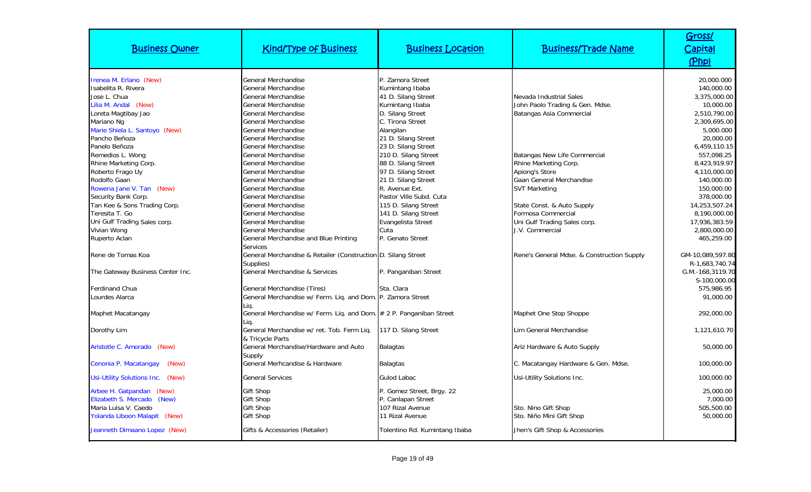| <b>Business Owner</b>                                                                                                                                                                                                               | <b>Kind/Type of Business</b>                                                                                                                                                                                                                     | <b>Business Location</b>                                                                                                                                                                                                  | <b>Business/Trade Name</b>                                                                                                                                | Gross/<br>Capital<br>(Php)                                                                                                                      |
|-------------------------------------------------------------------------------------------------------------------------------------------------------------------------------------------------------------------------------------|--------------------------------------------------------------------------------------------------------------------------------------------------------------------------------------------------------------------------------------------------|---------------------------------------------------------------------------------------------------------------------------------------------------------------------------------------------------------------------------|-----------------------------------------------------------------------------------------------------------------------------------------------------------|-------------------------------------------------------------------------------------------------------------------------------------------------|
| Irenea M. Erlano (New)<br>Isabelita R. Rivera<br>Jose L. Chua<br>Lilia M. Andal (New)<br>Loreta Magtibay Jao<br>Mariano Ng                                                                                                          | General Merchandise<br>General Merchandise<br>General Merchandise<br>General Merchandise<br>General Merchandise<br>General Merchandise                                                                                                           | P. Zamora Street<br>Kumintang Ibaba<br>41 D. Silang Street<br>Kumintang Ibaba<br>D. Silang Street<br>C. Tirona Street                                                                                                     | Nevada Industrial Sales<br>John Paolo Trading & Gen. Mdse.<br>Batangas Asia Commercial                                                                    | 20,000.000<br>140,000.00<br>3,375,000.00<br>10,000.00<br>2,510,790.00<br>2,309,695.00                                                           |
| Marie Shiela L. Santoyo (New)<br>Pancho Beñoza<br>Panelo Beñoza<br>Remedios L. Wong<br>Rhine Marketing Corp.<br>Roberto Frago Uy<br>Rodolfo Gaan<br>Rowena Jane V. Tan (New)<br>Security Bank Corp.<br>Tan Kee & Sons Trading Corp. | <b>General Merchandise</b><br>General Merchandise<br>General Merchandise<br>General Merchandise<br>General Merchandise<br>General Merchandise<br>General Merchandise<br>General Merchandise<br><b>General Merchandise</b><br>General Merchandise | Alangilan<br>21 D. Silang Street<br>23 D. Silang Street<br>210 D. Silang Street<br>88 D. Silang Street<br>97 D. Silang Street<br>21 D. Silang Street<br>R. Avenue Ext.<br>Pastor Ville Subd. Cuta<br>115 D. Silang Street | Batangas New Life Commercial<br>Rhine Marketing Corp.<br>Apiong's Store<br>Gaan General Merchandise<br><b>SVT Marketing</b><br>State Const. & Auto Supply | 5,000.000<br>20,000.00<br>6,459,110.15<br>557,098.25<br>8,423,919.97<br>4,110,000.00<br>140,000.00<br>150,000.00<br>378,000.00<br>14,253,507.24 |
| Teresita T. Go<br>Uni Gulf Trading Sales corp.<br>Vivian Wong<br>Ruperto Aclan<br>Rene de Tomas Koa                                                                                                                                 | General Merchandise<br>General Merchandise<br>General Merchandise<br>General Merchandise and Blue Printing<br><b>Services</b><br>General Merchandise & Retailer (Construction D. Silang Street                                                   | 141 D. Silang Street<br>Evangelista Street<br>Cuta<br>P. Genato Street                                                                                                                                                    | Formosa Commercial<br>Uni Gulf Trading Sales corp.<br>J.V. Commercial<br>Rene's General Mdse. & Construction Supply                                       | 8,190,000.00<br>17,936,383.59<br>2,800,000.00<br>465,259.00<br>GM-10,089,597.80                                                                 |
| The Gateway Business Center Inc.<br><b>Ferdinand Chua</b>                                                                                                                                                                           | Supplies)<br>General Merchandise & Services<br>General Merchandise (Tires)                                                                                                                                                                       | P. Panganiban Street<br>Sta. Clara                                                                                                                                                                                        |                                                                                                                                                           | R-1,683,740.74<br>G.M.-168,3119.70<br>S-100,000.00<br>575,986.95                                                                                |
| Lourdes Alarca<br>Maphet Macatangay<br>Dorothy Lim                                                                                                                                                                                  | General Merchandise w/ Ferm. Liq. and Dom. P. Zamora Street<br>Lig.<br>General Merchandise w/ Ferm. Liq. and Dom. # 2 P. Panganiban Street<br>Lia.<br>General Merchandise w/ ret. Tob. Ferm Liq.                                                 | 117 D. Silang Street                                                                                                                                                                                                      | Maphet One Stop Shoppe<br>Lim General Merchandise                                                                                                         | 91,000.00<br>292,000.00<br>1,121,610.70                                                                                                         |
| Aristotle C. Amorado<br>(New)                                                                                                                                                                                                       | & Tricvcle Parts<br>General Merchandise/Hardware and Auto<br>Supply                                                                                                                                                                              | <b>Balagtas</b>                                                                                                                                                                                                           | Ariz Hardware & Auto Supply                                                                                                                               | 50,000.00                                                                                                                                       |
| Cenonia P. Macatangay<br>(New)<br>Usi-Utility Solutions Inc. (New)                                                                                                                                                                  | General Merhcandise & Hardware<br><b>General Services</b>                                                                                                                                                                                        | <b>Balagtas</b><br><b>Gulod Labac</b>                                                                                                                                                                                     | C. Macatangay Hardware & Gen. Mdse.<br>Usi-Utility Solutions Inc.                                                                                         | 100,000.00<br>100,000.00                                                                                                                        |
| Arbee H. Gatpandan (New)<br>Elizabeth S. Mercado<br>(New)<br>Maria Luisa V. Caedo<br>Yolanda Liboon Malapit (New)<br>Jeanneth Dimaano Lopez (New)                                                                                   | <b>Gift Shop</b><br><b>Gift Shop</b><br><b>Gift Shop</b><br><b>Gift Shop</b><br>Gifts & Accessories (Retailer)                                                                                                                                   | P. Gomez Street, Brgy. 22<br>P. Canlapan Street<br>107 Rizal Avenue<br>11 Rizal Avenue<br>Tolentino Rd. Kumintang Ibaba                                                                                                   | Sto. Nino Gift Shop<br>Sto. Niño Mini Gift Shop<br>Jhen's Gift Shop & Accessories                                                                         | 25,000.00<br>7.000.00<br>505,500.00<br>50,000.00                                                                                                |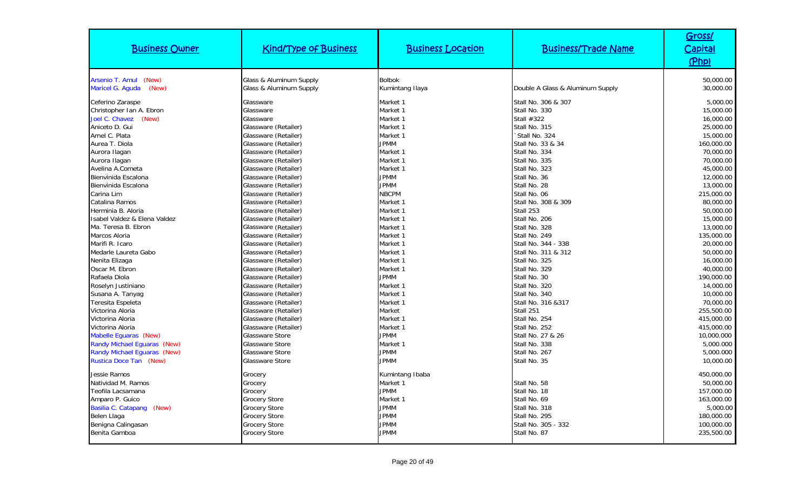| <b>Business Owner</b>                                                                                                                                                                                                                                                                                                                                                                                                                                                                                                                                                                                               | <b>Kind/Type of Business</b>                                                                                                                                                                                                                                                                                                                                                                                                                                                                                                                                                                                                                                                          | <b>Business Location</b>                                                                                                                                                                                                                                                                                                                                                  | <b>Business/Trade Name</b>                                                                                                                                                                                                                                                                                                                                                                                                                                                                                                       | Gross/<br>Capital<br>(Php)                                                                                                                                                                                                                                                                                                                                                                   |
|---------------------------------------------------------------------------------------------------------------------------------------------------------------------------------------------------------------------------------------------------------------------------------------------------------------------------------------------------------------------------------------------------------------------------------------------------------------------------------------------------------------------------------------------------------------------------------------------------------------------|---------------------------------------------------------------------------------------------------------------------------------------------------------------------------------------------------------------------------------------------------------------------------------------------------------------------------------------------------------------------------------------------------------------------------------------------------------------------------------------------------------------------------------------------------------------------------------------------------------------------------------------------------------------------------------------|---------------------------------------------------------------------------------------------------------------------------------------------------------------------------------------------------------------------------------------------------------------------------------------------------------------------------------------------------------------------------|----------------------------------------------------------------------------------------------------------------------------------------------------------------------------------------------------------------------------------------------------------------------------------------------------------------------------------------------------------------------------------------------------------------------------------------------------------------------------------------------------------------------------------|----------------------------------------------------------------------------------------------------------------------------------------------------------------------------------------------------------------------------------------------------------------------------------------------------------------------------------------------------------------------------------------------|
| Arsenio T. Amul<br>(New)<br>Maricel G. Aguda<br>(New)                                                                                                                                                                                                                                                                                                                                                                                                                                                                                                                                                               | Glass & Aluminum Supply<br>Glass & Aluminum Supply                                                                                                                                                                                                                                                                                                                                                                                                                                                                                                                                                                                                                                    | <b>Bolbok</b><br>Kumintang Ilaya                                                                                                                                                                                                                                                                                                                                          | Double A Glass & Aluminum Supply                                                                                                                                                                                                                                                                                                                                                                                                                                                                                                 | 50,000.00<br>30,000.00                                                                                                                                                                                                                                                                                                                                                                       |
| Ceferino Zaraspe<br>Christopher Ian A. Ebron<br>(New)<br>Joel C. Chavez<br>Aniceto D. Gui<br>Arnel C. Plata<br>Aurea T. Diola<br>Aurora Ilagan<br>Aurora Ilagan<br>Avelina A.Cometa<br>Bienvinida Escalona<br>Bienvinida Escalona<br>Carina Lim<br>Catalina Ramos<br>Herminia B. Aloria<br>Isabel Valdez & Elena Valdez<br>Ma. Teresa B. Ebron<br>Marcos Aloria<br>Marifi R. Icaro<br>Medarle Laureta Gabo<br>Nenita Elizaga<br>Oscar M. Ebron<br>Rafaela Diola<br>Roselyn Justiniano<br>Susana A. Tanyag<br>Teresita Espeleta<br>Victorina Aloria<br>Victorina Aloria<br>Victorina Aloria<br>Mabelle Eguaras (New) | Glassware<br>Glassware<br>Glassware<br>Glassware (Retailer)<br>Glassware (Retailer)<br>Glassware (Retailer)<br>Glassware (Retailer)<br>Glassware (Retailer)<br>Glassware (Retailer)<br>Glassware (Retailer)<br>Glassware (Retailer)<br>Glassware (Retailer)<br>Glassware (Retailer)<br>Glassware (Retailer)<br>Glassware (Retailer)<br>Glassware (Retailer)<br>Glassware (Retailer)<br>Glassware (Retailer)<br>Glassware (Retailer)<br>Glassware (Retailer)<br>Glassware (Retailer)<br>Glassware (Retailer)<br>Glassware (Retailer)<br>Glassware (Retailer)<br>Glassware (Retailer)<br>Glassware (Retailer)<br>Glassware (Retailer)<br>Glassware (Retailer)<br><b>Glassware Store</b> | Market 1<br>Market 1<br>Market 1<br>Market 1<br>Market 1<br><b>JPMM</b><br>Market 1<br>Market 1<br>Market 1<br><b>JPMM</b><br><b>JPMM</b><br><b>NBCPM</b><br>Market 1<br>Market 1<br>Market 1<br>Market 1<br>Market 1<br>Market 1<br>Market 1<br>Market 1<br>Market 1<br><b>JPMM</b><br>Market 1<br>Market 1<br>Market 1<br>Market<br>Market 1<br>Market 1<br><b>JPMM</b> | Stall No. 306 & 307<br>Stall No. 330<br>Stall #322<br>Stall No. 315<br>Stall No. 324<br>Stall No. 33 & 34<br>Stall No. 334<br>Stall No. 335<br>Stall No. 323<br>Stall No. 36<br>Stall No. 28<br>Stall No. 06<br>Stall No. 308 & 309<br>Stall 253<br>Stall No. 206<br>Stall No. 328<br>Stall No. 249<br>Stall No. 344 - 338<br>Stall No. 311 & 312<br>Stall No. 325<br>Stall No. 329<br>Stall No. 30<br>Stall No. 320<br>Stall No. 340<br>Stall No. 316 & 317<br>Stall 251<br>Stall No. 254<br>Stall No. 252<br>Stall No. 27 & 26 | 5,000.00<br>15,000.00<br>16,000.00<br>25,000.00<br>15,000.00<br>160,000.00<br>70,000.00<br>70,000.00<br>45,000.00<br>12,000.00<br>13,000.00<br>215,000.00<br>80,000.00<br>50,000.00<br>15,000.00<br>13,000.00<br>135,000.00<br>20,000.00<br>50,000.00<br>16,000.00<br>40,000.00<br>190,000.00<br>14,000.00<br>10,000.00<br>70,000.00<br>255,500.00<br>415,000.00<br>415,000.00<br>10,000.000 |
| Randy Michael Eguaras (New)<br>Randy Michael Equaras (New)<br>Rustica Doce Tan (New)                                                                                                                                                                                                                                                                                                                                                                                                                                                                                                                                | <b>Glassware Store</b><br><b>Glassware Store</b><br><b>Glassware Store</b>                                                                                                                                                                                                                                                                                                                                                                                                                                                                                                                                                                                                            | Market 1<br><b>JPMM</b><br><b>JPMM</b>                                                                                                                                                                                                                                                                                                                                    | Stall No. 338<br>Stall No. 267<br>Stall No. 35                                                                                                                                                                                                                                                                                                                                                                                                                                                                                   | 5,000.000<br>5,000.000<br>10,000.00                                                                                                                                                                                                                                                                                                                                                          |
| Jessie Ramos<br>Natividad M. Ramos<br>Teofila Lacsamana<br>Amparo P. Guico<br>Basilia C. Catapang (New)<br>Belen Llaga<br>Benigna Calingasan<br>Benita Gamboa                                                                                                                                                                                                                                                                                                                                                                                                                                                       | Grocery<br>Grocery<br>Grocery<br><b>Grocery Store</b><br><b>Grocery Store</b><br><b>Grocery Store</b><br><b>Grocery Store</b><br><b>Grocery Store</b>                                                                                                                                                                                                                                                                                                                                                                                                                                                                                                                                 | Kumintang Ibaba<br>Market 1<br><b>JPMM</b><br>Market 1<br><b>JPMM</b><br><b>JPMM</b><br><b>JPMM</b><br><b>JPMM</b>                                                                                                                                                                                                                                                        | Stall No. 58<br>Stall No. 18<br>Stall No. 69<br>Stall No. 318<br>Stall No. 295<br>Stall No. 305 - 332<br>Stall No. 87                                                                                                                                                                                                                                                                                                                                                                                                            | 450,000.00<br>50,000.00<br>157,000.00<br>163,000.00<br>5,000.00<br>180,000.00<br>100,000.00<br>235,500.00                                                                                                                                                                                                                                                                                    |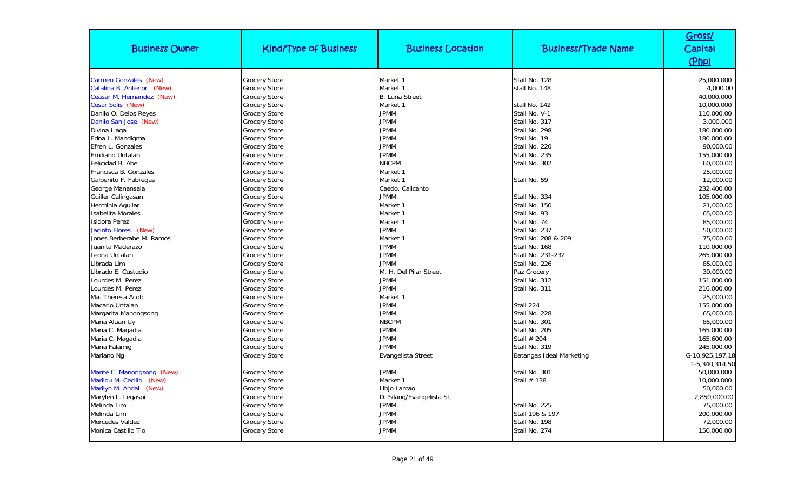| <b>Business Owner</b>      | <b>Kind/Type of Business</b> | <b>Business Location</b>  | <b>Business/Trade Name</b> | Gross/<br>Capital<br>(Php) |
|----------------------------|------------------------------|---------------------------|----------------------------|----------------------------|
| Carmen Gonzales (New)      | <b>Grocery Store</b>         | Market 1                  | Stall No. 128              | 25,000.000                 |
| Catalina B. Antenor (New)  | <b>Grocery Store</b>         | Market 1                  | stall No. 148              | 4,000.00                   |
| Ceasar M. Hernandez (New)  | <b>Grocery Store</b>         | <b>B. Luna Street</b>     |                            | 40,000.000                 |
| Cesar Solis (New)          | <b>Grocery Store</b>         | Market 1                  | stall No. 142              | 10,000.000                 |
| Danilo O. Delos Reyes      | <b>Grocery Store</b>         | <b>JPMM</b>               | Stall No. V-1              | 110,000.00                 |
| Danilo San Jose (New)      | <b>Grocery Store</b>         | <b>JPMM</b>               | Stall No. 317              | 3,000.000                  |
| Divina Llaga               | <b>Grocery Store</b>         | <b>JPMM</b>               | Stall No. 298              | 180,000.00                 |
| Edna L. Mandigma           | <b>Grocery Store</b>         | <b>JPMM</b>               | Stall No. 19               | 180,000.00                 |
| Efren L. Gonzales          | <b>Grocery Store</b>         | <b>JPMM</b>               | Stall No. 220              | 90,000.00                  |
| Emiliano Untalan           | <b>Grocery Store</b>         | <b>JPMM</b>               | Stall No. 235              | 155,000.00                 |
| Felicidad B. Abe           | <b>Grocery Store</b>         | <b>NBCPM</b>              | Stall No. 302              | 60,000.00                  |
| Francisca B. Gonzales      | <b>Grocery Store</b>         | Market 1                  |                            | 25,000.00                  |
| Galbenito F. Fabregas      | <b>Grocery Store</b>         | Market 1                  | Stall No. 59               | 12,000.00                  |
| George Manansala           | <b>Grocery Store</b>         | Caedo, Calicanto          |                            | 232,400.00                 |
| Guiller Calingasan         | <b>Grocery Store</b>         | <b>JPMM</b>               | Stall No. 334              | 105,000.00                 |
| Herminia Aguilar           | <b>Grocery Store</b>         | Market 1                  | Stall No. 150              | 21,000.00                  |
| <b>Isabelita Morales</b>   | <b>Grocery Store</b>         | Market 1                  | Stall No. 93               | 65,000.00                  |
| <b>Isidora Perez</b>       | <b>Grocery Store</b>         | Market 1                  | Stall No. 74               | 85,000.00                  |
| Jacinto Flores (New)       | <b>Grocery Store</b>         | <b>JPMM</b>               | Stall No. 237              | 50,000.00                  |
| Jones Berberabe M. Ramos   | <b>Grocery Store</b>         | Market 1                  | Stall No. 208 & 209        | 75,000.00                  |
| Juanita Maderazo           | <b>Grocery Store</b>         | <b>JPMM</b>               | Stall No. 168              | 110,000.00                 |
| Leona Untalan              | <b>Grocery Store</b>         | <b>JPMM</b>               | Stall No. 231-232          | 265,000.00                 |
| Librada Lim                | <b>Grocery Store</b>         | <b>JPMM</b>               | Stall No. 226              | 85,000.00                  |
| Librado E. Custudio        | <b>Grocery Store</b>         | M. H. Del Pilar Street    | Paz Grocery                | 30,000.00                  |
| Lourdes M. Perez           | <b>Grocery Store</b>         | <b>JPMM</b>               | Stall No. 312              | 151,000.00                 |
| Lourdes M. Perez           | <b>Grocery Store</b>         | <b>JPMM</b>               | Stall No. 311              | 216,000.00                 |
| Ma. Theresa Acob           | <b>Grocery Store</b>         | Market 1                  |                            | 25,000.00                  |
| Macario Untalan            | <b>Grocery Store</b>         | <b>JPMM</b>               | Stall 224                  | 155,000.00                 |
| Margarita Manongsong       | <b>Grocery Store</b>         | <b>JPMM</b>               | Stall No. 228              | 65,000.00                  |
| Maria Aluan Uy             | <b>Grocery Store</b>         | <b>NBCPM</b>              | Stall No. 301              | 85,000.00                  |
| Maria C. Magadia           | <b>Grocery Store</b>         | <b>JPMM</b>               | Stall No. 205              | 165,000.00                 |
| Maria C. Magadia           | <b>Grocery Store</b>         | <b>JPMM</b>               | Stall # 204                | 165,600.00                 |
| Maria Falamig              | <b>Grocery Store</b>         | <b>JPMM</b>               | Stall No. 319              | 245,000.00                 |
| Mariano Ng                 | <b>Grocery Store</b>         | Evangelista Street        | Batangas Ideal Marketing   | G-10,925,197.18            |
|                            |                              |                           |                            | T-5,340,314.50             |
| Marife C. Manongsong (New) | <b>Grocery Store</b>         | <b>JPMM</b>               | Stall No. 301              | 50,000.000                 |
| Marilou M. Cecilio (New)   | <b>Grocery Store</b>         | Market 1                  | Stall # 138                | 10,000.000                 |
| Marilyn M. Andal (New)     | <b>Grocery Store</b>         | Libjo Lamao               |                            | 50,000.00                  |
| Marylen L. Legaspi         | <b>Grocery Store</b>         | D. Silang/Evangelista St. |                            | 2,850,000.00               |
| Melinda Lim                | <b>Grocery Store</b>         | <b>JPMM</b>               | Stall No. 225              | 75,000.00                  |
| Melinda Lim                | <b>Grocery Store</b>         | <b>JPMM</b>               | Stall 196 & 197            | 200,000.00                 |
| Mercedes Valdez            | <b>Grocery Store</b>         | <b>JPMM</b>               | Stall No. 198              | 72,000.00                  |
| Monica Castillo Tio        | <b>Grocery Store</b>         | <b>JPMM</b>               | Stall No. 274              | 150,000.00                 |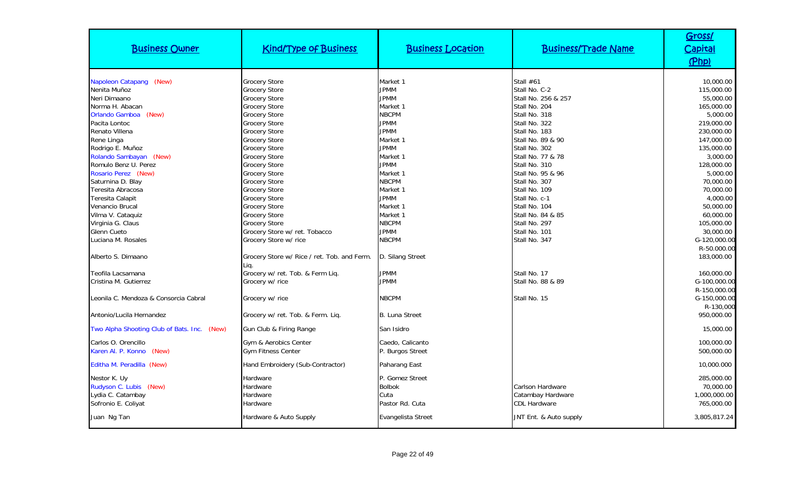| <b>Business Owner</b>                                                                                           | <b>Kind/Type of Business</b>                                                                                                  | <b>Business Location</b>                                           | <b>Business/Trade Name</b>                                                                | Gross/<br><u>Capital</u><br>(Php)                                |
|-----------------------------------------------------------------------------------------------------------------|-------------------------------------------------------------------------------------------------------------------------------|--------------------------------------------------------------------|-------------------------------------------------------------------------------------------|------------------------------------------------------------------|
| Napoleon Catapang (New)<br>Nenita Muñoz<br>Neri Dimaano<br>Norma H. Abacan                                      | <b>Grocery Store</b><br>Grocery Store<br><b>Grocery Store</b><br><b>Grocery Store</b>                                         | Market 1<br><b>JPMM</b><br><b>JPMM</b><br>Market 1                 | Stall $#61$<br>Stall No. C-2<br>Stall No. 256 & 257<br>Stall No. 204                      | 10,000.00<br>115,000.00<br>55,000.00<br>165,000.00               |
| Orlando Gamboa (New)<br>Pacita Lontoc<br>Renato Villena<br>Rene Linga<br>Rodrigo E. Muñoz                       | <b>Grocery Store</b><br><b>Grocery Store</b><br>Grocery Store<br>Grocery Store<br><b>Grocery Store</b>                        | <b>NBCPM</b><br>JPMM<br><b>JPMM</b><br>Market 1<br><b>JPMM</b>     | Stall No. 318<br>Stall No. 322<br>Stall No. 183<br>Stall No. 89 & 90<br>Stall No. 302     | 5,000.00<br>219,000.00<br>230,000.00<br>147,000.00<br>135,000.00 |
| Rolando Sambayan (New)<br>Romulo Benz U. Perez<br>Rosario Perez (New)<br>Saturnina D. Blay<br>Teresita Abracosa | <b>Grocery Store</b><br><b>Grocery Store</b><br><b>Grocery Store</b><br><b>Grocery Store</b><br><b>Grocery Store</b>          | Market 1<br><b>JPMM</b><br>Market 1<br><b>NBCPM</b><br>Market 1    | Stall No. 77 & 78<br>Stall No. 310<br>Stall No. 95 & 96<br>Stall No. 307<br>Stall No. 109 | 3,000.00<br>128,000.00<br>5,000.00<br>70,000.00<br>70,000.00     |
| Teresita Calapit<br>Venancio Brucal<br>Vilma V. Cataquiz<br>Virginia G. Claus<br>Glenn Cueto                    | <b>Grocery Store</b><br><b>Grocery Store</b><br><b>Grocery Store</b><br><b>Grocery Store</b><br>Grocery Store w/ ret. Tobacco | <b>JPMM</b><br>Market 1<br>Market 1<br><b>NBCPM</b><br><b>JPMM</b> | Stall No. c-1<br>Stall No. 104<br>Stall No. 84 & 85<br>Stall No. 297<br>Stall No. 101     | 4,000.00<br>50,000.00<br>60,000.00<br>105,000.00<br>30,000.00    |
| Luciana M. Rosales<br>Alberto S. Dimaano                                                                        | Grocery Store w/ rice<br>Grocery Store w/ Rice / ret. Tob. and Ferm.<br>Lig.                                                  | <b>NBCPM</b><br>D. Silang Street                                   | Stall No. 347                                                                             | G-120,000.00<br>R-50.000.00<br>183,000.00                        |
| Teofila Lacsamana<br>Cristina M. Gutierrez<br>Leonila C. Mendoza & Consorcia Cabral                             | Grocery w/ ret. Tob. & Ferm Liq.<br>Grocery w/ rice<br>Grocery w/ rice                                                        | <b>JPMM</b><br><b>JPMM</b><br><b>NBCPM</b>                         | Stall No. 17<br>Stall No. 88 & 89<br>Stall No. 15                                         | 160,000.00<br>G-100,000.00<br>R-150,000.00<br>G-150,000.00       |
| Antonio/Lucila Hernandez                                                                                        | Grocery w/ ret. Tob. & Ferm. Lig.                                                                                             | <b>B. Luna Street</b>                                              |                                                                                           | R-130,000<br>950,000.00                                          |
| Two Alpha Shooting Club of Bats. Inc. (New)<br>Carlos O. Orencillo<br>Karen Al. P. Konno (New)                  | Gun Club & Firing Range<br>Gym & Aerobics Center<br><b>Gym Fitness Center</b>                                                 | San Isidro<br>Caedo, Calicanto<br>P. Burgos Street                 |                                                                                           | 15,000.00<br>100,000.00<br>500,000.00                            |
| Editha M. Peradilla (New)                                                                                       | Hand Embroidery (Sub-Contractor)                                                                                              | Paharang East                                                      |                                                                                           | 10,000.000                                                       |
| Nestor K. Uy<br>Rudyson C. Lubis (New)<br>Lydia C. Catambay<br>Sofronio E. Coliyat                              | Hardware<br>Hardware<br>Hardware<br>Hardware                                                                                  | P. Gomez Street<br><b>Bolbok</b><br>Cuta<br>Pastor Rd. Cuta        | Carlson Hardware<br>Catambay Hardware<br><b>CDL Hardware</b>                              | 285,000.00<br>70,000.00<br>1,000,000.00<br>765,000.00            |
| Juan Ng Tan                                                                                                     | Hardware & Auto Supply                                                                                                        | Evangelista Street                                                 | JNT Ent. & Auto supply                                                                    | 3,805,817.24                                                     |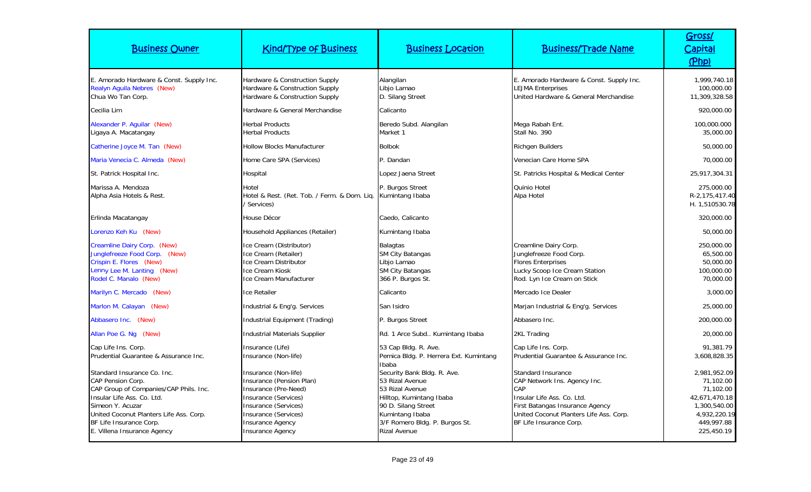| <b>Business Owner</b>                                                                                                                                                                                                                                    | <b>Kind/Type of Business</b>                                                                                                                                                                           | <b>Business Location</b>                                                                                                                                                                         | <b>Business/Trade Name</b>                                                                                                                                                                       | Gross/<br>Capital<br>(Php)                                                                                          |
|----------------------------------------------------------------------------------------------------------------------------------------------------------------------------------------------------------------------------------------------------------|--------------------------------------------------------------------------------------------------------------------------------------------------------------------------------------------------------|--------------------------------------------------------------------------------------------------------------------------------------------------------------------------------------------------|--------------------------------------------------------------------------------------------------------------------------------------------------------------------------------------------------|---------------------------------------------------------------------------------------------------------------------|
| E. Amorado Hardware & Const. Supply Inc.<br>Realyn Aguila Nebres (New)<br>Chua Wo Tan Corp.                                                                                                                                                              | Hardware & Construction Supply<br>Hardware & Construction Supply<br>Hardware & Construction Supply                                                                                                     | Alangilan<br>Libjo Lamao<br>D. Silang Street                                                                                                                                                     | E. Amorado Hardware & Const. Supply Inc.<br><b>LEJMA Enterprises</b><br>United Hardware & General Merchandise                                                                                    | 1,999,740.18<br>100,000.00<br>11,309,328.58                                                                         |
| Cecilia Lim                                                                                                                                                                                                                                              | Hardware & General Merchandise                                                                                                                                                                         | Calicanto                                                                                                                                                                                        |                                                                                                                                                                                                  | 920,000.00                                                                                                          |
| Alexander P. Aquilar (New)<br>Ligaya A. Macatangay                                                                                                                                                                                                       | <b>Herbal Products</b><br><b>Herbal Products</b>                                                                                                                                                       | Beredo Subd. Alangilan<br>Market 1                                                                                                                                                               | Mega Rabah Ent.<br>Stall No. 390                                                                                                                                                                 | 100,000.000<br>35,000.00                                                                                            |
| Catherine Joyce M. Tan (New)                                                                                                                                                                                                                             | <b>Hollow Blocks Manufacturer</b>                                                                                                                                                                      | <b>Bolbok</b>                                                                                                                                                                                    | <b>Richgen Builders</b>                                                                                                                                                                          | 50,000.00                                                                                                           |
| Maria Venecia C. Almeda (New)                                                                                                                                                                                                                            | Home Care SPA (Services)                                                                                                                                                                               | P. Dandan                                                                                                                                                                                        | Venecian Care Home SPA                                                                                                                                                                           | 70,000.00                                                                                                           |
| St. Patrick Hospital Inc.                                                                                                                                                                                                                                | Hospital                                                                                                                                                                                               | Lopez Jaena Street                                                                                                                                                                               | St. Patricks Hospital & Medical Center                                                                                                                                                           | 25,917,304.31                                                                                                       |
| Marissa A. Mendoza<br>Alpha Asia Hotels & Rest.                                                                                                                                                                                                          | Hotel<br>Hotel & Rest. (Ret. Tob. / Ferm. & Dom. Lig.<br>' Services)                                                                                                                                   | P. Burgos Street<br>Kumintang Ibaba                                                                                                                                                              | Quinio Hotel<br>Alpa Hotel                                                                                                                                                                       | 275,000.00<br>R-2,175,417.40<br>H. 1,510530.78                                                                      |
| Erlinda Macatangay                                                                                                                                                                                                                                       | House Décor                                                                                                                                                                                            | Caedo, Calicanto                                                                                                                                                                                 |                                                                                                                                                                                                  | 320,000.00                                                                                                          |
| Lorenzo Keh Ku (New)                                                                                                                                                                                                                                     | Household Appliances (Retailer)                                                                                                                                                                        | Kumintang Ibaba                                                                                                                                                                                  |                                                                                                                                                                                                  | 50,000.00                                                                                                           |
| Creamline Dairy Corp. (New)<br>Junglefreeze Food Corp. (New)<br>Crispin E. Flores (New)<br>Lenny Lee M. Lanting (New)<br>Rodel C. Manalo (New)                                                                                                           | Ice Cream (Distributor)<br>Ice Cream (Retailer)<br>Ice Cream Distributor<br>Ice Cream Kiosk<br>Ice Cream Manufacturer                                                                                  | <b>Balagtas</b><br>SM City Batangas<br>Libjo Lamao<br><b>SM City Batangas</b><br>366 P. Burgos St.                                                                                               | Creamline Dairy Corp.<br>Junglefreeze Food Corp.<br><b>Flores Enterprises</b><br>Lucky Scoop Ice Cream Station<br>Rod. Lyn Ice Cream on Stick                                                    | 250,000.00<br>65,500.00<br>50,000.00<br>100,000.00<br>70,000.00                                                     |
| Marilyn C. Mercado (New)                                                                                                                                                                                                                                 | <b>Ice Retailer</b>                                                                                                                                                                                    | Calicanto                                                                                                                                                                                        | Mercado Ice Dealer                                                                                                                                                                               | 3,000.00                                                                                                            |
| Marlon M. Calayan (New)                                                                                                                                                                                                                                  | Industrial & Eng'g. Services                                                                                                                                                                           | San Isidro                                                                                                                                                                                       | Marjan Industrial & Eng'g. Services                                                                                                                                                              | 25,000.00                                                                                                           |
| Abbasero Inc. (New)                                                                                                                                                                                                                                      | Industrial Equipment (Trading)                                                                                                                                                                         | P. Burgos Street                                                                                                                                                                                 | Abbasero Inc.                                                                                                                                                                                    | 200,000.00                                                                                                          |
| Allan Poe G. Ng (New)                                                                                                                                                                                                                                    | <b>Industrial Materials Supplier</b>                                                                                                                                                                   | Rd. 1 Arce Subd Kumintang Ibaba                                                                                                                                                                  | 2KL Trading                                                                                                                                                                                      | 20,000.00                                                                                                           |
| Cap Life Ins. Corp.<br>Prudential Guarantee & Assurance Inc.                                                                                                                                                                                             | Insurance (Life)<br>Insurance (Non-life)                                                                                                                                                               | 53 Cap Bldg. R. Ave.<br>Pemica Bldg. P. Herrera Ext. Kumintang<br>Ibaba                                                                                                                          | Cap Life Ins. Corp.<br>Prudential Guarantee & Assurance Inc.                                                                                                                                     | 91.381.79<br>3,608,828.35                                                                                           |
| Standard Insurance Co. Inc.<br><b>CAP Pension Corp.</b><br>CAP Group of Companies/CAP Phils. Inc.<br>Insular Life Ass. Co. Ltd.<br>Simeon Y. Acuzar<br>United Coconut Planters Life Ass. Corp.<br>BF Life Insurance Corp.<br>E. Villena Insurance Agency | Insurance (Non-life)<br>Insurance (Pension Plan)<br>Insurance (Pre-Need)<br>Insurance (Services)<br>Insurance (Services)<br>Insurance (Services)<br><b>Insurance Agency</b><br><b>Insurance Agency</b> | Security Bank Bldg. R. Ave.<br>53 Rizal Avenue<br>53 Rizal Avenue<br>Hilltop, Kumintang Ibaba<br>90 D. Silang Street<br>Kumintang Ibaba<br>3/F Romero Bldg. P. Burgos St.<br><b>Rizal Avenue</b> | Standard Insurance<br>CAP Network Ins. Agency Inc.<br>CAP<br>Insular Life Ass. Co. Ltd.<br>First Batangas Insurance Agency<br>United Coconut Planters Life Ass. Corp.<br>BF Life Insurance Corp. | 2,981,952.09<br>71,102.00<br>71,102.00<br>42,671,470.18<br>1,300,540.00<br>4,932,220.19<br>449,997.88<br>225,450.19 |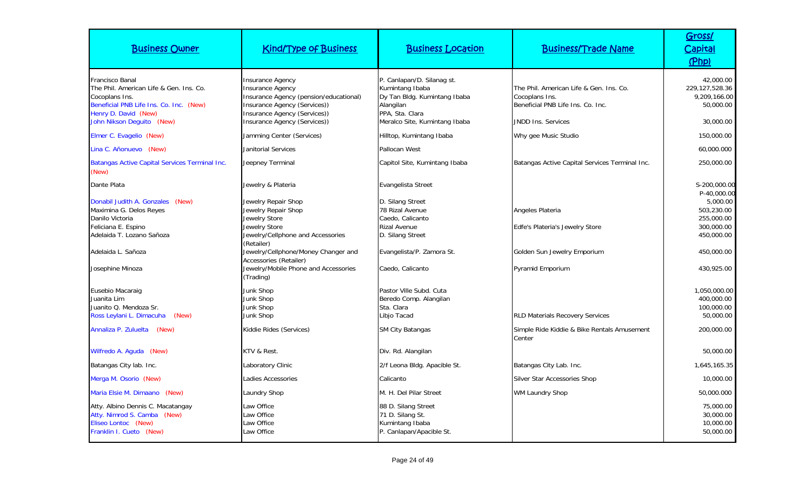| <b>Business Owner</b>                                                                                                                           | <b>Kind/Type of Business</b>                                                                                                                                 | <b>Business Location</b>                                                                                      | <b>Business/Trade Name</b>                                                                     | Gross/<br>Capital<br>(Php)                                       |
|-------------------------------------------------------------------------------------------------------------------------------------------------|--------------------------------------------------------------------------------------------------------------------------------------------------------------|---------------------------------------------------------------------------------------------------------------|------------------------------------------------------------------------------------------------|------------------------------------------------------------------|
| Francisco Banal<br>The Phil. American Life & Gen. Ins. Co.<br>Cocoplans Ins.<br>Beneficial PNB Life Ins. Co. Inc. (New)<br>Henry D. David (New) | <b>Insurance Agency</b><br><b>Insurance Agency</b><br>Insurance Agency (pension/educational)<br>Insurance Agency (Services))<br>Insurance Agency (Services)) | P. Canlapan/D. Silanag st.<br>Kumintang Ibaba<br>Dy Tan Bldg. Kumintang Ibaba<br>Alangilan<br>PPA, Sta. Clara | The Phil. American Life & Gen. Ins. Co.<br>Cocoplans Ins.<br>Beneficial PNB Life Ins. Co. Inc. | 42,000.00<br>229,127,528.36<br>9,209,166.00<br>50,000.00         |
| John Nikson Dequito (New)                                                                                                                       | Insurance Agency (Services))                                                                                                                                 | Meralco Site, Kumintang Ibaba                                                                                 | JNDD Ins. Services                                                                             | 30,000.00                                                        |
| Elmer C. Evagelio (New)                                                                                                                         | Jamming Center (Services)                                                                                                                                    | Hilltop, Kumintang Ibaba                                                                                      | Why gee Music Studio                                                                           | 150,000.00                                                       |
| Lina C. Añonuevo (New)                                                                                                                          | Janitorial Services                                                                                                                                          | Pallocan West                                                                                                 |                                                                                                | 60,000.000                                                       |
| <b>Batangas Active Capital Services Terminal Inc.</b><br>(New)                                                                                  | Jeepney Terminal                                                                                                                                             | Capitol Site, Kumintang Ibaba                                                                                 | Batangas Active Capital Services Terminal Inc.                                                 | 250,000.00                                                       |
| Dante Plata                                                                                                                                     | Jewelry & Plateria                                                                                                                                           | Evangelista Street                                                                                            |                                                                                                | S-200,000.00<br>P-40,000.00                                      |
| Donabil Judith A. Gonzales (New)<br>Maximina G. Delos Reyes<br>Danilo Victoria<br>Feliciana E. Espino<br>Adelaida T. Lozano Sañoza              | Jewelry Repair Shop<br>Jewelry Repair Shop<br>Jewelry Store<br>Jewelry Store<br>Jewelry/Cellphone and Accessories                                            | D. Silang Street<br>78 Rizal Avenue<br>Caedo, Calicanto<br><b>Rizal Avenue</b><br>D. Silang Street            | Angeles Plateria<br>Edfe's Plateria's Jewelry Store                                            | 5,000.00<br>503,230.00<br>255,000.00<br>300,000.00<br>450,000.00 |
| Adelaida L. Sañoza                                                                                                                              | (Retailer)<br>Jewelry/Cellphone/Money Changer and<br>Accessories (Retailer)                                                                                  | Evangelista/P. Zamora St.                                                                                     | Golden Sun Jewelry Emporium                                                                    | 450,000.00                                                       |
| Josephine Minoza                                                                                                                                | Jewelry/Mobile Phone and Accessories<br>(Trading)                                                                                                            | Caedo, Calicanto                                                                                              | Pyramid Emporium                                                                               | 430,925.00                                                       |
| Eusebio Macaraig<br>Juanita Lim<br>Juanito Q. Mendoza Sr.<br>Ross Leylani L. Dimacuha<br>(New)                                                  | Junk Shop<br>Junk Shop<br>Junk Shop<br>Junk Shop                                                                                                             | Pastor Ville Subd. Cuta<br>Beredo Comp. Alangilan<br>Sta. Clara<br>Libjo Tacad                                | <b>RLD Materials Recovery Services</b>                                                         | 1,050,000.00<br>400,000.00<br>100,000.00<br>50,000.00            |
| Annaliza P. Zuluelta (New)                                                                                                                      | Kiddie Rides (Services)                                                                                                                                      | <b>SM City Batangas</b>                                                                                       | Simple Ride Kiddie & Bike Rentals Amusement<br>Center                                          | 200,000.00                                                       |
| Wilfredo A. Aguda (New)                                                                                                                         | KTV & Rest.                                                                                                                                                  | Div. Rd. Alangilan                                                                                            |                                                                                                | 50,000.00                                                        |
| Batangas City lab. Inc.                                                                                                                         | Laboratory Clinic                                                                                                                                            | 2/f Leona Bldg. Apacible St.                                                                                  | Batangas City Lab. Inc.                                                                        | 1,645,165.35                                                     |
| Merga M. Osorio (New)                                                                                                                           | Ladies Accessories                                                                                                                                           | Calicanto                                                                                                     | <b>Silver Star Accessories Shop</b>                                                            | 10,000.00                                                        |
| Maria Elsie M. Dimaano (New)                                                                                                                    | Laundry Shop                                                                                                                                                 | M. H. Del Pilar Street                                                                                        | <b>WM Laundry Shop</b>                                                                         | 50,000.000                                                       |
| Atty. Albino Dennis C. Macatangay<br>Atty. Nimrod S. Camba (New)<br>Eliseo Lontoc (New)<br>Franklin I. Cueto (New)                              | Law Office<br>Law Office<br>Law Office<br>Law Office                                                                                                         | 88 D. Silang Street<br>71 D. Silang St.<br>Kumintang Ibaba<br>P. Canlapan/Apacible St.                        |                                                                                                | 75,000.00<br>30,000.00<br>10,000.00<br>50,000.00                 |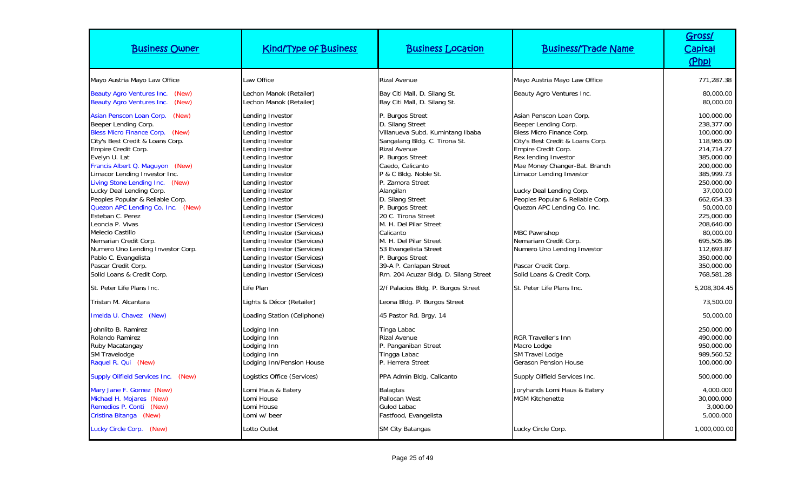| <b>Business Owner</b>                                                                                                                                                                                                                                                                                                                                                                                                                                                                                                                                                                    | <b>Kind/Type of Business</b>                                                                                                                                                                                                                                                                                                                                                                                                                                                                         | <b>Business Location</b>                                                                                                                                                                                                                                                                                                                                                                                                                                                            | <b>Business/Trade Name</b>                                                                                                                                                                                                                                                                                                                                                                                                                                       | Gross/<br><u>Capital</u><br>(Php)                                                                                                                                                                                                                                                 |
|------------------------------------------------------------------------------------------------------------------------------------------------------------------------------------------------------------------------------------------------------------------------------------------------------------------------------------------------------------------------------------------------------------------------------------------------------------------------------------------------------------------------------------------------------------------------------------------|------------------------------------------------------------------------------------------------------------------------------------------------------------------------------------------------------------------------------------------------------------------------------------------------------------------------------------------------------------------------------------------------------------------------------------------------------------------------------------------------------|-------------------------------------------------------------------------------------------------------------------------------------------------------------------------------------------------------------------------------------------------------------------------------------------------------------------------------------------------------------------------------------------------------------------------------------------------------------------------------------|------------------------------------------------------------------------------------------------------------------------------------------------------------------------------------------------------------------------------------------------------------------------------------------------------------------------------------------------------------------------------------------------------------------------------------------------------------------|-----------------------------------------------------------------------------------------------------------------------------------------------------------------------------------------------------------------------------------------------------------------------------------|
| Mayo Austria Mayo Law Office                                                                                                                                                                                                                                                                                                                                                                                                                                                                                                                                                             | Law Office                                                                                                                                                                                                                                                                                                                                                                                                                                                                                           | <b>Rizal Avenue</b>                                                                                                                                                                                                                                                                                                                                                                                                                                                                 | Mayo Austria Mayo Law Office                                                                                                                                                                                                                                                                                                                                                                                                                                     | 771,287.38                                                                                                                                                                                                                                                                        |
| <b>Beauty Agro Ventures Inc.</b><br>(New)<br><b>Beauty Agro Ventures Inc.</b><br>(New)                                                                                                                                                                                                                                                                                                                                                                                                                                                                                                   | Lechon Manok (Retailer)<br>Lechon Manok (Retailer)                                                                                                                                                                                                                                                                                                                                                                                                                                                   | Bay Citi Mall, D. Silang St.<br>Bay Citi Mall, D. Silang St.                                                                                                                                                                                                                                                                                                                                                                                                                        | Beauty Agro Ventures Inc.                                                                                                                                                                                                                                                                                                                                                                                                                                        | 80,000.00<br>80,000.00                                                                                                                                                                                                                                                            |
| Asian Penscon Loan Corp. (New)<br>Beeper Lending Corp.<br>Bless Micro Finance Corp. (New)<br>City's Best Credit & Loans Corp.<br>Empire Credit Corp.<br>Evelyn U. Lat<br>Francis Albert Q. Maguyon (New)<br>Limacor Lending Investor Inc.<br>Living Stone Lending Inc. (New)<br>Lucky Deal Lending Corp.<br>Peoples Popular & Reliable Corp.<br>Quezon APC Lending Co. Inc. (New)<br>Esteban C. Perez<br>Leoncia P. Vivas<br>Melecio Castillo<br>Nemarian Credit Corp.<br>Numero Uno Lending Investor Corp.<br>Pablo C. Evangelista<br>Pascar Credit Corp.<br>Solid Loans & Credit Corp. | Lending Investor<br>Lending Investor<br>Lending Investor<br>Lending Investor<br>Lending Investor<br>Lending Investor<br>Lending Investor<br>Lending Investor<br>Lending Investor<br>Lending Investor<br>Lending Investor<br>Lending Investor<br>Lending Investor (Services)<br>Lending Investor (Services)<br>Lending Investor (Services)<br>Lending Investor (Services)<br>Lending Investor (Services)<br>Lending Investor (Services)<br>Lending Investor (Services)<br>Lending Investor (Services) | P. Burgos Street<br>D. Silang Street<br>Villanueva Subd. Kumintang Ibaba<br>Sangalang Bldg. C. Tirona St.<br><b>Rizal Avenue</b><br>P. Burgos Street<br>Caedo, Calicanto<br>P & C Bldg. Noble St.<br>P. Zamora Street<br>Alangilan<br>D. Silang Street<br>P. Burgos Street<br>20 C. Tirona Street<br>M. H. Del Pilar Street<br>Calicanto<br>M. H. Del Pilar Street<br>53 Evangelista Street<br>P. Burgos Street<br>39-A P. Canlapan Street<br>Rm. 204 Acuzar Bldg. D. Silang Street | Asian Penscon Loan Corp.<br>Beeper Lending Corp.<br>Bless Micro Finance Corp.<br>City's Best Credit & Loans Corp.<br>Empire Credit Corp.<br>Rex lending Investor<br>Mae Money Changer-Bat. Branch<br>Limacor Lending Investor<br>Lucky Deal Lending Corp.<br>Peoples Popular & Reliable Corp.<br>Quezon APC Lending Co. Inc.<br><b>MBC Pawnshop</b><br>Nemariam Credit Corp.<br>Numero Uno Lending Investor<br>Pascar Credit Corp.<br>Solid Loans & Credit Corp. | 100,000.00<br>238,377.00<br>100,000.00<br>118,965.00<br>214.714.27<br>385,000.00<br>200,000.00<br>385,999.73<br>250,000.00<br>37,000.00<br>662,654.33<br>50,000.00<br>225,000.00<br>208,640.00<br>80,000.00<br>695,505.86<br>112,693.87<br>350,000.00<br>350,000.00<br>768,581.28 |
| St. Peter Life Plans Inc.                                                                                                                                                                                                                                                                                                                                                                                                                                                                                                                                                                | Life Plan                                                                                                                                                                                                                                                                                                                                                                                                                                                                                            | 2/f Palacios Bldg. P. Burgos Street                                                                                                                                                                                                                                                                                                                                                                                                                                                 | St. Peter Life Plans Inc.                                                                                                                                                                                                                                                                                                                                                                                                                                        | 5,208,304.45                                                                                                                                                                                                                                                                      |
| Tristan M. Alcantara                                                                                                                                                                                                                                                                                                                                                                                                                                                                                                                                                                     | Lights & Décor (Retailer)                                                                                                                                                                                                                                                                                                                                                                                                                                                                            | Leona Bldg. P. Burgos Street                                                                                                                                                                                                                                                                                                                                                                                                                                                        |                                                                                                                                                                                                                                                                                                                                                                                                                                                                  | 73.500.00                                                                                                                                                                                                                                                                         |
| Imelda U. Chavez (New)                                                                                                                                                                                                                                                                                                                                                                                                                                                                                                                                                                   | Loading Station (Cellphone)                                                                                                                                                                                                                                                                                                                                                                                                                                                                          | 45 Pastor Rd. Brgy. 14                                                                                                                                                                                                                                                                                                                                                                                                                                                              |                                                                                                                                                                                                                                                                                                                                                                                                                                                                  | 50,000.00                                                                                                                                                                                                                                                                         |
| Johnlito B. Ramirez<br>Rolando Ramirez<br>Ruby Macatangay<br><b>SM Travelodge</b><br>Raquel R. Qui (New)                                                                                                                                                                                                                                                                                                                                                                                                                                                                                 | Lodging Inn<br>Lodging Inn<br>Lodging Inn<br>Lodging Inn<br>Lodging Inn/Pension House                                                                                                                                                                                                                                                                                                                                                                                                                | Tinga Labac<br><b>Rizal Avenue</b><br>P. Panganiban Street<br>Tingga Labac<br>P. Herrera Street                                                                                                                                                                                                                                                                                                                                                                                     | <b>RGR Traveller's Inn</b><br>Macro Lodge<br><b>SM Travel Lodge</b><br><b>Gerason Pension House</b>                                                                                                                                                                                                                                                                                                                                                              | 250,000.00<br>490,000.00<br>950,000.00<br>989,560.52<br>100,000.00                                                                                                                                                                                                                |
| <b>Supply Oilfield Services Inc.</b><br>(New)                                                                                                                                                                                                                                                                                                                                                                                                                                                                                                                                            | Logistics Office (Services)                                                                                                                                                                                                                                                                                                                                                                                                                                                                          | PPA Admin Bldg. Calicanto                                                                                                                                                                                                                                                                                                                                                                                                                                                           | Supply Oilfield Services Inc.                                                                                                                                                                                                                                                                                                                                                                                                                                    | 500,000.00                                                                                                                                                                                                                                                                        |
| Mary Jane F. Gomez (New)<br>Michael H. Mojares (New)<br>Remedios P. Conti (New)<br>Cristina Bitanga (New)                                                                                                                                                                                                                                                                                                                                                                                                                                                                                | Lomi Haus & Eatery<br>Lomi House<br>Lomi House<br>Lomi w/ beer                                                                                                                                                                                                                                                                                                                                                                                                                                       | <b>Balagtas</b><br>Pallocan West<br>Gulod Labac<br>Fastfood, Evangelista                                                                                                                                                                                                                                                                                                                                                                                                            | Joryhands Lomi Haus & Eatery<br><b>MGM Kitchenette</b>                                                                                                                                                                                                                                                                                                                                                                                                           | 4,000.000<br>30,000.000<br>3,000.00<br>5,000.000                                                                                                                                                                                                                                  |
| Lucky Circle Corp. (New)                                                                                                                                                                                                                                                                                                                                                                                                                                                                                                                                                                 | Lotto Outlet                                                                                                                                                                                                                                                                                                                                                                                                                                                                                         | SM City Batangas                                                                                                                                                                                                                                                                                                                                                                                                                                                                    | Lucky Circle Corp.                                                                                                                                                                                                                                                                                                                                                                                                                                               | 1,000,000.00                                                                                                                                                                                                                                                                      |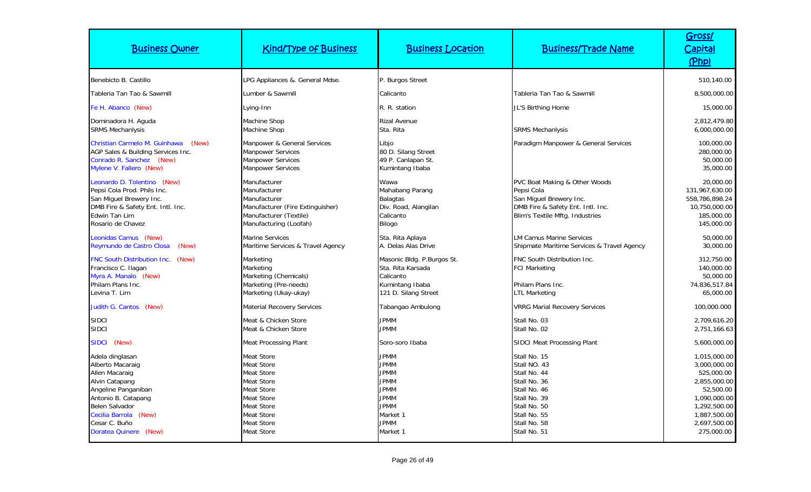| <b>Business Owner</b>                                                                                                                                                                                             | <b>Kind/Type of Business</b>                                                                                                                                                                                   | <b>Business Location</b>                                                                                                                     | <b>Business/Trade Name</b>                                                                                                                                   | Gross/<br>Capital<br>(Php)                                                                                                                            |
|-------------------------------------------------------------------------------------------------------------------------------------------------------------------------------------------------------------------|----------------------------------------------------------------------------------------------------------------------------------------------------------------------------------------------------------------|----------------------------------------------------------------------------------------------------------------------------------------------|--------------------------------------------------------------------------------------------------------------------------------------------------------------|-------------------------------------------------------------------------------------------------------------------------------------------------------|
| Benebicto B. Castillo                                                                                                                                                                                             | LPG Appliances &. General Mdse.                                                                                                                                                                                | P. Burgos Street                                                                                                                             |                                                                                                                                                              | 510,140.00                                                                                                                                            |
| Tableria Tan Tao & Sawmill                                                                                                                                                                                        | Lumber & Sawmill                                                                                                                                                                                               | Calicanto                                                                                                                                    | Tableria Tan Tao & Sawmill                                                                                                                                   | 8,500,000.00                                                                                                                                          |
| Fe H. Abanco (New)                                                                                                                                                                                                | Lying-Inn                                                                                                                                                                                                      | R. R. station                                                                                                                                | JL'S Birthing Home                                                                                                                                           | 15,000.00                                                                                                                                             |
| Dominadora H. Aguda<br><b>SRMS Mechanlysis</b>                                                                                                                                                                    | Machine Shop<br>Machine Shop                                                                                                                                                                                   | <b>Rizal Avenue</b><br>Sta. Rita                                                                                                             | <b>SRMS Mechanlysis</b>                                                                                                                                      | 2,812,479.80<br>6,000,000.00                                                                                                                          |
| Christian Carmelo M. Guinhawa<br>(New)<br>AGP Sales & Building Services Inc.<br>Conrado R. Sanchez (New)<br>Mylene V. Fallero (New)                                                                               | Manpower & General Services<br><b>Manpower Services</b><br><b>Manpower Services</b><br><b>Manpower Services</b>                                                                                                | Libjo<br>80 D. Silang Street<br>49 P. Canlapan St.<br>Kumintang Ibaba                                                                        | Paradigm Manpower & General Services                                                                                                                         | 100,000.00<br>280,000.00<br>50,000.00<br>35,000.00                                                                                                    |
| Leonardo D. Tolentino (New)<br>Pepsi Cola Prod. Phils Inc.<br>San Miguel Brewery Inc.<br>DMB Fire & Safety Ent. Intl. Inc.<br>Edwin Tan Lim<br>Rosario de Chavez                                                  | Manufacturer<br>Manufacturer<br>Manufacturer<br>Manufacturer (Fire Extinguisher)<br>Manufacturer (Textile)<br>Manufacturing (Loofah)                                                                           | Wawa<br>Mahabang Parang<br><b>Balagtas</b><br>Div. Road, Alangilan<br>Calicanto<br>Bilogo                                                    | <b>PVC Boat Making &amp; Other Woods</b><br>Pepsi Cola<br>San Miguel Brewery Inc.<br>DMB Fire & Safety Ent. Intl. Inc.<br>Blim's Textile Mftg. Industries    | 20,000.00<br>131,967,630.00<br>558,786,898.24<br>10,750,000.00<br>185,000.00<br>145,000.00                                                            |
| Leonidas Camus (New)<br>Reymundo de Castro Closa<br>(New)                                                                                                                                                         | <b>Marine Services</b><br>Maritime Services & Travel Agency                                                                                                                                                    | Sta. Rita Aplaya<br>A. Delas Alas Drive                                                                                                      | <b>LM Camus Marine Services</b><br>Shipmate Maritime Services & Travel Agency                                                                                | 50,000.00<br>30,000.00                                                                                                                                |
| FNC South Distribution Inc.<br>(New)<br>Francisco C. Ilagan<br>Myra A. Manalo (New)<br>Philam Plans Inc.<br>Levina T. Lim                                                                                         | Marketing<br>Marketing<br>Marketing (Chemicals)<br>Marketing (Pre-needs)<br>Marketing (Ukay-ukay)                                                                                                              | Masonic Bldg. P.Burgos St.<br>Sta. Rita Karsada<br>Calicanto<br>Kumintang Ibaba<br>121 D. Silang Street                                      | FNC South Distribution Inc.<br><b>FCI Marketing</b><br>Philam Plans Inc.<br><b>LTL Marketing</b>                                                             | 312,750.00<br>140,000.00<br>50,000.00<br>74,836,517.84<br>65,000.00                                                                                   |
| Judith G. Cantos (New)                                                                                                                                                                                            | <b>Material Recovery Services</b>                                                                                                                                                                              | Tabangao Ambulong                                                                                                                            | <b>VRRG Marial Recovery Services</b>                                                                                                                         | 100,000.000                                                                                                                                           |
| <b>SIDCI</b><br><b>SIDCI</b>                                                                                                                                                                                      | Meat & Chicken Store<br>Meat & Chicken Store                                                                                                                                                                   | <b>JPMM</b><br><b>JPMM</b>                                                                                                                   | Stall No. 03<br>Stall No. 02                                                                                                                                 | 2.709.616.20<br>2,751,166.63                                                                                                                          |
| SIDCI (New)                                                                                                                                                                                                       | <b>Meat Processing Plant</b>                                                                                                                                                                                   | Soro-soro Ibaba                                                                                                                              | <b>SIDCI Meat Processing Plant</b>                                                                                                                           | 5,600,000.00                                                                                                                                          |
| Adela dinglasan<br>Alberto Macaraig<br>Allen Macaraig<br>Alvin Catapang<br>Angeline Panganiban<br>Antonio B. Catapang<br><b>Belen Salvador</b><br>Cecilia Barrola (New)<br>Cesar C. Buño<br>Doratea Quinere (New) | <b>Meat Store</b><br><b>Meat Store</b><br><b>Meat Store</b><br><b>Meat Store</b><br><b>Meat Store</b><br><b>Meat Store</b><br><b>Meat Store</b><br><b>Meat Store</b><br><b>Meat Store</b><br><b>Meat Store</b> | <b>JPMM</b><br><b>JPMM</b><br><b>JPMM</b><br><b>JPMM</b><br><b>JPMM</b><br><b>JPMM</b><br><b>JPMM</b><br>Market 1<br><b>JPMM</b><br>Market 1 | Stall No. 15<br>Stall NO. 43<br>Stall No. 44<br>Stall No. 36<br>Stall No. 46<br>Stall No. 39<br>Stall No. 50<br>Stall No. 55<br>Stall No. 58<br>Stall No. 51 | 1,015,000.00<br>3,000,000.00<br>525,000.00<br>2,855,000.00<br>52,500.00<br>1,090,000.00<br>1,292,500.00<br>1,887,500.00<br>2,697,500.00<br>275,000.00 |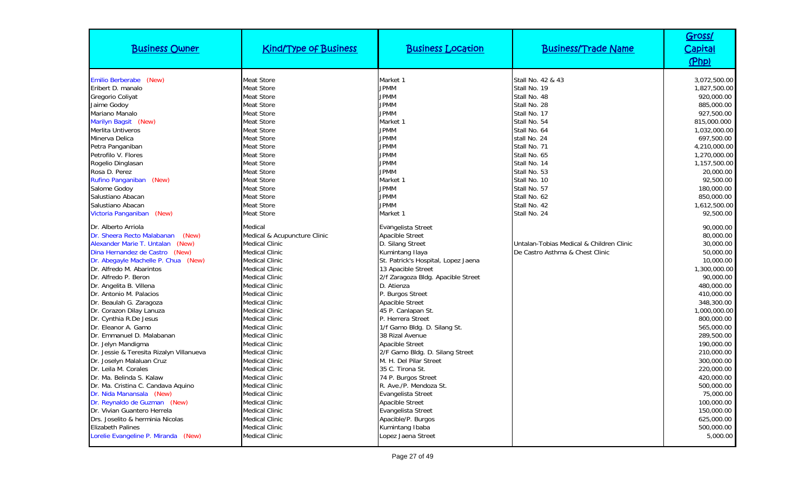| <b>Business Owner</b>                    | <b>Kind/Type of Business</b> | <b>Business Location</b>            | <b>Business/Trade Name</b>               | Gross/<br>Capital<br>(Php) |
|------------------------------------------|------------------------------|-------------------------------------|------------------------------------------|----------------------------|
| Emilio Berberabe (New)                   | <b>Meat Store</b>            | Market 1                            | Stall No. 42 & 43                        | 3,072,500.00               |
| Eribert D. manalo                        | Meat Store                   | <b>JPMM</b>                         | Stall No. 19                             | 1,827,500.00               |
| Gregorio Coliyat                         | <b>Meat Store</b>            | <b>JPMM</b>                         | Stall No. 48                             | 920,000.00                 |
| Jaime Godoy                              | <b>Meat Store</b>            | <b>JPMM</b>                         | Stall No. 28                             | 885,000.00                 |
| Mariano Manalo                           | <b>Meat Store</b>            | <b>JPMM</b>                         | Stall No. 17                             | 927,500.00                 |
| Marilyn Bagsit (New)                     | <b>Meat Store</b>            | Market 1                            | Stall No. 54                             | 815,000.000                |
| Merlita Untiveros                        | <b>Meat Store</b>            | <b>JPMM</b>                         | Stall No. 64                             | 1,032,000.00               |
| Minerva Delica                           | <b>Meat Store</b>            | <b>JPMM</b>                         | stall No. 24                             | 697,500.00                 |
| Petra Panganiban                         | <b>Meat Store</b>            | <b>JPMM</b>                         | Stall No. 71                             | 4,210,000.00               |
| Petrofilo V. Flores                      | <b>Meat Store</b>            | <b>JPMM</b>                         | Stall No. 65                             | 1,270,000.00               |
| Rogelio Dinglasan                        | <b>Meat Store</b>            | <b>JPMM</b>                         | Stall No. 14                             | 1,157,500.00               |
| Rosa D. Perez                            | <b>Meat Store</b>            | <b>JPMM</b>                         | Stall No. 53                             | 20,000.00                  |
| Rufino Panganiban (New)                  | <b>Meat Store</b>            | Market 1                            | Stall No. 10                             | 92,500.00                  |
| Salome Godoy                             | <b>Meat Store</b>            | <b>JPMM</b>                         | Stall No. 57                             | 180,000.00                 |
| Salustiano Abacan                        | <b>Meat Store</b>            | <b>JPMM</b>                         | Stall No. 62                             | 850,000.00                 |
| Salustiano Abacan                        | Meat Store                   | <b>JPMM</b>                         | Stall No. 42                             | 1,612,500.00               |
| Victoria Panganiban<br>(New)             | <b>Meat Store</b>            | Market 1                            | Stall No. 24                             | 92,500.00                  |
| Dr. Alberto Arriola                      | Medical                      | Evangelista Street                  |                                          | 90,000.00                  |
| Dr. Sheera Recto Malabanan<br>(New)      | Medical & Acupuncture Clinic | <b>Apacible Street</b>              |                                          | 80,000.00                  |
| Alexander Marie T. Untalan<br>(New)      | Medical Clinic               | D. Silang Street                    | Untalan-Tobias Medical & Children Clinic | 30,000.00                  |
| Dina Hernandez de Castro (New)           | Medical Clinic               | Kumintang Ilaya                     | De Castro Asthma & Chest Clinic          | 50,000.00                  |
| Dr. Abegayle Machelle P. Chua (New)      | Medical Clinic               | St. Patrick's Hospital, Lopez Jaena |                                          | 10,000.00                  |
| Dr. Alfredo M. Abarintos                 | <b>Medical Clinic</b>        | 13 Apacible Street                  |                                          | 1,300,000.00               |
| Dr. Alfredo P. Beron                     | <b>Medical Clinic</b>        | 2/f Zaragoza Bldg. Apacible Street  |                                          | 90,000.00                  |
| Dr. Angelita B. Villena                  | <b>Medical Clinic</b>        | D. Atienza                          |                                          | 480,000.00                 |
| Dr. Antonio M. Palacios                  | Medical Clinic               | P. Burgos Street                    |                                          | 410,000.00                 |
| Dr. Beaulah G. Zaragoza                  | Medical Clinic               | <b>Apacible Street</b>              |                                          | 348,300.00                 |
| Dr. Corazon Dilay Lanuza                 | <b>Medical Clinic</b>        | 45 P. Canlapan St.                  |                                          | 1,000,000.00               |
| Dr. Cynthia R.De Jesus                   | <b>Medical Clinic</b>        | P. Herrera Street                   |                                          | 800,000.00                 |
| Dr. Eleanor A. Gamo                      | <b>Medical Clinic</b>        | 1/f Gamo Bldg. D. Silang St.        |                                          | 565,000.00                 |
| Dr. Emmanuel D. Malabanan                | <b>Medical Clinic</b>        | 38 Rizal Avenue                     |                                          | 289,500.00                 |
| Dr. Jelyn Mandigma                       | Medical Clinic               | Apacible Street                     |                                          | 190,000.00                 |
| Dr. Jessie & Teresita Rizalyn Villanueva | <b>Medical Clinic</b>        | 2/F Gamo Bldg. D. Silang Street     |                                          | 210,000.00                 |
| Dr. Joselyn Malaluan Cruz                | <b>Medical Clinic</b>        | M. H. Del Pilar Street              |                                          | 300,000.00                 |
| Dr. Leila M. Corales                     | <b>Medical Clinic</b>        | 35 C. Tirona St.                    |                                          | 220,000.00                 |
| Dr. Ma. Belinda S. Kalaw                 | Medical Clinic               | 74 P. Burgos Street                 |                                          | 420,000.00                 |
| Dr. Ma. Cristina C. Candava Aquino       | <b>Medical Clinic</b>        | R. Ave./P. Mendoza St.              |                                          | 500,000.00                 |
| Dr. Nida Manansala (New)                 | Medical Clinic               | Evangelista Street                  |                                          | 75,000.00                  |
| Dr. Reynaldo de Guzman (New)             | <b>Medical Clinic</b>        | Apacible Street                     |                                          | 100,000.00                 |
| Dr. Vivian Guantero Herrela              | <b>Medical Clinic</b>        | Evangelista Street                  |                                          | 150,000.00                 |
| Drs. Joselito & herminia Nicolas         | <b>Medical Clinic</b>        | Apacible/P. Burgos                  |                                          | 625,000.00                 |
| <b>Elizabeth Palines</b>                 | Medical Clinic               | Kumintang Ibaba                     |                                          | 500,000.00                 |
| Lorelie Evangeline P. Miranda (New)      | <b>Medical Clinic</b>        | Lopez Jaena Street                  |                                          | 5,000.00                   |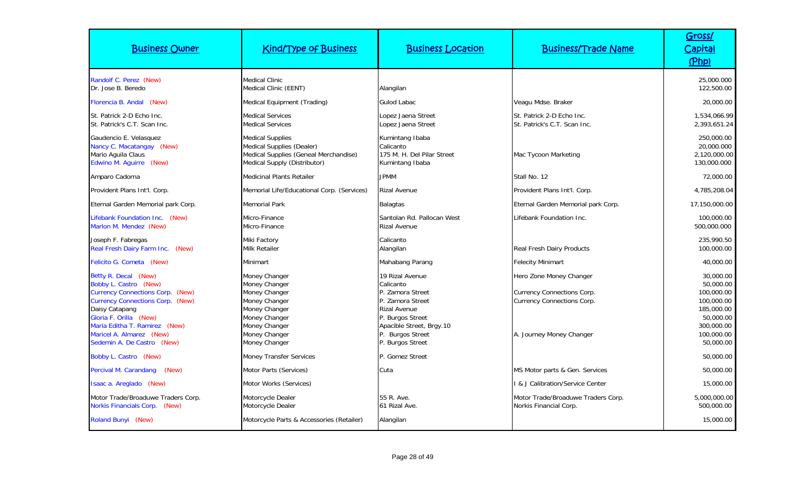| <b>Business Owner</b>                                                                                                                                                                                                                                                      | <b>Kind/Type of Business</b>                                                                                                                          | <b>Business Location</b>                                                                                                                                                            | <b>Business/Trade Name</b>                                                                                                    | Gross/<br><b>Capital</b><br>(Php)                                                                                      |
|----------------------------------------------------------------------------------------------------------------------------------------------------------------------------------------------------------------------------------------------------------------------------|-------------------------------------------------------------------------------------------------------------------------------------------------------|-------------------------------------------------------------------------------------------------------------------------------------------------------------------------------------|-------------------------------------------------------------------------------------------------------------------------------|------------------------------------------------------------------------------------------------------------------------|
| Randolf C. Perez (New)<br>Dr. Jose B. Beredo                                                                                                                                                                                                                               | <b>Medical Clinic</b><br>Medical Clinic (EENT)                                                                                                        | Alangilan                                                                                                                                                                           |                                                                                                                               | 25,000.000<br>122,500.00                                                                                               |
| Florencia B. Andal (New)                                                                                                                                                                                                                                                   | Medical Equipment (Trading)                                                                                                                           | <b>Gulod Labac</b>                                                                                                                                                                  | Veagu Mdse. Braker                                                                                                            | 20,000.00                                                                                                              |
| St. Patrick 2-D Echo Inc.<br>St. Patrick's C.T. Scan Inc.                                                                                                                                                                                                                  | <b>Medical Services</b><br><b>Medical Services</b>                                                                                                    | Lopez Jaena Street<br>Lopez Jaena Street                                                                                                                                            | St. Patrick 2-D Echo Inc.<br>St. Patrick's C.T. Scan Inc.                                                                     | 1,534,066.99<br>2,393,651.24                                                                                           |
| Gaudencio E. Velasquez<br>Nancy C. Macatangay (New)<br>Mario Aguila Claus<br>Edwino M. Aguirre (New)                                                                                                                                                                       | <b>Medical Supplies</b><br>Medical Supplies (Dealer)<br>Medical Supplies (Geneal Merchandise)<br>Medical Supply (Distributor)                         | Kumintang Ibaba<br>Calicanto<br>175 M. H. Del Pilar Street<br>Kumintang Ibaba                                                                                                       | Mac Tycoon Marketing                                                                                                          | 250,000.00<br>20,000.000<br>2,120,000.00<br>130,000.000                                                                |
| Amparo Cadorna                                                                                                                                                                                                                                                             | <b>Medicinal Plants Retailer</b>                                                                                                                      | <b>JPMM</b>                                                                                                                                                                         | Stall No. 12                                                                                                                  | 72,000.00                                                                                                              |
| Provident Plans Int'l. Corp.                                                                                                                                                                                                                                               | Memorial Life/Educational Corp. (Services)                                                                                                            | <b>Rizal Avenue</b>                                                                                                                                                                 | Provident Plans Int'l. Corp.                                                                                                  | 4,785,208.04                                                                                                           |
| Eternal Garden Memorial park Corp.                                                                                                                                                                                                                                         | <b>Memorial Park</b>                                                                                                                                  | <b>Balagtas</b>                                                                                                                                                                     | Eternal Garden Memorial park Corp.                                                                                            | 17,150,000.00                                                                                                          |
| Lifebank Foundation Inc. (New)<br>Marlon M. Mendez (New)                                                                                                                                                                                                                   | Micro-Finance<br>Micro-Finance                                                                                                                        | Santolan Rd. Pallocan West<br><b>Rizal Avenue</b>                                                                                                                                   | Lifebank Foundation Inc.                                                                                                      | 100,000.00<br>500,000.000                                                                                              |
| Joseph F. Fabregas<br>Real Fresh Dairy Farm Inc. (New)                                                                                                                                                                                                                     | Miki Factory<br>Milk Retailer                                                                                                                         | Calicanto<br>Alangilan                                                                                                                                                              | <b>Real Fresh Dairy Products</b>                                                                                              | 235,990.50<br>100,000.00                                                                                               |
| Felicito G. Cometa (New)                                                                                                                                                                                                                                                   | Minimart                                                                                                                                              | Mahabang Parang                                                                                                                                                                     | <b>Felecity Minimart</b>                                                                                                      | 40.000.00                                                                                                              |
| Betty R. Decal (New)<br>Bobby L. Castro (New)<br><b>Currency Connections Corp. (New)</b><br><b>Currency Connections Corp. (New)</b><br>Daisy Catapang<br>Gloria F. Orilla (New)<br>Maria Editha T. Ramirez (New)<br>Maricel A. Almarez (New)<br>Sedemin A. De Castro (New) | Money Changer<br>Money Changer<br>Money Changer<br>Money Changer<br>Money Changer<br>Money Changer<br>Money Changer<br>Money Changer<br>Money Changer | 19 Rizal Avenue<br>Calicanto<br>P. Zamora Street<br>P. Zamora Street<br><b>Rizal Avenue</b><br>P. Burgos Street<br>Apacible Street, Brgy.10<br>P. Burgos Street<br>P. Burgos Street | Hero Zone Money Changer<br><b>Currency Connections Corp.</b><br><b>Currency Connections Corp.</b><br>A. Journey Money Changer | 30,000.00<br>50,000.00<br>100,000.00<br>100,000.00<br>185,000.00<br>50,000.00<br>300,000.00<br>100,000.00<br>50,000.00 |
| Bobby L. Castro (New)                                                                                                                                                                                                                                                      | <b>Money Transfer Services</b>                                                                                                                        | P. Gomez Street                                                                                                                                                                     |                                                                                                                               | 50,000.00                                                                                                              |
| Percival M. Carandang<br>(New)                                                                                                                                                                                                                                             | Motor Parts (Services)                                                                                                                                | Cuta                                                                                                                                                                                | MS Motor parts & Gen. Services                                                                                                | 50,000.00                                                                                                              |
| Isaac a. Areglado (New)                                                                                                                                                                                                                                                    | Motor Works (Services)                                                                                                                                |                                                                                                                                                                                     | I & J Calibration/Service Center                                                                                              | 15,000.00                                                                                                              |
| Motor Trade/Broaduwe Traders Corp.<br>Norkis Financials Corp. (New)                                                                                                                                                                                                        | Motorcycle Dealer<br>Motorcycle Dealer                                                                                                                | 55 R. Ave.<br>61 Rizal Ave.                                                                                                                                                         | Motor Trade/Broaduwe Traders Corp.<br>Norkis Financial Corp.                                                                  | 5,000,000.00<br>500,000.00                                                                                             |
| Roland Bunyi (New)                                                                                                                                                                                                                                                         | Motorcycle Parts & Accessories (Retailer)                                                                                                             | Alangilan                                                                                                                                                                           |                                                                                                                               | 15,000.00                                                                                                              |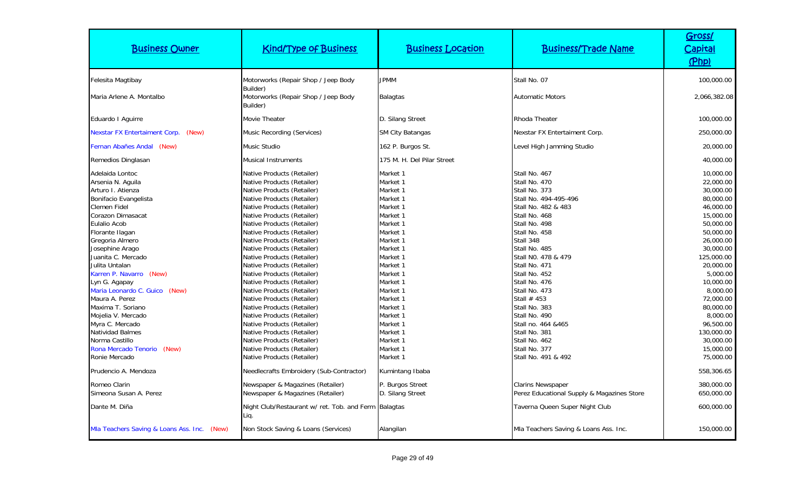| <b>Business Owner</b>                                                                                                                                                                                                                                                                                                                                                                                                                                                                                | <b>Kind/Type of Business</b>                                                                                                                                                                                                                                                                                                                                                                                                                                                                                                                                                                                                                                                                                   | <b>Business Location</b>                                                                                                                                                                                                                                                         | <b>Business/Trade Name</b>                                                                                                                                                                                                                                                                                                                                                                                                      | Gross/<br>Capital<br>(Php)                                                                                                                                                                                                                                                                             |
|------------------------------------------------------------------------------------------------------------------------------------------------------------------------------------------------------------------------------------------------------------------------------------------------------------------------------------------------------------------------------------------------------------------------------------------------------------------------------------------------------|----------------------------------------------------------------------------------------------------------------------------------------------------------------------------------------------------------------------------------------------------------------------------------------------------------------------------------------------------------------------------------------------------------------------------------------------------------------------------------------------------------------------------------------------------------------------------------------------------------------------------------------------------------------------------------------------------------------|----------------------------------------------------------------------------------------------------------------------------------------------------------------------------------------------------------------------------------------------------------------------------------|---------------------------------------------------------------------------------------------------------------------------------------------------------------------------------------------------------------------------------------------------------------------------------------------------------------------------------------------------------------------------------------------------------------------------------|--------------------------------------------------------------------------------------------------------------------------------------------------------------------------------------------------------------------------------------------------------------------------------------------------------|
| Felesita Magtibay                                                                                                                                                                                                                                                                                                                                                                                                                                                                                    | Motorworks (Repair Shop / Jeep Body                                                                                                                                                                                                                                                                                                                                                                                                                                                                                                                                                                                                                                                                            | <b>JPMM</b>                                                                                                                                                                                                                                                                      | Stall No. 07                                                                                                                                                                                                                                                                                                                                                                                                                    | 100,000.00                                                                                                                                                                                                                                                                                             |
| Maria Arlene A. Montalbo                                                                                                                                                                                                                                                                                                                                                                                                                                                                             | Builder)<br>Motorworks (Repair Shop / Jeep Body<br>Builder)                                                                                                                                                                                                                                                                                                                                                                                                                                                                                                                                                                                                                                                    | Balagtas                                                                                                                                                                                                                                                                         | <b>Automatic Motors</b>                                                                                                                                                                                                                                                                                                                                                                                                         | 2,066,382.08                                                                                                                                                                                                                                                                                           |
| Eduardo I Aguirre                                                                                                                                                                                                                                                                                                                                                                                                                                                                                    | Movie Theater                                                                                                                                                                                                                                                                                                                                                                                                                                                                                                                                                                                                                                                                                                  | D. Silang Street                                                                                                                                                                                                                                                                 | Rhoda Theater                                                                                                                                                                                                                                                                                                                                                                                                                   | 100,000.00                                                                                                                                                                                                                                                                                             |
| <b>Nexstar FX Entertaiment Corp.</b><br>(New)                                                                                                                                                                                                                                                                                                                                                                                                                                                        | Music Recording (Services)                                                                                                                                                                                                                                                                                                                                                                                                                                                                                                                                                                                                                                                                                     | <b>SM City Batangas</b>                                                                                                                                                                                                                                                          | Nexstar FX Entertaiment Corp.                                                                                                                                                                                                                                                                                                                                                                                                   | 250,000.00                                                                                                                                                                                                                                                                                             |
| Fernan Abañes Andal (New)                                                                                                                                                                                                                                                                                                                                                                                                                                                                            | Music Studio                                                                                                                                                                                                                                                                                                                                                                                                                                                                                                                                                                                                                                                                                                   | 162 P. Burgos St.                                                                                                                                                                                                                                                                | Level High Jamming Studio                                                                                                                                                                                                                                                                                                                                                                                                       | 20,000.00                                                                                                                                                                                                                                                                                              |
| Remedios Dinglasan                                                                                                                                                                                                                                                                                                                                                                                                                                                                                   | Musical Instruments                                                                                                                                                                                                                                                                                                                                                                                                                                                                                                                                                                                                                                                                                            | 175 M. H. Del Pilar Street                                                                                                                                                                                                                                                       |                                                                                                                                                                                                                                                                                                                                                                                                                                 | 40,000.00                                                                                                                                                                                                                                                                                              |
| Adelaida Lontoc<br>Arsenia N. Aguila<br>Arturo I. Atienza<br>Bonifacio Evangelista<br>Clemen Fidel<br>Corazon Dimasacat<br>Eulalio Acob<br>Florante Ilagan<br>Gregoria Almero<br>Josephine Arago<br>Juanita C. Mercado<br>Julita Untalan<br>Karren P. Navarro (New)<br>Lyn G. Agapay<br>Maria Leonardo C. Guico (New)<br>Maura A. Perez<br>Maxima T. Soriano<br>Moielia V. Mercado<br>Myra C. Mercado<br><b>Natividad Balmes</b><br>Norma Castillo<br>Rona Mercado Tenorio<br>(New)<br>Ronie Mercado | Native Products (Retailer)<br>Native Products (Retailer)<br>Native Products (Retailer)<br>Native Products (Retailer)<br>Native Products (Retailer)<br>Native Products (Retailer)<br>Native Products (Retailer)<br>Native Products (Retailer)<br>Native Products (Retailer)<br>Native Products (Retailer)<br>Native Products (Retailer)<br>Native Products (Retailer)<br>Native Products (Retailer)<br>Native Products (Retailer)<br>Native Products (Retailer)<br>Native Products (Retailer)<br>Native Products (Retailer)<br>Native Products (Retailer)<br>Native Products (Retailer)<br>Native Products (Retailer)<br>Native Products (Retailer)<br>Native Products (Retailer)<br>Native Products (Retailer) | Market 1<br>Market 1<br>Market 1<br>Market 1<br>Market 1<br>Market 1<br>Market 1<br>Market 1<br>Market 1<br>Market 1<br>Market 1<br>Market 1<br>Market 1<br>Market 1<br>Market 1<br>Market 1<br>Market 1<br>Market 1<br>Market 1<br>Market 1<br>Market 1<br>Market 1<br>Market 1 | Stall No. 467<br>Stall No. 470<br>Stall No. 373<br>Stall No. 494-495-496<br>Stall No. 482 & 483<br>Stall No. 468<br>Stall No. 498<br>Stall No. 458<br>Stall 348<br>Stall No. 485<br>Stall NO. 478 & 479<br>Stall No. 471<br>Stall No. 452<br>Stall No. 476<br>Stall No. 473<br>Stall $#$ 453<br>Stall No. 383<br>Stall No. 490<br>Stall no. 464 & 465<br>Stall No. 381<br>Stall No. 462<br>Stall No. 377<br>Stall No. 491 & 492 | 10,000.00<br>22,000.00<br>30,000.00<br>80,000.00<br>46,000.00<br>15,000.00<br>50,000.00<br>50,000.00<br>26,000.00<br>30,000.00<br>125,000.00<br>20,000.00<br>5,000.00<br>10,000.00<br>8,000.00<br>72,000.00<br>80,000.00<br>8,000.00<br>96,500.00<br>130,000.00<br>30,000.00<br>15,000.00<br>75,000.00 |
| Prudencio A. Mendoza                                                                                                                                                                                                                                                                                                                                                                                                                                                                                 | Needlecrafts Embroidery (Sub-Contractor)                                                                                                                                                                                                                                                                                                                                                                                                                                                                                                                                                                                                                                                                       | Kumintang Ibaba                                                                                                                                                                                                                                                                  |                                                                                                                                                                                                                                                                                                                                                                                                                                 | 558,306.65                                                                                                                                                                                                                                                                                             |
| Romeo Clarin<br>Simeona Susan A. Perez                                                                                                                                                                                                                                                                                                                                                                                                                                                               | Newspaper & Magazines (Retailer)<br>Newspaper & Magazines (Retailer)                                                                                                                                                                                                                                                                                                                                                                                                                                                                                                                                                                                                                                           | P. Burgos Street<br>D. Silang Street                                                                                                                                                                                                                                             | <b>Clarins Newspaper</b><br>Perez Educational Supply & Magazines Store                                                                                                                                                                                                                                                                                                                                                          | 380,000.00<br>650,000.00                                                                                                                                                                                                                                                                               |
| Dante M. Diña                                                                                                                                                                                                                                                                                                                                                                                                                                                                                        | Night Club/Restaurant w/ ret. Tob. and Ferm Balagtas<br>Liq.                                                                                                                                                                                                                                                                                                                                                                                                                                                                                                                                                                                                                                                   |                                                                                                                                                                                                                                                                                  | Taverna Queen Super Night Club                                                                                                                                                                                                                                                                                                                                                                                                  | 600,000.00                                                                                                                                                                                                                                                                                             |
| Mla Teachers Saving & Loans Ass. Inc. (New)                                                                                                                                                                                                                                                                                                                                                                                                                                                          | Non Stock Saving & Loans (Services)                                                                                                                                                                                                                                                                                                                                                                                                                                                                                                                                                                                                                                                                            | Alangilan                                                                                                                                                                                                                                                                        | Mla Teachers Saving & Loans Ass. Inc.                                                                                                                                                                                                                                                                                                                                                                                           | 150,000.00                                                                                                                                                                                                                                                                                             |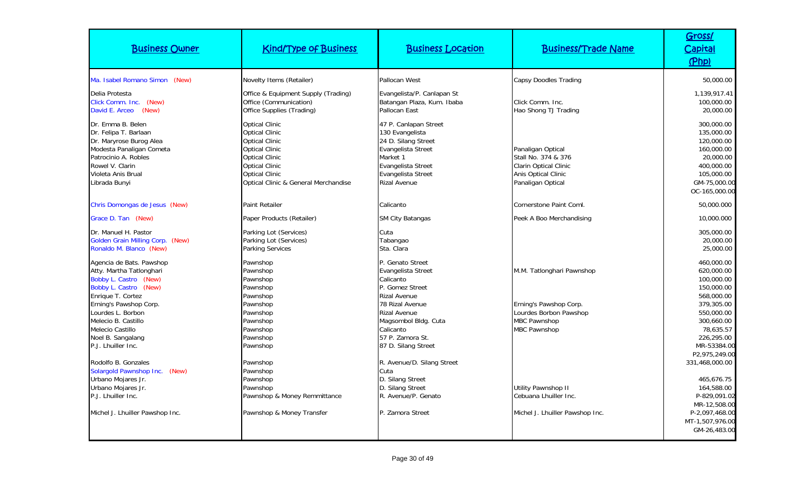| <b>Business Owner</b>                                                                                                                                                                                                                                            | <b>Kind/Type of Business</b>                                                                                                                                                                                        | <b>Business Location</b>                                                                                                                                                                                                | <b>Business/Trade Name</b>                                                                                                  | Gross/<br>Capital<br>(Php)                                                                                                                                              |
|------------------------------------------------------------------------------------------------------------------------------------------------------------------------------------------------------------------------------------------------------------------|---------------------------------------------------------------------------------------------------------------------------------------------------------------------------------------------------------------------|-------------------------------------------------------------------------------------------------------------------------------------------------------------------------------------------------------------------------|-----------------------------------------------------------------------------------------------------------------------------|-------------------------------------------------------------------------------------------------------------------------------------------------------------------------|
| Ma. Isabel Romano Simon (New)<br>Delia Protesta<br>Click Comm. Inc. (New)<br>David E. Arceo (New)                                                                                                                                                                | Novelty Items (Retailer)<br>Office & Equipment Supply (Trading)<br>Office (Communication)<br>Office Supplies (Trading)                                                                                              | Pallocan West<br>Evangelista/P. Canlapan St<br>Batangan Plaza, Kum. Ibaba<br>Pallocan East                                                                                                                              | <b>Capsy Doodles Trading</b><br>Click Comm. Inc.<br>Hao Shong TJ Trading                                                    | 50,000.00<br>1,139,917.41<br>100,000.00<br>20,000.00                                                                                                                    |
| Dr. Emma B. Belen<br>Dr. Felipa T. Barlaan<br>Dr. Maryrose Burog Alea<br>Modesta Panaligan Cometa<br>Patrocinio A. Robles<br>Rowel V. Clarin<br>Violeta Anis Brual<br>Librada Bunyi                                                                              | <b>Optical Clinic</b><br><b>Optical Clinic</b><br><b>Optical Clinic</b><br><b>Optical Clinic</b><br><b>Optical Clinic</b><br><b>Optical Clinic</b><br><b>Optical Clinic</b><br>Optical Clinic & General Merchandise | 47 P. Canlapan Street<br>130 Evangelista<br>24 D. Silang Street<br>Evangelista Street<br>Market 1<br>Evangelista Street<br>Evangelista Street<br>Rizal Avenue                                                           | Panaligan Optical<br>Stall No. 374 & 376<br>Clarin Optical Clinic<br>Anis Optical Clinic<br>Panaligan Optical               | 300,000.00<br>135,000.00<br>120,000.00<br>160,000.00<br>20,000.00<br>400,000.00<br>105,000.00<br>GM-75,000.00<br>OC-165,000.00                                          |
| Chris Domongas de Jesus (New)                                                                                                                                                                                                                                    | Paint Retailer                                                                                                                                                                                                      | Calicanto                                                                                                                                                                                                               | Cornerstone Paint Coml.                                                                                                     | 50,000.000                                                                                                                                                              |
| Grace D. Tan (New)                                                                                                                                                                                                                                               | Paper Products (Retailer)                                                                                                                                                                                           | <b>SM City Batangas</b>                                                                                                                                                                                                 | Peek A Boo Merchandising                                                                                                    | 10,000.000                                                                                                                                                              |
| Dr. Manuel H. Pastor<br>Golden Grain Milling Corp. (New)<br>Ronaldo M. Blanco (New)                                                                                                                                                                              | Parking Lot (Services)<br>Parking Lot (Services)<br>Parking Services                                                                                                                                                | Cuta<br>Tabangao<br>Sta. Clara                                                                                                                                                                                          |                                                                                                                             | 305,000.00<br>20,000.00<br>25,000.00                                                                                                                                    |
| Agencia de Bats. Pawshop<br>Atty. Martha Tatlonghari<br>Bobby L. Castro (New)<br>Bobby L. Castro (New)<br>Enrique T. Cortez<br>Erning's Pawshop Corp.<br>Lourdes L. Borbon<br>Melecio B. Castillo<br>Melecio Castillo<br>Noel B. Sangalang<br>P.J. Lhuiller Inc. | Pawnshop<br>Pawnshop<br>Pawnshop<br>Pawnshop<br>Pawnshop<br>Pawnshop<br>Pawnshop<br>Pawnshop<br>Pawnshop<br>Pawnshop<br>Pawnshop                                                                                    | P. Genato Street<br>Evangelista Street<br>Calicanto<br>P. Gomez Street<br><b>Rizal Avenue</b><br>78 Rizal Avenue<br><b>Rizal Avenue</b><br>Magsombol Bldg. Cuta<br>Calicanto<br>57 P. Zamora St.<br>87 D. Silang Street | M.M. Tatlonghari Pawnshop<br>Erning's Pawshop Corp.<br>Lourdes Borbon Pawshop<br><b>MBC Pawnshop</b><br><b>MBC Pawnshop</b> | 460,000.00<br>620,000.00<br>100,000.00<br>150,000.00<br>568,000.00<br>379,305.00<br>550,000.00<br>300,660.00<br>78,635.57<br>226,295.00<br>MR-53384.00<br>P2,975,249.00 |
| Rodolfo B. Gonzales<br>Solargold Pawnshop Inc. (New)<br>Urbano Mojares Jr.<br>Urbano Mojares Jr.<br>P.J. Lhuiller Inc.<br>Michel J. Lhuiller Pawshop Inc.                                                                                                        | Pawnshop<br>Pawnshop<br>Pawnshop<br>Pawnshop<br>Pawnshop & Money Remmittance<br>Pawnshop & Money Transfer                                                                                                           | R. Avenue/D. Silang Street<br>Cuta<br>D. Silang Street<br>D. Silang Street<br>R. Avenue/P. Genato<br><sup>2</sup> . Zamora Street                                                                                       | Utility Pawnshop II<br>Cebuana Lhuiller Inc.<br>Michel J. Lhuiller Pawshop Inc.                                             | 331,468,000.00<br>465,676.75<br>164,588.00<br>P-829,091.02<br>MR-12,508.00<br>P-2,097,468.00<br>MT-1,507,976.00<br>GM-26,483.00                                         |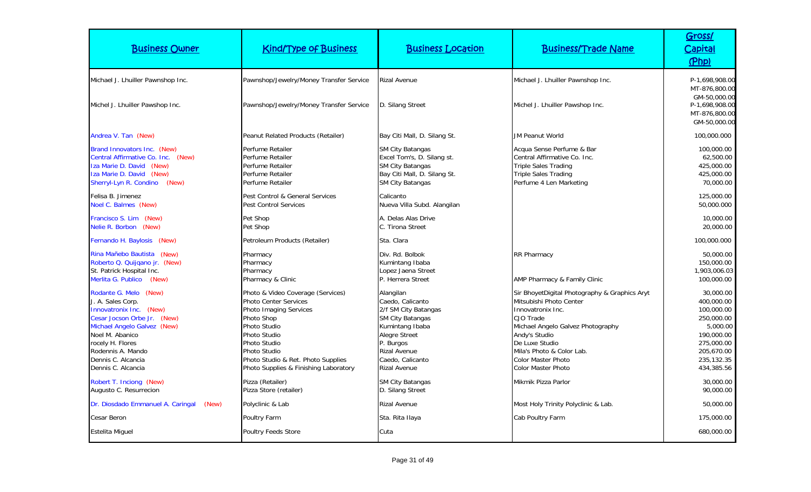| <b>Business Owner</b>                                                                                                                                                                                                                       | <b>Kind/Type of Business</b>                                                                                                                                                                                                                             | <b>Business Location</b>                                                                                                                                                                            | <b>Business/Trade Name</b>                                                                                                                                                                                                                                         | Gross/<br>Capital<br>(Php)                                                                                                            |
|---------------------------------------------------------------------------------------------------------------------------------------------------------------------------------------------------------------------------------------------|----------------------------------------------------------------------------------------------------------------------------------------------------------------------------------------------------------------------------------------------------------|-----------------------------------------------------------------------------------------------------------------------------------------------------------------------------------------------------|--------------------------------------------------------------------------------------------------------------------------------------------------------------------------------------------------------------------------------------------------------------------|---------------------------------------------------------------------------------------------------------------------------------------|
| Michael J. Lhuiller Pawnshop Inc.                                                                                                                                                                                                           | Pawnshop/Jewelry/Money Transfer Service                                                                                                                                                                                                                  | <b>Rizal Avenue</b>                                                                                                                                                                                 | Michael J. Lhuiller Pawnshop Inc.                                                                                                                                                                                                                                  | P-1,698,908.00<br>MT-876,800.00                                                                                                       |
| Michel J. Lhuiller Pawshop Inc.                                                                                                                                                                                                             | Pawnshop/Jewelry/Money Transfer Service                                                                                                                                                                                                                  | D. Silang Street                                                                                                                                                                                    | Michel J. Lhuiller Pawshop Inc.                                                                                                                                                                                                                                    | GM-50,000.00<br>P-1,698,908.00<br>MT-876,800.00<br>GM-50,000.00                                                                       |
| Andrea V. Tan (New)                                                                                                                                                                                                                         | Peanut Related Products (Retailer)                                                                                                                                                                                                                       | Bay Citi Mall, D. Silang St.                                                                                                                                                                        | <b>JM Peanut World</b>                                                                                                                                                                                                                                             | 100,000.000                                                                                                                           |
| Brand Innovators Inc. (New)<br>Central Affirmative Co. Inc. (New)<br>Iza Marie D. David (New)<br>Iza Marie D. David (New)<br>Sherryl-Lyn R. Condino<br>(New)                                                                                | Perfume Retailer<br>Perfume Retailer<br>Perfume Retailer<br>Perfume Retailer<br>Perfume Retailer                                                                                                                                                         | <b>SM City Batangas</b><br>Excel Tom's, D. Silang st.<br><b>SM City Batangas</b><br>Bay Citi Mall, D. Silang St.<br><b>SM City Batangas</b>                                                         | Acqua Sense Perfume & Bar<br>Central Affirmative Co. Inc.<br><b>Triple Sales Trading</b><br>Triple Sales Trading<br>Perfume 4 Len Marketing                                                                                                                        | 100,000.00<br>62,500.00<br>425,000.00<br>425,000.00<br>70,000.00                                                                      |
| Felisa B. Jimenez<br>Noel C. Balmes (New)                                                                                                                                                                                                   | Pest Control & General Services<br><b>Pest Control Services</b>                                                                                                                                                                                          | Calicanto<br>Nueva Villa Subd. Alangilan                                                                                                                                                            |                                                                                                                                                                                                                                                                    | 125,000.00<br>50,000.000                                                                                                              |
| Francisco S. Lim (New)<br>Nelie R. Borbon (New)                                                                                                                                                                                             | Pet Shop<br>Pet Shop                                                                                                                                                                                                                                     | A. Delas Alas Drive<br>C. Tirona Street                                                                                                                                                             |                                                                                                                                                                                                                                                                    | 10,000.00<br>20,000.00                                                                                                                |
| Fernando H. Baylosis (New)                                                                                                                                                                                                                  | Petroleum Products (Retailer)                                                                                                                                                                                                                            | Sta. Clara                                                                                                                                                                                          |                                                                                                                                                                                                                                                                    | 100,000.000                                                                                                                           |
| Rina Mañebo Bautista (New)<br>Roberto Q. Quijqano jr. (New)<br>St. Patrick Hospital Inc.<br>Merlita G. Publico<br>(New)                                                                                                                     | Pharmacy<br>Pharmacy<br>Pharmacy<br>Pharmacy & Clinic                                                                                                                                                                                                    | Div. Rd. Bolbok<br>Kumintang Ibaba<br>Lopez Jaena Street<br>P. Herrera Street                                                                                                                       | RR Pharmacy<br>AMP Pharmacy & Family Clinic                                                                                                                                                                                                                        | 50,000.00<br>150,000.00<br>1,903,006.03<br>100,000.00                                                                                 |
| Rodante G. Melo (New)<br>J. A. Sales Corp.<br>Innovatronix Inc. (New)<br>Cesar Jocson Orbe Jr. (New)<br>Michael Angelo Galvez (New)<br>Noel M. Abanico<br>rocely H. Flores<br>Rodennis A. Mando<br>Dennis C. Alcancia<br>Dennis C. Alcancia | Photo & Video Coverage (Services)<br><b>Photo Center Services</b><br>Photo Imaging Services<br>Photo Shop<br>Photo Studio<br>Photo Studio<br>Photo Studio<br>Photo Studio<br>Photo Studio & Ret. Photo Supplies<br>Photo Supplies & Finishing Laboratory | Alangilan<br>Caedo, Calicanto<br>2/f SM City Batangas<br><b>SM City Batangas</b><br>Kumintang Ibaba<br>Alegre Street<br>P. Burgos<br><b>Rizal Avenue</b><br>Caedo, Calicanto<br><b>Rizal Avenue</b> | Sir BhoyetDigital Photography & Graphics Aryt<br>Mitsubishi Photo Center<br>Innovatronix Inc.<br>CJO Trade<br>Michael Angelo Galvez Photography<br>Andy's Studio<br>De Luxe Studio<br>Mila's Photo & Color Lab.<br>Color Master Photo<br><b>Color Master Photo</b> | 30,000.00<br>400,000.00<br>100,000.00<br>250,000.00<br>5,000.00<br>190,000.00<br>275,000.00<br>205.670.00<br>235,132.35<br>434,385.56 |
| Robert T. Inciong (New)<br>Augusto C. Resurrecion                                                                                                                                                                                           | Pizza (Retailer)<br>Pizza Store (retailer)                                                                                                                                                                                                               | <b>SM City Batangas</b><br>D. Silang Street                                                                                                                                                         | Mikmik Pizza Parlor                                                                                                                                                                                                                                                | 30,000.00<br>90,000.00                                                                                                                |
| Dr. Diosdado Emmanuel A. Caringal<br>(New)                                                                                                                                                                                                  | Polyclinic & Lab                                                                                                                                                                                                                                         | <b>Rizal Avenue</b>                                                                                                                                                                                 | Most Holy Trinity Polyclinic & Lab.                                                                                                                                                                                                                                | 50,000.00                                                                                                                             |
| Cesar Beron                                                                                                                                                                                                                                 | Poultry Farm                                                                                                                                                                                                                                             | Sta. Rita Ilaya                                                                                                                                                                                     | Cab Poultry Farm                                                                                                                                                                                                                                                   | 175,000.00                                                                                                                            |
| <b>Estelita Miguel</b>                                                                                                                                                                                                                      | Poultry Feeds Store                                                                                                                                                                                                                                      | Cuta                                                                                                                                                                                                |                                                                                                                                                                                                                                                                    | 680,000.00                                                                                                                            |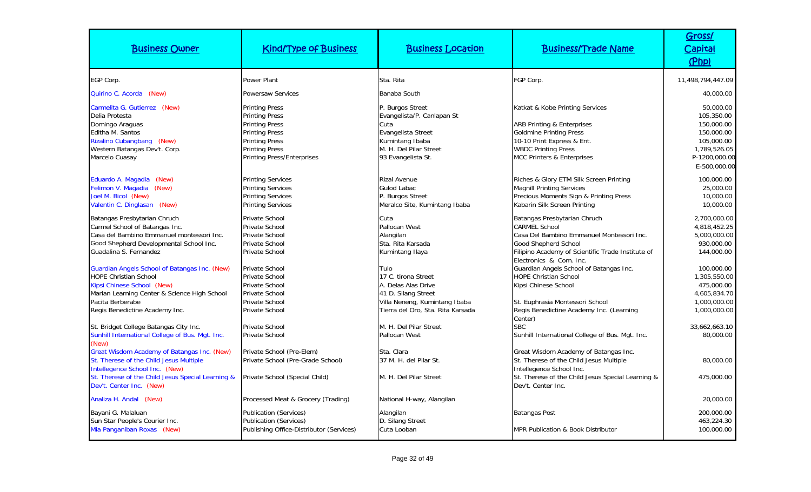| <b>Business Owner</b>                                                                                                                                                                                                                                             | <b>Kind/Type of Business</b>                                                                                                                                                            | <b>Business Location</b>                                                                                                                        | <b>Business/Trade Name</b>                                                                                                                                                                                                                                                           | Gross/<br>Capital<br>(Php)                                                                                         |
|-------------------------------------------------------------------------------------------------------------------------------------------------------------------------------------------------------------------------------------------------------------------|-----------------------------------------------------------------------------------------------------------------------------------------------------------------------------------------|-------------------------------------------------------------------------------------------------------------------------------------------------|--------------------------------------------------------------------------------------------------------------------------------------------------------------------------------------------------------------------------------------------------------------------------------------|--------------------------------------------------------------------------------------------------------------------|
| EGP Corp.                                                                                                                                                                                                                                                         | <b>Power Plant</b>                                                                                                                                                                      | Sta. Rita                                                                                                                                       | FGP Corp.                                                                                                                                                                                                                                                                            | 11,498,794,447.09                                                                                                  |
| Quirino C. Acorda (New)                                                                                                                                                                                                                                           | <b>Powersaw Services</b>                                                                                                                                                                | Banaba South                                                                                                                                    |                                                                                                                                                                                                                                                                                      | 40,000.00                                                                                                          |
| Carmelita G. Gutierrez (New)<br>Delia Protesta<br>Domingo Araguas<br>Editha M. Santos<br>Rizalino Cubangbang (New)<br>Western Batangas Dev't. Corp.<br>Marcelo Cuasay                                                                                             | <b>Printing Press</b><br><b>Printing Press</b><br><b>Printing Press</b><br><b>Printing Press</b><br><b>Printing Press</b><br><b>Printing Press</b><br><b>Printing Press/Enterprises</b> | P. Burgos Street<br>Evangelista/P. Canlapan St<br>Cuta<br>Evangelista Street<br>Kumintang Ibaba<br>M. H. Del Pilar Street<br>93 Evangelista St. | Katkat & Kobe Printing Services<br><b>ARB Printing &amp; Enterprises</b><br><b>Goldmine Printing Press</b><br>10-10 Print Express & Ent.<br><b>WBDC Printing Press</b><br><b>MCC Printers &amp; Enterprises</b>                                                                      | 50,000.00<br>105,350.00<br>150,000.00<br>150,000.00<br>105,000.00<br>1,789,526.05<br>P-1200,000.00<br>E-500,000.00 |
| Eduardo A. Magadia (New)<br>Felimon V. Magadia<br>(New)<br>Joel M. Bicol (New)<br>Valentin C. Dinglasan (New)                                                                                                                                                     | <b>Printing Services</b><br><b>Printing Services</b><br><b>Printing Services</b><br><b>Printing Services</b>                                                                            | <b>Rizal Avenue</b><br>Gulod Labac<br>P. Burgos Street<br>Meralco Site, Kumintang Ibaba                                                         | Riches & Glory ETM Silk Screen Printing<br><b>Magnill Printing Services</b><br>Precious Moments Sign & Printing Press<br>Kabarin Silk Screen Printing                                                                                                                                | 100,000.00<br>25,000.00<br>10,000.00<br>10,000.00                                                                  |
| Batangas Presbytarian Chruch<br>Carmel School of Batangas Inc.<br>Casa del Bambino Emmanuel montessori Inc.<br>Good Shepherd Developmental School Inc.<br>Guadalina S. Fernandez<br>Guardian Angels School of Batangas Inc. (New)<br><b>HOPE Christian School</b> | Private School<br>Private School<br><b>Private School</b><br>Private School<br><b>Private School</b><br><b>Private School</b><br><b>Private School</b>                                  | Cuta<br>Pallocan West<br>Alangilan<br>Sta. Rita Karsada<br>Kumintang Ilaya<br>Tulo<br>17 C. tirona Street                                       | Batangas Presbytarian Chruch<br><b>CARMEL School</b><br>Casa Del Bambino Emmanuel Montessori Inc.<br>Good Shepherd School<br>Filipino Academy of Scientific Trade Institute of<br>Electronics & Com. Inc.<br>Guardian Angels School of Batangas Inc.<br><b>HOPE Christian School</b> | 2,700,000.00<br>4,818,452.25<br>5,000,000.00<br>930,000.00<br>144,000.00<br>100,000.00<br>1,305,550.00             |
| Kipsi Chinese School (New)<br>Marian Learning Center & Science High School<br>Pacita Berberabe<br>Regis Benedictine Academy Inc.                                                                                                                                  | Private School<br><b>Private School</b><br>Private School<br><b>Private School</b>                                                                                                      | A. Delas Alas Drive<br>41 D. Silang Street<br>Villa Neneng, Kumintang Ibaba<br>Tierra del Oro, Sta. Rita Karsada                                | Kipsi Chinese School<br>St. Euphrasia Montessori School<br>Regis Benedictine Academy Inc. (Learning<br>Center)                                                                                                                                                                       | 475,000.00<br>4,605,834.70<br>1,000,000.00<br>1,000,000.00                                                         |
| St. Bridget College Batangas City Inc.<br>Sunhill International College of Bus. Mgt. Inc.<br>(New)                                                                                                                                                                | <b>Private School</b><br><b>Private School</b>                                                                                                                                          | M. H. Del Pilar Street<br>Pallocan West                                                                                                         | <b>SBC</b><br>Sunhill International College of Bus. Mgt. Inc.                                                                                                                                                                                                                        | 33,662,663.10<br>80,000.00                                                                                         |
| Great Wisdom Academy of Batangas Inc. (New)<br>St. Therese of the Child Jesus Multiple<br>Intellegence School Inc. (New)<br>St. Therese of the Child Jesus Special Learning &<br>Dev't. Center Inc. (New)                                                         | Private School (Pre-Elem)<br>Private School (Pre-Grade School)<br>Private School (Special Child)                                                                                        | Sta. Clara<br>37 M. H. del Pilar St.<br>M. H. Del Pilar Street                                                                                  | Great Wisdom Academy of Batangas Inc.<br>St. Therese of the Child Jesus Multiple<br>Intellegence School Inc.<br>St. Therese of the Child Jesus Special Learning &<br>Dev't. Center Inc.                                                                                              | 80,000.00<br>475,000.00                                                                                            |
| Analiza H. Andal (New)                                                                                                                                                                                                                                            | Processed Meat & Grocery (Trading)                                                                                                                                                      | National H-way, Alangilan                                                                                                                       |                                                                                                                                                                                                                                                                                      | 20,000.00                                                                                                          |
| Bayani G. Malaluan<br>Sun Star People's Courier Inc.<br>Mia Panganiban Roxas (New)                                                                                                                                                                                | <b>Publication (Services)</b><br><b>Publication (Services)</b><br>Publishing Office-Distributor (Services)                                                                              | Alangilan<br>D. Silang Street<br>Cuta Looban                                                                                                    | <b>Batangas Post</b><br>MPR Publication & Book Distributor                                                                                                                                                                                                                           | 200,000.00<br>463,224.30<br>100,000.00                                                                             |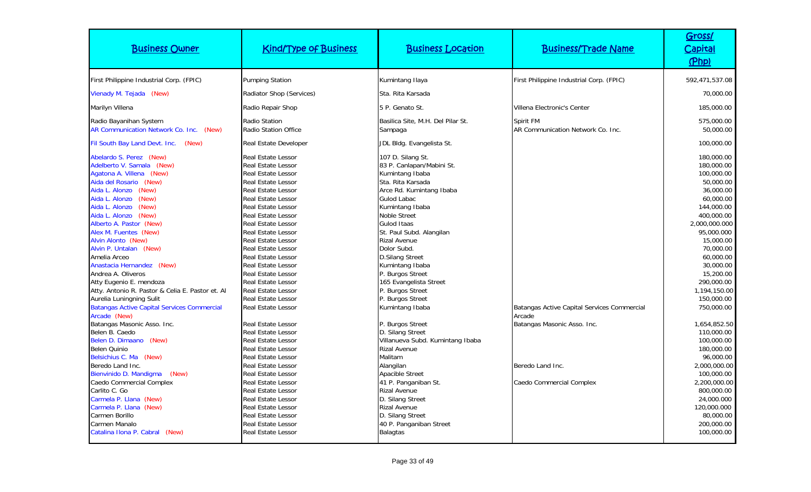| <b>Business Owner</b>                                                                                                                                                                                                                                                                                                                                                                                                                                                                                 | <b>Kind/Type of Business</b>                                                                                                                                                                                                                                                                                                                                                                                                         | <b>Business Location</b>                                                                                                                                                                                                                                                                                                                                                                               | <b>Business/Trade Name</b>                                                                                                           | Gross/<br>Capital<br>(Php)                                                                                                                                                                                                                            |
|-------------------------------------------------------------------------------------------------------------------------------------------------------------------------------------------------------------------------------------------------------------------------------------------------------------------------------------------------------------------------------------------------------------------------------------------------------------------------------------------------------|--------------------------------------------------------------------------------------------------------------------------------------------------------------------------------------------------------------------------------------------------------------------------------------------------------------------------------------------------------------------------------------------------------------------------------------|--------------------------------------------------------------------------------------------------------------------------------------------------------------------------------------------------------------------------------------------------------------------------------------------------------------------------------------------------------------------------------------------------------|--------------------------------------------------------------------------------------------------------------------------------------|-------------------------------------------------------------------------------------------------------------------------------------------------------------------------------------------------------------------------------------------------------|
| First Philippine Industrial Corp. (FPIC)                                                                                                                                                                                                                                                                                                                                                                                                                                                              | <b>Pumping Station</b>                                                                                                                                                                                                                                                                                                                                                                                                               | Kumintang Ilaya                                                                                                                                                                                                                                                                                                                                                                                        | First Philippine Industrial Corp. (FPIC)                                                                                             | 592,471,537.08                                                                                                                                                                                                                                        |
| Vienady M. Tejada (New)                                                                                                                                                                                                                                                                                                                                                                                                                                                                               | Radiator Shop (Services)                                                                                                                                                                                                                                                                                                                                                                                                             | Sta. Rita Karsada                                                                                                                                                                                                                                                                                                                                                                                      |                                                                                                                                      | 70,000.00                                                                                                                                                                                                                                             |
| Marilyn Villena                                                                                                                                                                                                                                                                                                                                                                                                                                                                                       | Radio Repair Shop                                                                                                                                                                                                                                                                                                                                                                                                                    | 5 P. Genato St.                                                                                                                                                                                                                                                                                                                                                                                        | Villena Electronic's Center                                                                                                          | 185,000.00                                                                                                                                                                                                                                            |
| Radio Bayanihan System<br>AR Communication Network Co. Inc. (New)<br>Fil South Bay Land Devt. Inc. (New)                                                                                                                                                                                                                                                                                                                                                                                              | Radio Station<br>Radio Station Office<br>Real Estate Developer                                                                                                                                                                                                                                                                                                                                                                       | Basilica Site, M.H. Del Pilar St.<br>Sampaga<br>JDL Bldg. Evangelista St.                                                                                                                                                                                                                                                                                                                              | Spirit FM<br>AR Communication Network Co. Inc.                                                                                       | 575,000.00<br>50,000.00<br>100,000.00                                                                                                                                                                                                                 |
| Abelardo S. Perez (New)<br>Adelberto V. Samala (New)<br>Agatona A. Villena (New)<br>Aida del Rosario (New)<br>Aida L. Alonzo (New)<br>(New)<br>Aida L. Alonzo<br>(New)<br>Aida L. Alonzo<br>(New)<br>Aida L. Alonzo<br>Alberto A. Pastor (New)<br>Alex M. Fuentes (New)<br>Alvin Alonto (New)<br>Alvin P. Untalan (New)<br>Amelia Arceo<br>Anastacia Hernandez (New)<br>Andrea A. Oliveros<br>Atty Eugenio E. mendoza<br>Atty. Antonio R. Pastor & Celia E. Pastor et. Al<br>Aurelia Luningning Sulit | <b>Real Estate Lessor</b><br>Real Estate Lessor<br>Real Estate Lessor<br>Real Estate Lessor<br>Real Estate Lessor<br>Real Estate Lessor<br>Real Estate Lessor<br>Real Estate Lessor<br><b>Real Estate Lessor</b><br>Real Estate Lessor<br>Real Estate Lessor<br>Real Estate Lessor<br><b>Real Estate Lessor</b><br>Real Estate Lessor<br>Real Estate Lessor<br>Real Estate Lessor<br>Real Estate Lessor<br><b>Real Estate Lessor</b> | 107 D. Silang St.<br>83 P. Canlapan/Mabini St.<br>Kumintang Ibaba<br>Sta. Rita Karsada<br>Arce Rd. Kumintang Ibaba<br>Gulod Labac<br>Kumintang Ibaba<br><b>Noble Street</b><br><b>Gulod Itaas</b><br>St. Paul Subd. Alangilan<br><b>Rizal Avenue</b><br>Dolor Subd.<br><b>D.Silang Street</b><br>Kumintang Ibaba<br>P. Burgos Street<br>165 Evangelista Street<br>P. Burgos Street<br>P. Burgos Street |                                                                                                                                      | 180,000.00<br>180,000.00<br>100,000.00<br>50,000.00<br>36,000.00<br>60,000.00<br>144,000.00<br>400,000.00<br>2,000,000.000<br>95,000.000<br>15,000.00<br>70,000.00<br>60,000.00<br>30,000.00<br>15,200.00<br>290,000.00<br>1,194,150.00<br>150,000.00 |
| <b>Batangas Active Capital Services Commercial</b><br>Arcade (New)<br>Batangas Masonic Asso. Inc.<br>Belen B. Caedo<br>Belen D. Dimaano (New)<br>Belen Quinio<br>Belsichius C. Ma (New)<br>Beredo Land Inc.<br>Bienvinido D. Mandigma<br>(New)<br>Caedo Commercial Complex<br>Carlito C. Go<br>Carmela P. Llana (New)<br>Carmela P. Llana (New)<br>Carmen Borillo<br>Carmen Manalo<br>Catalina Ilona P. Cabral (New)                                                                                  | Real Estate Lessor<br>Real Estate Lessor<br>Real Estate Lessor<br>Real Estate Lessor<br>Real Estate Lessor<br>Real Estate Lessor<br>Real Estate Lessor<br>Real Estate Lessor<br>Real Estate Lessor<br>Real Estate Lessor<br>Real Estate Lessor<br>Real Estate Lessor<br>Real Estate Lessor<br><b>Real Estate Lessor</b><br>Real Estate Lessor                                                                                        | Kumintang Ibaba<br>P. Burgos Street<br>D. Silang Street<br>Villanueva Subd. Kumintang Ibaba<br><b>Rizal Avenue</b><br>Malitam<br>Alangilan<br>Apacible Street<br>41 P. Panganiban St.<br><b>Rizal Avenue</b><br>D. Silang Street<br><b>Rizal Avenue</b><br>D. Silang Street<br>40 P. Panganiban Street<br><b>Balagtas</b>                                                                              | Batangas Active Capital Services Commercial<br>Arcade<br>Batangas Masonic Asso. Inc.<br>Beredo Land Inc.<br>Caedo Commercial Complex | 750,000.00<br>1,654,852.50<br>110,000.00<br>100,000.00<br>180,000.00<br>96,000.00<br>2,000,000.00<br>100,000.00<br>2,200,000.00<br>800,000.00<br>24,000.000<br>120,000.000<br>80,000.00<br>200,000.00<br>100,000.00                                   |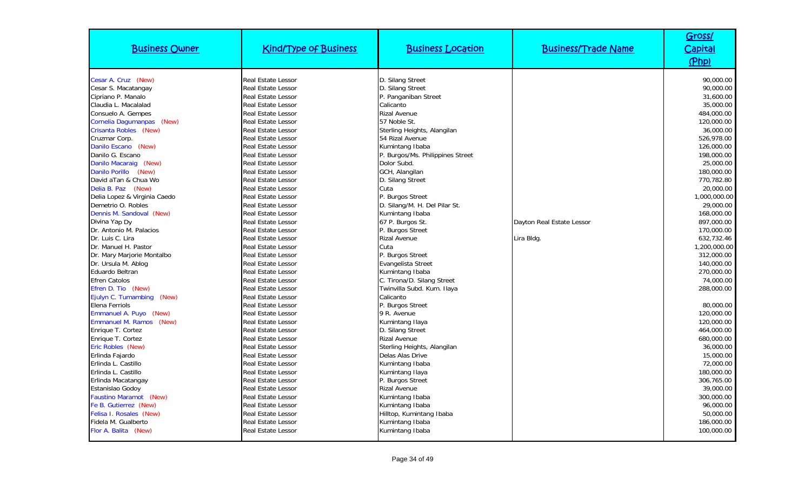| <b>Business Owner</b>        | <b>Kind/Type of Business</b> | <b>Business Location</b>         | <b>Business/Trade Name</b> | Gross/<br>Capital<br>(Php) |
|------------------------------|------------------------------|----------------------------------|----------------------------|----------------------------|
| Cesar A. Cruz (New)          | <b>Real Estate Lessor</b>    | D. Silang Street                 |                            | 90.000.00                  |
| Cesar S. Macatangay          | Real Estate Lessor           | D. Silang Street                 |                            | 90,000.00                  |
| Cipriano P. Manalo           | <b>Real Estate Lessor</b>    | P. Panganiban Street             |                            | 31,600.00                  |
| Claudia L. Macalalad         | Real Estate Lessor           | Calicanto                        |                            | 35,000.00                  |
| Consuelo A. Gempes           | <b>Real Estate Lessor</b>    | <b>Rizal Avenue</b>              |                            | 484,000.00                 |
| Cornelia Dagumanpas (New)    | Real Estate Lessor           | 57 Noble St.                     |                            | 120,000.00                 |
| Crisanta Robles (New)        | <b>Real Estate Lessor</b>    | Sterling Heights, Alangilan      |                            | 36,000.00                  |
| Cruzmar Corp.                | <b>Real Estate Lessor</b>    | 54 Rizal Avenue                  |                            | 526,978.00                 |
| Danilo Escano (New)          | Real Estate Lessor           | Kumintang Ibaba                  |                            | 126,000.00                 |
| Danilo G. Escano             | Real Estate Lessor           | P. Burgos/Ms. Philippines Street |                            | 198,000.00                 |
| Danilo Macaraig (New)        | Real Estate Lessor           | Dolor Subd.                      |                            | 25,000.00                  |
| Danilo Porillo (New)         | <b>Real Estate Lessor</b>    | GCH, Alangilan                   |                            | 180,000.00                 |
| David aTan & Chua Wo         | Real Estate Lessor           | D. Silang Street                 |                            | 770,782.80                 |
| Delia B. Paz (New)           | <b>Real Estate Lessor</b>    | Cuta                             |                            | 20,000.00                  |
| Delia Lopez & Virginia Caedo | <b>Real Estate Lessor</b>    | P. Burgos Street                 |                            | 1,000,000.00               |
| Demetrio O. Robles           | <b>Real Estate Lessor</b>    | D. Silang/M. H. Del Pilar St.    |                            | 29,000.00                  |
| Dennis M. Sandoval (New)     | <b>Real Estate Lessor</b>    | Kumintang Ibaba                  |                            | 168,000.00                 |
| Divina Yap Dy                | <b>Real Estate Lessor</b>    | 67 P. Burgos St.                 | Dayton Real Estate Lessor  | 897.000.00                 |
| Dr. Antonio M. Palacios      | <b>Real Estate Lessor</b>    | P. Burgos Street                 |                            | 170,000.00                 |
| Dr. Luis C. Lira             | <b>Real Estate Lessor</b>    | <b>Rizal Avenue</b>              | Lira Bldg.                 | 632.732.46                 |
| Dr. Manuel H. Pastor         | <b>Real Estate Lessor</b>    | Cuta                             |                            | 1,200,000.00               |
| Dr. Mary Marjorie Montalbo   | <b>Real Estate Lessor</b>    | P. Burgos Street                 |                            | 312,000.00                 |
| Dr. Ursula M. Ablog          | <b>Real Estate Lessor</b>    | Evangelista Street               |                            | 140,000.00                 |
| Eduardo Beltran              | <b>Real Estate Lessor</b>    | Kumintang Ibaba                  |                            | 270,000.00                 |
| <b>Efren Catolos</b>         | <b>Real Estate Lessor</b>    | C. Tirona/D. Silang Street       |                            | 74,000.00                  |
| Efren D. Tio (New)           | Real Estate Lessor           | Twinvilla Subd. Kum. Ilaya       |                            | 288,000.00                 |
| Ejulyn C. Tumambing (New)    | Real Estate Lessor           | Calicanto                        |                            |                            |
| Elena Ferriols               | <b>Real Estate Lessor</b>    | P. Burgos Street                 |                            | 80,000.00                  |
| Emmanuel A. Puyo (New)       | <b>Real Estate Lessor</b>    | 9 R. Avenue                      |                            | 120,000.00                 |
| Emmanuel M. Ramos (New)      | <b>Real Estate Lessor</b>    | Kumintang Ilaya                  |                            | 120,000.00                 |
| Enrique T. Cortez            | Real Estate Lessor           | D. Silang Street                 |                            | 464,000.00                 |
| Enrique T. Cortez            | <b>Real Estate Lessor</b>    | <b>Rizal Avenue</b>              |                            | 680,000.00                 |
| Eric Robles (New)            | <b>Real Estate Lessor</b>    | Sterling Heights, Alangilan      |                            | 36,000.00                  |
| Erlinda Fajardo              | <b>Real Estate Lessor</b>    | Delas Alas Drive                 |                            | 15,000.00                  |
| Erlinda L. Castillo          | Real Estate Lessor           | Kumintang Ibaba                  |                            | 72,000.00                  |
| Erlinda L. Castillo          | <b>Real Estate Lessor</b>    | Kumintang Ilaya                  |                            | 180,000.00                 |
| Erlinda Macatangay           | Real Estate Lessor           | P. Burgos Street                 |                            | 306,765.00                 |
| Estanislao Godoy             | <b>Real Estate Lessor</b>    | <b>Rizal Avenue</b>              |                            | 39,000.00                  |
| Faustino Maramot (New)       | Real Estate Lessor           | Kumintang Ibaba                  |                            | 300,000.00                 |
| Fe B. Gutierrez (New)        | <b>Real Estate Lessor</b>    | Kumintang Ibaba                  |                            | 96,000.00                  |
| Felisa I. Rosales (New)      | Real Estate Lessor           | Hilltop, Kumintang Ibaba         |                            | 50,000.00                  |
| Fidela M. Gualberto          | <b>Real Estate Lessor</b>    | Kumintang Ibaba                  |                            | 186,000.00                 |
| Flor A. Balita (New)         | <b>Real Estate Lessor</b>    | Kumintang Ibaba                  |                            | 100,000.00                 |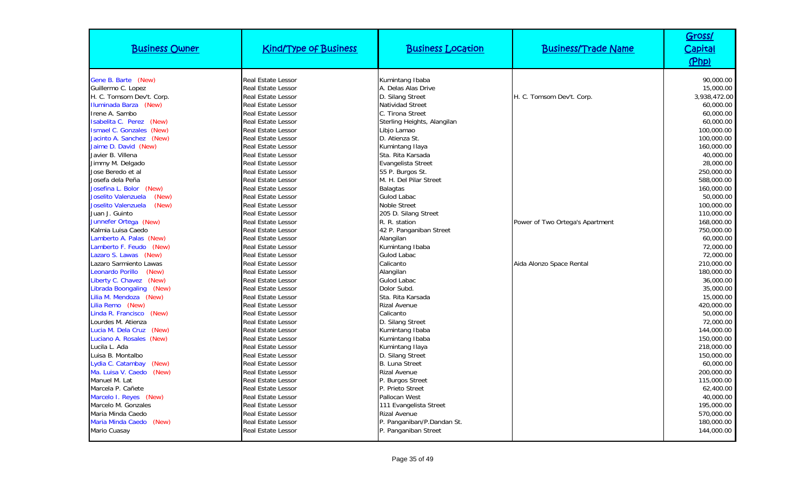| <b>Business Owner</b>        | <b>Kind/Type of Business</b> | <b>Business Location</b>    | <b>Business/Trade Name</b>      | Gross/<br>Capital<br>(Php) |
|------------------------------|------------------------------|-----------------------------|---------------------------------|----------------------------|
| Gene B. Barte (New)          | <b>Real Estate Lessor</b>    | Kumintang Ibaba             |                                 | 90.000.00                  |
| Guillermo C. Lopez           | Real Estate Lessor           | A. Delas Alas Drive         |                                 | 15,000.00                  |
| H. C. Tomsom Dev't. Corp.    | <b>Real Estate Lessor</b>    | D. Silang Street            | H. C. Tomsom Dev't. Corp.       | 3.938.472.00               |
| Iluminada Barza (New)        | Real Estate Lessor           | Natividad Street            |                                 | 60,000.00                  |
| Irene A. Sambo               | Real Estate Lessor           | C. Tirona Street            |                                 | 60,000.00                  |
| Isabelita C. Perez (New)     | Real Estate Lessor           | Sterling Heights, Alangilan |                                 | 60,000.00                  |
| Ismael C. Gonzales (New)     | Real Estate Lessor           | Libjo Lamao                 |                                 | 100,000.00                 |
| Jacinto A. Sanchez (New)     | Real Estate Lessor           | D. Atienza St.              |                                 | 100,000.00                 |
| Jaime D. David (New)         | Real Estate Lessor           | Kumintang Ilaya             |                                 | 160,000.00                 |
| Javier B. Villena            | Real Estate Lessor           | Sta. Rita Karsada           |                                 | 40,000.00                  |
| Jimmy M. Delgado             | Real Estate Lessor           | Evangelista Street          |                                 | 28,000.00                  |
| Jose Beredo et al            | <b>Real Estate Lessor</b>    | 55 P. Burgos St.            |                                 | 250,000.00                 |
| Josefa dela Peña             | Real Estate Lessor           | M. H. Del Pilar Street      |                                 | 588,000.00                 |
| Josefina L. Bolor (New)      | <b>Real Estate Lessor</b>    | <b>Balagtas</b>             |                                 | 160,000.00                 |
| Joselito Valenzuela<br>(New) | Real Estate Lessor           | Gulod Labac                 |                                 | 50,000.00                  |
| Joselito Valenzuela<br>(New) | Real Estate Lessor           | <b>Noble Street</b>         |                                 | 100,000.00                 |
| Juan J. Guinto               | Real Estate Lessor           | 205 D. Silang Street        |                                 | 110,000.00                 |
| Junnefer Ortega (New)        | Real Estate Lessor           | R. R. station               | Power of Two Ortega's Apartment | 168,000.00                 |
| Kalmia Luisa Caedo           | Real Estate Lessor           | 42 P. Panganiban Street     |                                 | 750,000.00                 |
| Lamberto A. Palas (New)      | <b>Real Estate Lessor</b>    | Alangilan                   |                                 | 60,000.00                  |
| Lamberto F. Feudo (New)      | <b>Real Estate Lessor</b>    | Kumintang Ibaba             |                                 | 72,000.00                  |
| Lazaro S. Lawas (New)        | Real Estate Lessor           | Gulod Labac                 |                                 | 72,000.00                  |
| Lazaro Sarmiento Lawas       | <b>Real Estate Lessor</b>    | Calicanto                   | Aida Alonzo Space Rental        | 210,000.00                 |
| Leonardo Porillo<br>(New)    | <b>Real Estate Lessor</b>    | Alangilan                   |                                 | 180,000.00                 |
| Liberty C. Chavez (New)      | <b>Real Estate Lessor</b>    | <b>Gulod Labac</b>          |                                 | 36,000.00                  |
| Librada Boongaling (New)     | <b>Real Estate Lessor</b>    | Dolor Subd.                 |                                 | 35,000.00                  |
| Lilia M. Mendoza (New)       | Real Estate Lessor           | Sta. Rita Karsada           |                                 | 15,000.00                  |
| Lilia Remo (New)             | <b>Real Estate Lessor</b>    | <b>Rizal Avenue</b>         |                                 | 420,000.00                 |
| Linda R. Francisco<br>(New)  | Real Estate Lessor           | Calicanto                   |                                 | 50,000.00                  |
| Lourdes M. Atienza           | <b>Real Estate Lessor</b>    | D. Silang Street            |                                 | 72,000.00                  |
| Lucia M. Dela Cruz<br>(New)  | Real Estate Lessor           | Kumintang Ibaba             |                                 | 144,000.00                 |
| Luciano A. Rosales (New)     | <b>Real Estate Lessor</b>    | Kumintang Ibaba             |                                 | 150,000.00                 |
| Lucila L. Ada                | Real Estate Lessor           | Kumintang Ilaya             |                                 | 218,000.00                 |
| Luisa B. Montalbo            | <b>Real Estate Lessor</b>    | D. Silang Street            |                                 | 150,000.00                 |
| Lydia C. Catambay<br>(New)   | Real Estate Lessor           | <b>B.</b> Luna Street       |                                 | 60,000.00                  |
| Ma. Luisa V. Caedo<br>(New)  | <b>Real Estate Lessor</b>    | <b>Rizal Avenue</b>         |                                 | 200,000.00                 |
| Manuel M. Lat                | <b>Real Estate Lessor</b>    | P. Burgos Street            |                                 | 115,000.00                 |
| Marcela P. Cañete            | Real Estate Lessor           | P. Prieto Street            |                                 | 62,400.00                  |
| Marcelo I. Reyes (New)       | Real Estate Lessor           | Pallocan West               |                                 | 40,000.00                  |
| Marcelo M. Gonzales          | <b>Real Estate Lessor</b>    | 111 Evangelista Street      |                                 | 195,000.00                 |
| Maria Minda Caedo            | Real Estate Lessor           | Rizal Avenue                |                                 | 570,000.00                 |
| Maria Minda Caedo<br>(New)   | Real Estate Lessor           | P. Panganiban/P.Dandan St.  |                                 | 180,000.00                 |
| Mario Cuasay                 | Real Estate Lessor           | P. Panganiban Street        |                                 | 144,000.00                 |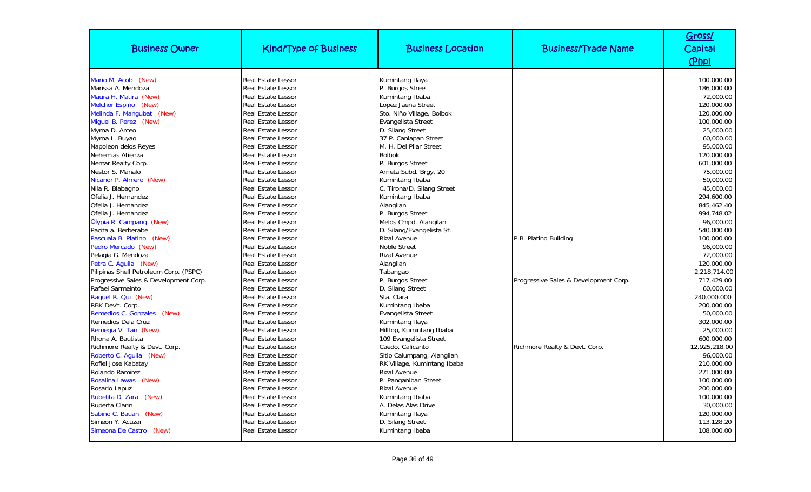| <b>Business Owner</b>                  | <b>Kind/Type of Business</b>                           | <b>Business Location</b>               | <b>Business/Trade Name</b>            | Gross/<br>Capital<br>(Php) |
|----------------------------------------|--------------------------------------------------------|----------------------------------------|---------------------------------------|----------------------------|
| Mario M. Acob (New)                    | <b>Real Estate Lessor</b>                              | Kumintang Ilaya                        |                                       | 100,000.00                 |
| Marissa A. Mendoza                     | <b>Real Estate Lessor</b>                              | P. Burgos Street                       |                                       | 186,000.00                 |
| Maura H. Matira (New)                  | <b>Real Estate Lessor</b>                              | Kumintang Ibaba                        |                                       | 72,000.00                  |
| Melchor Espino (New)                   | <b>Real Estate Lessor</b>                              | Lopez Jaena Street                     |                                       | 120,000.00                 |
| Melinda F. Mangubat (New)              | <b>Real Estate Lessor</b>                              | Sto. Niño Village, Bolbok              |                                       | 120,000.00                 |
| Miquel B. Perez (New)                  | <b>Real Estate Lessor</b>                              | Evangelista Street                     |                                       | 100,000.00                 |
| Myrna D. Arceo                         | <b>Real Estate Lessor</b>                              | D. Silang Street                       |                                       | 25,000.00                  |
| Myrna L. Buyao                         | <b>Real Estate Lessor</b>                              | 37 P. Canlapan Street                  |                                       | 60,000.00                  |
| Napoleon delos Reyes                   | <b>Real Estate Lessor</b>                              | M. H. Del Pilar Street                 |                                       | 95,000.00                  |
| Nehemias Atienza                       | <b>Real Estate Lessor</b>                              | <b>Bolbok</b>                          |                                       | 120,000.00                 |
| Nemar Realty Corp.                     | <b>Real Estate Lessor</b>                              | P. Burgos Street                       |                                       | 601,000.00                 |
| Nestor S. Manalo                       | <b>Real Estate Lessor</b>                              | Arrieta Subd. Brgy. 20                 |                                       | 75,000.00                  |
| Nicanor P. Almero (New)                | <b>Real Estate Lessor</b>                              | Kumintang Ibaba                        |                                       | 50,000.00                  |
| Nila R. Blabagno                       | <b>Real Estate Lessor</b>                              | C. Tirona/D. Silang Street             |                                       | 45,000.00                  |
| Ofelia J. Hernandez                    | <b>Real Estate Lessor</b>                              | Kumintang Ibaba                        |                                       | 294.600.00                 |
| Ofelia J. Hernandez                    | <b>Real Estate Lessor</b>                              | Alangilan                              |                                       | 845,462.40                 |
| Ofelia J. Hernandez                    | <b>Real Estate Lessor</b>                              | P. Burgos Street                       |                                       | 994.748.02                 |
| Olypia R. Campang (New)                | <b>Real Estate Lessor</b>                              | Melos Cmpd. Alangilan                  |                                       | 96,000.00                  |
| Pacita a. Berberabe                    | <b>Real Estate Lessor</b>                              | D. Silang/Evangelista St.              |                                       | 540,000.00                 |
| Pascuala B. Platino (New)              | <b>Real Estate Lessor</b>                              | <b>Rizal Avenue</b>                    | P.B. Platino Building                 | 100,000.00                 |
| Pedro Mercado (New)                    | <b>Real Estate Lessor</b>                              | Noble Street                           |                                       | 96,000.00                  |
| Pelagia G. Mendoza                     | <b>Real Estate Lessor</b>                              | <b>Rizal Avenue</b>                    |                                       | 72,000.00                  |
| Petra C. Aguila (New)                  | <b>Real Estate Lessor</b>                              | Alangilan                              |                                       | 120,000.00                 |
| Pilipinas Shell Petroleum Corp. (PSPC) | <b>Real Estate Lessor</b>                              | Tabangao                               |                                       | 2,218,714.00               |
| Progressive Sales & Development Corp.  | <b>Real Estate Lessor</b>                              | P. Burgos Street                       | Progressive Sales & Development Corp. | 717,429.00                 |
| Rafael Sarmeinto                       | <b>Real Estate Lessor</b>                              | D. Silang Street                       |                                       | 60,000.00                  |
| Raquel R. Qui (New)                    | <b>Real Estate Lessor</b>                              | Sta. Clara                             |                                       | 240,000.000                |
| RBK Dev't. Corp.                       | <b>Real Estate Lessor</b>                              | Kumintang Ibaba                        |                                       | 200,000.00                 |
| Remedios C. Gonzales (New)             | <b>Real Estate Lessor</b>                              | Evangelista Street                     |                                       | 50,000.00                  |
| Remedios Dela Cruz                     | <b>Real Estate Lessor</b>                              | Kumintang Ilaya                        |                                       | 302,000.00                 |
| Remegia V. Tan (New)                   | <b>Real Estate Lessor</b>                              | Hilltop, Kumintang Ibaba               |                                       | 25,000.00                  |
| Rhona A. Bautista                      | <b>Real Estate Lessor</b>                              | 109 Evangelista Street                 |                                       | 600,000.00                 |
| Richmore Realty & Devt. Corp.          | <b>Real Estate Lessor</b>                              | Caedo, Calicanto                       | Richmore Realty & Devt. Corp.         | 12,925,218.00              |
| Roberto C. Aguila (New)                | <b>Real Estate Lessor</b>                              | Sitio Calumpang, Alangilan             |                                       | 96.000.00                  |
| Rofiel Jose Kabatay                    | <b>Real Estate Lessor</b>                              | RK Village, Kumintang Ibaba            |                                       | 210,000.00                 |
| Rolando Ramirez                        | <b>Real Estate Lessor</b>                              | <b>Rizal Avenue</b>                    |                                       | 271.000.00                 |
| Rosalina Lawas (New)<br>Rosario Lapuz  | <b>Real Estate Lessor</b><br><b>Real Estate Lessor</b> | P. Panganiban Street<br>Rizal Avenue   |                                       | 100,000.00<br>200,000.00   |
| Rubelita D. Zara (New)                 | <b>Real Estate Lessor</b>                              |                                        |                                       | 100,000.00                 |
| Ruperta Clarin                         | <b>Real Estate Lessor</b>                              | Kumintang Ibaba<br>A. Delas Alas Drive |                                       | 30,000.00                  |
| Sabino C. Bauan (New)                  | <b>Real Estate Lessor</b>                              | Kumintang Ilaya                        |                                       | 120,000.00                 |
| Simeon Y. Acuzar                       | <b>Real Estate Lessor</b>                              | D. Silang Street                       |                                       | 113,128.20                 |
| Simeona De Castro (New)                | Real Estate Lessor                                     | Kumintang Ibaba                        |                                       | 108,000.00                 |
|                                        |                                                        |                                        |                                       |                            |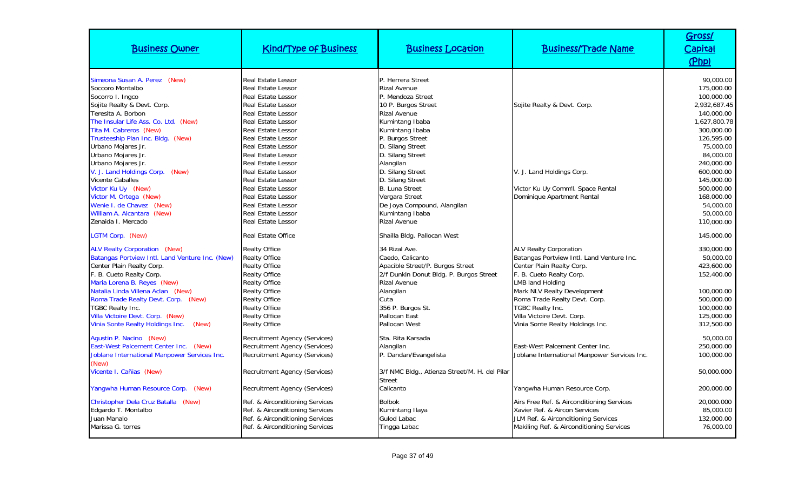| <b>Business Owner</b>                                                                                                                                                                                                                                                                 | <b>Kind/Type of Business</b>                                                                                                                                                                                                                                              | <b>Business Location</b>                                                                                                                                                                                      | <b>Business/Trade Name</b>                                                                                                                                                                                                                         | Gross/<br><b>Capital</b><br>(Php)                                                                                                    |
|---------------------------------------------------------------------------------------------------------------------------------------------------------------------------------------------------------------------------------------------------------------------------------------|---------------------------------------------------------------------------------------------------------------------------------------------------------------------------------------------------------------------------------------------------------------------------|---------------------------------------------------------------------------------------------------------------------------------------------------------------------------------------------------------------|----------------------------------------------------------------------------------------------------------------------------------------------------------------------------------------------------------------------------------------------------|--------------------------------------------------------------------------------------------------------------------------------------|
| Simeona Susan A. Perez (New)<br>Soccoro Montalbo<br>Socorro I. Ingco<br>Sojite Realty & Devt. Corp.<br>Teresita A. Borbon<br>The Insular Life Ass. Co. Ltd. (New)<br>Tita M. Cabreros (New)<br>Trusteeship Plan Inc. Bldg. (New)                                                      | <b>Real Estate Lessor</b><br>Real Estate Lessor<br><b>Real Estate Lessor</b><br><b>Real Estate Lessor</b><br><b>Real Estate Lessor</b><br><b>Real Estate Lessor</b><br>Real Estate Lessor<br>Real Estate Lessor                                                           | P. Herrera Street<br><b>Rizal Avenue</b><br>P. Mendoza Street<br>10 P. Burgos Street<br><b>Rizal Avenue</b><br>Kumintang Ibaba<br>Kumintang Ibaba<br>P. Burgos Street                                         | Sojite Realty & Devt. Corp.                                                                                                                                                                                                                        | 90.000.00<br>175,000.00<br>100,000.00<br>2.932.687.45<br>140,000.00<br>1.627.800.78<br>300,000.00<br>126,595.00                      |
| Urbano Mojares Jr.<br>Urbano Mojares Jr.<br>Urbano Mojares Jr.<br>V. J. Land Holdings Corp.<br>(New)<br>Vicente Caballes<br>Victor Ku Uy (New)<br>Victor M. Ortega (New)<br>Wenie I. de Chavez (New)<br>William A. Alcantara (New)<br>Zenaida I. Mercado                              | <b>Real Estate Lessor</b><br>Real Estate Lessor<br>Real Estate Lessor<br><b>Real Estate Lessor</b><br>Real Estate Lessor<br><b>Real Estate Lessor</b><br><b>Real Estate Lessor</b><br><b>Real Estate Lessor</b><br><b>Real Estate Lessor</b><br><b>Real Estate Lessor</b> | D. Silang Street<br>D. Silang Street<br>Alangilan<br>D. Silang Street<br>D. Silang Street<br><b>B.</b> Luna Street<br>Vergara Street<br>De Joya Compound, Alangilan<br>Kumintang Ibaba<br><b>Rizal Avenue</b> | V. J. Land Holdings Corp.<br>Victor Ku Uy Comm'l. Space Rental<br>Dominique Apartment Rental                                                                                                                                                       | 75,000.00<br>84,000.00<br>240,000.00<br>600,000.00<br>145,000.00<br>500,000.00<br>168,000.00<br>54,000.00<br>50,000.00<br>110,000.00 |
| LGTM Corp. (New)                                                                                                                                                                                                                                                                      | <b>Real Estate Office</b>                                                                                                                                                                                                                                                 | Shailla Bldg. Pallocan West                                                                                                                                                                                   |                                                                                                                                                                                                                                                    | 145,000.00                                                                                                                           |
| <b>ALV Realty Corporation (New)</b><br>Batangas Portview Intl. Land Venture Inc. (New)<br>Center Plain Realty Corp.<br>F. B. Cueto Realty Corp.<br>Maria Lorena B. Reyes (New)<br>Natalia Linda Villena Aclan (New)<br>Roma Trade Realty Devt. Corp. (New)<br><b>TGBC Realty Inc.</b> | <b>Realty Office</b><br><b>Realty Office</b><br><b>Realty Office</b><br><b>Realty Office</b><br><b>Realty Office</b><br><b>Realty Office</b><br><b>Realty Office</b><br><b>Realty Office</b>                                                                              | 34 Rizal Ave.<br>Caedo, Calicanto<br>Apacible Street/P. Burgos Street<br>2/f Dunkin Donut Bldg. P. Burgos Street<br><b>Rizal Avenue</b><br>Alangilan<br>Cuta<br>356 P. Burgos St.                             | <b>ALV Realty Corporation</b><br>Batangas Portview Intl. Land Venture Inc.<br>Center Plain Realty Corp.<br>F. B. Cueto Realty Corp.<br>LMB land Holding<br>Mark NLV Realty Development<br>Roma Trade Realty Devt. Corp.<br><b>TGBC Realty Inc.</b> | 330,000.00<br>50,000.00<br>423,600.00<br>152,400.00<br>100,000.00<br>500,000.00<br>100,000.00                                        |
| Villa Victoire Devt. Corp. (New)<br>Vinia Sonte Realty Holdings Inc.<br>(New)                                                                                                                                                                                                         | <b>Realty Office</b><br>Realty Office                                                                                                                                                                                                                                     | Pallocan East<br>Pallocan West                                                                                                                                                                                | Villa Victoire Devt. Corp.<br>Vinia Sonte Realty Holdings Inc.                                                                                                                                                                                     | 125,000.00<br>312,500.00                                                                                                             |
| Agustin P. Nacino (New)<br>East-West Palcement Center Inc. (New)<br>Joblane International Manpower Services Inc.<br>(New)                                                                                                                                                             | Recruitment Agency (Services)<br>Recruitment Agency (Services)<br>Recruitment Agency (Services)                                                                                                                                                                           | Sta. Rita Karsada<br>Alangilan<br>P. Dandan/Evangelista                                                                                                                                                       | East-West Palcement Center Inc.<br>Joblane International Manpower Services Inc.                                                                                                                                                                    | 50,000.00<br>250,000.00<br>100,000.00                                                                                                |
| Vicente I. Cañias (New)<br>Yangwha Human Resource Corp. (New)                                                                                                                                                                                                                         | Recruitment Agency (Services)<br>Recruitment Agency (Services)                                                                                                                                                                                                            | 3/f NMC Bldg., Atienza Street/M. H. del Pilar<br><b>Street</b><br>Calicanto                                                                                                                                   | Yangwha Human Resource Corp.                                                                                                                                                                                                                       | 50,000.000<br>200,000.00                                                                                                             |
| Christopher Dela Cruz Batalla (New)<br>Edgardo T. Montalbo<br>Juan Manalo<br>Marissa G. torres                                                                                                                                                                                        | Ref. & Airconditioning Services<br>Ref. & Airconditioning Services<br>Ref. & Airconditioning Services<br>Ref. & Airconditioning Services                                                                                                                                  | <b>Bolbok</b><br>Kumintang Ilaya<br><b>Gulod Labac</b><br>Tingga Labac                                                                                                                                        | Airs Free Ref. & Airconditioning Services<br>Xavier Ref. & Aircon Services<br>JLM Ref. & Airconditioning Services<br>Makiling Ref. & Airconditioning Services                                                                                      | 20,000.000<br>85,000.00<br>132,000.00<br>76,000.00                                                                                   |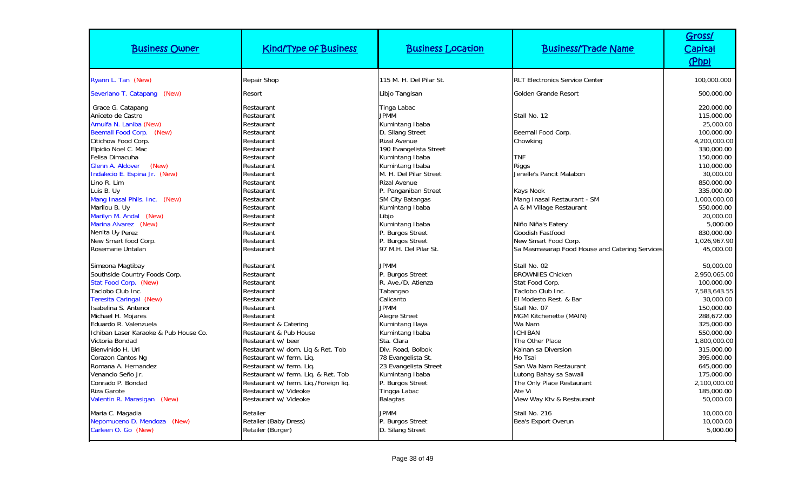| <b>Business Owner</b>                                                                                                                                                                                                                                                                                                                                                                                                                                                                                                                                                                                                                                                                                                                           | <b>Kind/Type of Business</b>                                                                                                                                                                                                                                                                                                                                                                                                                                                                         | <b>Business Location</b>                                                                                                                                                                                                                                                                                                                                                                                                                                                                                                                                                                      | <b>Business/Trade Name</b>                                                                                                                                                                                                                                                                                                                                                                                                                                                                                                                   | Gross/<br><b>Capital</b><br>(Php)                                                                                                                                                                                                                                                                                                                                                                                                    |
|-------------------------------------------------------------------------------------------------------------------------------------------------------------------------------------------------------------------------------------------------------------------------------------------------------------------------------------------------------------------------------------------------------------------------------------------------------------------------------------------------------------------------------------------------------------------------------------------------------------------------------------------------------------------------------------------------------------------------------------------------|------------------------------------------------------------------------------------------------------------------------------------------------------------------------------------------------------------------------------------------------------------------------------------------------------------------------------------------------------------------------------------------------------------------------------------------------------------------------------------------------------|-----------------------------------------------------------------------------------------------------------------------------------------------------------------------------------------------------------------------------------------------------------------------------------------------------------------------------------------------------------------------------------------------------------------------------------------------------------------------------------------------------------------------------------------------------------------------------------------------|----------------------------------------------------------------------------------------------------------------------------------------------------------------------------------------------------------------------------------------------------------------------------------------------------------------------------------------------------------------------------------------------------------------------------------------------------------------------------------------------------------------------------------------------|--------------------------------------------------------------------------------------------------------------------------------------------------------------------------------------------------------------------------------------------------------------------------------------------------------------------------------------------------------------------------------------------------------------------------------------|
| Ryann L. Tan (New)                                                                                                                                                                                                                                                                                                                                                                                                                                                                                                                                                                                                                                                                                                                              | Repair Shop                                                                                                                                                                                                                                                                                                                                                                                                                                                                                          | 115 M. H. Del Pilar St.                                                                                                                                                                                                                                                                                                                                                                                                                                                                                                                                                                       | <b>RLT Electronics Service Center</b>                                                                                                                                                                                                                                                                                                                                                                                                                                                                                                        | 100,000.000                                                                                                                                                                                                                                                                                                                                                                                                                          |
| Severiano T. Catapang<br>(New)                                                                                                                                                                                                                                                                                                                                                                                                                                                                                                                                                                                                                                                                                                                  | Resort                                                                                                                                                                                                                                                                                                                                                                                                                                                                                               | Libjo Tangisan                                                                                                                                                                                                                                                                                                                                                                                                                                                                                                                                                                                | Golden Grande Resort                                                                                                                                                                                                                                                                                                                                                                                                                                                                                                                         | 500,000.00                                                                                                                                                                                                                                                                                                                                                                                                                           |
| Grace G. Catapang<br>Aniceto de Castro<br>Arnulfa N. Laniba (New)<br>Beemall Food Corp. (New)<br>Citichow Food Corp.<br>Elpidio Noel C. Mac<br>Felisa Dimacuha<br>(New)<br>Glenn A. Aldover<br>Indalecio E. Espina Jr. (New)<br>Lino R. Lim<br>Luis B. Uy<br>Mang Inasal Phils. Inc. (New)<br>Marilou B. Uy<br>Marilyn M. Andal (New)<br>Marina Alvarez (New)<br>Nenita Uy Perez<br>New Smart food Corp.<br>Rosemarie Untalan<br>Simeona Magtibay<br>Southside Country Foods Corp.<br>Stat Food Corp. (New)<br>Taclobo Club Inc.<br><b>Teresita Caringal (New)</b><br>Isabelina S. Antenor<br>Michael H. Mojares<br>Eduardo R. Valenzuela<br>Ichiban Laser Karaoke & Pub House Co.<br>Victoria Bondad<br>Bienvinido H. Uri<br>Corazon Cantos Ng | Restaurant<br>Restaurant<br>Restaurant<br>Restaurant<br>Restaurant<br>Restaurant<br>Restaurant<br>Restaurant<br>Restaurant<br>Restaurant<br>Restaurant<br>Restaurant<br>Restaurant<br>Restaurant<br>Restaurant<br>Restaurant<br>Restaurant<br>Restaurant<br>Restaurant<br>Restaurant<br>Restaurant<br>Restaurant<br>Restaurant<br>Restaurant<br>Restaurant<br>Restaurant & Catering<br>Restaurant & Pub House<br>Restaurant w/ beer<br>Restaurant w/ dom. Liq & Ret. Tob<br>Restaurant w/ ferm. Liq. | Tinga Labac<br><b>JPMM</b><br>Kumintang Ibaba<br>D. Silang Street<br><b>Rizal Avenue</b><br>190 Evangelista Street<br>Kumintang Ibaba<br>Kumintang Ibaba<br>M. H. Del Pilar Street<br><b>Rizal Avenue</b><br>P. Panganiban Street<br><b>SM City Batangas</b><br>Kumintang Ibaba<br>Libjo<br>Kumintang Ibaba<br>P. Burgos Street<br>P. Burgos Street<br>97 M.H. Del Pilar St.<br><b>JPMM</b><br>P. Burgos Street<br>R. Ave./D. Atienza<br>Tabangao<br>Calicanto<br><b>JPMM</b><br>Alegre Street<br>Kumintang Ilaya<br>Kumintang Ibaba<br>Sta. Clara<br>Div. Road, Bolbok<br>78 Evangelista St. | Stall No. 12<br>Beemall Food Corp.<br>Chowking<br><b>TNF</b><br><b>Riggs</b><br>Jenelle's Pancit Malabon<br>Kays Nook<br>Mang Inasal Restaurant - SM<br>A & M Village Restaurant<br>Niño Niña's Eatery<br>Goodish Fastfood<br>New Smart Food Corp.<br>Sa Masmasarap Food House and Catering Services<br>Stall No. 02<br><b>BROWNIES Chicken</b><br>Stat Food Corp.<br>Taclobo Club Inc.<br>El Modesto Rest. & Bar<br>Stall No. 07<br>MGM Kitchenette (MAIN)<br>Wa Nam<br><b>ICHIBAN</b><br>The Other Place<br>Kainan sa Diversion<br>Ho Tsai | 220,000.00<br>115,000.00<br>25,000.00<br>100,000.00<br>4,200,000.00<br>330,000.00<br>150,000.00<br>110,000.00<br>30,000.00<br>850,000.00<br>335,000.00<br>1,000,000.00<br>550,000.00<br>20,000.00<br>5,000.00<br>830,000.00<br>1,026,967.90<br>45,000.00<br>50,000.00<br>2,950,065.00<br>100,000.00<br>7,583,643.55<br>30,000.00<br>150,000.00<br>288,672.00<br>325,000.00<br>550,000.00<br>1,800,000.00<br>315,000.00<br>395,000.00 |
| Romana A. Hernandez<br>Venancio Seño Jr.<br>Conrado P. Bondad<br>Riza Garote<br>Valentin R. Marasigan (New)                                                                                                                                                                                                                                                                                                                                                                                                                                                                                                                                                                                                                                     | Restaurant w/ ferm. Liq.<br>Restaurant w/ ferm. Liq. & Ret. Tob<br>Restaurant w/ ferm. Lig./Foreign lig.<br>Restaurant w/ Videoke<br>Restaurant w/ Videoke                                                                                                                                                                                                                                                                                                                                           | 23 Evangelista Street<br>Kumintang Ibaba<br>P. Burgos Street<br>Tingga Labac<br><b>Balagtas</b>                                                                                                                                                                                                                                                                                                                                                                                                                                                                                               | San Wa Nam Restaurant<br>Lutong Bahay sa Sawali<br>The Only Place Restaurant<br>Ate Vi<br>View Way Ktv & Restaurant                                                                                                                                                                                                                                                                                                                                                                                                                          | 645,000.00<br>175,000.00<br>2,100,000.00<br>185,000.00<br>50,000.00                                                                                                                                                                                                                                                                                                                                                                  |
| Maria C. Magadia<br>Nepomuceno D. Mendoza (New)<br>Carleen O. Go (New)                                                                                                                                                                                                                                                                                                                                                                                                                                                                                                                                                                                                                                                                          | Retailer<br>Retailer (Baby Dress)<br>Retailer (Burger)                                                                                                                                                                                                                                                                                                                                                                                                                                               | <b>JPMM</b><br>P. Burgos Street<br>D. Silang Street                                                                                                                                                                                                                                                                                                                                                                                                                                                                                                                                           | Stall No. 216<br>Bea's Export Overun                                                                                                                                                                                                                                                                                                                                                                                                                                                                                                         | 10,000.00<br>10,000.00<br>5,000.00                                                                                                                                                                                                                                                                                                                                                                                                   |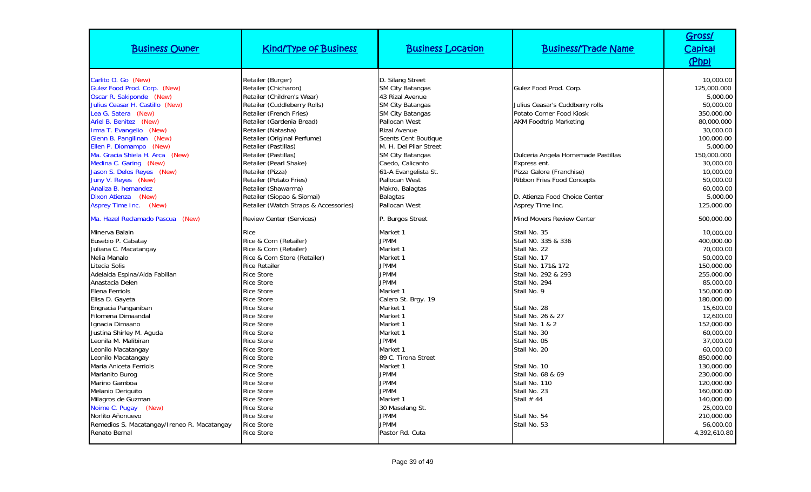| <b>Business Owner</b>                                                                                                                                                                                                                                                                                                                                                                                                            | <b>Kind/Type of Business</b>                                                                                                                                                                                                                                                                                                                                                                                                                | <b>Business Location</b>                                                                                                                                                                                                                                                                                                                                      | <b>Business/Trade Name</b>                                                                                                                                                                                                                                              | Gross/<br>Capital<br>(Php)                                                                                                                                                                                        |
|----------------------------------------------------------------------------------------------------------------------------------------------------------------------------------------------------------------------------------------------------------------------------------------------------------------------------------------------------------------------------------------------------------------------------------|---------------------------------------------------------------------------------------------------------------------------------------------------------------------------------------------------------------------------------------------------------------------------------------------------------------------------------------------------------------------------------------------------------------------------------------------|---------------------------------------------------------------------------------------------------------------------------------------------------------------------------------------------------------------------------------------------------------------------------------------------------------------------------------------------------------------|-------------------------------------------------------------------------------------------------------------------------------------------------------------------------------------------------------------------------------------------------------------------------|-------------------------------------------------------------------------------------------------------------------------------------------------------------------------------------------------------------------|
| Carlito O. Go (New)<br>Gulez Food Prod. Corp. (New)<br>Oscar R. Sakiponde (New)<br>Julius Ceasar H. Castillo (New)<br>Lea G. Satera (New)<br>Ariel B. Benitez (New)<br>Irma T. Evangelio (New)<br>Glenn B. Pangilinan (New)<br>Ellen P. Diomampo (New)<br>Ma. Gracia Shiela H. Arca (New)<br>Medina C. Garing (New)<br>Jason S. Delos Reyes (New)<br>Juny V. Reyes (New)<br>Analiza B. hernandez<br>Dixon Atienza (New)<br>(New) | Retailer (Burger)<br>Retailer (Chicharon)<br>Retailer (Children's Wear)<br>Retailer (Cuddleberry Rolls)<br>Retailer (French Fries)<br>Retailer (Gardenia Bread)<br>Retailer (Natasha)<br>Retailer (Original Perfume)<br>Retailer (Pastillas)<br>Retailer (Pastillas)<br>Retailer (Pearl Shake)<br>Retailer (Pizza)<br>Retailer (Potato Fries)<br>Retailer (Shawarma)<br>Retailer (Siopao & Siomai)<br>Retailer (Watch Straps & Accessories) | D. Silang Street<br><b>SM City Batangas</b><br>43 Rizal Avenue<br><b>SM City Batangas</b><br><b>SM City Batangas</b><br>Pallocan West<br><b>Rizal Avenue</b><br>Scents Cent Boutique<br>M. H. Del Pilar Street<br><b>SM City Batangas</b><br>Caedo, Calicanto<br>61-A Evangelista St.<br>Pallocan West<br>Makro, Balagtas<br><b>Balagtas</b><br>Pallocan West | Gulez Food Prod. Corp.<br>Julius Ceasar's Cuddberry rolls<br>Potato Corner Food Kiosk<br><b>AKM Foodtrip Marketing</b><br>Dulceria Angela Homemade Pastillas<br>Express ent.<br>Pizza Galore (Franchise)<br>Ribbon Fries Food Concepts<br>D. Atienza Food Choice Center | 10,000.00<br>125,000.000<br>5,000.00<br>50,000.00<br>350,000.00<br>80,000.000<br>30,000.00<br>100,000.00<br>5,000.00<br>150,000.000<br>30,000.00<br>10,000.00<br>50,000.00<br>60,000.00<br>5,000.00<br>125,000.00 |
| <b>Asprey Time Inc.</b><br>Ma. Hazel Reclamado Pascua (New)                                                                                                                                                                                                                                                                                                                                                                      | <b>Review Center (Services)</b>                                                                                                                                                                                                                                                                                                                                                                                                             | P. Burgos Street                                                                                                                                                                                                                                                                                                                                              | Asprey Time Inc.<br>Mind Movers Review Center                                                                                                                                                                                                                           | 500,000.00                                                                                                                                                                                                        |
| Minerva Balain<br>Eusebio P. Cabatay<br>Juliana C. Macatangay<br>Nelia Manalo<br>Litecia Solis<br>Adelaida Espina/Aida Fabillan<br>Anastacia Delen<br>Elena Ferriols<br>Elisa D. Gayeta<br>Engracia Panganiban<br>Filomena Dimaandal<br>Ignacia Dimaano<br>Justina Shirley M. Aguda<br>Leonila M. Malibiran                                                                                                                      | Rice<br>Rice & Corn (Retailer)<br>Rice & Corn (Retailer)<br>Rice & Corn Store (Retailer)<br><b>Rice Retailer</b><br><b>Rice Store</b><br><b>Rice Store</b><br><b>Rice Store</b><br><b>Rice Store</b><br><b>Rice Store</b><br><b>Rice Store</b><br><b>Rice Store</b><br><b>Rice Store</b><br><b>Rice Store</b>                                                                                                                               | Market 1<br><b>JPMM</b><br>Market 1<br>Market 1<br><b>JPMM</b><br><b>JPMM</b><br><b>JPMM</b><br>Market 1<br>Calero St. Brgy. 19<br>Market 1<br>Market 1<br>Market 1<br>Market 1<br><b>JPMM</b>                                                                                                                                                                | Stall No. 35<br>Stall NO. 335 & 336<br>Stall No. 22<br>Stall No. 17<br>Stall No. 171& 172<br>Stall No. 292 & 293<br>Stall No. 294<br>Stall No. 9<br>Stall No. 28<br>Stall No. 26 & 27<br>Stall No. 1 & 2<br>Stall No. 30<br>Stall No. 05                                | 10,000.00<br>400,000.00<br>70,000.00<br>50,000.00<br>150,000.00<br>255,000.00<br>85,000.00<br>150,000.00<br>180,000.00<br>15,600.00<br>12,600.00<br>152,000.00<br>60,000.00<br>37,000.00                          |
| Leonilo Macatangay<br>Leonilo Macatangay<br>Maria Aniceta Ferriols<br>Marianito Burog<br>Marino Gamboa<br>Melanio Deriguito<br>Milagros de Guzman<br>Noime C. Pugay (New)<br>Norlito Añonuevo<br>Remedios S. Macatangay/Ireneo R. Macatangay<br>Renato Bernal                                                                                                                                                                    | <b>Rice Store</b><br><b>Rice Store</b><br><b>Rice Store</b><br><b>Rice Store</b><br><b>Rice Store</b><br><b>Rice Store</b><br><b>Rice Store</b><br><b>Rice Store</b><br><b>Rice Store</b><br><b>Rice Store</b><br><b>Rice Store</b>                                                                                                                                                                                                         | Market 1<br>89 C. Tirona Street<br>Market 1<br><b>JPMM</b><br><b>JPMM</b><br><b>JPMM</b><br>Market 1<br>30 Maselang St.<br>JPMM<br><b>JPMM</b><br>Pastor Rd. Cuta                                                                                                                                                                                             | Stall No. 20<br>Stall No. 10<br>Stall No. 68 & 69<br>Stall No. 110<br>Stall No. 23<br>Stall $#44$<br>Stall No. 54<br>Stall No. 53                                                                                                                                       | 60,000.00<br>850,000.00<br>130,000.00<br>230,000.00<br>120,000.00<br>160,000.00<br>140,000.00<br>25,000.00<br>210,000.00<br>56,000.00<br>4,392,610.80                                                             |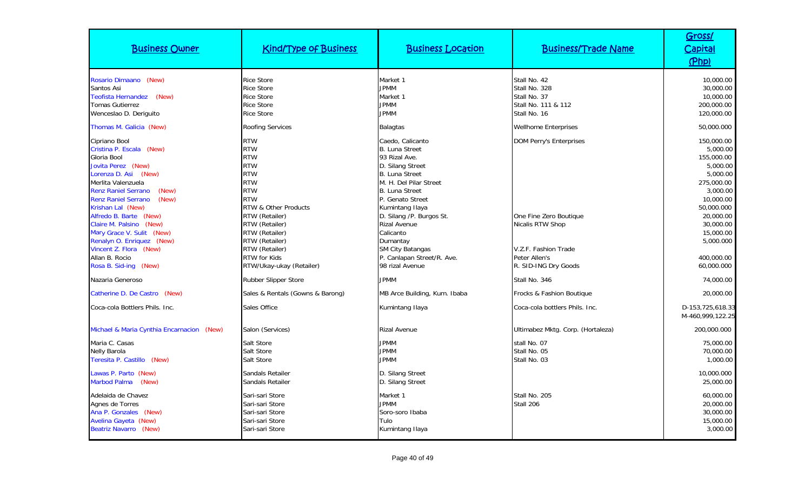| <b>Business Owner</b>                                                                                                                                                                                                                                                                                                                                                                                                                          | <b>Kind/Type of Business</b>                                                                                                                                                                                                                                                                                     | <b>Business Location</b>                                                                                                                                                                                                                                                                                                                                                     | <b>Business/Trade Name</b>                                                                                                                                                   | Gross/<br><u>Capital</u><br>(Php)                                                                                                                                                                               |
|------------------------------------------------------------------------------------------------------------------------------------------------------------------------------------------------------------------------------------------------------------------------------------------------------------------------------------------------------------------------------------------------------------------------------------------------|------------------------------------------------------------------------------------------------------------------------------------------------------------------------------------------------------------------------------------------------------------------------------------------------------------------|------------------------------------------------------------------------------------------------------------------------------------------------------------------------------------------------------------------------------------------------------------------------------------------------------------------------------------------------------------------------------|------------------------------------------------------------------------------------------------------------------------------------------------------------------------------|-----------------------------------------------------------------------------------------------------------------------------------------------------------------------------------------------------------------|
| Rosario Dimaano (New)<br>Santos Asi<br>Teofista Hernandez (New)<br>Tomas Gutierrez<br>Wenceslao D. Deriguito                                                                                                                                                                                                                                                                                                                                   | <b>Rice Store</b><br><b>Rice Store</b><br><b>Rice Store</b><br><b>Rice Store</b><br><b>Rice Store</b>                                                                                                                                                                                                            | Market 1<br><b>JPMM</b><br>Market 1<br><b>JPMM</b><br><b>JPMM</b>                                                                                                                                                                                                                                                                                                            | Stall No. 42<br>Stall No. 328<br>Stall No. 37<br>Stall No. 111 & 112<br>Stall No. 16                                                                                         | 10,000.00<br>30,000.00<br>10,000.00<br>200,000.00<br>120,000.00                                                                                                                                                 |
| Thomas M. Galicia (New)<br>Cipriano Bool<br>Cristina P. Escala (New)<br>Gloria Bool<br>Jovita Perez (New)<br>Lorenza D. Asi (New)<br>Merlita Valenzuela<br><b>Renz Raniel Serrano</b><br>(New)<br><b>Renz Raniel Serrano</b><br>(New)<br>Krishan Lal (New)<br>Alfredo B. Barte (New)<br>Claire M. Palsino (New)<br>Mary Grace V. Sulit (New)<br>Renalyn O. Enriquez (New)<br>Vincent Z. Flora (New)<br>Allan B. Rocio<br>Rosa B. Sid-ing (New) | <b>Roofing Services</b><br><b>RTW</b><br><b>RTW</b><br><b>RTW</b><br><b>RTW</b><br><b>RTW</b><br><b>RTW</b><br><b>RTW</b><br><b>RTW</b><br><b>RTW &amp; Other Products</b><br>RTW (Retailer)<br>RTW (Retailer)<br>RTW (Retailer)<br>RTW (Retailer)<br>RTW (Retailer)<br>RTW for Kids<br>RTW/Ukay-ukay (Retailer) | <b>Balagtas</b><br>Caedo, Calicanto<br><b>B.</b> Luna Street<br>93 Rizal Ave.<br>D. Silang Street<br><b>B. Luna Street</b><br>M. H. Del Pilar Street<br><b>B. Luna Street</b><br>P. Genato Street<br>Kumintang Ilaya<br>D. Silang /P. Burgos St.<br><b>Rizal Avenue</b><br>Calicanto<br>Dumantay<br><b>SM City Batangas</b><br>P. Canlapan Street/R. Ave.<br>98 rizal Avenue | <b>Wellhome Enterprises</b><br><b>DOM Perry's Enterprises</b><br>One Fine Zero Boutique<br>Nicalis RTW Shop<br>V.Z.F. Fashion Trade<br>Peter Allen's<br>R. SID-ING Dry Goods | 50,000.000<br>150,000.00<br>5,000.00<br>155,000.00<br>5,000.00<br>5,000.00<br>275,000.00<br>3,000.00<br>10,000.00<br>50,000.000<br>20,000.00<br>30,000.00<br>15,000.00<br>5,000.000<br>400,000.00<br>60,000.000 |
| Nazaria Generoso                                                                                                                                                                                                                                                                                                                                                                                                                               | Rubber Slipper Store                                                                                                                                                                                                                                                                                             | <b>JPMM</b>                                                                                                                                                                                                                                                                                                                                                                  | Stall No. 346                                                                                                                                                                | 74,000.00                                                                                                                                                                                                       |
| Catherine D. De Castro (New)<br>Coca-cola Bottlers Phils. Inc.                                                                                                                                                                                                                                                                                                                                                                                 | Sales & Rentals (Gowns & Barong)<br>Sales Office                                                                                                                                                                                                                                                                 | MB Arce Building, Kum. Ibaba<br>Kumintang Ilaya                                                                                                                                                                                                                                                                                                                              | Frocks & Fashion Boutique<br>Coca-cola bottlers Phils. Inc.                                                                                                                  | 20,000.00<br>D-153,725,618.33<br>M-460,999,122.25                                                                                                                                                               |
| Michael & Maria Cynthia Encarnacion (New)<br>Maria C. Casas<br><b>Nelly Barola</b><br>Teresita P. Castillo (New)<br>Lawas P. Parto (New)<br><b>Marbod Palma</b><br>(New)<br>Adelaida de Chavez<br>Agnes de Torres<br>Ana P. Gonzales<br>(New)<br><b>Avelina Gayeta (New)</b><br><b>Beatriz Navarro (New)</b>                                                                                                                                   | Salon (Services)<br>Salt Store<br>Salt Store<br>Salt Store<br><b>Sandals Retailer</b><br><b>Sandals Retailer</b><br>Sari-sari Store<br>Sari-sari Store<br>Sari-sari Store<br>Sari-sari Store<br>Sari-sari Store                                                                                                  | <b>Rizal Avenue</b><br><b>JPMM</b><br><b>JPMM</b><br><b>JPMM</b><br>D. Silang Street<br>D. Silang Street<br>Market 1<br><b>JPMM</b><br>Soro-soro Ibaba<br>Tulo<br>Kumintang Ilaya                                                                                                                                                                                            | Ultimabez Mktg. Corp. (Hortaleza)<br>stall No. 07<br>Stall No. 05<br>Stall No. 03<br>Stall No. 205<br>Stall 206                                                              | 200,000.000<br>75,000.00<br>70,000.00<br>1,000.00<br>10,000.000<br>25,000.00<br>60,000.00<br>20,000.00<br>30,000.00<br>15,000.00<br>3,000.00                                                                    |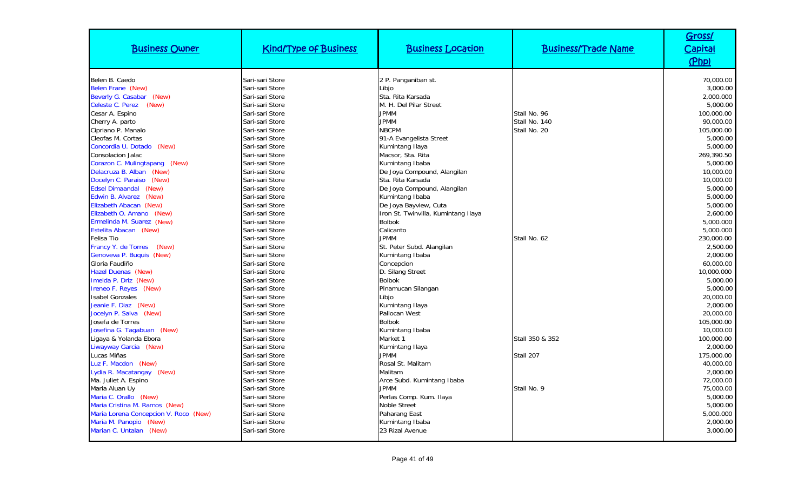| <b>Business Owner</b>                 | <b>Kind/Type of Business</b> | <b>Business Location</b>            | <b>Business/Trade Name</b> | Gross/<br><u>Capital</u><br>(Php) |
|---------------------------------------|------------------------------|-------------------------------------|----------------------------|-----------------------------------|
| Belen B. Caedo                        | Sari-sari Store              | 2 P. Panganiban st.                 |                            | 70,000.00                         |
| Belen Frane (New)                     | Sari-sari Store              | Libjo                               |                            | 3,000.00                          |
| Beverly G. Casabar<br>(New)           | Sari-sari Store              | Sta. Rita Karsada                   |                            | 2,000.000                         |
| (New)<br>Celeste C. Perez             | Sari-sari Store              | M. H. Del Pilar Street              |                            | 5,000.00                          |
| Cesar A. Espino                       | Sari-sari Store              | <b>JPMM</b>                         | Stall No. 96               | 100,000.00                        |
| Cherry A. parto                       | Sari-sari Store              | <b>JPMM</b>                         | Stall No. 140              | 90,000.00                         |
| Cipriano P. Manalo                    | Sari-sari Store              | <b>NBCPM</b>                        | Stall No. 20               | 105,000.00                        |
| Cleofas M. Cortas                     | Sari-sari Store              | 91-A Evangelista Street             |                            | 5,000.00                          |
| Concordia U. Dotado<br>(New)          | Sari-sari Store              | Kumintang Ilaya                     |                            | 5,000.00                          |
| <b>Consolacion Jalac</b>              | Sari-sari Store              | Macsor, Sta. Rita                   |                            | 269,390.50                        |
| Corazon C. Mulingtapang (New)         | Sari-sari Store              | Kumintang Ibaba                     |                            | 5,000.00                          |
| Delacruza B. Alban (New)              | Sari-sari Store              | De Joya Compound, Alangilan         |                            | 10,000.00                         |
| Docelyn C. Paraiso<br>(New)           | Sari-sari Store              | Sta. Rita Karsada                   |                            | 10,000.00                         |
| (New)<br><b>Edsel Dimaandal</b>       | Sari-sari Store              | De Joya Compound, Alangilan         |                            | 5,000.00                          |
| Edwin B. Alvarez (New)                | Sari-sari Store              | Kumintang Ibaba                     |                            | 5,000.00                          |
| Elizabeth Abacan (New)                | Sari-sari Store              | De Joya Bayview, Cuta               |                            | 5,000.00                          |
| Elizabeth O. Amano (New)              | Sari-sari Store              | Iron St. Twinvilla, Kumintang Ilaya |                            | 2,600.00                          |
| Ermelinda M. Suarez (New)             | Sari-sari Store              | <b>Bolbok</b>                       |                            | 5,000.000                         |
| Estelita Abacan (New)                 | Sari-sari Store              | Calicanto                           |                            | 5,000.000                         |
| <b>Felisa Tio</b>                     | Sari-sari Store              | <b>JPMM</b>                         | Stall No. 62               | 230,000.00                        |
| Francy Y. de Torres<br>(New)          | Sari-sari Store              | St. Peter Subd. Alangilan           |                            | 2,500.00                          |
| Genoveva P. Buquis (New)              | Sari-sari Store              | Kumintang Ibaba                     |                            | 2.000.00                          |
| Gloria Faudiño                        | Sari-sari Store              | Concepcion                          |                            | 60,000.00                         |
| <b>Hazel Duenas (New)</b>             | Sari-sari Store              | D. Silang Street                    |                            | 10,000.000                        |
| Imelda P. Driz (New)                  | Sari-sari Store              | <b>Bolbok</b>                       |                            | 5,000.00                          |
| Ireneo F. Reyes (New)                 | Sari-sari Store              | Pinamucan Silangan                  |                            | 5,000.00                          |
| <b>Isabel Gonzales</b>                | Sari-sari Store              | Libjo                               |                            | 20,000.00                         |
| Jeanie F. Diaz (New)                  | Sari-sari Store              | Kumintang Ilaya                     |                            | 2,000.00                          |
| Jocelyn P. Salva (New)                | Sari-sari Store              | Pallocan West                       |                            | 20,000.00                         |
| Josefa de Torres                      | Sari-sari Store              | <b>Bolbok</b>                       |                            | 105,000.00                        |
| Josefina G. Tagabuan (New)            | Sari-sari Store              | Kumintang Ibaba                     |                            | 10,000.00                         |
| Ligaya & Yolanda Ebora                | Sari-sari Store              | Market 1                            | Stall 350 & 352            | 100,000.00                        |
| Liwayway Garcia (New)                 | Sari-sari Store              | Kumintang Ilaya                     |                            | 2,000.00                          |
| Lucas Miñas                           | Sari-sari Store              | <b>JPMM</b>                         | Stall 207                  | 175,000.00                        |
| Luz F. Macdon (New)                   | Sari-sari Store              | Rosal St. Malitam                   |                            | 40,000.00                         |
| Lydia R. Macatangay (New)             | Sari-sari Store              | Malitam                             |                            | 2,000.00                          |
| Ma. Juliet A. Espino                  | Sari-sari Store              | Arce Subd. Kumintang Ibaba          |                            | 72,000.00                         |
| Maria Aluan Uy                        | Sari-sari Store              | <b>JPMM</b>                         | Stall No. 9                | 75,000.00                         |
| Maria C. Orallo (New)                 | Sari-sari Store              | Perlas Comp. Kum. Ilaya             |                            | 5,000.00                          |
| Maria Cristina M. Ramos (New)         | Sari-sari Store              | Noble Street                        |                            | 5,000.00                          |
| Maria Lorena Concepcion V. Roco (New) | Sari-sari Store              | Paharang East                       |                            | 5,000.000                         |
| Maria M. Panopio (New)                | Sari-sari Store              | Kumintang Ibaba                     |                            | 2,000.00                          |
| Marian C. Untalan (New)               | Sari-sari Store              | 23 Rizal Avenue                     |                            | 3,000.00                          |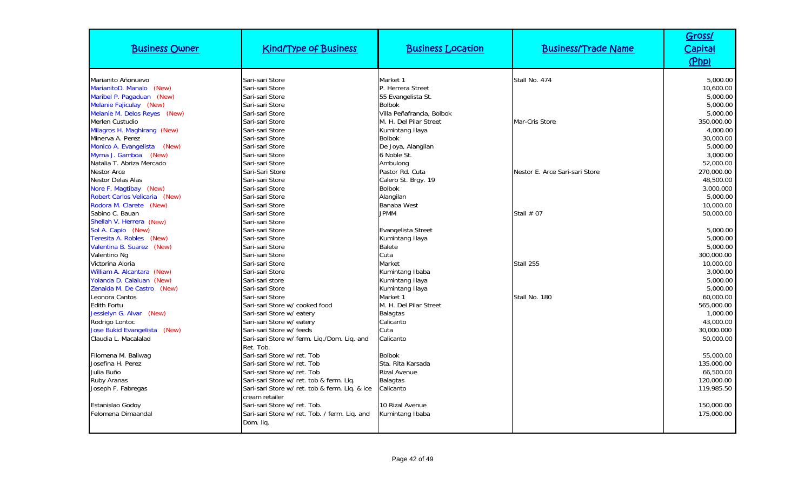| <b>Business Owner</b>                          | <b>Kind/Type of Business</b>                                     | <b>Business Location</b>         | <b>Business/Trade Name</b>     | Gross/<br>Capital<br>(Php) |
|------------------------------------------------|------------------------------------------------------------------|----------------------------------|--------------------------------|----------------------------|
| Marianito Añonuevo                             | Sari-sari Store                                                  | Market 1                         | Stall No. 474                  | 5,000.00                   |
| MarianitoD. Manalo (New)                       | Sari-sari Store                                                  | P. Herrera Street                |                                | 10,600.00                  |
| Maribel P. Pagaduan (New)                      | Sari-sari Store                                                  | 55 Evangelista St.               |                                | 5,000.00                   |
| Melanie Fajiculay (New)                        | Sari-sari Store                                                  | <b>Bolbok</b>                    |                                | 5,000.00                   |
| Melanie M. Delos Reyes (New)                   | Sari-sari Store                                                  | Villa Peñafrancia, Bolbok        |                                | 5,000.00                   |
| Merlen Custudio                                | Sari-sari Store                                                  | M. H. Del Pilar Street           | Mar-Cris Store                 | 350,000.00                 |
| Milagros H. Maghirang (New)                    | Sari-sari Store                                                  | Kumintang Ilaya                  |                                | 4,000.00                   |
| Minerva A. Perez                               | Sari-sari Store                                                  | <b>Bolbok</b>                    |                                | 30,000.00                  |
| Monico A. Evangelista<br>(New)                 | Sari-sari Store                                                  | De Joya, Alangilan               |                                | 5,000.00                   |
| Myrna J. Gamboa<br>(New)                       | Sari-sari Store                                                  | 6 Noble St.                      |                                | 3,000.00                   |
| Natalia T. Abriza Mercado                      | Sari-sari Store                                                  | Ambulong                         |                                | 52,000.00                  |
| <b>Nestor Arce</b>                             | Sari-Sari Store                                                  | Pastor Rd. Cuta                  | Nestor E. Arce Sari-sari Store | 270,000.00                 |
| <b>Nestor Delas Alas</b>                       | Sari-sari Store                                                  | Calero St. Brgy. 19              |                                | 48,500.00                  |
| Nore F. Magtibay (New)                         | Sari-sari Store                                                  | <b>Bolbok</b>                    |                                | 3,000.000                  |
| Robert Carlos Velicaria (New)                  | Sari-sari Store                                                  | Alangilan                        |                                | 5,000.00                   |
| Rodora M. Clarete (New)                        | Sari-sari Store                                                  | <b>Banaba West</b>               |                                | 10,000.00                  |
| Sabino C. Bauan                                | Sari-sari Store                                                  | <b>JPMM</b>                      | Stall $#07$                    | 50,000.00                  |
| Shellah V. Herrera (New)                       | Sari-sari Store                                                  |                                  |                                |                            |
| Sol A. Capio (New)<br>Teresita A. Robles (New) | Sari-sari Store<br>Sari-sari Store                               | <b>Evangelista Street</b>        |                                | 5,000.00<br>5,000.00       |
| Valentina B. Suarez (New)                      | Sari-sari Store                                                  | Kumintang Ilaya<br><b>Balete</b> |                                | 5,000.00                   |
| Valentino Ng                                   | Sari-sari Store                                                  | Cuta                             |                                | 300,000.00                 |
| Victorina Aloria                               | Sari-sari Store                                                  | Market                           | Stall 255                      | 10,000.00                  |
| William A. Alcantara (New)                     | Sari-sari Store                                                  | Kumintang Ibaba                  |                                | 3,000.00                   |
| Yolanda D. Calaluan (New)                      | Sari-sari store                                                  | Kumintang Ilaya                  |                                | 5,000.00                   |
| Zenaida M. De Castro (New)                     | Sari-sari Store                                                  | Kumintang Ilaya                  |                                | 5,000.00                   |
| Leonora Cantos                                 | Sari-sari Store                                                  | Market 1                         | Stall No. 180                  | 60,000.00                  |
| <b>Edith Fortu</b>                             | Sari-sari Store w/ cooked food                                   | M. H. Del Pilar Street           |                                | 565,000.00                 |
| Jessielyn G. Alvar (New)                       | Sari-sari Store w/ eatery                                        | <b>Balagtas</b>                  |                                | 1,000.00                   |
| Rodrigo Lontoc                                 | Sari-sari Store w/ eatery                                        | Calicanto                        |                                | 43,000.00                  |
| Jose Bukid Evangelista (New)                   | Sari-sari Store w/ feeds                                         | Cuta                             |                                | 30,000.000                 |
| Claudia L. Macalalad                           | Sari-sari Store w/ ferm. Liq./Dom. Liq. and                      | Calicanto                        |                                | 50,000.00                  |
|                                                | Ret. Tob.                                                        |                                  |                                |                            |
| Filomena M. Baliwag                            | Sari-sari Store w/ ret. Tob                                      | <b>Bolbok</b>                    |                                | 55,000.00                  |
| Josefina H. Perez                              | Sari-sari Store w/ ret. Tob                                      | Sta. Rita Karsada                |                                | 135,000.00                 |
| Julia Buño                                     | Sari-sari Store w/ ret. Tob                                      | <b>Rizal Avenue</b>              |                                | 66,500.00                  |
| Ruby Aranas                                    | Sari-sari Store w/ ret. tob & ferm. Liq.                         | <b>Balagtas</b>                  |                                | 120,000.00                 |
| Joseph F. Fabregas                             | Sari-sari Store w/ ret. tob & ferm. Liq. & ice<br>cream retailer | Calicanto                        |                                | 119,985.50                 |
| Estanislao Godoy                               | Sari-sari Store w/ ret. Tob.                                     | 10 Rizal Avenue                  |                                | 150,000.00                 |
| Felomena Dimaandal                             | Sari-sari Store w/ ret. Tob. / ferm. Lig. and                    | Kumintang Ibaba                  |                                | 175,000.00                 |
|                                                | Dom. lig.                                                        |                                  |                                |                            |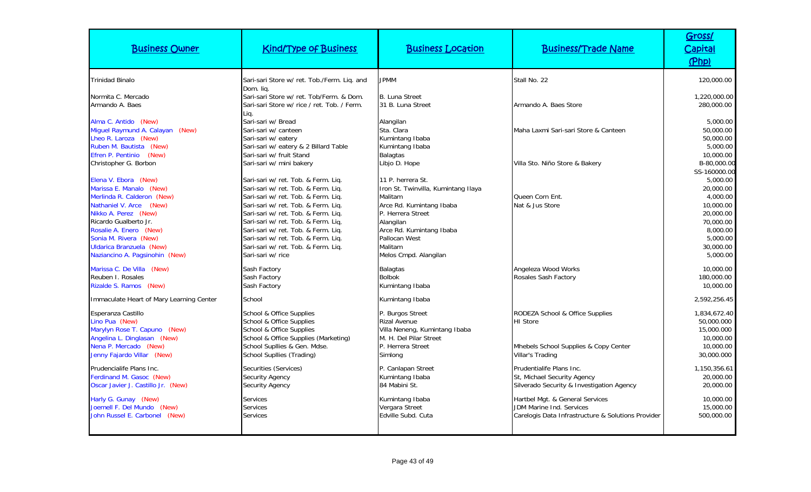| <b>Business Owner</b>                                                                                                                                                                                                                                                                       | <b>Kind/Type of Business</b>                                                                                                                                                                                                                                                                                                                                                     | <b>Business Location</b>                                                                                                                                                                                           | <b>Business/Trade Name</b>                                                                                        | Gross/<br><b>Capital</b><br>(Php)                                                                                                         |
|---------------------------------------------------------------------------------------------------------------------------------------------------------------------------------------------------------------------------------------------------------------------------------------------|----------------------------------------------------------------------------------------------------------------------------------------------------------------------------------------------------------------------------------------------------------------------------------------------------------------------------------------------------------------------------------|--------------------------------------------------------------------------------------------------------------------------------------------------------------------------------------------------------------------|-------------------------------------------------------------------------------------------------------------------|-------------------------------------------------------------------------------------------------------------------------------------------|
| <b>Trinidad Binalo</b>                                                                                                                                                                                                                                                                      | Sari-sari Store w/ ret. Tob./Ferm. Liq. and                                                                                                                                                                                                                                                                                                                                      | <b>JPMM</b>                                                                                                                                                                                                        | Stall No. 22                                                                                                      | 120,000.00                                                                                                                                |
| Normita C. Mercado<br>Armando A. Baes                                                                                                                                                                                                                                                       | Dom. lia.<br>Sari-sari Store w/ ret. Tob/Ferm. & Dom.<br>Sari-sari Store w/ rice / ret. Tob. / Ferm.<br>Liq.                                                                                                                                                                                                                                                                     | <b>B. Luna Street</b><br>31 B. Luna Street                                                                                                                                                                         | Armando A. Baes Store                                                                                             | 1,220,000.00<br>280,000.00                                                                                                                |
| Alma C. Antido (New)<br>Miguel Raymund A. Calayan (New)<br>Lheo R. Laroza (New)<br>Ruben M. Bautista (New)                                                                                                                                                                                  | Sari-sari w/ Bread<br>Sari-sari w/ canteen<br>Sari-sari w/ eatery<br>Sari-sari w/ eatery & 2 Billard Table                                                                                                                                                                                                                                                                       | Alangilan<br>Sta. Clara<br>Kumintang Ibaba<br>Kumintang Ibaba                                                                                                                                                      | Maha Laxmi Sari-sari Store & Canteen                                                                              | 5,000.00<br>50,000.00<br>50,000.00<br>5,000.00                                                                                            |
| (New)<br>Efren P. Pentinio<br>Christopher G. Borbon                                                                                                                                                                                                                                         | Sari-sari w/ fruit Stand<br>Sari-sari w/ mini bakery                                                                                                                                                                                                                                                                                                                             | <b>Balagtas</b><br>Libjo D. Hope                                                                                                                                                                                   | Villa Sto. Niño Store & Bakery                                                                                    | 10,000.00<br>B-80,000.00                                                                                                                  |
| Elena V. Ebora (New)<br>Marissa E. Manalo (New)<br>Merlinda R. Calderon (New)<br><b>Nathaniel V. Arce</b><br>(New)<br>Nikko A. Perez (New)<br>Ricardo Gualberto Jr.<br>Rosalie A. Enero (New)<br>Sonia M. Rivera (New)<br><b>Uldarica Branzuela (New)</b><br>Naziancino A. Pagsinohin (New) | Sari-sari w/ ret. Tob. & Ferm. Lig.<br>Sari-sari w/ ret. Tob. & Ferm. Lig.<br>Sari-sari w/ ret. Tob. & Ferm. Lig.<br>Sari-sari w/ ret. Tob. & Ferm. Lig.<br>Sari-sari w/ ret. Tob. & Ferm. Lig.<br>Sari-sari w/ ret. Tob. & Ferm. Lig.<br>Sari-sari w/ ret. Tob. & Ferm. Liq.<br>Sari-sari w/ ret. Tob. & Ferm. Liq.<br>Sari-sari w/ ret. Tob. & Ferm. Liq.<br>Sari-sari w/ rice | 11 P. herrera St.<br>Iron St. Twinvilla, Kumintang Ilaya<br>Malitam<br>Arce Rd. Kumintang Ibaba<br>P. Herrera Street<br>Alangilan<br>Arce Rd. Kumintang Ibaba<br>Pallocan West<br>Malitam<br>Melos Cmpd. Alangilan | Queen Corn Ent.<br>Nat & Jus Store                                                                                | SS-160000.00<br>5,000.00<br>20,000.00<br>4,000.00<br>10,000.00<br>20,000.00<br>70,000.00<br>8,000.00<br>5,000.00<br>30,000.00<br>5,000.00 |
| Marissa C. De Villa (New)<br>Reuben I. Rosales<br>Rizalde S. Ramos (New)                                                                                                                                                                                                                    | Sash Factory<br>Sash Factory<br>Sash Factory                                                                                                                                                                                                                                                                                                                                     | <b>Balagtas</b><br><b>Bolbok</b><br>Kumintang Ibaba                                                                                                                                                                | Angeleza Wood Works<br>Rosales Sash Factory                                                                       | 10,000.00<br>180,000.00<br>10,000.00                                                                                                      |
| Immaculate Heart of Mary Learning Center                                                                                                                                                                                                                                                    | School                                                                                                                                                                                                                                                                                                                                                                           | Kumintang Ibaba                                                                                                                                                                                                    |                                                                                                                   | 2,592,256.45                                                                                                                              |
| Esperanza Castillo<br>Lino Pua (New)<br>Marylyn Rose T. Capuno (New)<br>Angelina L. Dinglasan (New)<br>Nena P. Mercado (New)<br>Jenny Fajardo Villar (New)                                                                                                                                  | School & Office Supplies<br>School & Office Supplies<br>School & Office Supplies<br>School & Office Supplies (Marketing)<br>School Supllies & Gen. Mdse.<br>School Supllies (Trading)                                                                                                                                                                                            | P. Burgos Street<br><b>Rizal Avenue</b><br>Villa Neneng, Kumintang Ibaba<br>M. H. Del Pilar Street<br>P. Herrera Street<br>Simlong                                                                                 | RODEZA School & Office Supplies<br><b>HI</b> Store<br>Mhebels School Supplies & Copy Center<br>Villar's Trading   | 1,834,672.40<br>50,000.000<br>15,000.000<br>10,000.00<br>10,000.00<br>30,000.000                                                          |
| Prudencialife Plans Inc.<br>Ferdinand M. Gasoc (New)<br>Oscar Javier J. Castillo Jr. (New)                                                                                                                                                                                                  | Securities (Services)<br><b>Security Agency</b><br>Security Agency                                                                                                                                                                                                                                                                                                               | P. Canlapan Street<br>Kumintang Ibaba<br>84 Mabini St.                                                                                                                                                             | Prudentialife Plans Inc.<br>St, Michael Security Agency<br>Silverado Security & Investigation Agency              | 1,150,356.61<br>20,000.00<br>20,000.00                                                                                                    |
| Harly G. Gunay (New)<br>Joemell F. Del Mundo (New)<br>John Russel E. Carbonel (New)                                                                                                                                                                                                         | <b>Services</b><br><b>Services</b><br>Services                                                                                                                                                                                                                                                                                                                                   | Kumintang Ibaba<br>Vergara Street<br>Edville Subd, Cuta                                                                                                                                                            | Hartbel Mgt. & General Services<br>JDM Marine Ind. Services<br>Carelogis Data Infrastructure & Solutions Provider | 10,000.00<br>15,000.00<br>500,000.00                                                                                                      |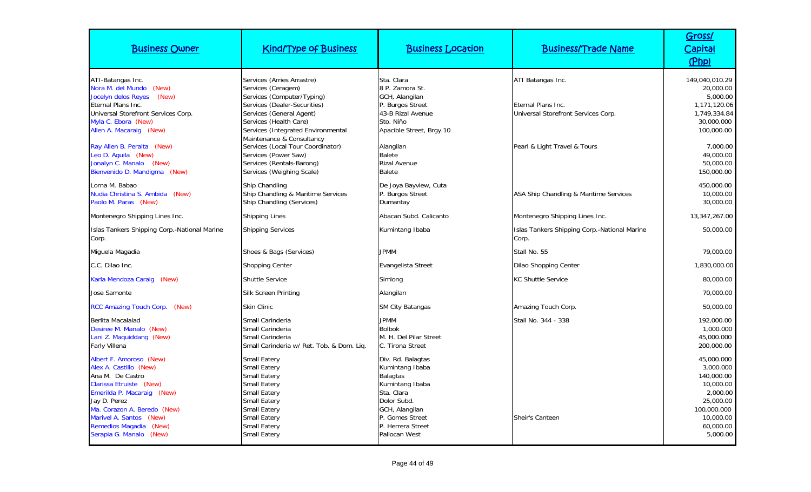| <b>Business Owner</b>                                                                                                                                                                                                                                         | <b>Kind/Type of Business</b>                                                                                                                                                                                                                                                                         | <b>Business Location</b>                                                                                                                                                    | <b>Business/Trade Name</b>                                                                                     | Gross/<br>Capital<br>(Php)                                                                                                       |
|---------------------------------------------------------------------------------------------------------------------------------------------------------------------------------------------------------------------------------------------------------------|------------------------------------------------------------------------------------------------------------------------------------------------------------------------------------------------------------------------------------------------------------------------------------------------------|-----------------------------------------------------------------------------------------------------------------------------------------------------------------------------|----------------------------------------------------------------------------------------------------------------|----------------------------------------------------------------------------------------------------------------------------------|
| ATI-Batangas Inc.<br>Nora M. del Mundo (New)<br>Jocelyn delos Reyes<br>(New)<br>Eternal Plans Inc.<br>Universal Storefront Services Corp.<br>Myla C. Ebora (New)<br>Allen A. Macaraig (New)<br>Ray Allen B. Peralta (New)<br>Leo D. Aguila (New)              | Services (Arries Arrastre)<br>Services (Ceragem)<br>Services (Computer/Typing)<br>Services (Dealer-Securities)<br>Services (General Agent)<br>Services (Health Care)<br>Services (Integrated Environmental<br>Maintenance & Consultancy<br>Services (Local Tour Coordinator)<br>Services (Power Saw) | Sta. Clara<br>8 P. Zamora St.<br>GCH, Alangilan<br>P. Burgos Street<br>43-B Rizal Avenue<br>Sto. Niño<br>Apacible Street, Brgy.10<br>Alangilan<br>Balete                    | ATI Batangas Inc.<br>Eternal Plans Inc.<br>Universal Storefront Services Corp.<br>Pearl & Light Travel & Tours | 149,040,010.29<br>20,000.00<br>5,000.00<br>1,171,120.06<br>1,749,334.84<br>30,000.000<br>100,000.00<br>7.000.00<br>49,000.00     |
| Jonalyn C. Manalo (New)<br>Bienvenido D. Mandigma (New)                                                                                                                                                                                                       | Services (Rentals-Barong)<br>Services (Weighing Scale)                                                                                                                                                                                                                                               | <b>Rizal Avenue</b><br>Balete                                                                                                                                               |                                                                                                                | 50,000.00<br>150,000.00                                                                                                          |
| Lorna M. Babao<br>Nudia Christina S. Ambida (New)<br>Paolo M. Paras (New)                                                                                                                                                                                     | Ship Chandling<br>Ship Chandling & Maritime Services<br>Ship Chandling (Services)                                                                                                                                                                                                                    | De Joya Bayview, Cuta<br>P. Burgos Street<br>Dumantay                                                                                                                       | ASA Ship Chandling & Maritime Services                                                                         | 450,000.00<br>10,000.00<br>30,000.00                                                                                             |
| Montenegro Shipping Lines Inc.                                                                                                                                                                                                                                | <b>Shipping Lines</b>                                                                                                                                                                                                                                                                                | Abacan Subd, Calicanto                                                                                                                                                      | Montenegro Shipping Lines Inc.                                                                                 | 13,347,267.00                                                                                                                    |
| Islas Tankers Shipping Corp.-National Marine<br>Corp.                                                                                                                                                                                                         | <b>Shipping Services</b>                                                                                                                                                                                                                                                                             | Kumintang Ibaba                                                                                                                                                             | Islas Tankers Shipping Corp.-National Marine<br>Corp.                                                          | 50,000.00                                                                                                                        |
| Miguela Magadia                                                                                                                                                                                                                                               | Shoes & Bags (Services)                                                                                                                                                                                                                                                                              | <b>JPMM</b>                                                                                                                                                                 | Stall No. 55                                                                                                   | 79,000.00                                                                                                                        |
| C.C. Dilao Inc.                                                                                                                                                                                                                                               | <b>Shopping Center</b>                                                                                                                                                                                                                                                                               | Evangelista Street                                                                                                                                                          | Dilao Shopping Center                                                                                          | 1,830,000.00                                                                                                                     |
| Karla Mendoza Caraig (New)                                                                                                                                                                                                                                    | <b>Shuttle Service</b>                                                                                                                                                                                                                                                                               | Simlong                                                                                                                                                                     | <b>KC Shuttle Service</b>                                                                                      | 80,000.00                                                                                                                        |
| Jose Samonte                                                                                                                                                                                                                                                  | Silk Screen Printing                                                                                                                                                                                                                                                                                 | Alangilan                                                                                                                                                                   |                                                                                                                | 70,000.00                                                                                                                        |
| RCC Amazing Touch Corp. (New)                                                                                                                                                                                                                                 | Skin Clinic                                                                                                                                                                                                                                                                                          | <b>SM City Batangas</b>                                                                                                                                                     | Amazing Touch Corp.                                                                                            | 50,000.00                                                                                                                        |
| Berlita Macalalad<br>Desiree M. Manalo (New)<br>Lani Z. Maquiddang (New)<br><b>Farly Villena</b>                                                                                                                                                              | Small Carinderia<br>Small Carinderia<br>Small Carinderia<br>Small Carinderia w/ Ret. Tob. & Dom. Lig.                                                                                                                                                                                                | <b>JPMM</b><br><b>Bolbok</b><br>M. H. Del Pilar Street<br>C. Tirona Street                                                                                                  | Stall No. 344 - 338                                                                                            | 192,000.00<br>1,000.000<br>45,000.000<br>200,000.00                                                                              |
| Albert F. Amoroso (New)<br>Alex A. Castillo (New)<br>Ana M. De Castro<br>Clarissa Etruiste (New)<br>Emerilda P. Macaraig (New)<br>Jay D. Perez<br>Ma. Corazon A. Beredo (New)<br>Marivel A. Santos (New)<br>Remedios Magadia (New)<br>Serapia G. Manalo (New) | <b>Small Eatery</b><br><b>Small Eatery</b><br><b>Small Eatery</b><br><b>Small Eatery</b><br><b>Small Eatery</b><br><b>Small Eatery</b><br><b>Small Eatery</b><br><b>Small Eatery</b><br><b>Small Eatery</b><br><b>Small Eatery</b>                                                                   | Div. Rd. Balagtas<br>Kumintang Ibaba<br>Balagtas<br>Kumintang Ibaba<br>Sta. Clara<br>Dolor Subd.<br>GCH, Alangilan<br>P. Gomes Street<br>P. Herrera Street<br>Pallocan West | Sheir's Canteen                                                                                                | 45,000.000<br>3,000.000<br>140,000.00<br>10,000.00<br>2,000.00<br>25,000.00<br>100,000.000<br>10,000.00<br>60,000.00<br>5,000.00 |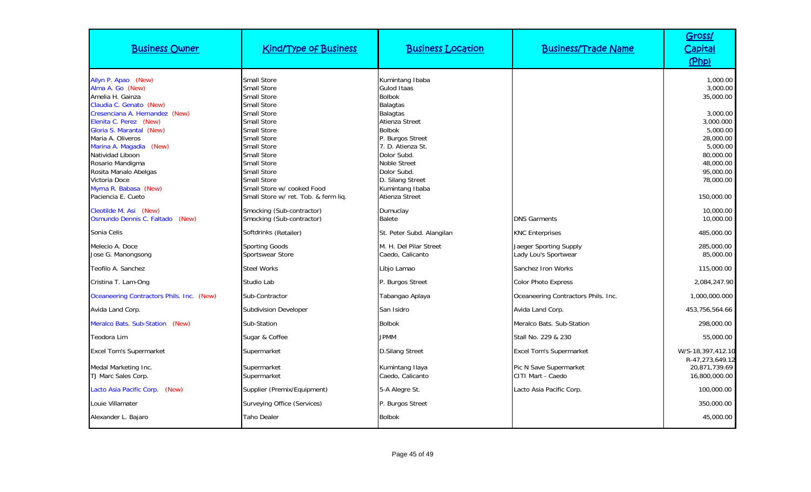| <b>Business Owner</b>                                                                                                                                                                                                                                                                                                                                           | <b>Kind/Type of Business</b>                                                                                                                                                                                                                                                                                                                | <b>Business Location</b>                                                                                                                                                                                                                                                                             | <b>Business/Trade Name</b>                     | Gross/<br><b>Capital</b><br>(Php)                                                                                                                                 |
|-----------------------------------------------------------------------------------------------------------------------------------------------------------------------------------------------------------------------------------------------------------------------------------------------------------------------------------------------------------------|---------------------------------------------------------------------------------------------------------------------------------------------------------------------------------------------------------------------------------------------------------------------------------------------------------------------------------------------|------------------------------------------------------------------------------------------------------------------------------------------------------------------------------------------------------------------------------------------------------------------------------------------------------|------------------------------------------------|-------------------------------------------------------------------------------------------------------------------------------------------------------------------|
| Ailyn P. Apao (New)<br>Alma A. Go (New)<br>Amelia H. Gainza<br>Claudia C. Genato (New)<br>Cresenciana A. Hernandez (New)<br>Elenita C. Perez (New)<br>Gloria S. Marantal (New)<br>Maria A. Oliveros<br>Marina A. Magadia (New)<br>Natividad Liboon<br>Rosario Mandigma<br>Rosita Manalo Abelgas<br>Victoria Doce<br>Myrna R. Babasa (New)<br>Paciencia E. Cueto | Small Store<br><b>Small Store</b><br><b>Small Store</b><br><b>Small Store</b><br>Small Store<br><b>Small Store</b><br><b>Small Store</b><br><b>Small Store</b><br>Small Store<br><b>Small Store</b><br><b>Small Store</b><br><b>Small Store</b><br><b>Small Store</b><br>Small Store w/ cooked Food<br>Small Store w/ ret. Tob. & ferm lig. | Kumintang Ibaba<br><b>Gulod Itaas</b><br><b>Bolbok</b><br><b>Balagtas</b><br><b>Balagtas</b><br><b>Atienza Street</b><br><b>Bolbok</b><br>P. Burgos Street<br>7. D. Atienza St.<br>Dolor Subd.<br><b>Noble Street</b><br>Dolor Subd.<br>D. Silang Street<br>Kumintang Ibaba<br><b>Atienza Street</b> |                                                | 1,000.00<br>3,000.00<br>35,000.00<br>3,000.00<br>3,000.000<br>5,000.00<br>28,000.00<br>5,000.00<br>80,000.00<br>48,000.00<br>95,000.00<br>78,000.00<br>150,000.00 |
| Cleotilde M. Asi (New)<br>Osmundo Dennis C. Faltado (New)                                                                                                                                                                                                                                                                                                       | Smocking (Sub-contractor)<br>Smocking (Sub-contractor)                                                                                                                                                                                                                                                                                      | Dumuclay<br>Balete                                                                                                                                                                                                                                                                                   | <b>DNS Garments</b>                            | 10,000.00<br>10,000.00                                                                                                                                            |
| Sonia Celis                                                                                                                                                                                                                                                                                                                                                     | Softdrinks (Retailer)                                                                                                                                                                                                                                                                                                                       | St. Peter Subd. Alangilan                                                                                                                                                                                                                                                                            | <b>KNC Enterprises</b>                         | 485,000.00                                                                                                                                                        |
| Melecio A. Doce<br>Jose G. Manongsong                                                                                                                                                                                                                                                                                                                           | Sporting Goods<br>Sportswear Store                                                                                                                                                                                                                                                                                                          | M. H. Del Pilar Street<br>Caedo, Calicanto                                                                                                                                                                                                                                                           | Jaeger Sporting Supply<br>Lady Lou's Sportwear | 285,000.00<br>85,000.00                                                                                                                                           |
| Teofilo A. Sanchez                                                                                                                                                                                                                                                                                                                                              | <b>Steel Works</b>                                                                                                                                                                                                                                                                                                                          | Libjo Lamao                                                                                                                                                                                                                                                                                          | Sanchez Iron Works                             | 115,000.00                                                                                                                                                        |
| Cristina T. Lam-Ong                                                                                                                                                                                                                                                                                                                                             | Studio Lab                                                                                                                                                                                                                                                                                                                                  | P. Burgos Street                                                                                                                                                                                                                                                                                     | <b>Color Photo Express</b>                     | 2,084,247.90                                                                                                                                                      |
| Oceaneering Contractors Phils. Inc. (New)                                                                                                                                                                                                                                                                                                                       | Sub-Contractor                                                                                                                                                                                                                                                                                                                              | Tabangao Aplaya                                                                                                                                                                                                                                                                                      | Oceaneering Contractors Phils. Inc.            | 1,000,000.000                                                                                                                                                     |
| Avida Land Corp.                                                                                                                                                                                                                                                                                                                                                | <b>Subdivision Developer</b>                                                                                                                                                                                                                                                                                                                | San Isidro                                                                                                                                                                                                                                                                                           | Avida Land Corp.                               | 453,756,564.66                                                                                                                                                    |
| Meralco Bats. Sub-Station (New)                                                                                                                                                                                                                                                                                                                                 | Sub-Station                                                                                                                                                                                                                                                                                                                                 | <b>Bolbok</b>                                                                                                                                                                                                                                                                                        | Meralco Bats, Sub-Station                      | 298,000.00                                                                                                                                                        |
| Teodora Lim                                                                                                                                                                                                                                                                                                                                                     | Sugar & Coffee                                                                                                                                                                                                                                                                                                                              | <b>JPMM</b>                                                                                                                                                                                                                                                                                          | Stall No. 229 & 230                            | 55,000.00                                                                                                                                                         |
| <b>Excel Tom's Supermarket</b>                                                                                                                                                                                                                                                                                                                                  | Supermarket                                                                                                                                                                                                                                                                                                                                 | <b>D.Silang Street</b>                                                                                                                                                                                                                                                                               | <b>Excel Tom's Supermarket</b>                 | W/S-18,397,412.10                                                                                                                                                 |
| Medal Marketing Inc.<br>TJ Marc Sales Corp.                                                                                                                                                                                                                                                                                                                     | Supermarket<br>Supermarket                                                                                                                                                                                                                                                                                                                  | Kumintang Ilaya<br>Caedo, Calicanto                                                                                                                                                                                                                                                                  | Pic N Save Supermarket<br>CITI Mart - Caedo    | R-47,273,649.12<br>20,871,739.69<br>16,800,000.00                                                                                                                 |
| Lacto Asia Pacific Corp. (New)                                                                                                                                                                                                                                                                                                                                  | Supplier (Premix/Equipment)                                                                                                                                                                                                                                                                                                                 | 5-A Alegre St.                                                                                                                                                                                                                                                                                       | Lacto Asia Pacific Corp.                       | 100,000.00                                                                                                                                                        |
| Louie Villamater                                                                                                                                                                                                                                                                                                                                                | Surveying Office (Services)                                                                                                                                                                                                                                                                                                                 | P. Burgos Street                                                                                                                                                                                                                                                                                     |                                                | 350,000.00                                                                                                                                                        |
| Alexander L. Bajaro                                                                                                                                                                                                                                                                                                                                             | Taho Dealer                                                                                                                                                                                                                                                                                                                                 | <b>Bolbok</b>                                                                                                                                                                                                                                                                                        |                                                | 45,000.00                                                                                                                                                         |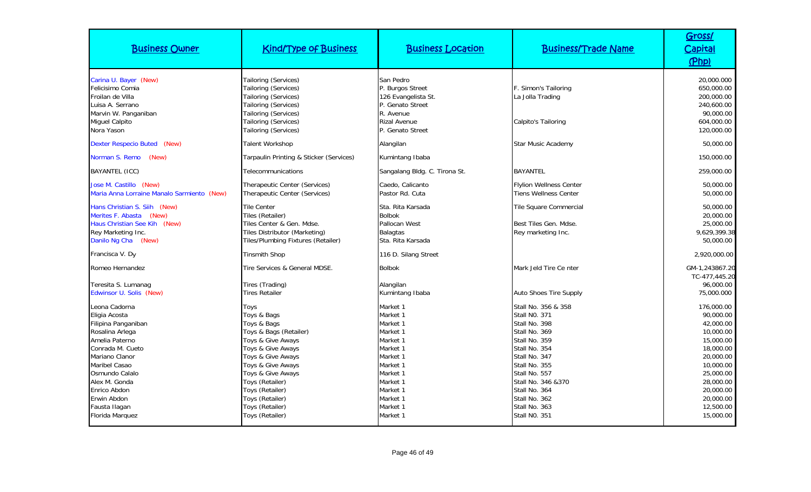| <b>Business Owner</b>                                                                                                                                                                                                                                   | <b>Kind/Type of Business</b>                                                                                                                                                                                                                                         | <b>Business Location</b>                                                                                                                                             | <b>Business/Trade Name</b>                                                                                                                                                                                                                            | Gross/<br>Capital<br>(Php)                                                                                                                                                          |
|---------------------------------------------------------------------------------------------------------------------------------------------------------------------------------------------------------------------------------------------------------|----------------------------------------------------------------------------------------------------------------------------------------------------------------------------------------------------------------------------------------------------------------------|----------------------------------------------------------------------------------------------------------------------------------------------------------------------|-------------------------------------------------------------------------------------------------------------------------------------------------------------------------------------------------------------------------------------------------------|-------------------------------------------------------------------------------------------------------------------------------------------------------------------------------------|
| Carina U. Bayer (New)<br>Felicisimo Comia<br>Froilan de Villa<br>Luisa A. Serrano<br>Marvin W. Panganiban<br><b>Miquel Calpito</b><br>Nora Yason                                                                                                        | Tailoring (Services)<br>Tailoring (Services)<br>Tailoring (Services)<br>Tailoring (Services)<br>Tailoring (Services)<br>Tailoring (Services)<br>Tailoring (Services)                                                                                                 | San Pedro<br>P. Burgos Street<br>126 Evangelista St.<br>P. Genato Street<br>R. Avenue<br><b>Rizal Avenue</b><br>P. Genato Street                                     | F. Simon's Tailoring<br>La Jolla Trading<br>Calpito's Tailoring                                                                                                                                                                                       | 20,000.000<br>650,000.00<br>200,000.00<br>240,600.00<br>90,000.00<br>604,000.00<br>120,000.00                                                                                       |
| Dexter Respecio Buted (New)                                                                                                                                                                                                                             | Talent Workshop                                                                                                                                                                                                                                                      | Alangilan                                                                                                                                                            | <b>Star Music Academy</b>                                                                                                                                                                                                                             | 50,000.00                                                                                                                                                                           |
| Norman S. Remo<br>(New)                                                                                                                                                                                                                                 | Tarpaulin Printing & Sticker (Services)                                                                                                                                                                                                                              | Kumintang Ibaba                                                                                                                                                      |                                                                                                                                                                                                                                                       | 150,000.00                                                                                                                                                                          |
| BAYANTEL (ICC)                                                                                                                                                                                                                                          | Telecommunications                                                                                                                                                                                                                                                   | Sangalang Bldg. C. Tirona St.                                                                                                                                        | <b>BAYANTEL</b>                                                                                                                                                                                                                                       | 259,000.00                                                                                                                                                                          |
| Jose M. Castillo (New)<br>Maria Anna Lorraine Manalo Sarmiento (New)                                                                                                                                                                                    | Therapeutic Center (Services)<br>Therapeutic Center (Services)                                                                                                                                                                                                       | Caedo, Calicanto<br>Pastor Rd. Cuta                                                                                                                                  | <b>Flylion Wellness Center</b><br><b>Tiens Wellness Center</b>                                                                                                                                                                                        | 50,000.00<br>50,000.00                                                                                                                                                              |
| Hans Christian S. Siih (New)<br>Merites F. Abasta<br>(New)<br>Haus Christian See Kih (New)<br>Rey Marketing Inc.<br>Danilo Ng Cha (New)                                                                                                                 | <b>Tile Center</b><br>Tiles (Retailer)<br>Tiles Center & Gen. Mdse.<br>Tiles Distributor (Marketing)<br>Tiles/Plumbing Fixtures (Retailer)                                                                                                                           | Sta. Rita Karsada<br><b>Bolbok</b><br>Pallocan West<br><b>Balagtas</b><br>Sta. Rita Karsada                                                                          | Tile Square Commercial<br>Best Tiles Gen. Mdse.<br>Rey marketing Inc.                                                                                                                                                                                 | 50,000.00<br>20,000.00<br>25,000.00<br>9,629,399.38<br>50,000.00                                                                                                                    |
| Francisca V. Dy                                                                                                                                                                                                                                         | <b>Tinsmith Shop</b>                                                                                                                                                                                                                                                 | 116 D. Silang Street                                                                                                                                                 |                                                                                                                                                                                                                                                       | 2,920,000.00                                                                                                                                                                        |
| Romeo Hernandez<br>Teresita S. Lumanag<br>Edwinsor U. Solis (New)                                                                                                                                                                                       | Tire Services & General MDSE.<br>Tires (Trading)<br><b>Tires Retailer</b>                                                                                                                                                                                            | <b>Bolbok</b><br>Alangilan<br>Kumintang Ibaba                                                                                                                        | Mark Jeld Tire Ce nter<br><b>Auto Shoes Tire Supply</b>                                                                                                                                                                                               | GM-1,243867.20<br>TC-477.445.20<br>96,000.00<br>75,000.000                                                                                                                          |
| Leona Cadorna<br>Eligia Acosta<br>Filipina Panganiban<br>Rosalina Arlega<br>Amelia Paterno<br>Conrada M. Cueto<br>Mariano Clanor<br>Maribel Casao<br>Osmundo Calalo<br>Alex M. Gonda<br>Enrico Abdon<br>Erwin Abdon<br>Fausta Ilagan<br>Florida Marquez | Toys<br>Toys & Bags<br>Toys & Bags<br>Toys & Bags (Retailer)<br>Toys & Give Aways<br>Toys & Give Aways<br>Toys & Give Aways<br>Toys & Give Aways<br>Toys & Give Aways<br>Toys (Retailer)<br>Toys (Retailer)<br>Toys (Retailer)<br>Toys (Retailer)<br>Toys (Retailer) | Market 1<br>Market 1<br>Market 1<br>Market 1<br>Market 1<br>Market 1<br>Market 1<br>Market 1<br>Market 1<br>Market 1<br>Market 1<br>Market 1<br>Market 1<br>Market 1 | Stall No. 356 & 358<br>Stall NO. 371<br>Stall No. 398<br>Stall No. 369<br>Stall No. 359<br>Stall No. 354<br>Stall No. 347<br>Stall No. 355<br>Stall No. 557<br>Stall No. 346 &370<br>Stall No. 364<br>Stall No. 362<br>Stall No. 363<br>Stall NO. 351 | 176,000.00<br>90,000.00<br>42,000.00<br>10,000.00<br>15,000.00<br>18,000.00<br>20,000.00<br>10,000.00<br>25,000.00<br>28,000.00<br>20,000.00<br>20,000.00<br>12,500.00<br>15,000.00 |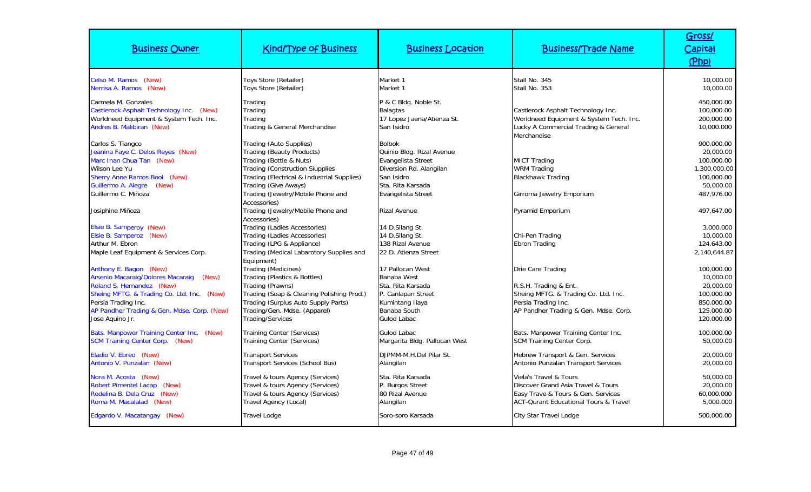| <b>Business Owner</b>                                                                                                                                                                                                                 | <b>Kind/Type of Business</b>                                                                                                                                                                                                                | <b>Business Location</b>                                                                                                                             | <b>Business/Trade Name</b>                                                                                                                             | Gross/<br><b>Capital</b><br>(Php)                                                              |
|---------------------------------------------------------------------------------------------------------------------------------------------------------------------------------------------------------------------------------------|---------------------------------------------------------------------------------------------------------------------------------------------------------------------------------------------------------------------------------------------|------------------------------------------------------------------------------------------------------------------------------------------------------|--------------------------------------------------------------------------------------------------------------------------------------------------------|------------------------------------------------------------------------------------------------|
| Celso M. Ramos (New)<br>Nerrisa A. Ramos (New)                                                                                                                                                                                        | Toys Store (Retailer)<br>Toys Store (Retailer)                                                                                                                                                                                              | Market 1<br>Market 1                                                                                                                                 | Stall No. 345<br>Stall No. 353                                                                                                                         | 10,000.00<br>10,000.00                                                                         |
| Carmela M. Gonzales<br>Castlerock Asphalt Technology Inc. (New)<br>Worldneed Equipment & System Tech. Inc.<br>Andres B. Malibiran (New)                                                                                               | Trading<br>Trading<br>Trading<br>Trading & General Merchandise                                                                                                                                                                              | P & C Bldg. Noble St.<br><b>Balagtas</b><br>17 Lopez Jaena/Atienza St.<br>San Isidro                                                                 | Castlerock Asphalt Technology Inc.<br>Worldneed Equipment & System Tech. Inc.<br>Lucky A Commercial Trading & General<br>Merchandise                   | 450,000.00<br>100,000.00<br>200,000.00<br>10,000.000                                           |
| Carlos S. Tiangco<br>Jeanina Faye C. Delos Reyes (New)<br>Marc Inan Chua Tan (New)<br>Wilson Lee Yu<br>Sherry Anne Ramos Bool (New)<br>Guillermo A. Alegre (New)<br>Guillermo C. Miñoza                                               | Trading (Auto Supplies)<br><b>Trading (Beauty Products)</b><br>Trading (Bottle & Nuts)<br><b>Trading (Construction Siupplies</b><br>Trading (Electrical & Industrial Supplies)<br>Trading (Give Aways)<br>Trading (Jewelry/Mobile Phone and | <b>Bolbok</b><br>Quinio Bldg. Rizal Avenue<br>Evangelista Street<br>Diversion Rd. Alangilan<br>San Isidro<br>Sta. Rita Karsada<br>Evangelista Street | <b>MICT Trading</b><br><b>WRM Trading</b><br><b>Blackhawk Trading</b><br>Girroma Jewelry Emporium                                                      | 900,000.00<br>20,000.00<br>100,000.00<br>1,300,000.00<br>100,000.00<br>50,000.00<br>487,976.00 |
| Josiphine Miñoza                                                                                                                                                                                                                      | Accessories)<br>Trading (Jewelry/Mobile Phone and                                                                                                                                                                                           | <b>Rizal Avenue</b>                                                                                                                                  | Pyramid Emporium                                                                                                                                       | 497,647.00                                                                                     |
| Elsie B. Samperoy (New)<br>Elsie B. Samperoz (New)<br>Arthur M. Ebron<br>Maple Leaf Equipment & Services Corp.                                                                                                                        | Accessories)<br><b>Trading (Ladies Accessories)</b><br><b>Trading (Ladies Accessories)</b><br>Trading (LPG & Appliance)<br>Trading (Medical Labarotory Supplies and<br>Equipment)                                                           | 14 D.Silang St.<br>14 D.Silang St.<br>138 Rizal Avenue<br>22 D. Atienza Street                                                                       | Chi-Pen Trading<br>Ebron Trading                                                                                                                       | 3,000.000<br>10,000.00<br>124,643.00<br>2,140,644.87                                           |
| Anthony E. Bagon (New)<br>Arsenio Macaraig/Dolores Macaraig (New)<br>Roland S. Hernandez (New)<br>Sheing MFTG. & Trading Co. Ltd. Inc. (New)<br>Persia Trading Inc.<br>AP Pandher Trading & Gen. Mdse. Corp. (New)<br>Jose Aquino Jr. | Trading (Medicines)<br>Trading (Plastics & Bottles)<br>Trading (Prawns)<br>Trading (Soap & Cleaning Polishing Prod.)<br>Trading (Surplus Auto Supply Parts)<br>Trading/Gen. Mdse. (Apparel)<br><b>Trading/Services</b>                      | 17 Pallocan West<br><b>Banaba West</b><br>Sta. Rita Karsada<br>P. Canlapan Street<br>Kumintang Ilaya<br>Banaba South<br><b>Gulod Labac</b>           | Drie Care Trading<br>R.S.H. Trading & Ent.<br>Sheing MFTG. & Trading Co. Ltd. Inc.<br>Persia Trading Inc.<br>AP Pandher Trading & Gen. Mdse. Corp.     | 100,000.00<br>10,000.00<br>20,000.00<br>100,000.00<br>850,000.00<br>125,000.00<br>120,000.00   |
| Bats. Manpower Training Center Inc. (New)<br><b>SCM Training Center Corp. (New)</b>                                                                                                                                                   | Training Center (Services)<br>Training Center (Services)                                                                                                                                                                                    | <b>Gulod Labac</b><br>Margarita Bldg. Pallocan West                                                                                                  | Bats. Manpower Training Center Inc.<br><b>SCM Training Center Corp.</b>                                                                                | 100,000.00<br>50,000.00                                                                        |
| Eladio V. Ebreo (New)<br>Antonio V. Punzalan (New)                                                                                                                                                                                    | <b>Transport Services</b><br>Transport Services (School Bus)                                                                                                                                                                                | DJPMM-M.H.Del Pilar St.<br>Alangilan                                                                                                                 | Hebrew Transport & Gen. Services<br>Antonio Punzalan Transport Services                                                                                | 20,000.00<br>20,000.00                                                                         |
| Nora M. Acosta (New)<br>Robert Pimentel Lacap (New)<br>Rodelina B. Dela Cruz (New)<br>Roma M. Macalalad (New)                                                                                                                         | Travel & tours Agency (Services)<br>Travel & tours Agency (Services)<br>Travel & tours Agency (Services)<br>Travel Agency (Local)                                                                                                           | Sta. Rita Karsada<br>P. Burgos Street<br>80 Rizal Avenue<br>Alangilan                                                                                | Viela's Travel & Tours<br>Discover Grand Asia Travel & Tours<br>Easy Trave & Tours & Gen. Services<br><b>ACT-Qurant Educational Tours &amp; Travel</b> | 50,000.00<br>20,000.00<br>60,000.000<br>5,000.000                                              |
| Edgardo V. Macatangay (New)                                                                                                                                                                                                           | <b>Travel Lodge</b>                                                                                                                                                                                                                         | Soro-soro Karsada                                                                                                                                    | <b>City Star Travel Lodge</b>                                                                                                                          | 500,000.00                                                                                     |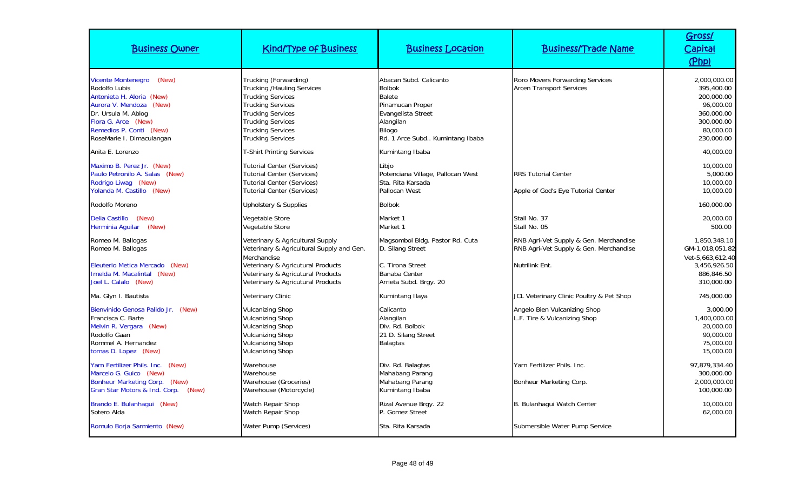| <b>Business Owner</b>                                                                                                                                                                                             | <b>Kind/Type of Business</b>                                                                                                                                                                                                       | <b>Business Location</b>                                                                                                                                     | <b>Business/Trade Name</b>                                                                         | Gross/<br>Capital<br>(Php)                                                                                   |
|-------------------------------------------------------------------------------------------------------------------------------------------------------------------------------------------------------------------|------------------------------------------------------------------------------------------------------------------------------------------------------------------------------------------------------------------------------------|--------------------------------------------------------------------------------------------------------------------------------------------------------------|----------------------------------------------------------------------------------------------------|--------------------------------------------------------------------------------------------------------------|
| <b>Vicente Montenegro</b><br>(New)<br>Rodolfo Lubis<br>Antonieta H. Aloria (New)<br>Aurora V. Mendoza (New)<br>Dr. Ursula M. Ablog<br>Flora G. Arce (New)<br>Remedios P. Conti (New)<br>RoseMarie I. Dimaculangan | Trucking (Forwarding)<br><b>Trucking /Hauling Services</b><br><b>Trucking Services</b><br><b>Trucking Services</b><br><b>Trucking Services</b><br><b>Trucking Services</b><br><b>Trucking Services</b><br><b>Trucking Services</b> | Abacan Subd. Calicanto<br><b>Bolbok</b><br>Balete<br>Pinamucan Proper<br>Evangelista Street<br>Alangilan<br><b>Bilogo</b><br>Rd. 1 Arce Subd Kumintang Ibaba | Roro Movers Forwarding Services<br><b>Arcen Transport Services</b>                                 | 2,000,000.00<br>395,400.00<br>200,000.00<br>96,000.00<br>360,000.00<br>300,000.00<br>80,000.00<br>230,000.00 |
| Anita E. Lorenzo                                                                                                                                                                                                  | <b>T-Shirt Printing Services</b>                                                                                                                                                                                                   | Kumintang Ibaba                                                                                                                                              |                                                                                                    | 40,000.00                                                                                                    |
| Maximo B. Perez Jr. (New)<br>Paulo Petronilo A. Salas (New)<br>Rodrigo Liwag (New)<br>Yolanda M. Castillo (New)                                                                                                   | <b>Tutorial Center (Services)</b><br><b>Tutorial Center (Services)</b><br><b>Tutorial Center (Services)</b><br><b>Tutorial Center (Services)</b>                                                                                   | Libjo<br>Potenciana Village, Pallocan West<br>Sta. Rita Karsada<br>Pallocan West                                                                             | <b>RRS Tutorial Center</b><br>Apple of God's Eye Tutorial Center                                   | 10,000.00<br>5,000.00<br>10,000.00<br>10,000.00                                                              |
| Rodolfo Moreno                                                                                                                                                                                                    | Upholstery & Supplies                                                                                                                                                                                                              | <b>Bolbok</b>                                                                                                                                                |                                                                                                    | 160,000.00                                                                                                   |
| Delia Castillo (New)<br>Herminia Aquilar<br>(New)                                                                                                                                                                 | Vegetable Store<br>Vegetable Store                                                                                                                                                                                                 | Market 1<br>Market 1                                                                                                                                         | Stall No. 37<br>Stall No. 05                                                                       | 20,000.00<br>500.00                                                                                          |
| Romeo M. Ballogas<br>Romeo M. Ballogas<br>Eleuterio Metica Mercado<br>(New)<br>Imelda M. Macalintal (New)<br>Joel L. Calalo (New)                                                                                 | Veterinary & Agricultural Supply<br>Veterinary & Agricultural Supply and Gen.<br>Merchandise<br>Veterinary & Agricutural Products<br>Veterinary & Agricutural Products<br>Veterinary & Agricutural Products                        | Magsombol Bldg. Pastor Rd. Cuta<br>D. Silang Street<br>C. Tirona Street<br>Banaba Center<br>Arrieta Subd. Brgy. 20                                           | RNB Agri-Vet Supply & Gen. Merchandise<br>RNB Agri-Vet Supply & Gen. Merchandise<br>Nutrilink Ent. | 1,850,348.10<br>GM-1,018,051.82<br>Vet-5,663,612.40<br>3,456,926.50<br>886,846.50<br>310,000.00              |
| Ma. Glyn I. Bautista                                                                                                                                                                                              | Veterinary Clinic                                                                                                                                                                                                                  | Kumintang Ilaya                                                                                                                                              | JCL Veterinary Clinic Poultry & Pet Shop                                                           | 745,000.00                                                                                                   |
| Bienvinido Genosa Palido Jr. (New)<br>Francisca C. Barte<br>Melvin R. Vergara (New)<br>Rodolfo Gaan<br>Rommel A. Hernandez<br>tomas D. Lopez (New)                                                                | <b>Vulcanizing Shop</b><br><b>Vulcanizing Shop</b><br><b>Vulcanizing Shop</b><br><b>Vulcanizing Shop</b><br><b>Vulcanizing Shop</b><br><b>Vulcanizing Shop</b>                                                                     | Calicanto<br>Alangilan<br>Div. Rd. Bolbok<br>21 D. Silang Street<br><b>Balagtas</b>                                                                          | Angelo Bien Vulcanizing Shop<br>L.F. Tire & Vulcanizing Shop                                       | 3,000.00<br>1,400,000.00<br>20,000.00<br>90,000.00<br>75,000.00<br>15,000.00                                 |
| Yarn Fertilizer Phils. Inc.<br>(New)<br>Marcelo G. Guico (New)<br>Bonheur Marketing Corp. (New)<br>Gran Star Motors & Ind. Corp.<br>(New)                                                                         | Warehouse<br>Warehouse<br>Warehouse (Groceries)<br>Warehouse (Motorcycle)                                                                                                                                                          | Div. Rd. Balagtas<br>Mahabang Parang<br>Mahabang Parang<br>Kumintang Ibaba                                                                                   | Yarn Fertilizer Phils. Inc.<br>Bonheur Marketing Corp.                                             | 97,879,334.40<br>300,000.00<br>2,000,000.00<br>100,000.00                                                    |
| Brando E. Bulanhagui (New)<br>Sotero Alda                                                                                                                                                                         | <b>Watch Repair Shop</b><br>Watch Repair Shop                                                                                                                                                                                      | Rizal Avenue Brgy. 22<br>P. Gomez Street                                                                                                                     | B. Bulanhagui Watch Center                                                                         | 10,000.00<br>62,000.00                                                                                       |
| Romulo Borja Sarmiento (New)                                                                                                                                                                                      | Water Pump (Services)                                                                                                                                                                                                              | Sta. Rita Karsada                                                                                                                                            | Submersible Water Pump Service                                                                     |                                                                                                              |